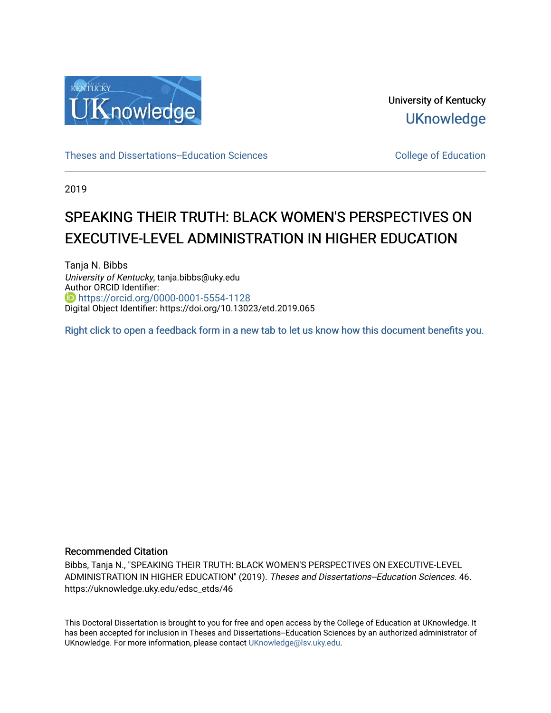

University of Kentucky **UKnowledge** 

[Theses and Dissertations--Education Sciences](https://uknowledge.uky.edu/edsc_etds) [College of Education](https://uknowledge.uky.edu/education) 

2019

# SPEAKING THEIR TRUTH: BLACK WOMEN'S PERSPECTIVES ON EXECUTIVE-LEVEL ADMINISTRATION IN HIGHER EDUCATION

Tanja N. Bibbs University of Kentucky, tanja.bibbs@uky.edu Author ORCID Identifier: <https://orcid.org/0000-0001-5554-1128> Digital Object Identifier: https://doi.org/10.13023/etd.2019.065

[Right click to open a feedback form in a new tab to let us know how this document benefits you.](https://uky.az1.qualtrics.com/jfe/form/SV_9mq8fx2GnONRfz7)

#### Recommended Citation

Bibbs, Tanja N., "SPEAKING THEIR TRUTH: BLACK WOMEN'S PERSPECTIVES ON EXECUTIVE-LEVEL ADMINISTRATION IN HIGHER EDUCATION" (2019). Theses and Dissertations--Education Sciences. 46. https://uknowledge.uky.edu/edsc\_etds/46

This Doctoral Dissertation is brought to you for free and open access by the College of Education at UKnowledge. It has been accepted for inclusion in Theses and Dissertations--Education Sciences by an authorized administrator of UKnowledge. For more information, please contact [UKnowledge@lsv.uky.edu](mailto:UKnowledge@lsv.uky.edu).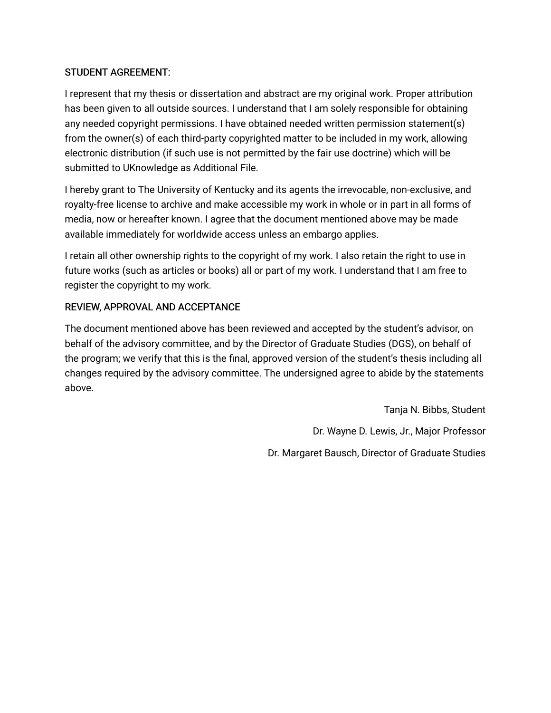# STUDENT AGREEMENT:

I represent that my thesis or dissertation and abstract are my original work. Proper attribution has been given to all outside sources. I understand that I am solely responsible for obtaining any needed copyright permissions. I have obtained needed written permission statement(s) from the owner(s) of each third-party copyrighted matter to be included in my work, allowing electronic distribution (if such use is not permitted by the fair use doctrine) which will be submitted to UKnowledge as Additional File.

I hereby grant to The University of Kentucky and its agents the irrevocable, non-exclusive, and royalty-free license to archive and make accessible my work in whole or in part in all forms of media, now or hereafter known. I agree that the document mentioned above may be made available immediately for worldwide access unless an embargo applies.

I retain all other ownership rights to the copyright of my work. I also retain the right to use in future works (such as articles or books) all or part of my work. I understand that I am free to register the copyright to my work.

# REVIEW, APPROVAL AND ACCEPTANCE

The document mentioned above has been reviewed and accepted by the student's advisor, on behalf of the advisory committee, and by the Director of Graduate Studies (DGS), on behalf of the program; we verify that this is the final, approved version of the student's thesis including all changes required by the advisory committee. The undersigned agree to abide by the statements above.

> Tanja N. Bibbs, Student Dr. Wayne D. Lewis, Jr., Major Professor Dr. Margaret Bausch, Director of Graduate Studies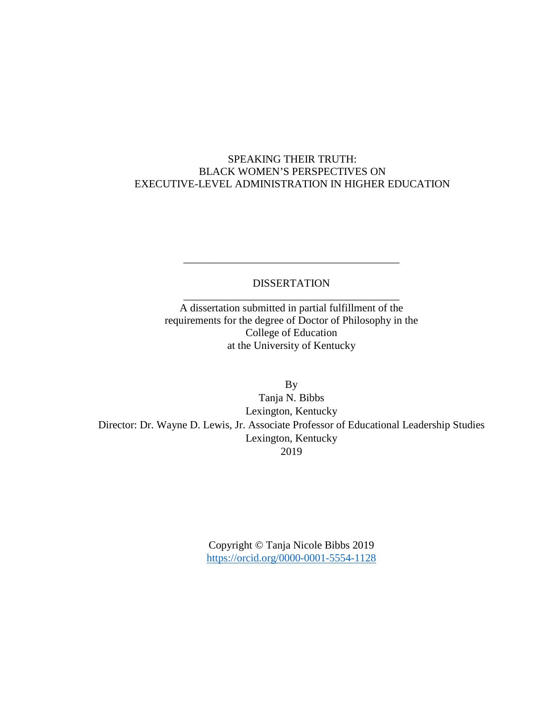# SPEAKING THEIR TRUTH: BLACK WOMEN'S PERSPECTIVES ON EXECUTIVE-LEVEL ADMINISTRATION IN HIGHER EDUCATION

# DISSERTATION \_\_\_\_\_\_\_\_\_\_\_\_\_\_\_\_\_\_\_\_\_\_\_\_\_\_\_\_\_\_\_\_\_\_\_\_\_\_\_\_

\_\_\_\_\_\_\_\_\_\_\_\_\_\_\_\_\_\_\_\_\_\_\_\_\_\_\_\_\_\_\_\_\_\_\_\_\_\_\_\_

A dissertation submitted in partial fulfillment of the requirements for the degree of Doctor of Philosophy in the College of Education at the University of Kentucky

By Tanja N. Bibbs Lexington, Kentucky Director: Dr. Wayne D. Lewis, Jr. Associate Professor of Educational Leadership Studies Lexington, Kentucky 2019

> Copyright © Tanja Nicole Bibbs 2019 <https://orcid.org/0000-0001-5554-1128>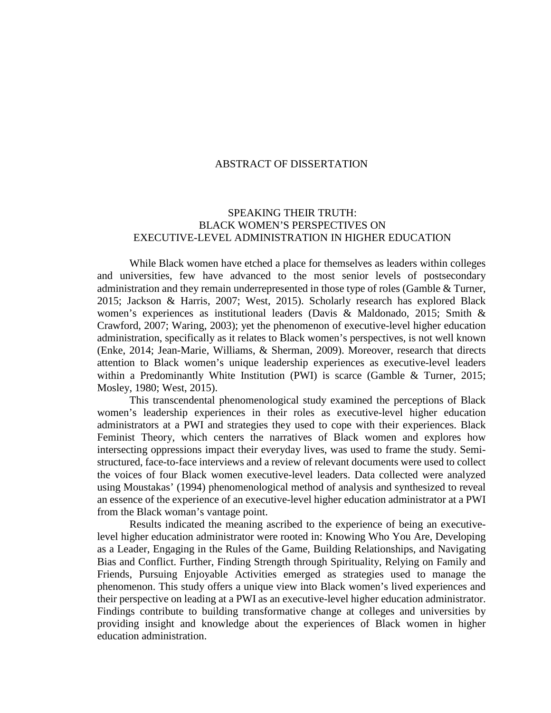#### ABSTRACT OF DISSERTATION

## SPEAKING THEIR TRUTH: BLACK WOMEN'S PERSPECTIVES ON EXECUTIVE-LEVEL ADMINISTRATION IN HIGHER EDUCATION

While Black women have etched a place for themselves as leaders within colleges and universities, few have advanced to the most senior levels of postsecondary administration and they remain underrepresented in those type of roles (Gamble & Turner, 2015; Jackson & Harris, 2007; West, 2015). Scholarly research has explored Black women's experiences as institutional leaders (Davis & Maldonado, 2015; Smith & Crawford, 2007; Waring, 2003); yet the phenomenon of executive-level higher education administration, specifically as it relates to Black women's perspectives, is not well known (Enke, 2014; Jean-Marie, Williams, & Sherman, 2009). Moreover, research that directs attention to Black women's unique leadership experiences as executive-level leaders within a Predominantly White Institution (PWI) is scarce (Gamble & Turner, 2015; Mosley, 1980; West, 2015).

This transcendental phenomenological study examined the perceptions of Black women's leadership experiences in their roles as executive-level higher education administrators at a PWI and strategies they used to cope with their experiences. Black Feminist Theory, which centers the narratives of Black women and explores how intersecting oppressions impact their everyday lives, was used to frame the study. Semistructured, face-to-face interviews and a review of relevant documents were used to collect the voices of four Black women executive-level leaders. Data collected were analyzed using Moustakas' (1994) phenomenological method of analysis and synthesized to reveal an essence of the experience of an executive-level higher education administrator at a PWI from the Black woman's vantage point.

Results indicated the meaning ascribed to the experience of being an executivelevel higher education administrator were rooted in: Knowing Who You Are, Developing as a Leader, Engaging in the Rules of the Game, Building Relationships, and Navigating Bias and Conflict. Further, Finding Strength through Spirituality, Relying on Family and Friends, Pursuing Enjoyable Activities emerged as strategies used to manage the phenomenon. This study offers a unique view into Black women's lived experiences and their perspective on leading at a PWI as an executive-level higher education administrator. Findings contribute to building transformative change at colleges and universities by providing insight and knowledge about the experiences of Black women in higher education administration.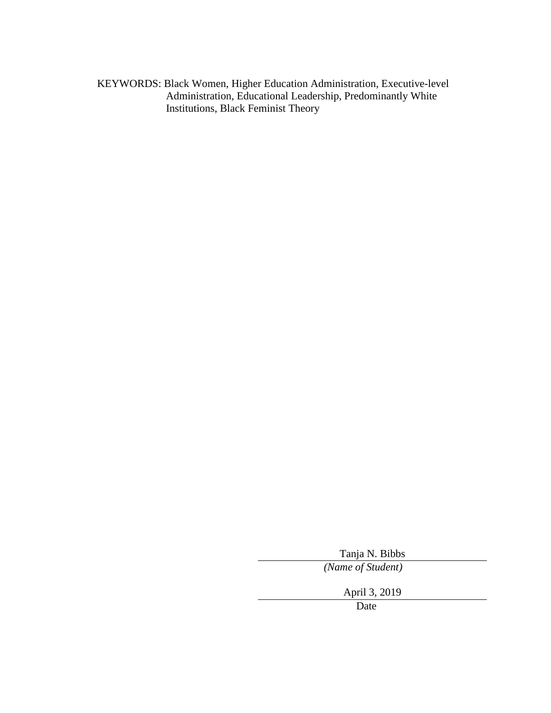KEYWORDS: Black Women, Higher Education Administration, Executive-level Administration, Educational Leadership, Predominantly White Institutions, Black Feminist Theory

Tanja N. Bibbs

*(Name of Student)*

April 3, 2019

Date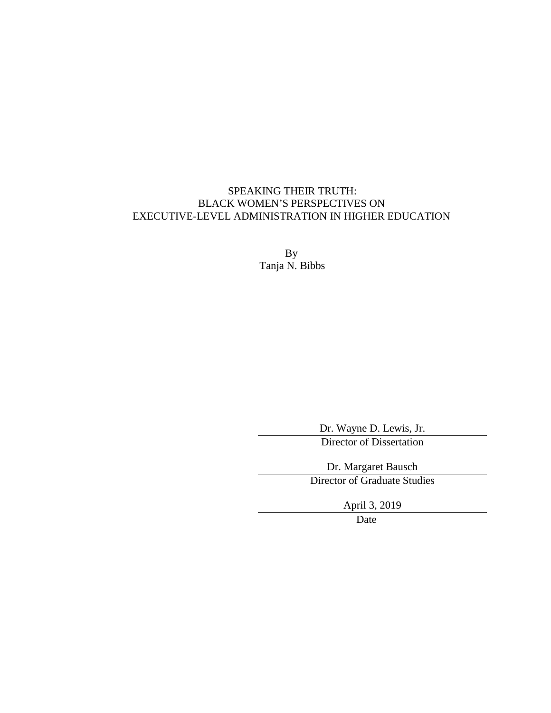# SPEAKING THEIR TRUTH: BLACK WOMEN'S PERSPECTIVES ON EXECUTIVE-LEVEL ADMINISTRATION IN HIGHER EDUCATION

By Tanja N. Bibbs

> Dr. Wayne D. Lewis, Jr. Director of Dissertation

Dr. Margaret Bausch Director of Graduate Studies

April 3, 2019

Date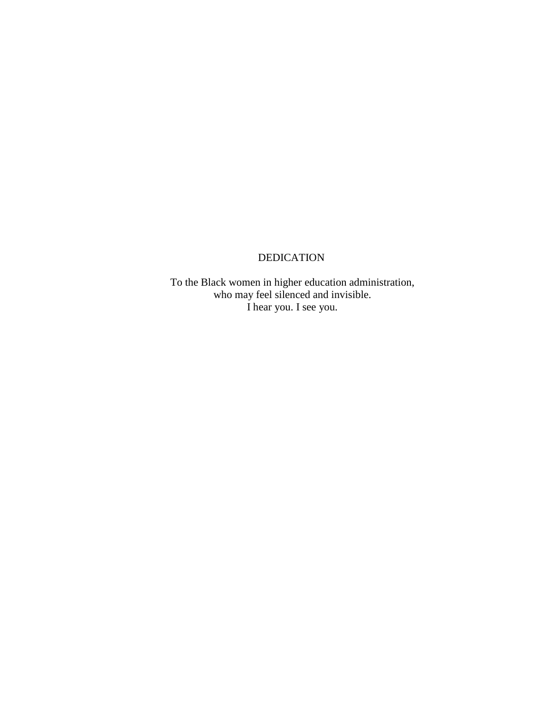# DEDICATION

To the Black women in higher education administration, who may feel silenced and invisible. I hear you. I see you.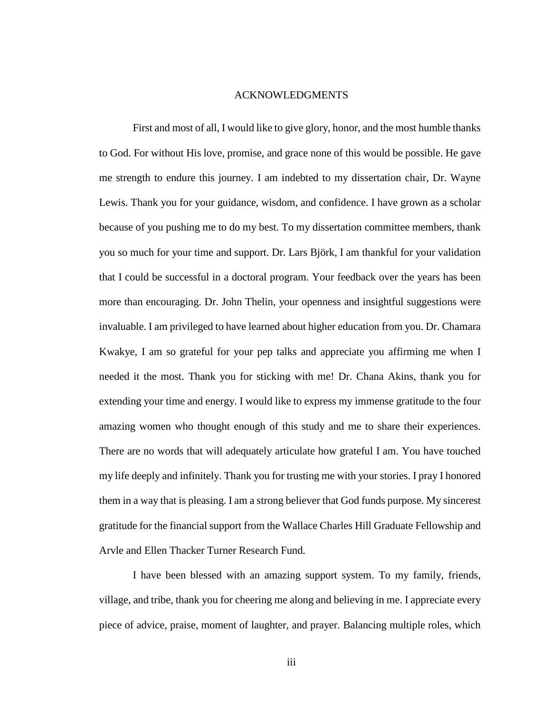#### ACKNOWLEDGMENTS

<span id="page-7-0"></span>First and most of all, I would like to give glory, honor, and the most humble thanks to God. For without His love, promise, and grace none of this would be possible. He gave me strength to endure this journey. I am indebted to my dissertation chair, Dr. Wayne Lewis. Thank you for your guidance, wisdom, and confidence. I have grown as a scholar because of you pushing me to do my best. To my dissertation committee members, thank you so much for your time and support. Dr. Lars Björk, I am thankful for your validation that I could be successful in a doctoral program. Your feedback over the years has been more than encouraging. Dr. John Thelin, your openness and insightful suggestions were invaluable. I am privileged to have learned about higher education from you. Dr. Chamara Kwakye, I am so grateful for your pep talks and appreciate you affirming me when I needed it the most. Thank you for sticking with me! Dr. Chana Akins, thank you for extending your time and energy. I would like to express my immense gratitude to the four amazing women who thought enough of this study and me to share their experiences. There are no words that will adequately articulate how grateful I am. You have touched my life deeply and infinitely. Thank you for trusting me with your stories. I pray I honored them in a way that is pleasing. I am a strong believer that God funds purpose. My sincerest gratitude for the financial support from the Wallace Charles Hill Graduate Fellowship and Arvle and Ellen Thacker Turner Research Fund.

I have been blessed with an amazing support system. To my family, friends, village, and tribe, thank you for cheering me along and believing in me. I appreciate every piece of advice, praise, moment of laughter, and prayer. Balancing multiple roles, which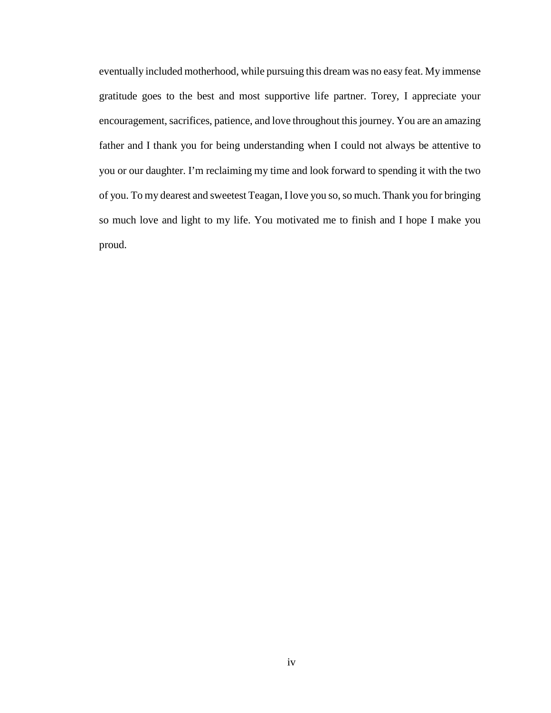eventually included motherhood, while pursuing this dream was no easy feat. My immense gratitude goes to the best and most supportive life partner. Torey, I appreciate your encouragement, sacrifices, patience, and love throughout this journey. You are an amazing father and I thank you for being understanding when I could not always be attentive to you or our daughter. I'm reclaiming my time and look forward to spending it with the two of you. To my dearest and sweetest Teagan, I love you so, so much. Thank you for bringing so much love and light to my life. You motivated me to finish and I hope I make you proud.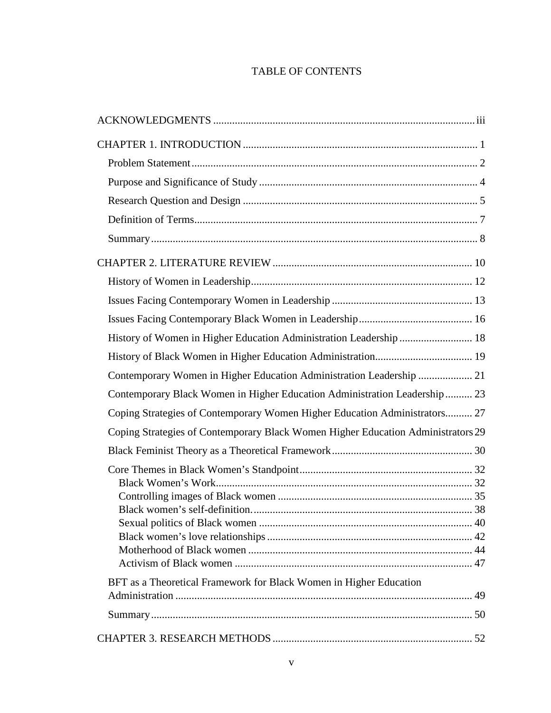# TABLE OF CONTENTS

| History of Women in Higher Education Administration Leadership  18               |  |
|----------------------------------------------------------------------------------|--|
|                                                                                  |  |
| Contemporary Women in Higher Education Administration Leadership  21             |  |
| Contemporary Black Women in Higher Education Administration Leadership  23       |  |
| Coping Strategies of Contemporary Women Higher Education Administrators 27       |  |
| Coping Strategies of Contemporary Black Women Higher Education Administrators 29 |  |
|                                                                                  |  |
|                                                                                  |  |
|                                                                                  |  |
|                                                                                  |  |
|                                                                                  |  |
|                                                                                  |  |
|                                                                                  |  |
|                                                                                  |  |
| BFT as a Theoretical Framework for Black Women in Higher Education               |  |
|                                                                                  |  |
|                                                                                  |  |
|                                                                                  |  |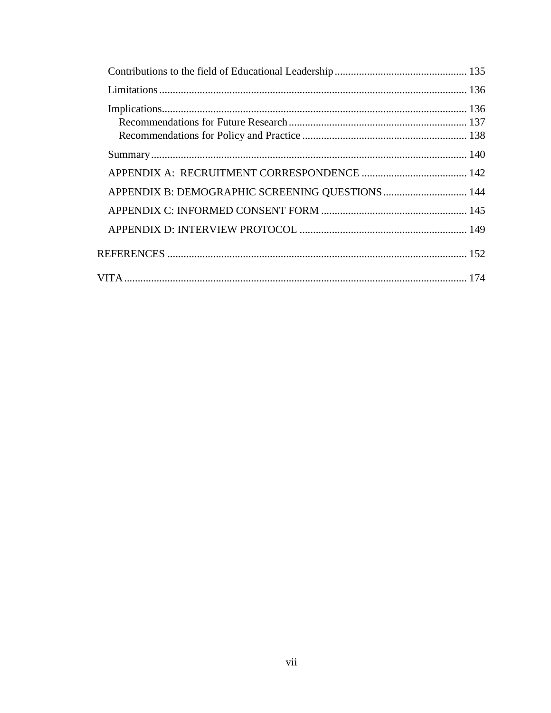| APPENDIX B: DEMOGRAPHIC SCREENING QUESTIONS  144 |  |
|--------------------------------------------------|--|
|                                                  |  |
|                                                  |  |
|                                                  |  |
|                                                  |  |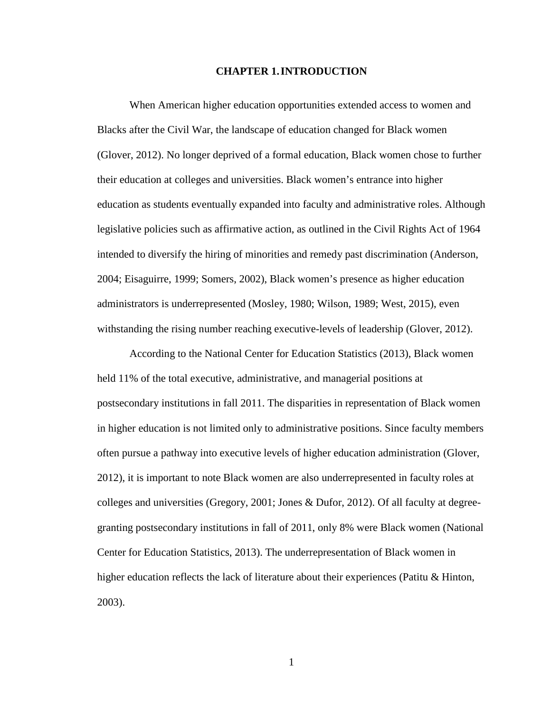#### **CHAPTER 1.INTRODUCTION**

<span id="page-12-0"></span>When American higher education opportunities extended access to women and Blacks after the Civil War, the landscape of education changed for Black women (Glover, 2012). No longer deprived of a formal education, Black women chose to further their education at colleges and universities. Black women's entrance into higher education as students eventually expanded into faculty and administrative roles. Although legislative policies such as affirmative action, as outlined in the Civil Rights Act of 1964 intended to diversify the hiring of minorities and remedy past discrimination (Anderson, 2004; Eisaguirre, 1999; Somers, 2002), Black women's presence as higher education administrators is underrepresented (Mosley, 1980; Wilson, 1989; West, 2015), even withstanding the rising number reaching executive-levels of leadership (Glover, 2012).

According to the National Center for Education Statistics (2013), Black women held 11% of the total executive, administrative, and managerial positions at postsecondary institutions in fall 2011. The disparities in representation of Black women in higher education is not limited only to administrative positions. Since faculty members often pursue a pathway into executive levels of higher education administration (Glover, 2012), it is important to note Black women are also underrepresented in faculty roles at colleges and universities (Gregory, 2001; Jones & Dufor, 2012). Of all faculty at degreegranting postsecondary institutions in fall of 2011, only 8% were Black women (National Center for Education Statistics, 2013). The underrepresentation of Black women in higher education reflects the lack of literature about their experiences (Patitu & Hinton, 2003).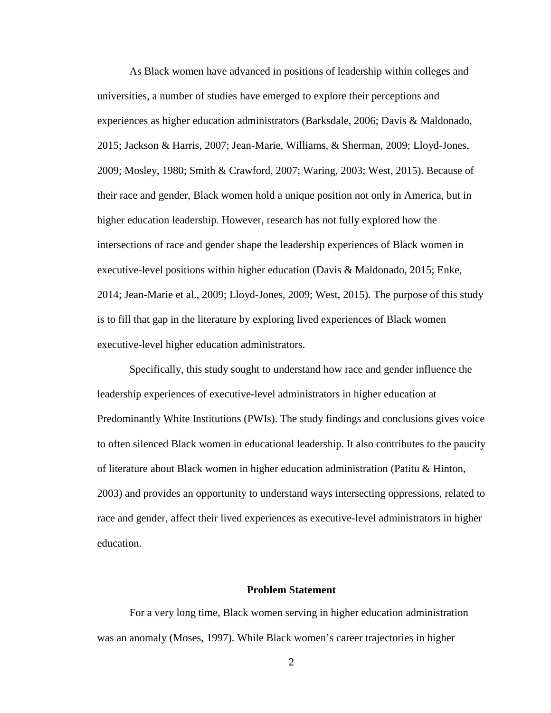As Black women have advanced in positions of leadership within colleges and universities, a number of studies have emerged to explore their perceptions and experiences as higher education administrators (Barksdale, 2006; Davis & Maldonado, 2015; Jackson & Harris, 2007; Jean-Marie, Williams, & Sherman, 2009; Lloyd-Jones, 2009; Mosley, 1980; Smith & Crawford, 2007; Waring, 2003; West, 2015). Because of their race and gender, Black women hold a unique position not only in America, but in higher education leadership. However, research has not fully explored how the intersections of race and gender shape the leadership experiences of Black women in executive-level positions within higher education (Davis & Maldonado, 2015; Enke, 2014; Jean-Marie et al., 2009; Lloyd-Jones, 2009; West, 2015). The purpose of this study is to fill that gap in the literature by exploring lived experiences of Black women executive-level higher education administrators.

Specifically, this study sought to understand how race and gender influence the leadership experiences of executive-level administrators in higher education at Predominantly White Institutions (PWIs). The study findings and conclusions gives voice to often silenced Black women in educational leadership. It also contributes to the paucity of literature about Black women in higher education administration (Patitu & Hinton, 2003) and provides an opportunity to understand ways intersecting oppressions, related to race and gender, affect their lived experiences as executive-level administrators in higher education.

### **Problem Statement**

<span id="page-13-0"></span>For a very long time, Black women serving in higher education administration was an anomaly (Moses, 1997). While Black women's career trajectories in higher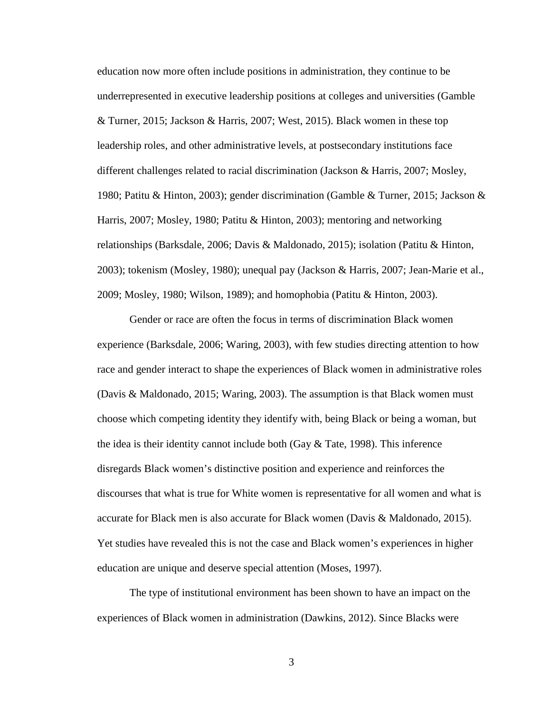education now more often include positions in administration, they continue to be underrepresented in executive leadership positions at colleges and universities (Gamble & Turner, 2015; Jackson & Harris, 2007; West, 2015). Black women in these top leadership roles, and other administrative levels, at postsecondary institutions face different challenges related to racial discrimination (Jackson & Harris, 2007; Mosley, 1980; Patitu & Hinton, 2003); gender discrimination (Gamble & Turner, 2015; Jackson & Harris, 2007; Mosley, 1980; Patitu & Hinton, 2003); mentoring and networking relationships (Barksdale, 2006; Davis & Maldonado, 2015); isolation (Patitu & Hinton, 2003); tokenism (Mosley, 1980); unequal pay (Jackson & Harris, 2007; Jean-Marie et al., 2009; Mosley, 1980; Wilson, 1989); and homophobia (Patitu & Hinton, 2003).

Gender or race are often the focus in terms of discrimination Black women experience (Barksdale, 2006; Waring, 2003), with few studies directing attention to how race and gender interact to shape the experiences of Black women in administrative roles (Davis & Maldonado, 2015; Waring, 2003). The assumption is that Black women must choose which competing identity they identify with, being Black or being a woman, but the idea is their identity cannot include both (Gay  $&$  Tate, 1998). This inference disregards Black women's distinctive position and experience and reinforces the discourses that what is true for White women is representative for all women and what is accurate for Black men is also accurate for Black women (Davis & Maldonado, 2015). Yet studies have revealed this is not the case and Black women's experiences in higher education are unique and deserve special attention (Moses, 1997).

The type of institutional environment has been shown to have an impact on the experiences of Black women in administration (Dawkins, 2012). Since Blacks were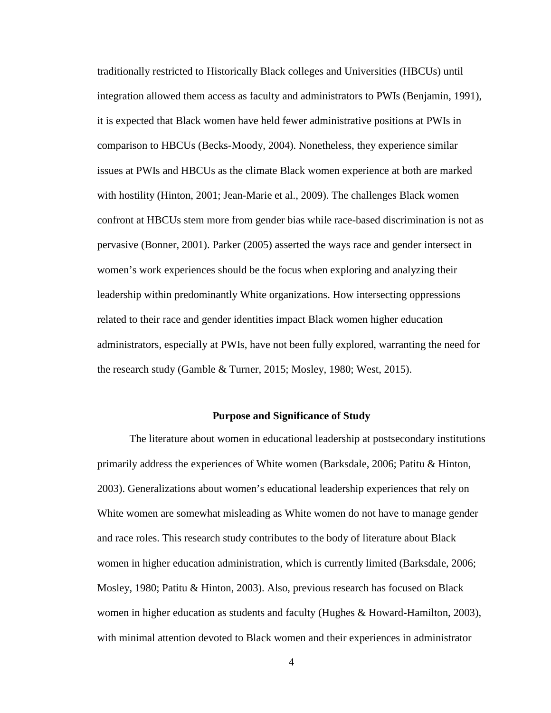traditionally restricted to Historically Black colleges and Universities (HBCUs) until integration allowed them access as faculty and administrators to PWIs (Benjamin, 1991), it is expected that Black women have held fewer administrative positions at PWIs in comparison to HBCUs (Becks-Moody, 2004). Nonetheless, they experience similar issues at PWIs and HBCUs as the climate Black women experience at both are marked with hostility (Hinton, 2001; Jean-Marie et al., 2009). The challenges Black women confront at HBCUs stem more from gender bias while race-based discrimination is not as pervasive (Bonner, 2001). Parker (2005) asserted the ways race and gender intersect in women's work experiences should be the focus when exploring and analyzing their leadership within predominantly White organizations. How intersecting oppressions related to their race and gender identities impact Black women higher education administrators, especially at PWIs, have not been fully explored, warranting the need for the research study (Gamble & Turner, 2015; Mosley, 1980; West, 2015).

#### **Purpose and Significance of Study**

<span id="page-15-0"></span>The literature about women in educational leadership at postsecondary institutions primarily address the experiences of White women (Barksdale, 2006; Patitu & Hinton, 2003). Generalizations about women's educational leadership experiences that rely on White women are somewhat misleading as White women do not have to manage gender and race roles. This research study contributes to the body of literature about Black women in higher education administration, which is currently limited (Barksdale, 2006; Mosley, 1980; Patitu & Hinton, 2003). Also, previous research has focused on Black women in higher education as students and faculty (Hughes & Howard-Hamilton, 2003), with minimal attention devoted to Black women and their experiences in administrator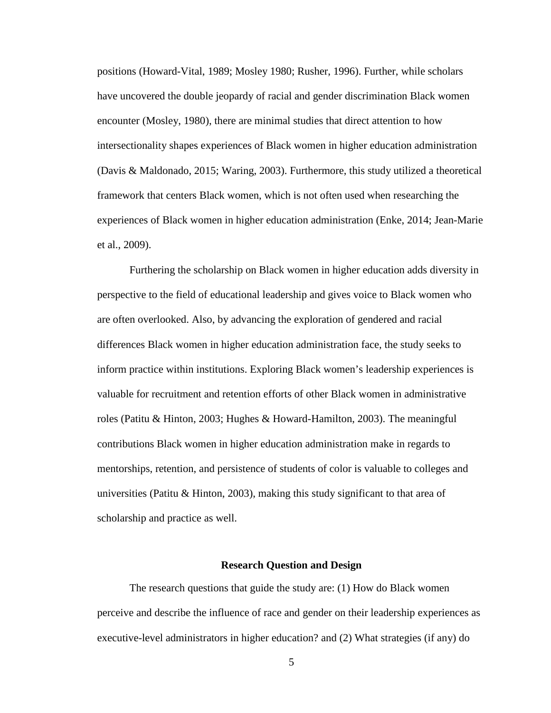positions (Howard-Vital, 1989; Mosley 1980; Rusher, 1996). Further, while scholars have uncovered the double jeopardy of racial and gender discrimination Black women encounter (Mosley, 1980), there are minimal studies that direct attention to how intersectionality shapes experiences of Black women in higher education administration (Davis & Maldonado, 2015; Waring, 2003). Furthermore, this study utilized a theoretical framework that centers Black women, which is not often used when researching the experiences of Black women in higher education administration (Enke, 2014; Jean-Marie et al., 2009).

Furthering the scholarship on Black women in higher education adds diversity in perspective to the field of educational leadership and gives voice to Black women who are often overlooked. Also, by advancing the exploration of gendered and racial differences Black women in higher education administration face, the study seeks to inform practice within institutions. Exploring Black women's leadership experiences is valuable for recruitment and retention efforts of other Black women in administrative roles (Patitu & Hinton, 2003; Hughes & Howard-Hamilton, 2003). The meaningful contributions Black women in higher education administration make in regards to mentorships, retention, and persistence of students of color is valuable to colleges and universities (Patitu & Hinton, 2003), making this study significant to that area of scholarship and practice as well.

#### **Research Question and Design**

<span id="page-16-0"></span>The research questions that guide the study are: (1) How do Black women perceive and describe the influence of race and gender on their leadership experiences as executive-level administrators in higher education? and (2) What strategies (if any) do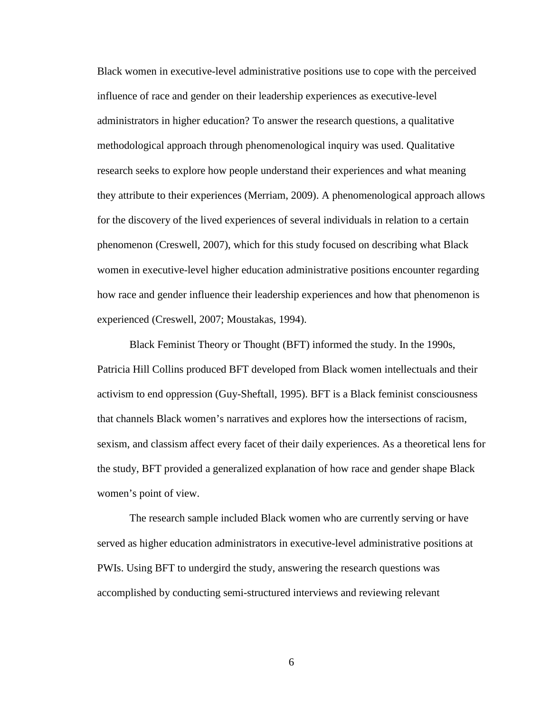Black women in executive-level administrative positions use to cope with the perceived influence of race and gender on their leadership experiences as executive-level administrators in higher education? To answer the research questions, a qualitative methodological approach through phenomenological inquiry was used. Qualitative research seeks to explore how people understand their experiences and what meaning they attribute to their experiences (Merriam, 2009). A phenomenological approach allows for the discovery of the lived experiences of several individuals in relation to a certain phenomenon (Creswell, 2007), which for this study focused on describing what Black women in executive-level higher education administrative positions encounter regarding how race and gender influence their leadership experiences and how that phenomenon is experienced (Creswell, 2007; Moustakas, 1994).

Black Feminist Theory or Thought (BFT) informed the study. In the 1990s, Patricia Hill Collins produced BFT developed from Black women intellectuals and their activism to end oppression (Guy-Sheftall, 1995). BFT is a Black feminist consciousness that channels Black women's narratives and explores how the intersections of racism, sexism, and classism affect every facet of their daily experiences. As a theoretical lens for the study, BFT provided a generalized explanation of how race and gender shape Black women's point of view.

The research sample included Black women who are currently serving or have served as higher education administrators in executive-level administrative positions at PWIs. Using BFT to undergird the study, answering the research questions was accomplished by conducting semi-structured interviews and reviewing relevant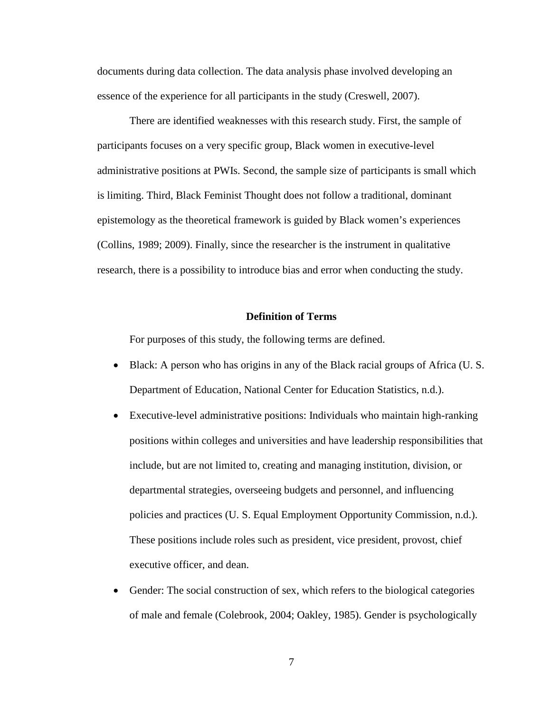documents during data collection. The data analysis phase involved developing an essence of the experience for all participants in the study (Creswell, 2007).

There are identified weaknesses with this research study. First, the sample of participants focuses on a very specific group, Black women in executive-level administrative positions at PWIs. Second, the sample size of participants is small which is limiting. Third, Black Feminist Thought does not follow a traditional, dominant epistemology as the theoretical framework is guided by Black women's experiences (Collins, 1989; 2009). Finally, since the researcher is the instrument in qualitative research, there is a possibility to introduce bias and error when conducting the study.

#### **Definition of Terms**

<span id="page-18-0"></span>For purposes of this study, the following terms are defined.

- Black: A person who has origins in any of the Black racial groups of Africa (U.S. Department of Education, National Center for Education Statistics, n.d.).
- Executive-level administrative positions: Individuals who maintain high-ranking positions within colleges and universities and have leadership responsibilities that include, but are not limited to, creating and managing institution, division, or departmental strategies, overseeing budgets and personnel, and influencing policies and practices (U. S. Equal Employment Opportunity Commission, n.d.). These positions include roles such as president, vice president, provost, chief executive officer, and dean.
- Gender: The social construction of sex, which refers to the biological categories of male and female (Colebrook, 2004; Oakley, 1985). Gender is psychologically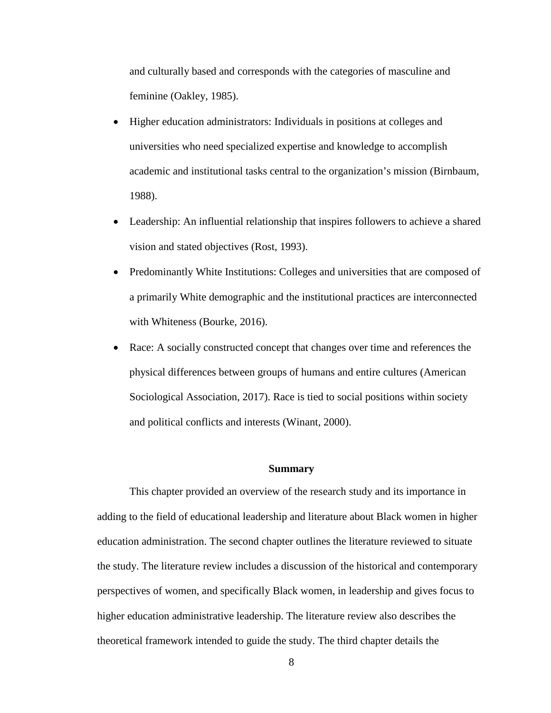and culturally based and corresponds with the categories of masculine and feminine (Oakley, 1985).

- Higher education administrators: Individuals in positions at colleges and universities who need specialized expertise and knowledge to accomplish academic and institutional tasks central to the organization's mission (Birnbaum, 1988).
- Leadership: An influential relationship that inspires followers to achieve a shared vision and stated objectives (Rost, 1993).
- Predominantly White Institutions: Colleges and universities that are composed of a primarily White demographic and the institutional practices are interconnected with Whiteness (Bourke, 2016).
- Race: A socially constructed concept that changes over time and references the physical differences between groups of humans and entire cultures (American Sociological Association, 2017). Race is tied to social positions within society and political conflicts and interests (Winant, 2000).

#### **Summary**

<span id="page-19-0"></span>This chapter provided an overview of the research study and its importance in adding to the field of educational leadership and literature about Black women in higher education administration. The second chapter outlines the literature reviewed to situate the study. The literature review includes a discussion of the historical and contemporary perspectives of women, and specifically Black women, in leadership and gives focus to higher education administrative leadership. The literature review also describes the theoretical framework intended to guide the study. The third chapter details the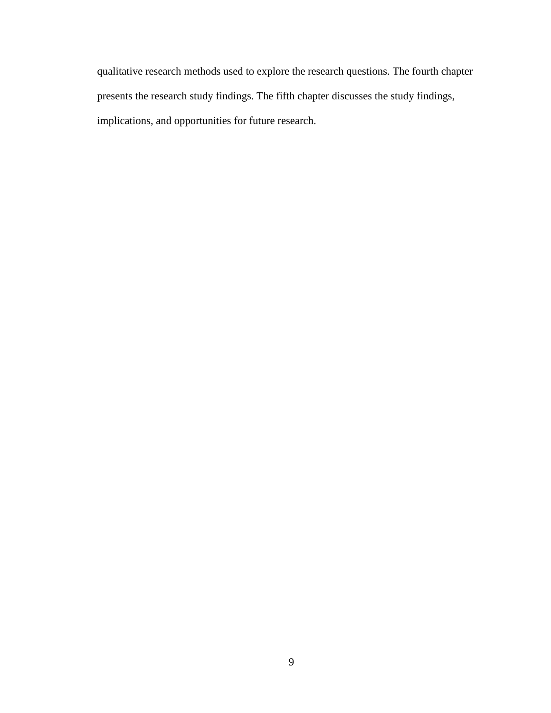qualitative research methods used to explore the research questions. The fourth chapter presents the research study findings. The fifth chapter discusses the study findings, implications, and opportunities for future research.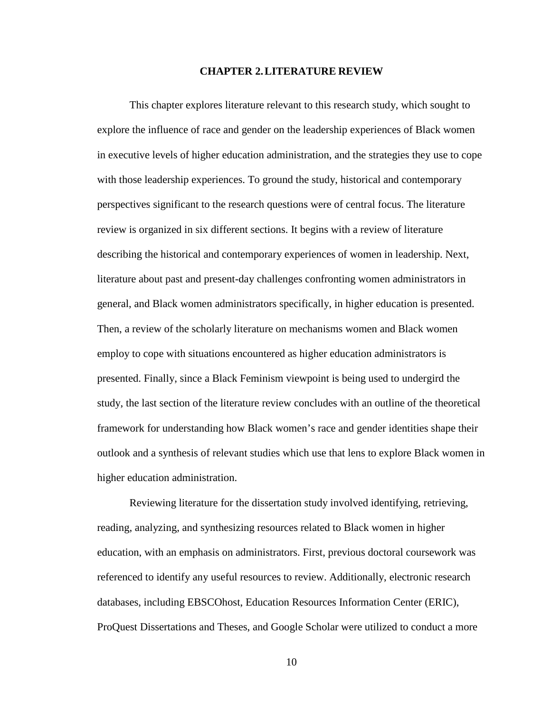#### **CHAPTER 2.LITERATURE REVIEW**

<span id="page-21-0"></span>This chapter explores literature relevant to this research study, which sought to explore the influence of race and gender on the leadership experiences of Black women in executive levels of higher education administration, and the strategies they use to cope with those leadership experiences. To ground the study, historical and contemporary perspectives significant to the research questions were of central focus. The literature review is organized in six different sections. It begins with a review of literature describing the historical and contemporary experiences of women in leadership. Next, literature about past and present-day challenges confronting women administrators in general, and Black women administrators specifically, in higher education is presented. Then, a review of the scholarly literature on mechanisms women and Black women employ to cope with situations encountered as higher education administrators is presented. Finally, since a Black Feminism viewpoint is being used to undergird the study, the last section of the literature review concludes with an outline of the theoretical framework for understanding how Black women's race and gender identities shape their outlook and a synthesis of relevant studies which use that lens to explore Black women in higher education administration.

Reviewing literature for the dissertation study involved identifying, retrieving, reading, analyzing, and synthesizing resources related to Black women in higher education, with an emphasis on administrators. First, previous doctoral coursework was referenced to identify any useful resources to review. Additionally, electronic research databases, including EBSCOhost, Education Resources Information Center (ERIC), ProQuest Dissertations and Theses, and Google Scholar were utilized to conduct a more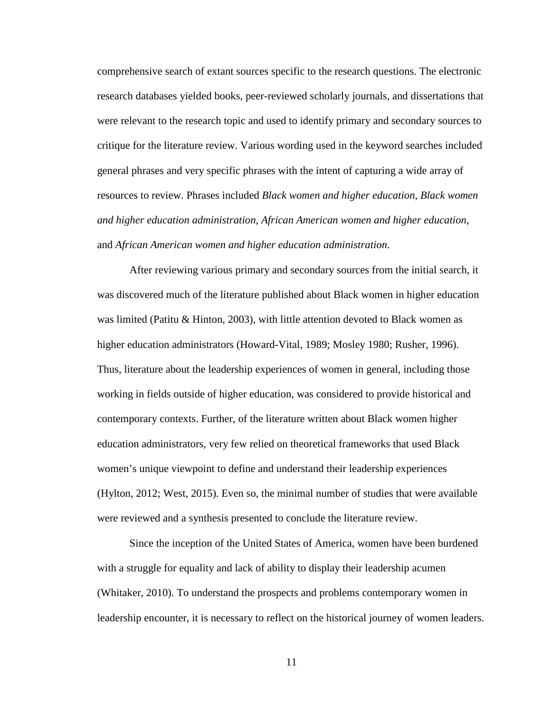comprehensive search of extant sources specific to the research questions. The electronic research databases yielded books, peer-reviewed scholarly journals, and dissertations that were relevant to the research topic and used to identify primary and secondary sources to critique for the literature review. Various wording used in the keyword searches included general phrases and very specific phrases with the intent of capturing a wide array of resources to review. Phrases included *Black women and higher education*, *Black women and higher education administration*, *African American women and higher education*, and *African American women and higher education administration*.

After reviewing various primary and secondary sources from the initial search, it was discovered much of the literature published about Black women in higher education was limited (Patitu & Hinton, 2003), with little attention devoted to Black women as higher education administrators (Howard-Vital, 1989; Mosley 1980; Rusher, 1996). Thus, literature about the leadership experiences of women in general, including those working in fields outside of higher education, was considered to provide historical and contemporary contexts. Further, of the literature written about Black women higher education administrators, very few relied on theoretical frameworks that used Black women's unique viewpoint to define and understand their leadership experiences (Hylton, 2012; West, 2015). Even so, the minimal number of studies that were available were reviewed and a synthesis presented to conclude the literature review.

Since the inception of the United States of America, women have been burdened with a struggle for equality and lack of ability to display their leadership acumen (Whitaker, 2010). To understand the prospects and problems contemporary women in leadership encounter, it is necessary to reflect on the historical journey of women leaders.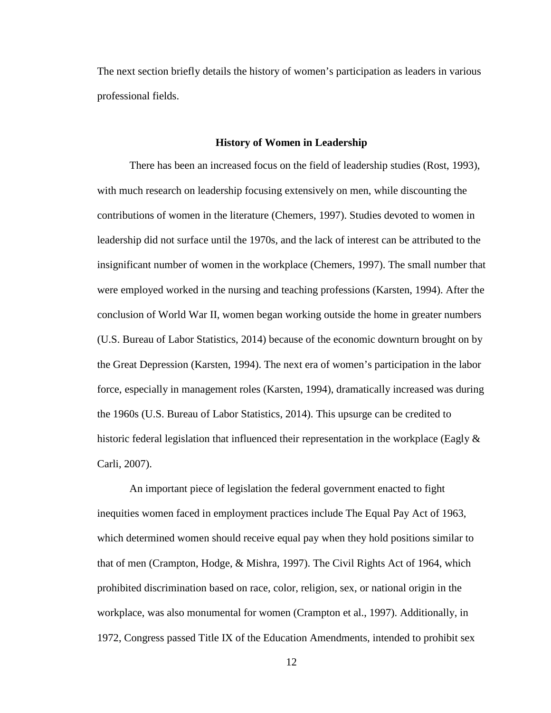<span id="page-23-0"></span>The next section briefly details the history of women's participation as leaders in various professional fields.

#### **History of Women in Leadership**

There has been an increased focus on the field of leadership studies (Rost, 1993), with much research on leadership focusing extensively on men, while discounting the contributions of women in the literature (Chemers, 1997). Studies devoted to women in leadership did not surface until the 1970s, and the lack of interest can be attributed to the insignificant number of women in the workplace (Chemers, 1997). The small number that were employed worked in the nursing and teaching professions (Karsten, 1994). After the conclusion of World War II, women began working outside the home in greater numbers (U.S. Bureau of Labor Statistics, 2014) because of the economic downturn brought on by the Great Depression (Karsten, 1994). The next era of women's participation in the labor force, especially in management roles (Karsten, 1994), dramatically increased was during the 1960s (U.S. Bureau of Labor Statistics, 2014). This upsurge can be credited to historic federal legislation that influenced their representation in the workplace (Eagly  $\&$ Carli, 2007).

An important piece of legislation the federal government enacted to fight inequities women faced in employment practices include The Equal Pay Act of 1963, which determined women should receive equal pay when they hold positions similar to that of men (Crampton, Hodge, & Mishra, 1997). The Civil Rights Act of 1964, which prohibited discrimination based on race, color, religion, sex, or national origin in the workplace, was also monumental for women (Crampton et al., 1997). Additionally, in 1972, Congress passed Title IX of the Education Amendments, intended to prohibit sex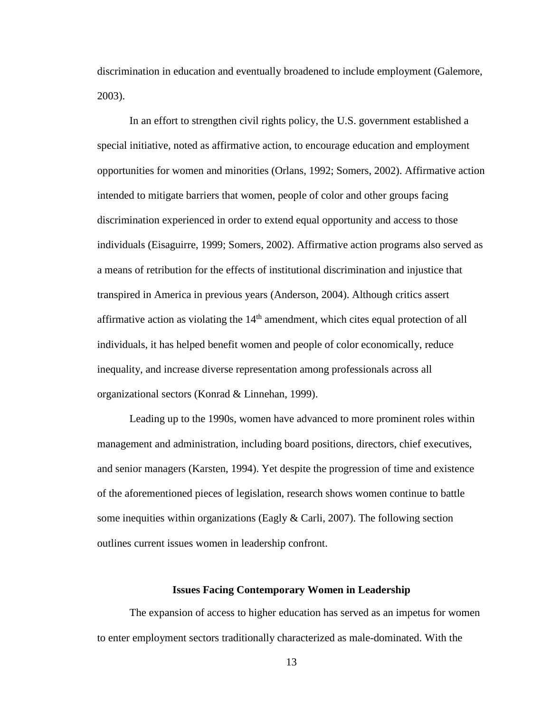discrimination in education and eventually broadened to include employment (Galemore, 2003).

In an effort to strengthen civil rights policy, the U.S. government established a special initiative, noted as affirmative action, to encourage education and employment opportunities for women and minorities (Orlans, 1992; Somers, 2002). Affirmative action intended to mitigate barriers that women, people of color and other groups facing discrimination experienced in order to extend equal opportunity and access to those individuals (Eisaguirre, 1999; Somers, 2002). Affirmative action programs also served as a means of retribution for the effects of institutional discrimination and injustice that transpired in America in previous years (Anderson, 2004). Although critics assert affirmative action as violating the  $14<sup>th</sup>$  amendment, which cites equal protection of all individuals, it has helped benefit women and people of color economically, reduce inequality, and increase diverse representation among professionals across all organizational sectors (Konrad & Linnehan, 1999).

Leading up to the 1990s, women have advanced to more prominent roles within management and administration, including board positions, directors, chief executives, and senior managers (Karsten, 1994). Yet despite the progression of time and existence of the aforementioned pieces of legislation, research shows women continue to battle some inequities within organizations (Eagly  $& \text{Carli}, 2007$ ). The following section outlines current issues women in leadership confront.

#### **Issues Facing Contemporary Women in Leadership**

<span id="page-24-0"></span>The expansion of access to higher education has served as an impetus for women to enter employment sectors traditionally characterized as male-dominated. With the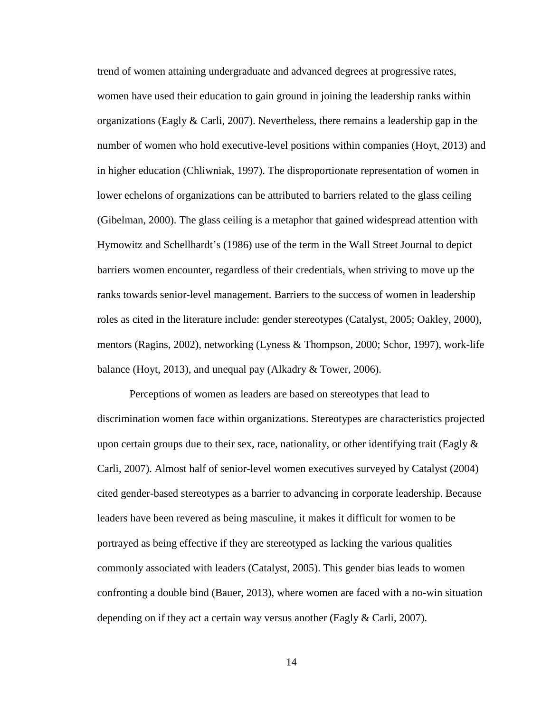trend of women attaining undergraduate and advanced degrees at progressive rates, women have used their education to gain ground in joining the leadership ranks within organizations (Eagly & Carli, 2007). Nevertheless, there remains a leadership gap in the number of women who hold executive-level positions within companies (Hoyt, 2013) and in higher education (Chliwniak, 1997). The disproportionate representation of women in lower echelons of organizations can be attributed to barriers related to the glass ceiling (Gibelman, 2000). The glass ceiling is a metaphor that gained widespread attention with Hymowitz and Schellhardt's (1986) use of the term in the Wall Street Journal to depict barriers women encounter, regardless of their credentials, when striving to move up the ranks towards senior-level management. Barriers to the success of women in leadership roles as cited in the literature include: gender stereotypes (Catalyst, 2005; Oakley, 2000), mentors (Ragins, 2002), networking (Lyness & Thompson, 2000; Schor, 1997), work-life balance (Hoyt, 2013), and unequal pay (Alkadry & Tower, 2006).

Perceptions of women as leaders are based on stereotypes that lead to discrimination women face within organizations. Stereotypes are characteristics projected upon certain groups due to their sex, race, nationality, or other identifying trait (Eagly  $\&$ Carli, 2007). Almost half of senior-level women executives surveyed by Catalyst (2004) cited gender-based stereotypes as a barrier to advancing in corporate leadership. Because leaders have been revered as being masculine, it makes it difficult for women to be portrayed as being effective if they are stereotyped as lacking the various qualities commonly associated with leaders (Catalyst, 2005). This gender bias leads to women confronting a double bind (Bauer, 2013), where women are faced with a no-win situation depending on if they act a certain way versus another (Eagly & Carli, 2007).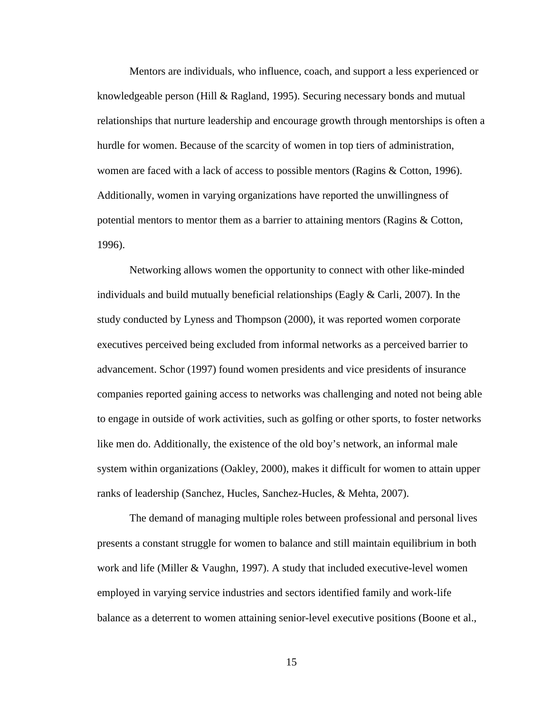Mentors are individuals, who influence, coach, and support a less experienced or knowledgeable person (Hill & Ragland, 1995). Securing necessary bonds and mutual relationships that nurture leadership and encourage growth through mentorships is often a hurdle for women. Because of the scarcity of women in top tiers of administration, women are faced with a lack of access to possible mentors (Ragins & Cotton, 1996). Additionally, women in varying organizations have reported the unwillingness of potential mentors to mentor them as a barrier to attaining mentors (Ragins & Cotton, 1996).

Networking allows women the opportunity to connect with other like-minded individuals and build mutually beneficial relationships (Eagly  $& Carli, 2007$ ). In the study conducted by Lyness and Thompson (2000), it was reported women corporate executives perceived being excluded from informal networks as a perceived barrier to advancement. Schor (1997) found women presidents and vice presidents of insurance companies reported gaining access to networks was challenging and noted not being able to engage in outside of work activities, such as golfing or other sports, to foster networks like men do. Additionally, the existence of the old boy's network, an informal male system within organizations (Oakley, 2000), makes it difficult for women to attain upper ranks of leadership (Sanchez, Hucles, Sanchez-Hucles, & Mehta, 2007).

The demand of managing multiple roles between professional and personal lives presents a constant struggle for women to balance and still maintain equilibrium in both work and life (Miller & Vaughn, 1997). A study that included executive-level women employed in varying service industries and sectors identified family and work-life balance as a deterrent to women attaining senior-level executive positions (Boone et al.,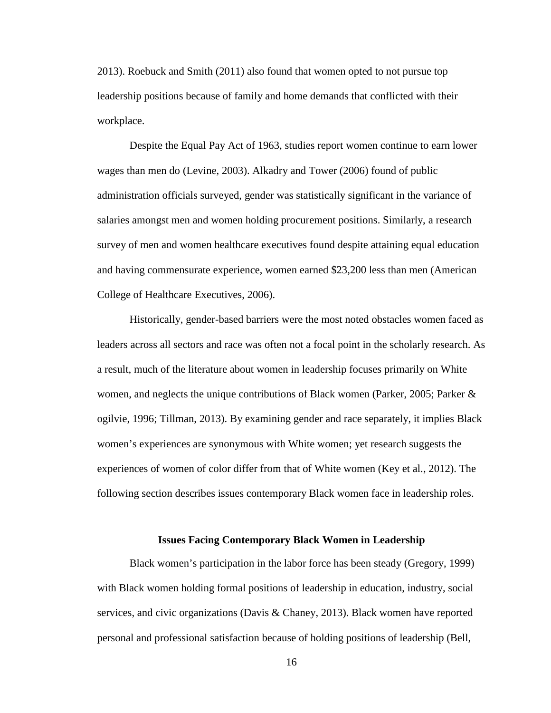2013). Roebuck and Smith (2011) also found that women opted to not pursue top leadership positions because of family and home demands that conflicted with their workplace.

Despite the Equal Pay Act of 1963, studies report women continue to earn lower wages than men do (Levine, 2003). Alkadry and Tower (2006) found of public administration officials surveyed, gender was statistically significant in the variance of salaries amongst men and women holding procurement positions. Similarly, a research survey of men and women healthcare executives found despite attaining equal education and having commensurate experience, women earned \$23,200 less than men (American College of Healthcare Executives, 2006).

Historically, gender-based barriers were the most noted obstacles women faced as leaders across all sectors and race was often not a focal point in the scholarly research. As a result, much of the literature about women in leadership focuses primarily on White women, and neglects the unique contributions of Black women (Parker, 2005; Parker & ogilvie, 1996; Tillman, 2013). By examining gender and race separately, it implies Black women's experiences are synonymous with White women; yet research suggests the experiences of women of color differ from that of White women (Key et al., 2012). The following section describes issues contemporary Black women face in leadership roles.

#### **Issues Facing Contemporary Black Women in Leadership**

<span id="page-27-0"></span>Black women's participation in the labor force has been steady (Gregory, 1999) with Black women holding formal positions of leadership in education, industry, social services, and civic organizations (Davis & Chaney, 2013). Black women have reported personal and professional satisfaction because of holding positions of leadership (Bell,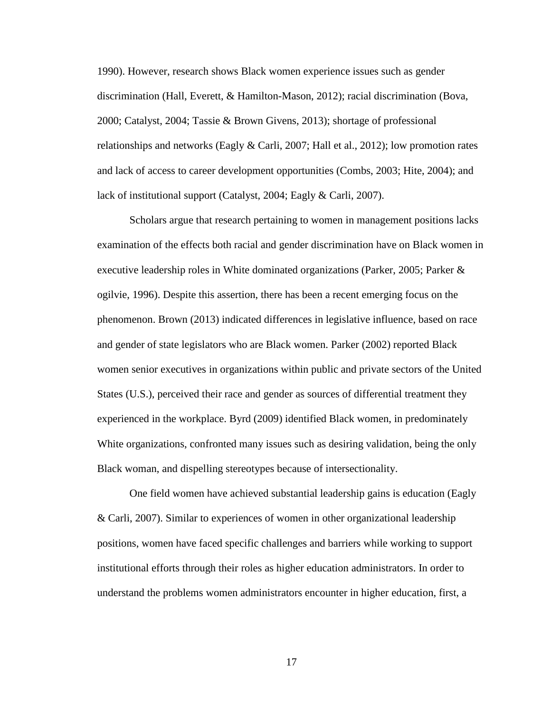1990). However, research shows Black women experience issues such as gender discrimination (Hall, Everett, & Hamilton-Mason, 2012); racial discrimination (Bova, 2000; Catalyst, 2004; Tassie & Brown Givens, 2013); shortage of professional relationships and networks (Eagly & Carli, 2007; Hall et al., 2012); low promotion rates and lack of access to career development opportunities (Combs, 2003; Hite, 2004); and lack of institutional support (Catalyst, 2004; Eagly & Carli, 2007).

Scholars argue that research pertaining to women in management positions lacks examination of the effects both racial and gender discrimination have on Black women in executive leadership roles in White dominated organizations (Parker, 2005; Parker & ogilvie, 1996). Despite this assertion, there has been a recent emerging focus on the phenomenon. Brown (2013) indicated differences in legislative influence, based on race and gender of state legislators who are Black women. Parker (2002) reported Black women senior executives in organizations within public and private sectors of the United States (U.S.), perceived their race and gender as sources of differential treatment they experienced in the workplace. Byrd (2009) identified Black women, in predominately White organizations, confronted many issues such as desiring validation, being the only Black woman, and dispelling stereotypes because of intersectionality.

One field women have achieved substantial leadership gains is education (Eagly & Carli, 2007). Similar to experiences of women in other organizational leadership positions, women have faced specific challenges and barriers while working to support institutional efforts through their roles as higher education administrators. In order to understand the problems women administrators encounter in higher education, first, a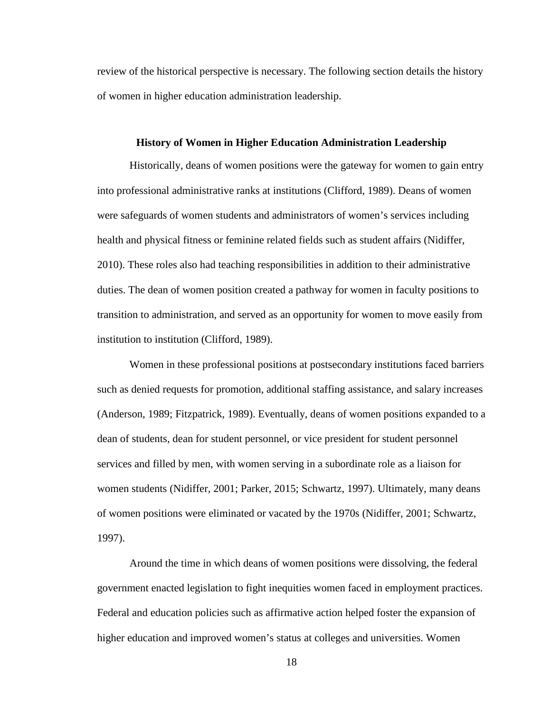review of the historical perspective is necessary. The following section details the history of women in higher education administration leadership.

#### <span id="page-29-0"></span>**History of Women in Higher Education Administration Leadership**

Historically, deans of women positions were the gateway for women to gain entry into professional administrative ranks at institutions (Clifford, 1989). Deans of women were safeguards of women students and administrators of women's services including health and physical fitness or feminine related fields such as student affairs (Nidiffer, 2010). These roles also had teaching responsibilities in addition to their administrative duties. The dean of women position created a pathway for women in faculty positions to transition to administration, and served as an opportunity for women to move easily from institution to institution (Clifford, 1989).

Women in these professional positions at postsecondary institutions faced barriers such as denied requests for promotion, additional staffing assistance, and salary increases (Anderson, 1989; Fitzpatrick, 1989). Eventually, deans of women positions expanded to a dean of students, dean for student personnel, or vice president for student personnel services and filled by men, with women serving in a subordinate role as a liaison for women students (Nidiffer, 2001; Parker, 2015; Schwartz, 1997). Ultimately, many deans of women positions were eliminated or vacated by the 1970s (Nidiffer, 2001; Schwartz, 1997).

Around the time in which deans of women positions were dissolving, the federal government enacted legislation to fight inequities women faced in employment practices. Federal and education policies such as affirmative action helped foster the expansion of higher education and improved women's status at colleges and universities. Women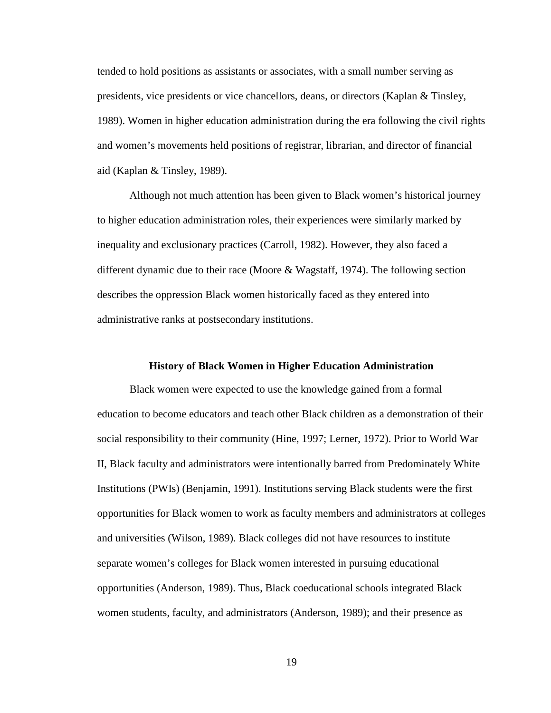tended to hold positions as assistants or associates, with a small number serving as presidents, vice presidents or vice chancellors, deans, or directors (Kaplan & Tinsley, 1989). Women in higher education administration during the era following the civil rights and women's movements held positions of registrar, librarian, and director of financial aid (Kaplan & Tinsley, 1989).

Although not much attention has been given to Black women's historical journey to higher education administration roles, their experiences were similarly marked by inequality and exclusionary practices (Carroll, 1982). However, they also faced a different dynamic due to their race (Moore & Wagstaff, 1974). The following section describes the oppression Black women historically faced as they entered into administrative ranks at postsecondary institutions.

#### **History of Black Women in Higher Education Administration**

<span id="page-30-0"></span>Black women were expected to use the knowledge gained from a formal education to become educators and teach other Black children as a demonstration of their social responsibility to their community (Hine, 1997; Lerner, 1972). Prior to World War II, Black faculty and administrators were intentionally barred from Predominately White Institutions (PWIs) (Benjamin, 1991). Institutions serving Black students were the first opportunities for Black women to work as faculty members and administrators at colleges and universities (Wilson, 1989). Black colleges did not have resources to institute separate women's colleges for Black women interested in pursuing educational opportunities (Anderson, 1989). Thus, Black coeducational schools integrated Black women students, faculty, and administrators (Anderson, 1989); and their presence as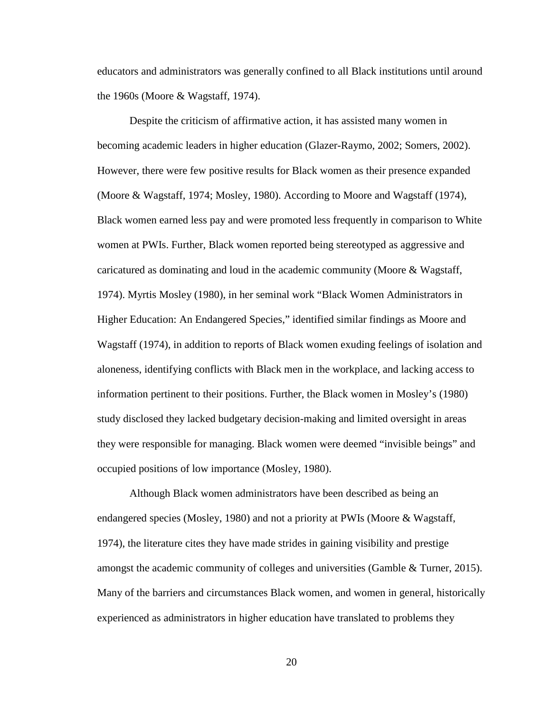educators and administrators was generally confined to all Black institutions until around the 1960s (Moore & Wagstaff, 1974).

Despite the criticism of affirmative action, it has assisted many women in becoming academic leaders in higher education (Glazer-Raymo, 2002; Somers, 2002). However, there were few positive results for Black women as their presence expanded (Moore & Wagstaff, 1974; Mosley, 1980). According to Moore and Wagstaff (1974), Black women earned less pay and were promoted less frequently in comparison to White women at PWIs. Further, Black women reported being stereotyped as aggressive and caricatured as dominating and loud in the academic community (Moore & Wagstaff, 1974). Myrtis Mosley (1980), in her seminal work "Black Women Administrators in Higher Education: An Endangered Species," identified similar findings as Moore and Wagstaff (1974), in addition to reports of Black women exuding feelings of isolation and aloneness, identifying conflicts with Black men in the workplace, and lacking access to information pertinent to their positions. Further, the Black women in Mosley's (1980) study disclosed they lacked budgetary decision-making and limited oversight in areas they were responsible for managing. Black women were deemed "invisible beings" and occupied positions of low importance (Mosley, 1980).

Although Black women administrators have been described as being an endangered species (Mosley, 1980) and not a priority at PWIs (Moore & Wagstaff, 1974), the literature cites they have made strides in gaining visibility and prestige amongst the academic community of colleges and universities (Gamble & Turner, 2015). Many of the barriers and circumstances Black women, and women in general, historically experienced as administrators in higher education have translated to problems they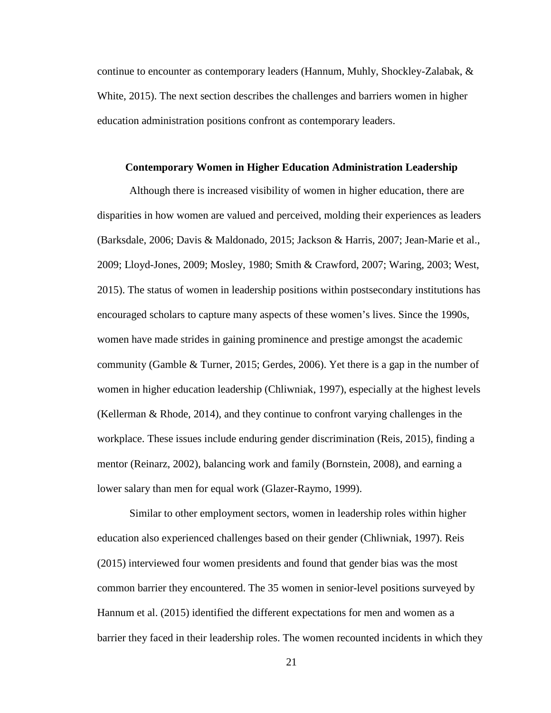continue to encounter as contemporary leaders (Hannum, Muhly, Shockley-Zalabak, & White, 2015). The next section describes the challenges and barriers women in higher education administration positions confront as contemporary leaders.

#### <span id="page-32-0"></span>**Contemporary Women in Higher Education Administration Leadership**

Although there is increased visibility of women in higher education, there are disparities in how women are valued and perceived, molding their experiences as leaders (Barksdale, 2006; Davis & Maldonado, 2015; Jackson & Harris, 2007; Jean-Marie et al., 2009; Lloyd-Jones, 2009; Mosley, 1980; Smith & Crawford, 2007; Waring, 2003; West, 2015). The status of women in leadership positions within postsecondary institutions has encouraged scholars to capture many aspects of these women's lives. Since the 1990s, women have made strides in gaining prominence and prestige amongst the academic community (Gamble & Turner, 2015; Gerdes, 2006). Yet there is a gap in the number of women in higher education leadership (Chliwniak, 1997), especially at the highest levels (Kellerman & Rhode, 2014), and they continue to confront varying challenges in the workplace. These issues include enduring gender discrimination (Reis, 2015), finding a mentor (Reinarz, 2002), balancing work and family (Bornstein, 2008), and earning a lower salary than men for equal work (Glazer-Raymo, 1999).

Similar to other employment sectors, women in leadership roles within higher education also experienced challenges based on their gender (Chliwniak, 1997). Reis (2015) interviewed four women presidents and found that gender bias was the most common barrier they encountered. The 35 women in senior-level positions surveyed by Hannum et al. (2015) identified the different expectations for men and women as a barrier they faced in their leadership roles. The women recounted incidents in which they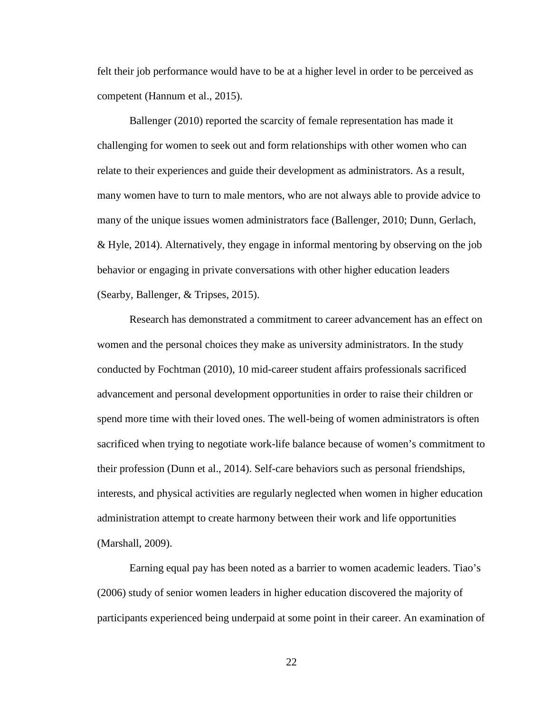felt their job performance would have to be at a higher level in order to be perceived as competent (Hannum et al., 2015).

Ballenger (2010) reported the scarcity of female representation has made it challenging for women to seek out and form relationships with other women who can relate to their experiences and guide their development as administrators. As a result, many women have to turn to male mentors, who are not always able to provide advice to many of the unique issues women administrators face (Ballenger, 2010; Dunn, Gerlach, & Hyle, 2014). Alternatively, they engage in informal mentoring by observing on the job behavior or engaging in private conversations with other higher education leaders (Searby, Ballenger, & Tripses, 2015).

Research has demonstrated a commitment to career advancement has an effect on women and the personal choices they make as university administrators. In the study conducted by Fochtman (2010), 10 mid-career student affairs professionals sacrificed advancement and personal development opportunities in order to raise their children or spend more time with their loved ones. The well-being of women administrators is often sacrificed when trying to negotiate work-life balance because of women's commitment to their profession (Dunn et al., 2014). Self-care behaviors such as personal friendships, interests, and physical activities are regularly neglected when women in higher education administration attempt to create harmony between their work and life opportunities (Marshall, 2009).

Earning equal pay has been noted as a barrier to women academic leaders. Tiao's (2006) study of senior women leaders in higher education discovered the majority of participants experienced being underpaid at some point in their career. An examination of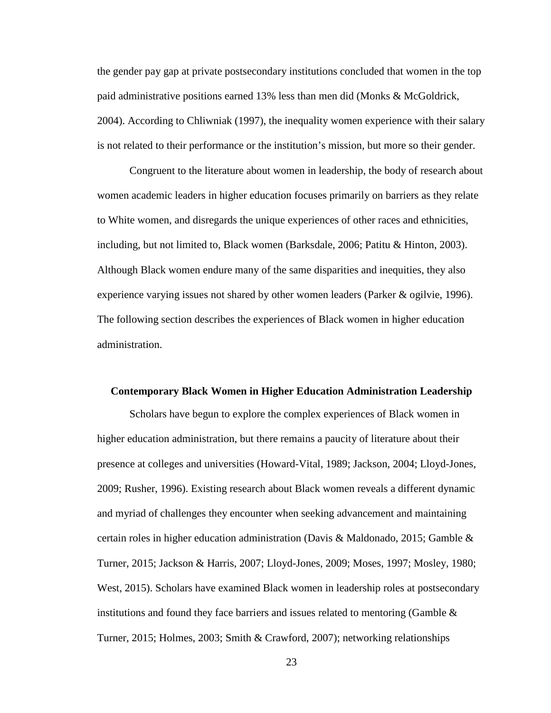the gender pay gap at private postsecondary institutions concluded that women in the top paid administrative positions earned 13% less than men did (Monks & McGoldrick, 2004). According to Chliwniak (1997), the inequality women experience with their salary is not related to their performance or the institution's mission, but more so their gender.

Congruent to the literature about women in leadership, the body of research about women academic leaders in higher education focuses primarily on barriers as they relate to White women, and disregards the unique experiences of other races and ethnicities, including, but not limited to, Black women (Barksdale, 2006; Patitu & Hinton, 2003). Although Black women endure many of the same disparities and inequities, they also experience varying issues not shared by other women leaders (Parker & ogilvie, 1996). The following section describes the experiences of Black women in higher education administration.

#### <span id="page-34-0"></span>**Contemporary Black Women in Higher Education Administration Leadership**

Scholars have begun to explore the complex experiences of Black women in higher education administration, but there remains a paucity of literature about their presence at colleges and universities (Howard-Vital, 1989; Jackson, 2004; Lloyd-Jones, 2009; Rusher, 1996). Existing research about Black women reveals a different dynamic and myriad of challenges they encounter when seeking advancement and maintaining certain roles in higher education administration (Davis & Maldonado, 2015; Gamble & Turner, 2015; Jackson & Harris, 2007; Lloyd-Jones, 2009; Moses, 1997; Mosley, 1980; West, 2015). Scholars have examined Black women in leadership roles at postsecondary institutions and found they face barriers and issues related to mentoring (Gamble  $\&$ Turner, 2015; Holmes, 2003; Smith & Crawford, 2007); networking relationships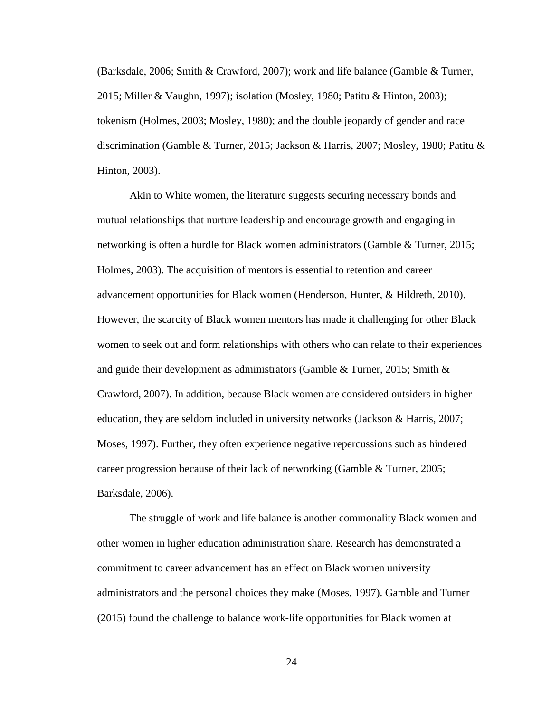(Barksdale, 2006; Smith & Crawford, 2007); work and life balance (Gamble & Turner, 2015; Miller & Vaughn, 1997); isolation (Mosley, 1980; Patitu & Hinton, 2003); tokenism (Holmes, 2003; Mosley, 1980); and the double jeopardy of gender and race discrimination (Gamble & Turner, 2015; Jackson & Harris, 2007; Mosley, 1980; Patitu & Hinton, 2003).

Akin to White women, the literature suggests securing necessary bonds and mutual relationships that nurture leadership and encourage growth and engaging in networking is often a hurdle for Black women administrators (Gamble & Turner, 2015; Holmes, 2003). The acquisition of mentors is essential to retention and career advancement opportunities for Black women (Henderson, Hunter, & Hildreth, 2010). However, the scarcity of Black women mentors has made it challenging for other Black women to seek out and form relationships with others who can relate to their experiences and guide their development as administrators (Gamble & Turner, 2015; Smith  $\&$ Crawford, 2007). In addition, because Black women are considered outsiders in higher education, they are seldom included in university networks (Jackson & Harris, 2007; Moses, 1997). Further, they often experience negative repercussions such as hindered career progression because of their lack of networking (Gamble & Turner, 2005; Barksdale, 2006).

The struggle of work and life balance is another commonality Black women and other women in higher education administration share. Research has demonstrated a commitment to career advancement has an effect on Black women university administrators and the personal choices they make (Moses, 1997). Gamble and Turner (2015) found the challenge to balance work-life opportunities for Black women at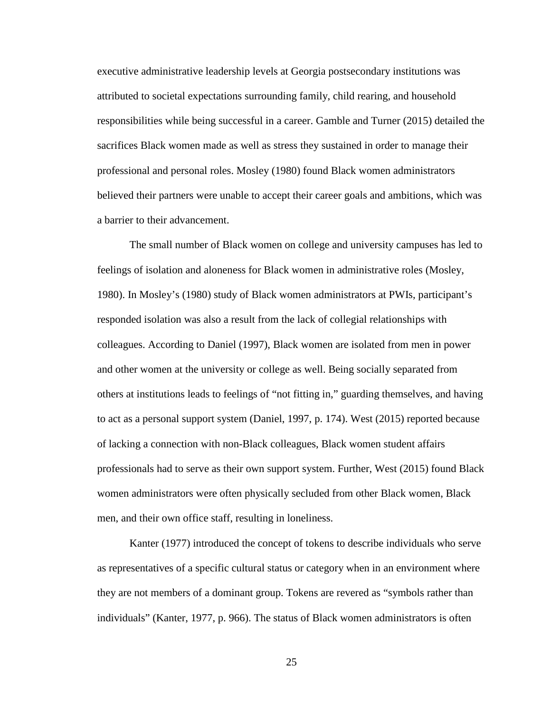executive administrative leadership levels at Georgia postsecondary institutions was attributed to societal expectations surrounding family, child rearing, and household responsibilities while being successful in a career. Gamble and Turner (2015) detailed the sacrifices Black women made as well as stress they sustained in order to manage their professional and personal roles. Mosley (1980) found Black women administrators believed their partners were unable to accept their career goals and ambitions, which was a barrier to their advancement.

The small number of Black women on college and university campuses has led to feelings of isolation and aloneness for Black women in administrative roles (Mosley, 1980). In Mosley's (1980) study of Black women administrators at PWIs, participant's responded isolation was also a result from the lack of collegial relationships with colleagues. According to Daniel (1997), Black women are isolated from men in power and other women at the university or college as well. Being socially separated from others at institutions leads to feelings of "not fitting in," guarding themselves, and having to act as a personal support system (Daniel, 1997, p. 174). West (2015) reported because of lacking a connection with non-Black colleagues, Black women student affairs professionals had to serve as their own support system. Further, West (2015) found Black women administrators were often physically secluded from other Black women, Black men, and their own office staff, resulting in loneliness.

Kanter (1977) introduced the concept of tokens to describe individuals who serve as representatives of a specific cultural status or category when in an environment where they are not members of a dominant group. Tokens are revered as "symbols rather than individuals" (Kanter, 1977, p. 966). The status of Black women administrators is often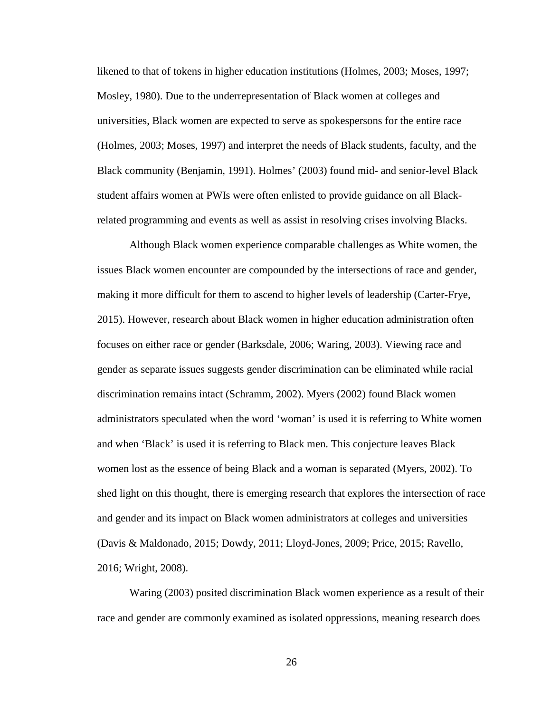likened to that of tokens in higher education institutions (Holmes, 2003; Moses, 1997; Mosley, 1980). Due to the underrepresentation of Black women at colleges and universities, Black women are expected to serve as spokespersons for the entire race (Holmes, 2003; Moses, 1997) and interpret the needs of Black students, faculty, and the Black community (Benjamin, 1991). Holmes' (2003) found mid- and senior-level Black student affairs women at PWIs were often enlisted to provide guidance on all Blackrelated programming and events as well as assist in resolving crises involving Blacks.

Although Black women experience comparable challenges as White women, the issues Black women encounter are compounded by the intersections of race and gender, making it more difficult for them to ascend to higher levels of leadership (Carter-Frye, 2015). However, research about Black women in higher education administration often focuses on either race or gender (Barksdale, 2006; Waring, 2003). Viewing race and gender as separate issues suggests gender discrimination can be eliminated while racial discrimination remains intact (Schramm, 2002). Myers (2002) found Black women administrators speculated when the word 'woman' is used it is referring to White women and when 'Black' is used it is referring to Black men. This conjecture leaves Black women lost as the essence of being Black and a woman is separated (Myers, 2002). To shed light on this thought, there is emerging research that explores the intersection of race and gender and its impact on Black women administrators at colleges and universities (Davis & Maldonado, 2015; Dowdy, 2011; Lloyd-Jones, 2009; Price, 2015; Ravello, 2016; Wright, 2008).

Waring (2003) posited discrimination Black women experience as a result of their race and gender are commonly examined as isolated oppressions, meaning research does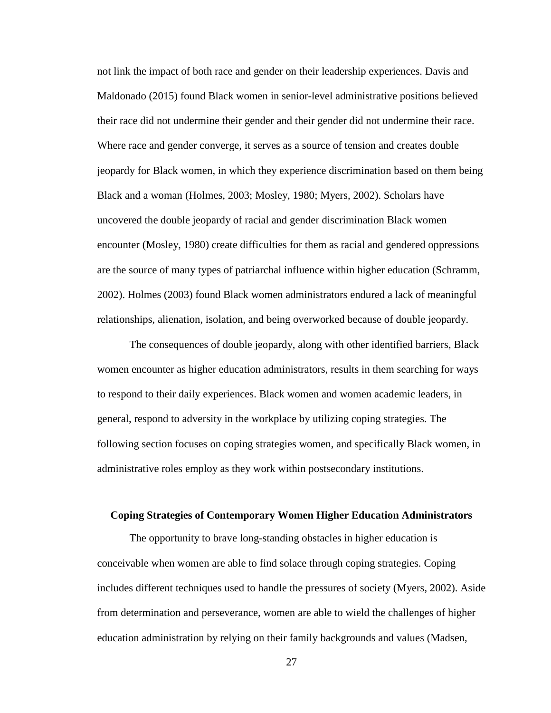not link the impact of both race and gender on their leadership experiences. Davis and Maldonado (2015) found Black women in senior-level administrative positions believed their race did not undermine their gender and their gender did not undermine their race. Where race and gender converge, it serves as a source of tension and creates double jeopardy for Black women, in which they experience discrimination based on them being Black and a woman (Holmes, 2003; Mosley, 1980; Myers, 2002). Scholars have uncovered the double jeopardy of racial and gender discrimination Black women encounter (Mosley, 1980) create difficulties for them as racial and gendered oppressions are the source of many types of patriarchal influence within higher education (Schramm, 2002). Holmes (2003) found Black women administrators endured a lack of meaningful relationships, alienation, isolation, and being overworked because of double jeopardy.

The consequences of double jeopardy, along with other identified barriers, Black women encounter as higher education administrators, results in them searching for ways to respond to their daily experiences. Black women and women academic leaders, in general, respond to adversity in the workplace by utilizing coping strategies. The following section focuses on coping strategies women, and specifically Black women, in administrative roles employ as they work within postsecondary institutions.

# **Coping Strategies of Contemporary Women Higher Education Administrators**

The opportunity to brave long-standing obstacles in higher education is conceivable when women are able to find solace through coping strategies. Coping includes different techniques used to handle the pressures of society (Myers, 2002). Aside from determination and perseverance, women are able to wield the challenges of higher education administration by relying on their family backgrounds and values (Madsen,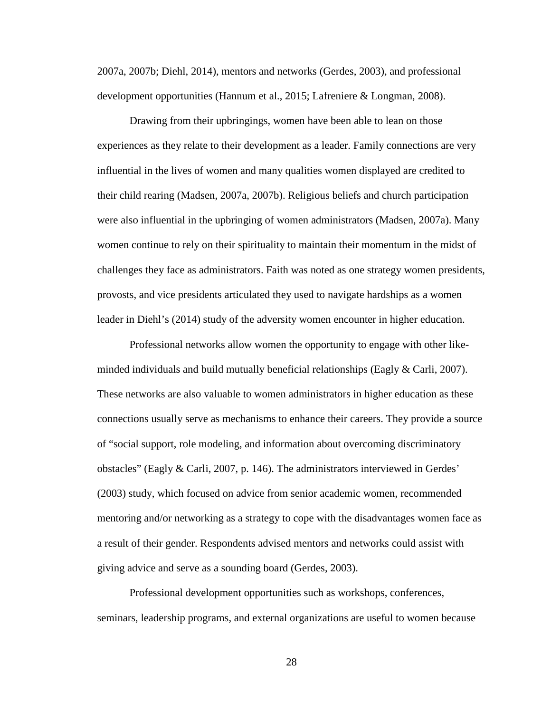2007a, 2007b; Diehl, 2014), mentors and networks (Gerdes, 2003), and professional development opportunities (Hannum et al., 2015; Lafreniere & Longman, 2008).

Drawing from their upbringings, women have been able to lean on those experiences as they relate to their development as a leader. Family connections are very influential in the lives of women and many qualities women displayed are credited to their child rearing (Madsen, 2007a, 2007b). Religious beliefs and church participation were also influential in the upbringing of women administrators (Madsen, 2007a). Many women continue to rely on their spirituality to maintain their momentum in the midst of challenges they face as administrators. Faith was noted as one strategy women presidents, provosts, and vice presidents articulated they used to navigate hardships as a women leader in Diehl's (2014) study of the adversity women encounter in higher education.

Professional networks allow women the opportunity to engage with other likeminded individuals and build mutually beneficial relationships (Eagly & Carli, 2007). These networks are also valuable to women administrators in higher education as these connections usually serve as mechanisms to enhance their careers. They provide a source of "social support, role modeling, and information about overcoming discriminatory obstacles" (Eagly & Carli, 2007, p. 146). The administrators interviewed in Gerdes' (2003) study, which focused on advice from senior academic women, recommended mentoring and/or networking as a strategy to cope with the disadvantages women face as a result of their gender. Respondents advised mentors and networks could assist with giving advice and serve as a sounding board (Gerdes, 2003).

Professional development opportunities such as workshops, conferences, seminars, leadership programs, and external organizations are useful to women because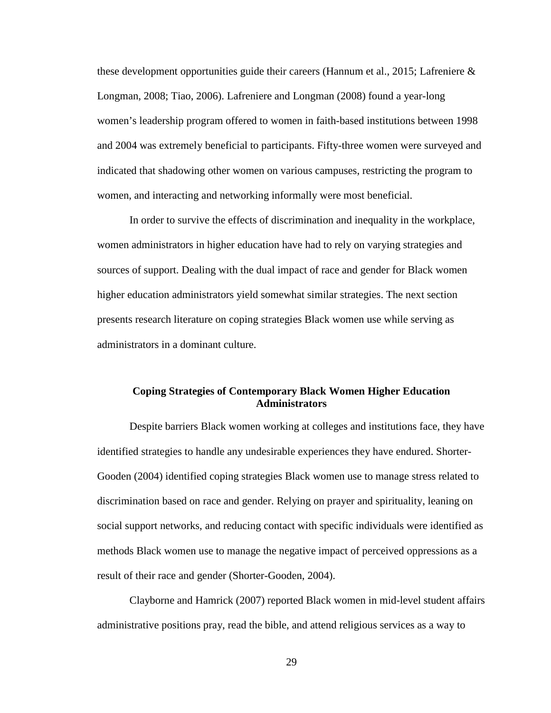these development opportunities guide their careers (Hannum et al., 2015; Lafreniere  $\&$ Longman, 2008; Tiao, 2006). Lafreniere and Longman (2008) found a year-long women's leadership program offered to women in faith-based institutions between 1998 and 2004 was extremely beneficial to participants. Fifty-three women were surveyed and indicated that shadowing other women on various campuses, restricting the program to women, and interacting and networking informally were most beneficial.

In order to survive the effects of discrimination and inequality in the workplace, women administrators in higher education have had to rely on varying strategies and sources of support. Dealing with the dual impact of race and gender for Black women higher education administrators yield somewhat similar strategies. The next section presents research literature on coping strategies Black women use while serving as administrators in a dominant culture.

# **Coping Strategies of Contemporary Black Women Higher Education Administrators**

Despite barriers Black women working at colleges and institutions face, they have identified strategies to handle any undesirable experiences they have endured. Shorter-Gooden (2004) identified coping strategies Black women use to manage stress related to discrimination based on race and gender. Relying on prayer and spirituality, leaning on social support networks, and reducing contact with specific individuals were identified as methods Black women use to manage the negative impact of perceived oppressions as a result of their race and gender (Shorter-Gooden, 2004).

Clayborne and Hamrick (2007) reported Black women in mid-level student affairs administrative positions pray, read the bible, and attend religious services as a way to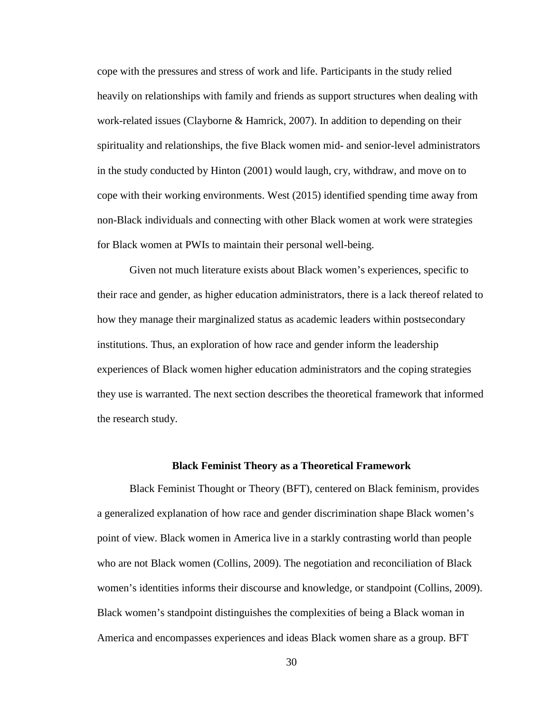cope with the pressures and stress of work and life. Participants in the study relied heavily on relationships with family and friends as support structures when dealing with work-related issues (Clayborne & Hamrick, 2007). In addition to depending on their spirituality and relationships, the five Black women mid- and senior-level administrators in the study conducted by Hinton (2001) would laugh, cry, withdraw, and move on to cope with their working environments. West (2015) identified spending time away from non-Black individuals and connecting with other Black women at work were strategies for Black women at PWIs to maintain their personal well-being.

Given not much literature exists about Black women's experiences, specific to their race and gender, as higher education administrators, there is a lack thereof related to how they manage their marginalized status as academic leaders within postsecondary institutions. Thus, an exploration of how race and gender inform the leadership experiences of Black women higher education administrators and the coping strategies they use is warranted. The next section describes the theoretical framework that informed the research study.

## **Black Feminist Theory as a Theoretical Framework**

Black Feminist Thought or Theory (BFT), centered on Black feminism, provides a generalized explanation of how race and gender discrimination shape Black women's point of view. Black women in America live in a starkly contrasting world than people who are not Black women (Collins, 2009). The negotiation and reconciliation of Black women's identities informs their discourse and knowledge, or standpoint (Collins, 2009). Black women's standpoint distinguishes the complexities of being a Black woman in America and encompasses experiences and ideas Black women share as a group. BFT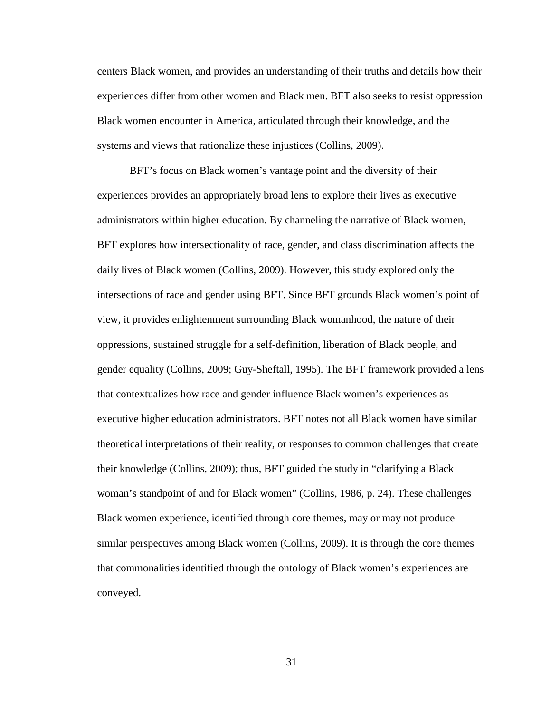centers Black women, and provides an understanding of their truths and details how their experiences differ from other women and Black men. BFT also seeks to resist oppression Black women encounter in America, articulated through their knowledge, and the systems and views that rationalize these injustices (Collins, 2009).

BFT's focus on Black women's vantage point and the diversity of their experiences provides an appropriately broad lens to explore their lives as executive administrators within higher education. By channeling the narrative of Black women, BFT explores how intersectionality of race, gender, and class discrimination affects the daily lives of Black women (Collins, 2009). However, this study explored only the intersections of race and gender using BFT. Since BFT grounds Black women's point of view, it provides enlightenment surrounding Black womanhood, the nature of their oppressions, sustained struggle for a self-definition, liberation of Black people, and gender equality (Collins, 2009; Guy-Sheftall, 1995). The BFT framework provided a lens that contextualizes how race and gender influence Black women's experiences as executive higher education administrators. BFT notes not all Black women have similar theoretical interpretations of their reality, or responses to common challenges that create their knowledge (Collins, 2009); thus, BFT guided the study in "clarifying a Black woman's standpoint of and for Black women" (Collins, 1986, p. 24). These challenges Black women experience, identified through core themes, may or may not produce similar perspectives among Black women (Collins, 2009). It is through the core themes that commonalities identified through the ontology of Black women's experiences are conveyed.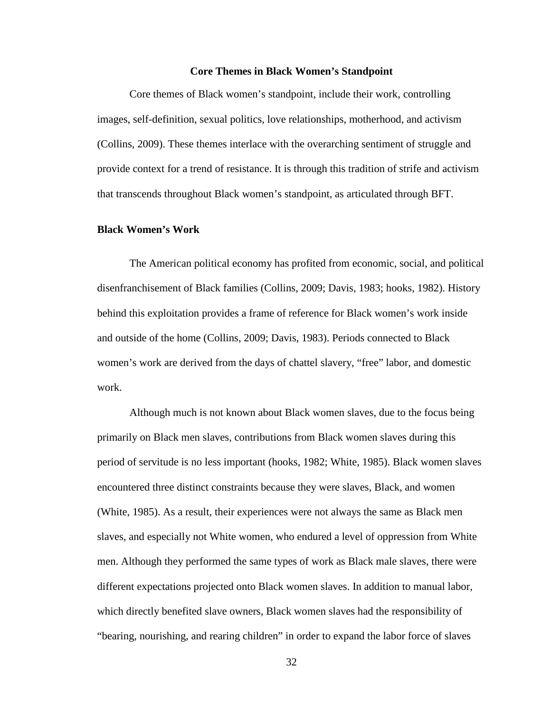### **Core Themes in Black Women's Standpoint**

Core themes of Black women's standpoint, include their work, controlling images, self-definition, sexual politics, love relationships, motherhood, and activism (Collins, 2009). These themes interlace with the overarching sentiment of struggle and provide context for a trend of resistance. It is through this tradition of strife and activism that transcends throughout Black women's standpoint, as articulated through BFT.

### **Black Women's Work**

The American political economy has profited from economic, social, and political disenfranchisement of Black families (Collins, 2009; Davis, 1983; hooks, 1982). History behind this exploitation provides a frame of reference for Black women's work inside and outside of the home (Collins, 2009; Davis, 1983). Periods connected to Black women's work are derived from the days of chattel slavery, "free" labor, and domestic work.

Although much is not known about Black women slaves, due to the focus being primarily on Black men slaves, contributions from Black women slaves during this period of servitude is no less important (hooks, 1982; White, 1985). Black women slaves encountered three distinct constraints because they were slaves, Black, and women (White, 1985). As a result, their experiences were not always the same as Black men slaves, and especially not White women, who endured a level of oppression from White men. Although they performed the same types of work as Black male slaves, there were different expectations projected onto Black women slaves. In addition to manual labor, which directly benefited slave owners, Black women slaves had the responsibility of "bearing, nourishing, and rearing children" in order to expand the labor force of slaves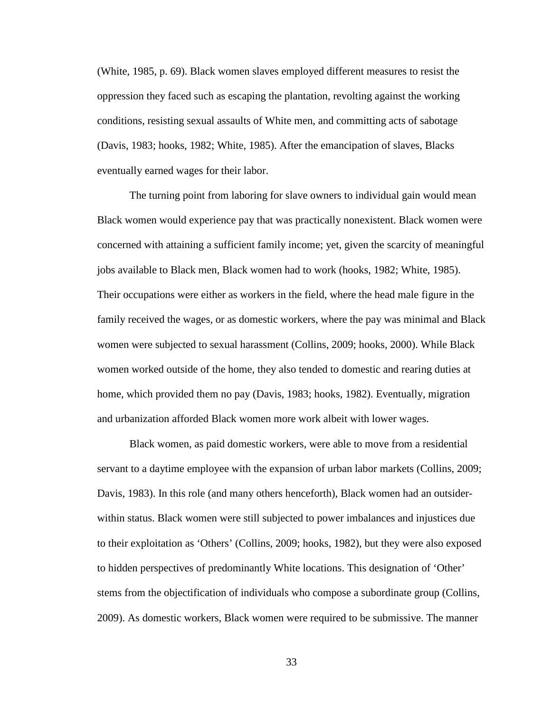(White, 1985, p. 69). Black women slaves employed different measures to resist the oppression they faced such as escaping the plantation, revolting against the working conditions, resisting sexual assaults of White men, and committing acts of sabotage (Davis, 1983; hooks, 1982; White, 1985). After the emancipation of slaves, Blacks eventually earned wages for their labor.

The turning point from laboring for slave owners to individual gain would mean Black women would experience pay that was practically nonexistent. Black women were concerned with attaining a sufficient family income; yet, given the scarcity of meaningful jobs available to Black men, Black women had to work (hooks, 1982; White, 1985). Their occupations were either as workers in the field, where the head male figure in the family received the wages, or as domestic workers, where the pay was minimal and Black women were subjected to sexual harassment (Collins, 2009; hooks, 2000). While Black women worked outside of the home, they also tended to domestic and rearing duties at home, which provided them no pay (Davis, 1983; hooks, 1982). Eventually, migration and urbanization afforded Black women more work albeit with lower wages.

Black women, as paid domestic workers, were able to move from a residential servant to a daytime employee with the expansion of urban labor markets (Collins, 2009; Davis, 1983). In this role (and many others henceforth), Black women had an outsiderwithin status. Black women were still subjected to power imbalances and injustices due to their exploitation as 'Others' (Collins, 2009; hooks, 1982), but they were also exposed to hidden perspectives of predominantly White locations. This designation of 'Other' stems from the objectification of individuals who compose a subordinate group (Collins, 2009). As domestic workers, Black women were required to be submissive. The manner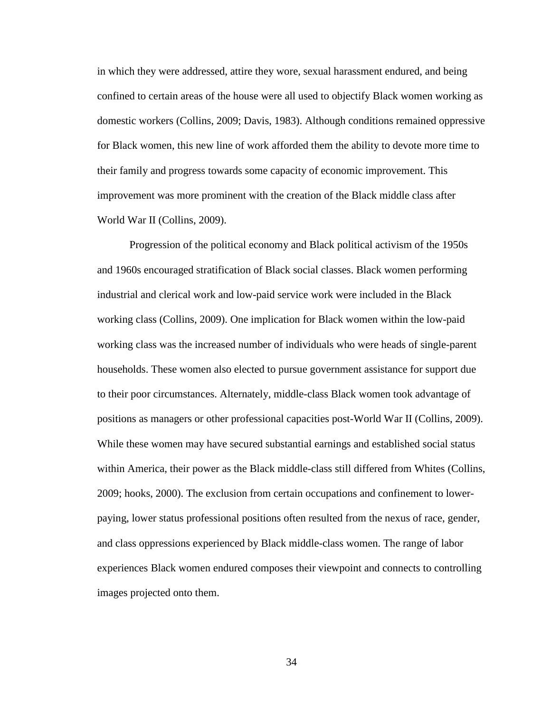in which they were addressed, attire they wore, sexual harassment endured, and being confined to certain areas of the house were all used to objectify Black women working as domestic workers (Collins, 2009; Davis, 1983). Although conditions remained oppressive for Black women, this new line of work afforded them the ability to devote more time to their family and progress towards some capacity of economic improvement. This improvement was more prominent with the creation of the Black middle class after World War II (Collins, 2009).

Progression of the political economy and Black political activism of the 1950s and 1960s encouraged stratification of Black social classes. Black women performing industrial and clerical work and low-paid service work were included in the Black working class (Collins, 2009). One implication for Black women within the low-paid working class was the increased number of individuals who were heads of single-parent households. These women also elected to pursue government assistance for support due to their poor circumstances. Alternately, middle-class Black women took advantage of positions as managers or other professional capacities post-World War II (Collins, 2009). While these women may have secured substantial earnings and established social status within America, their power as the Black middle-class still differed from Whites (Collins, 2009; hooks, 2000). The exclusion from certain occupations and confinement to lowerpaying, lower status professional positions often resulted from the nexus of race, gender, and class oppressions experienced by Black middle-class women. The range of labor experiences Black women endured composes their viewpoint and connects to controlling images projected onto them.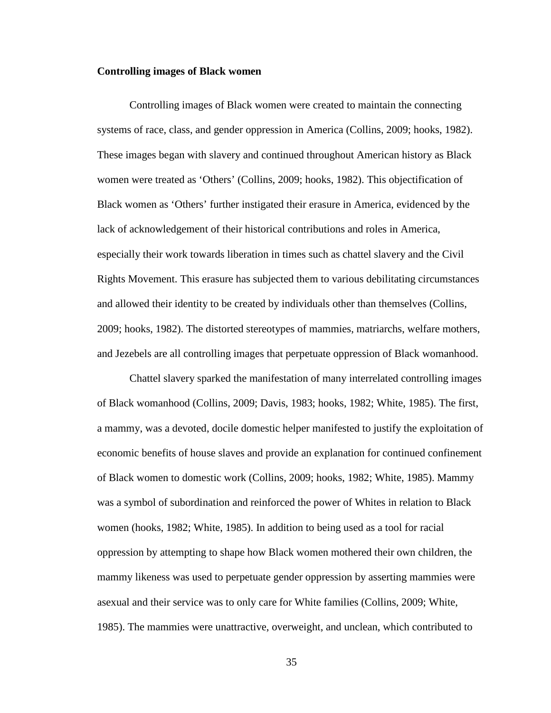#### **Controlling images of Black women**

Controlling images of Black women were created to maintain the connecting systems of race, class, and gender oppression in America (Collins, 2009; hooks, 1982). These images began with slavery and continued throughout American history as Black women were treated as 'Others' (Collins, 2009; hooks, 1982). This objectification of Black women as 'Others' further instigated their erasure in America, evidenced by the lack of acknowledgement of their historical contributions and roles in America, especially their work towards liberation in times such as chattel slavery and the Civil Rights Movement. This erasure has subjected them to various debilitating circumstances and allowed their identity to be created by individuals other than themselves (Collins, 2009; hooks, 1982). The distorted stereotypes of mammies, matriarchs, welfare mothers, and Jezebels are all controlling images that perpetuate oppression of Black womanhood.

Chattel slavery sparked the manifestation of many interrelated controlling images of Black womanhood (Collins, 2009; Davis, 1983; hooks, 1982; White, 1985). The first, a mammy, was a devoted, docile domestic helper manifested to justify the exploitation of economic benefits of house slaves and provide an explanation for continued confinement of Black women to domestic work (Collins, 2009; hooks, 1982; White, 1985). Mammy was a symbol of subordination and reinforced the power of Whites in relation to Black women (hooks, 1982; White, 1985). In addition to being used as a tool for racial oppression by attempting to shape how Black women mothered their own children, the mammy likeness was used to perpetuate gender oppression by asserting mammies were asexual and their service was to only care for White families (Collins, 2009; White, 1985). The mammies were unattractive, overweight, and unclean, which contributed to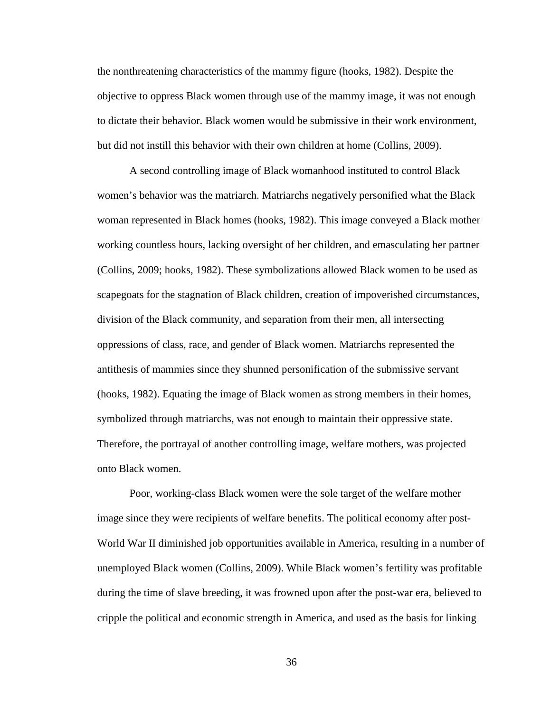the nonthreatening characteristics of the mammy figure (hooks, 1982). Despite the objective to oppress Black women through use of the mammy image, it was not enough to dictate their behavior. Black women would be submissive in their work environment, but did not instill this behavior with their own children at home (Collins, 2009).

A second controlling image of Black womanhood instituted to control Black women's behavior was the matriarch. Matriarchs negatively personified what the Black woman represented in Black homes (hooks, 1982). This image conveyed a Black mother working countless hours, lacking oversight of her children, and emasculating her partner (Collins, 2009; hooks, 1982). These symbolizations allowed Black women to be used as scapegoats for the stagnation of Black children, creation of impoverished circumstances, division of the Black community, and separation from their men, all intersecting oppressions of class, race, and gender of Black women. Matriarchs represented the antithesis of mammies since they shunned personification of the submissive servant (hooks, 1982). Equating the image of Black women as strong members in their homes, symbolized through matriarchs, was not enough to maintain their oppressive state. Therefore, the portrayal of another controlling image, welfare mothers, was projected onto Black women.

Poor, working-class Black women were the sole target of the welfare mother image since they were recipients of welfare benefits. The political economy after post-World War II diminished job opportunities available in America, resulting in a number of unemployed Black women (Collins, 2009). While Black women's fertility was profitable during the time of slave breeding, it was frowned upon after the post-war era, believed to cripple the political and economic strength in America, and used as the basis for linking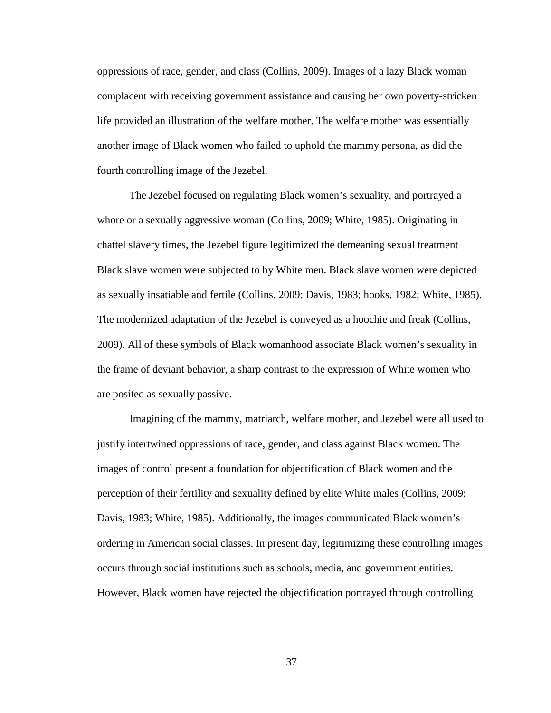oppressions of race, gender, and class (Collins, 2009). Images of a lazy Black woman complacent with receiving government assistance and causing her own poverty-stricken life provided an illustration of the welfare mother. The welfare mother was essentially another image of Black women who failed to uphold the mammy persona, as did the fourth controlling image of the Jezebel.

The Jezebel focused on regulating Black women's sexuality, and portrayed a whore or a sexually aggressive woman (Collins, 2009; White, 1985). Originating in chattel slavery times, the Jezebel figure legitimized the demeaning sexual treatment Black slave women were subjected to by White men. Black slave women were depicted as sexually insatiable and fertile (Collins, 2009; Davis, 1983; hooks, 1982; White, 1985). The modernized adaptation of the Jezebel is conveyed as a hoochie and freak (Collins, 2009). All of these symbols of Black womanhood associate Black women's sexuality in the frame of deviant behavior, a sharp contrast to the expression of White women who are posited as sexually passive.

Imagining of the mammy, matriarch, welfare mother, and Jezebel were all used to justify intertwined oppressions of race, gender, and class against Black women. The images of control present a foundation for objectification of Black women and the perception of their fertility and sexuality defined by elite White males (Collins, 2009; Davis, 1983; White, 1985). Additionally, the images communicated Black women's ordering in American social classes. In present day, legitimizing these controlling images occurs through social institutions such as schools, media, and government entities. However, Black women have rejected the objectification portrayed through controlling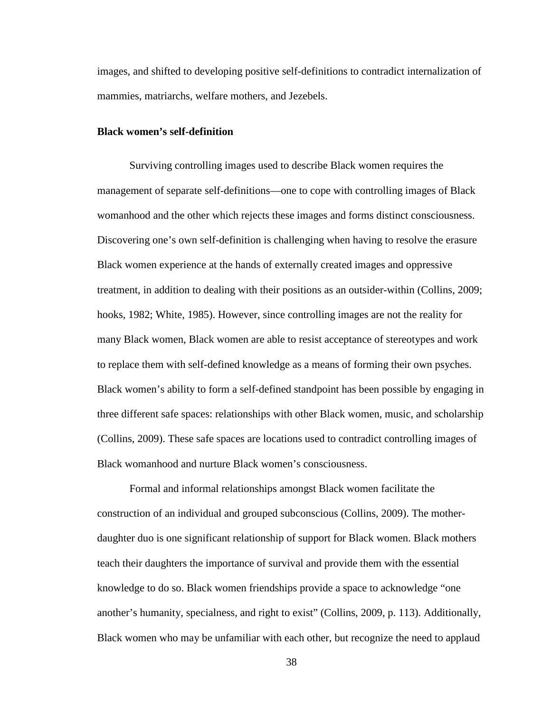images, and shifted to developing positive self-definitions to contradict internalization of mammies, matriarchs, welfare mothers, and Jezebels.

### **Black women's self-definition**

Surviving controlling images used to describe Black women requires the management of separate self-definitions—one to cope with controlling images of Black womanhood and the other which rejects these images and forms distinct consciousness. Discovering one's own self-definition is challenging when having to resolve the erasure Black women experience at the hands of externally created images and oppressive treatment, in addition to dealing with their positions as an outsider-within (Collins, 2009; hooks, 1982; White, 1985). However, since controlling images are not the reality for many Black women, Black women are able to resist acceptance of stereotypes and work to replace them with self-defined knowledge as a means of forming their own psyches. Black women's ability to form a self-defined standpoint has been possible by engaging in three different safe spaces: relationships with other Black women, music, and scholarship (Collins, 2009). These safe spaces are locations used to contradict controlling images of Black womanhood and nurture Black women's consciousness.

Formal and informal relationships amongst Black women facilitate the construction of an individual and grouped subconscious (Collins, 2009). The motherdaughter duo is one significant relationship of support for Black women. Black mothers teach their daughters the importance of survival and provide them with the essential knowledge to do so. Black women friendships provide a space to acknowledge "one another's humanity, specialness, and right to exist" (Collins, 2009, p. 113). Additionally, Black women who may be unfamiliar with each other, but recognize the need to applaud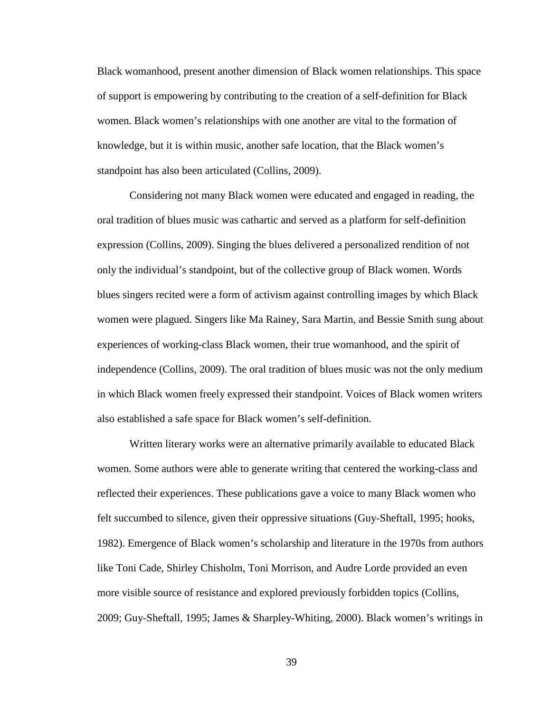Black womanhood, present another dimension of Black women relationships. This space of support is empowering by contributing to the creation of a self-definition for Black women. Black women's relationships with one another are vital to the formation of knowledge, but it is within music, another safe location, that the Black women's standpoint has also been articulated (Collins, 2009).

Considering not many Black women were educated and engaged in reading, the oral tradition of blues music was cathartic and served as a platform for self-definition expression (Collins, 2009). Singing the blues delivered a personalized rendition of not only the individual's standpoint, but of the collective group of Black women. Words blues singers recited were a form of activism against controlling images by which Black women were plagued. Singers like Ma Rainey, Sara Martin, and Bessie Smith sung about experiences of working-class Black women, their true womanhood, and the spirit of independence (Collins, 2009). The oral tradition of blues music was not the only medium in which Black women freely expressed their standpoint. Voices of Black women writers also established a safe space for Black women's self-definition.

Written literary works were an alternative primarily available to educated Black women. Some authors were able to generate writing that centered the working-class and reflected their experiences. These publications gave a voice to many Black women who felt succumbed to silence, given their oppressive situations (Guy-Sheftall, 1995; hooks, 1982). Emergence of Black women's scholarship and literature in the 1970s from authors like Toni Cade, Shirley Chisholm, Toni Morrison, and Audre Lorde provided an even more visible source of resistance and explored previously forbidden topics (Collins, 2009; Guy-Sheftall, 1995; James & Sharpley-Whiting, 2000). Black women's writings in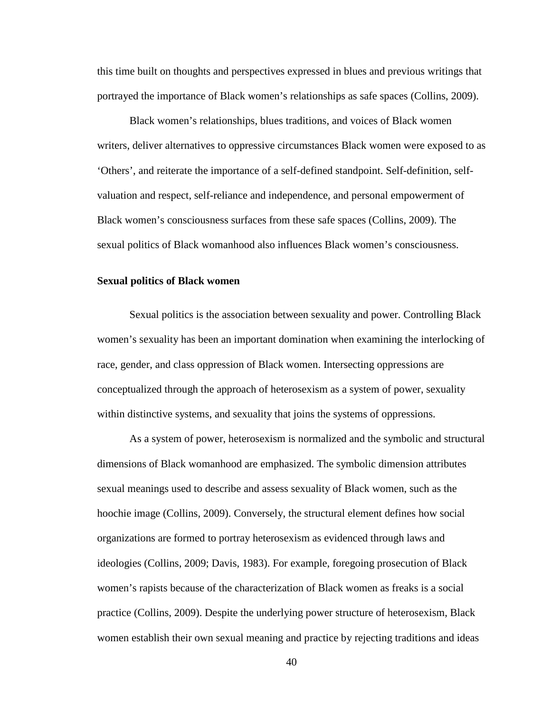this time built on thoughts and perspectives expressed in blues and previous writings that portrayed the importance of Black women's relationships as safe spaces (Collins, 2009).

Black women's relationships, blues traditions, and voices of Black women writers, deliver alternatives to oppressive circumstances Black women were exposed to as 'Others', and reiterate the importance of a self-defined standpoint. Self-definition, selfvaluation and respect, self-reliance and independence, and personal empowerment of Black women's consciousness surfaces from these safe spaces (Collins, 2009). The sexual politics of Black womanhood also influences Black women's consciousness.

#### **Sexual politics of Black women**

Sexual politics is the association between sexuality and power. Controlling Black women's sexuality has been an important domination when examining the interlocking of race, gender, and class oppression of Black women. Intersecting oppressions are conceptualized through the approach of heterosexism as a system of power, sexuality within distinctive systems, and sexuality that joins the systems of oppressions.

As a system of power, heterosexism is normalized and the symbolic and structural dimensions of Black womanhood are emphasized. The symbolic dimension attributes sexual meanings used to describe and assess sexuality of Black women, such as the hoochie image (Collins, 2009). Conversely, the structural element defines how social organizations are formed to portray heterosexism as evidenced through laws and ideologies (Collins, 2009; Davis, 1983). For example, foregoing prosecution of Black women's rapists because of the characterization of Black women as freaks is a social practice (Collins, 2009). Despite the underlying power structure of heterosexism, Black women establish their own sexual meaning and practice by rejecting traditions and ideas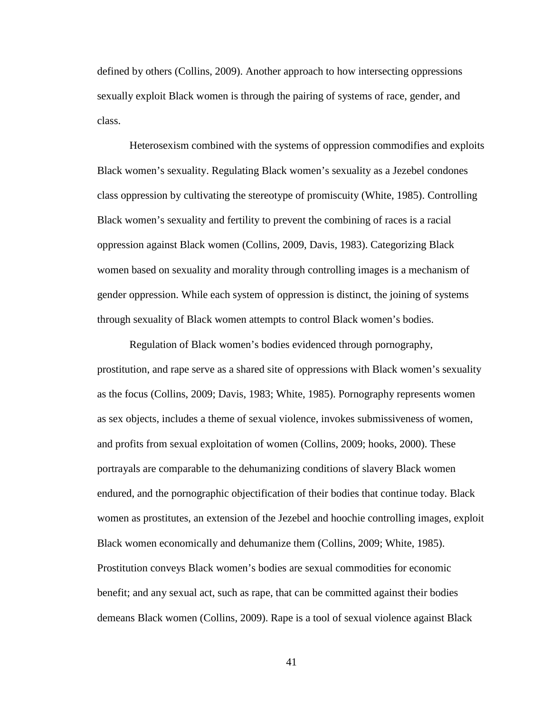defined by others (Collins, 2009). Another approach to how intersecting oppressions sexually exploit Black women is through the pairing of systems of race, gender, and class.

Heterosexism combined with the systems of oppression commodifies and exploits Black women's sexuality. Regulating Black women's sexuality as a Jezebel condones class oppression by cultivating the stereotype of promiscuity (White, 1985). Controlling Black women's sexuality and fertility to prevent the combining of races is a racial oppression against Black women (Collins, 2009, Davis, 1983). Categorizing Black women based on sexuality and morality through controlling images is a mechanism of gender oppression. While each system of oppression is distinct, the joining of systems through sexuality of Black women attempts to control Black women's bodies.

Regulation of Black women's bodies evidenced through pornography, prostitution, and rape serve as a shared site of oppressions with Black women's sexuality as the focus (Collins, 2009; Davis, 1983; White, 1985). Pornography represents women as sex objects, includes a theme of sexual violence, invokes submissiveness of women, and profits from sexual exploitation of women (Collins, 2009; hooks, 2000). These portrayals are comparable to the dehumanizing conditions of slavery Black women endured, and the pornographic objectification of their bodies that continue today. Black women as prostitutes, an extension of the Jezebel and hoochie controlling images, exploit Black women economically and dehumanize them (Collins, 2009; White, 1985). Prostitution conveys Black women's bodies are sexual commodities for economic benefit; and any sexual act, such as rape, that can be committed against their bodies demeans Black women (Collins, 2009). Rape is a tool of sexual violence against Black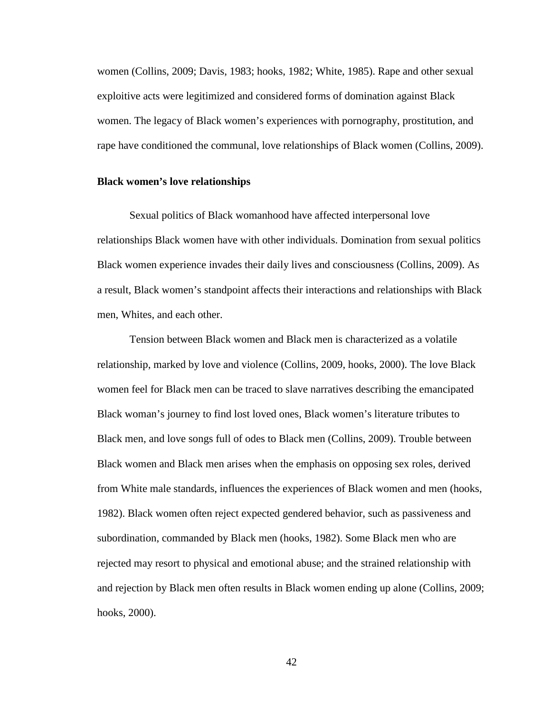women (Collins, 2009; Davis, 1983; hooks, 1982; White, 1985). Rape and other sexual exploitive acts were legitimized and considered forms of domination against Black women. The legacy of Black women's experiences with pornography, prostitution, and rape have conditioned the communal, love relationships of Black women (Collins, 2009).

#### **Black women's love relationships**

Sexual politics of Black womanhood have affected interpersonal love relationships Black women have with other individuals. Domination from sexual politics Black women experience invades their daily lives and consciousness (Collins, 2009). As a result, Black women's standpoint affects their interactions and relationships with Black men, Whites, and each other.

Tension between Black women and Black men is characterized as a volatile relationship, marked by love and violence (Collins, 2009, hooks, 2000). The love Black women feel for Black men can be traced to slave narratives describing the emancipated Black woman's journey to find lost loved ones, Black women's literature tributes to Black men, and love songs full of odes to Black men (Collins, 2009). Trouble between Black women and Black men arises when the emphasis on opposing sex roles, derived from White male standards, influences the experiences of Black women and men (hooks, 1982). Black women often reject expected gendered behavior, such as passiveness and subordination, commanded by Black men (hooks, 1982). Some Black men who are rejected may resort to physical and emotional abuse; and the strained relationship with and rejection by Black men often results in Black women ending up alone (Collins, 2009; hooks, 2000).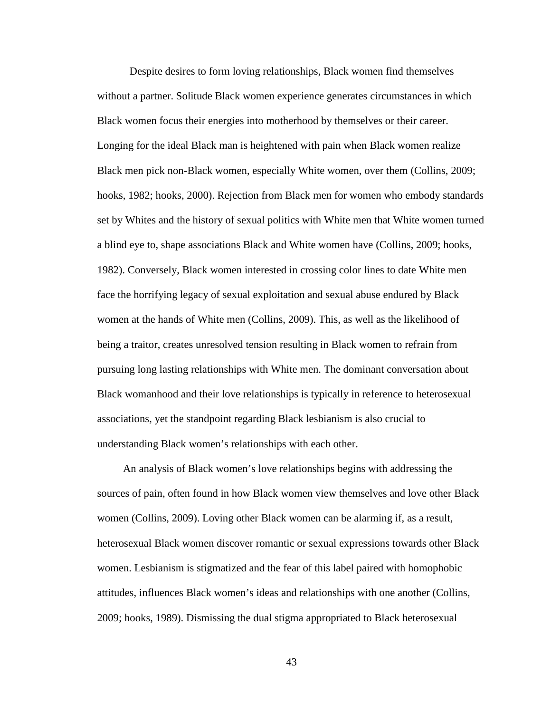Despite desires to form loving relationships, Black women find themselves without a partner. Solitude Black women experience generates circumstances in which Black women focus their energies into motherhood by themselves or their career. Longing for the ideal Black man is heightened with pain when Black women realize Black men pick non-Black women, especially White women, over them (Collins, 2009; hooks, 1982; hooks, 2000). Rejection from Black men for women who embody standards set by Whites and the history of sexual politics with White men that White women turned a blind eye to, shape associations Black and White women have (Collins, 2009; hooks, 1982). Conversely, Black women interested in crossing color lines to date White men face the horrifying legacy of sexual exploitation and sexual abuse endured by Black women at the hands of White men (Collins, 2009). This, as well as the likelihood of being a traitor, creates unresolved tension resulting in Black women to refrain from pursuing long lasting relationships with White men. The dominant conversation about Black womanhood and their love relationships is typically in reference to heterosexual associations, yet the standpoint regarding Black lesbianism is also crucial to understanding Black women's relationships with each other.

An analysis of Black women's love relationships begins with addressing the sources of pain, often found in how Black women view themselves and love other Black women (Collins, 2009). Loving other Black women can be alarming if, as a result, heterosexual Black women discover romantic or sexual expressions towards other Black women. Lesbianism is stigmatized and the fear of this label paired with homophobic attitudes, influences Black women's ideas and relationships with one another (Collins, 2009; hooks, 1989). Dismissing the dual stigma appropriated to Black heterosexual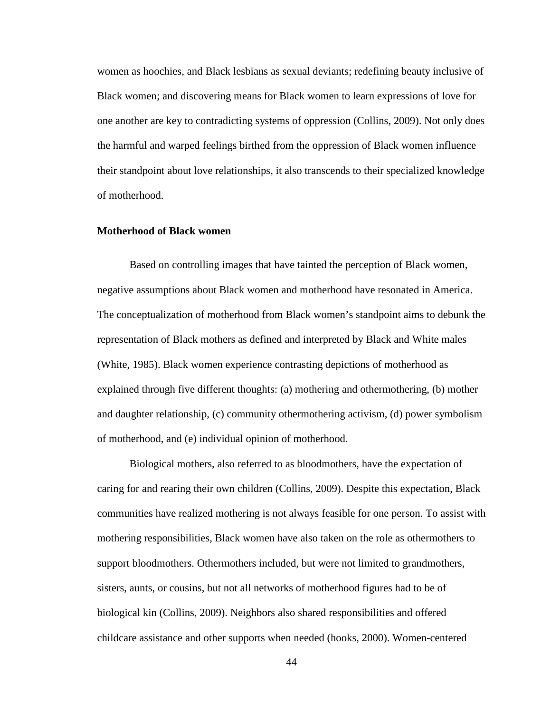women as hoochies, and Black lesbians as sexual deviants; redefining beauty inclusive of Black women; and discovering means for Black women to learn expressions of love for one another are key to contradicting systems of oppression (Collins, 2009). Not only does the harmful and warped feelings birthed from the oppression of Black women influence their standpoint about love relationships, it also transcends to their specialized knowledge of motherhood.

# **Motherhood of Black women**

Based on controlling images that have tainted the perception of Black women, negative assumptions about Black women and motherhood have resonated in America. The conceptualization of motherhood from Black women's standpoint aims to debunk the representation of Black mothers as defined and interpreted by Black and White males (White, 1985). Black women experience contrasting depictions of motherhood as explained through five different thoughts: (a) mothering and othermothering, (b) mother and daughter relationship, (c) community othermothering activism, (d) power symbolism of motherhood, and (e) individual opinion of motherhood.

Biological mothers, also referred to as bloodmothers, have the expectation of caring for and rearing their own children (Collins, 2009). Despite this expectation, Black communities have realized mothering is not always feasible for one person. To assist with mothering responsibilities, Black women have also taken on the role as othermothers to support bloodmothers. Othermothers included, but were not limited to grandmothers, sisters, aunts, or cousins, but not all networks of motherhood figures had to be of biological kin (Collins, 2009). Neighbors also shared responsibilities and offered childcare assistance and other supports when needed (hooks, 2000). Women-centered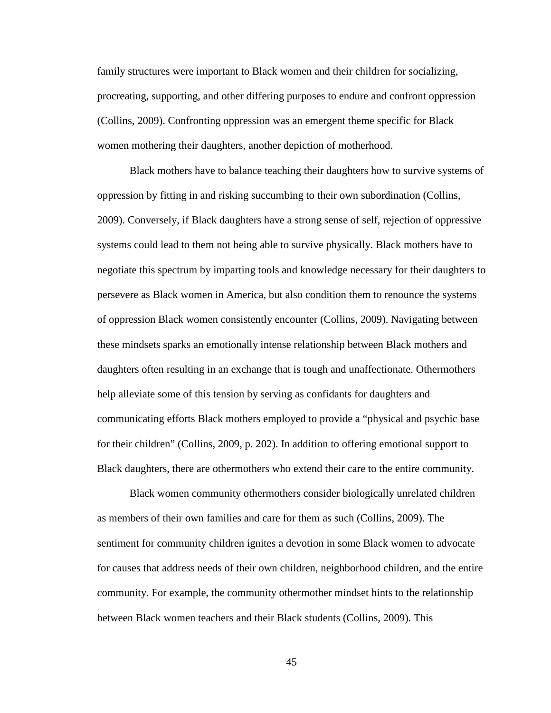family structures were important to Black women and their children for socializing, procreating, supporting, and other differing purposes to endure and confront oppression (Collins, 2009). Confronting oppression was an emergent theme specific for Black women mothering their daughters, another depiction of motherhood.

Black mothers have to balance teaching their daughters how to survive systems of oppression by fitting in and risking succumbing to their own subordination (Collins, 2009). Conversely, if Black daughters have a strong sense of self, rejection of oppressive systems could lead to them not being able to survive physically. Black mothers have to negotiate this spectrum by imparting tools and knowledge necessary for their daughters to persevere as Black women in America, but also condition them to renounce the systems of oppression Black women consistently encounter (Collins, 2009). Navigating between these mindsets sparks an emotionally intense relationship between Black mothers and daughters often resulting in an exchange that is tough and unaffectionate. Othermothers help alleviate some of this tension by serving as confidants for daughters and communicating efforts Black mothers employed to provide a "physical and psychic base for their children" (Collins, 2009, p. 202). In addition to offering emotional support to Black daughters, there are othermothers who extend their care to the entire community.

Black women community othermothers consider biologically unrelated children as members of their own families and care for them as such (Collins, 2009). The sentiment for community children ignites a devotion in some Black women to advocate for causes that address needs of their own children, neighborhood children, and the entire community. For example, the community othermother mindset hints to the relationship between Black women teachers and their Black students (Collins, 2009). This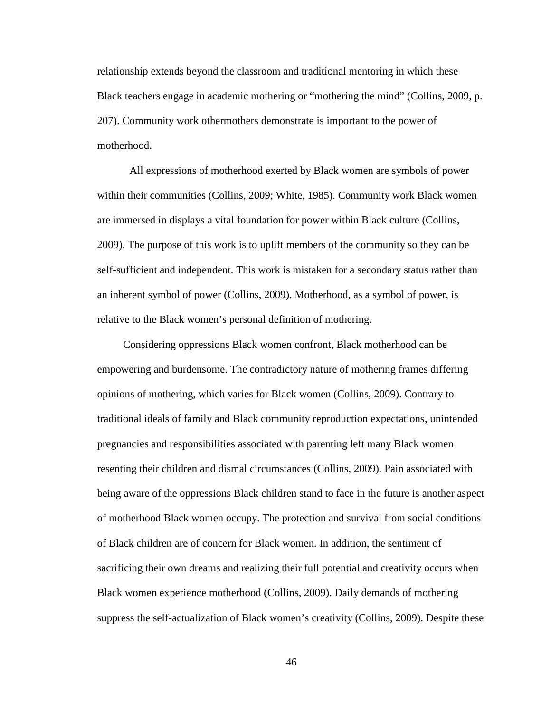relationship extends beyond the classroom and traditional mentoring in which these Black teachers engage in academic mothering or "mothering the mind" (Collins, 2009, p. 207). Community work othermothers demonstrate is important to the power of motherhood.

All expressions of motherhood exerted by Black women are symbols of power within their communities (Collins, 2009; White, 1985). Community work Black women are immersed in displays a vital foundation for power within Black culture (Collins, 2009). The purpose of this work is to uplift members of the community so they can be self-sufficient and independent. This work is mistaken for a secondary status rather than an inherent symbol of power (Collins, 2009). Motherhood, as a symbol of power, is relative to the Black women's personal definition of mothering.

Considering oppressions Black women confront, Black motherhood can be empowering and burdensome. The contradictory nature of mothering frames differing opinions of mothering, which varies for Black women (Collins, 2009). Contrary to traditional ideals of family and Black community reproduction expectations, unintended pregnancies and responsibilities associated with parenting left many Black women resenting their children and dismal circumstances (Collins, 2009). Pain associated with being aware of the oppressions Black children stand to face in the future is another aspect of motherhood Black women occupy. The protection and survival from social conditions of Black children are of concern for Black women. In addition, the sentiment of sacrificing their own dreams and realizing their full potential and creativity occurs when Black women experience motherhood (Collins, 2009). Daily demands of mothering suppress the self-actualization of Black women's creativity (Collins, 2009). Despite these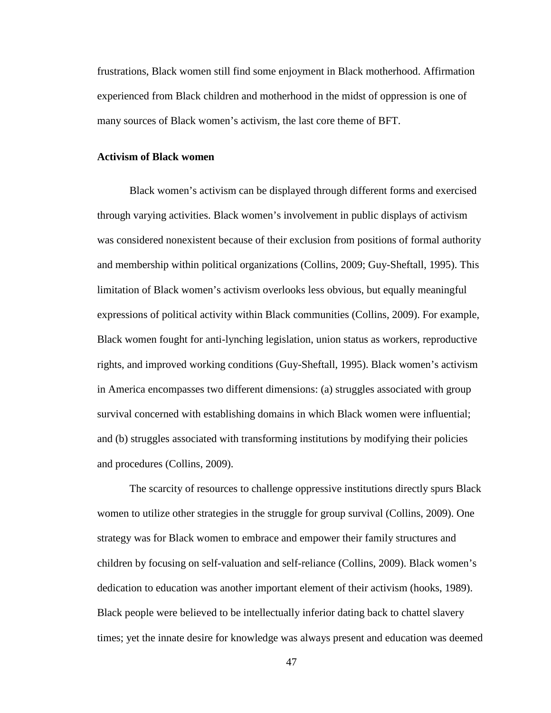frustrations, Black women still find some enjoyment in Black motherhood. Affirmation experienced from Black children and motherhood in the midst of oppression is one of many sources of Black women's activism, the last core theme of BFT.

### **Activism of Black women**

Black women's activism can be displayed through different forms and exercised through varying activities. Black women's involvement in public displays of activism was considered nonexistent because of their exclusion from positions of formal authority and membership within political organizations (Collins, 2009; Guy-Sheftall, 1995). This limitation of Black women's activism overlooks less obvious, but equally meaningful expressions of political activity within Black communities (Collins, 2009). For example, Black women fought for anti-lynching legislation, union status as workers, reproductive rights, and improved working conditions (Guy-Sheftall, 1995). Black women's activism in America encompasses two different dimensions: (a) struggles associated with group survival concerned with establishing domains in which Black women were influential; and (b) struggles associated with transforming institutions by modifying their policies and procedures (Collins, 2009).

The scarcity of resources to challenge oppressive institutions directly spurs Black women to utilize other strategies in the struggle for group survival (Collins, 2009). One strategy was for Black women to embrace and empower their family structures and children by focusing on self-valuation and self-reliance (Collins, 2009). Black women's dedication to education was another important element of their activism (hooks, 1989). Black people were believed to be intellectually inferior dating back to chattel slavery times; yet the innate desire for knowledge was always present and education was deemed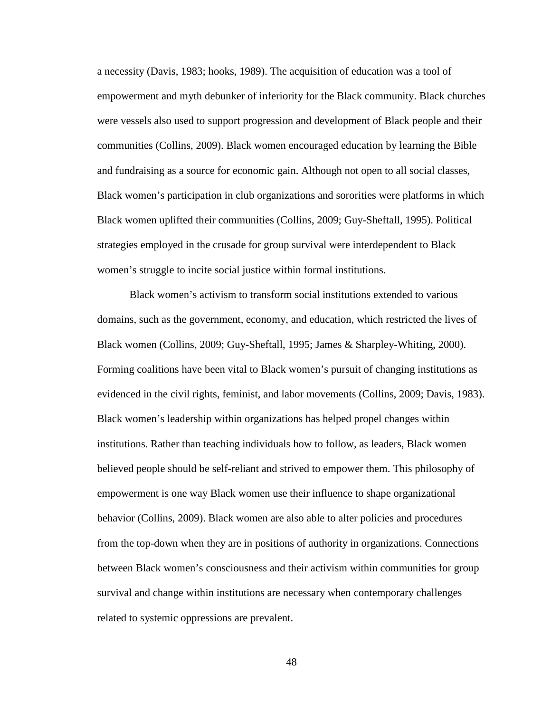a necessity (Davis, 1983; hooks, 1989). The acquisition of education was a tool of empowerment and myth debunker of inferiority for the Black community. Black churches were vessels also used to support progression and development of Black people and their communities (Collins, 2009). Black women encouraged education by learning the Bible and fundraising as a source for economic gain. Although not open to all social classes, Black women's participation in club organizations and sororities were platforms in which Black women uplifted their communities (Collins, 2009; Guy-Sheftall, 1995). Political strategies employed in the crusade for group survival were interdependent to Black women's struggle to incite social justice within formal institutions.

Black women's activism to transform social institutions extended to various domains, such as the government, economy, and education, which restricted the lives of Black women (Collins, 2009; Guy-Sheftall, 1995; James & Sharpley-Whiting, 2000). Forming coalitions have been vital to Black women's pursuit of changing institutions as evidenced in the civil rights, feminist, and labor movements (Collins, 2009; Davis, 1983). Black women's leadership within organizations has helped propel changes within institutions. Rather than teaching individuals how to follow, as leaders, Black women believed people should be self-reliant and strived to empower them. This philosophy of empowerment is one way Black women use their influence to shape organizational behavior (Collins, 2009). Black women are also able to alter policies and procedures from the top-down when they are in positions of authority in organizations. Connections between Black women's consciousness and their activism within communities for group survival and change within institutions are necessary when contemporary challenges related to systemic oppressions are prevalent.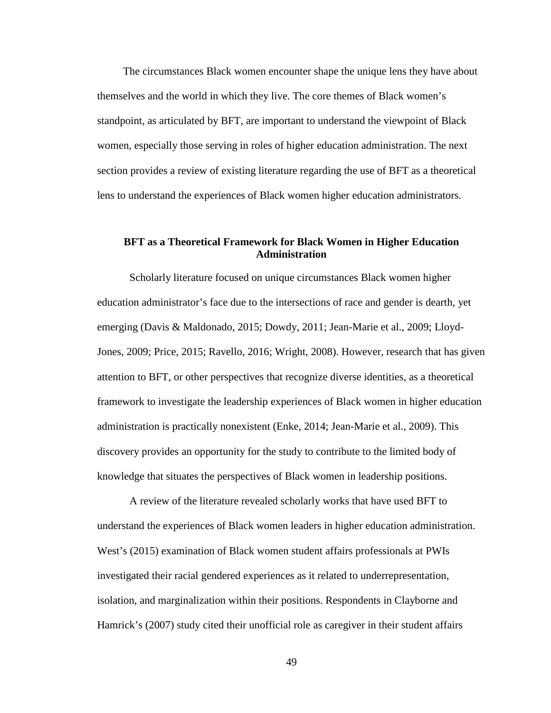The circumstances Black women encounter shape the unique lens they have about themselves and the world in which they live. The core themes of Black women's standpoint, as articulated by BFT, are important to understand the viewpoint of Black women, especially those serving in roles of higher education administration. The next section provides a review of existing literature regarding the use of BFT as a theoretical lens to understand the experiences of Black women higher education administrators.

# **BFT as a Theoretical Framework for Black Women in Higher Education Administration**

Scholarly literature focused on unique circumstances Black women higher education administrator's face due to the intersections of race and gender is dearth, yet emerging (Davis & Maldonado, 2015; Dowdy, 2011; Jean-Marie et al., 2009; Lloyd-Jones, 2009; Price, 2015; Ravello, 2016; Wright, 2008). However, research that has given attention to BFT, or other perspectives that recognize diverse identities, as a theoretical framework to investigate the leadership experiences of Black women in higher education administration is practically nonexistent (Enke, 2014; Jean-Marie et al., 2009). This discovery provides an opportunity for the study to contribute to the limited body of knowledge that situates the perspectives of Black women in leadership positions.

A review of the literature revealed scholarly works that have used BFT to understand the experiences of Black women leaders in higher education administration. West's (2015) examination of Black women student affairs professionals at PWIs investigated their racial gendered experiences as it related to underrepresentation, isolation, and marginalization within their positions. Respondents in Clayborne and Hamrick's (2007) study cited their unofficial role as caregiver in their student affairs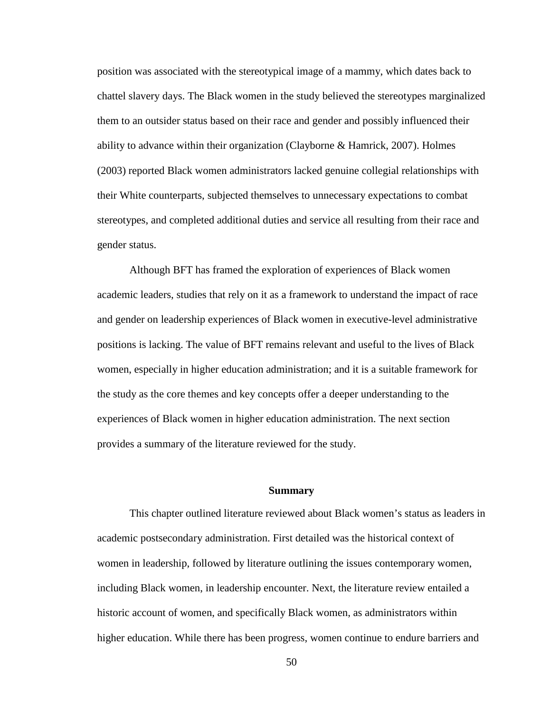position was associated with the stereotypical image of a mammy, which dates back to chattel slavery days. The Black women in the study believed the stereotypes marginalized them to an outsider status based on their race and gender and possibly influenced their ability to advance within their organization (Clayborne & Hamrick, 2007). Holmes (2003) reported Black women administrators lacked genuine collegial relationships with their White counterparts, subjected themselves to unnecessary expectations to combat stereotypes, and completed additional duties and service all resulting from their race and gender status.

Although BFT has framed the exploration of experiences of Black women academic leaders, studies that rely on it as a framework to understand the impact of race and gender on leadership experiences of Black women in executive-level administrative positions is lacking. The value of BFT remains relevant and useful to the lives of Black women, especially in higher education administration; and it is a suitable framework for the study as the core themes and key concepts offer a deeper understanding to the experiences of Black women in higher education administration. The next section provides a summary of the literature reviewed for the study.

# **Summary**

This chapter outlined literature reviewed about Black women's status as leaders in academic postsecondary administration. First detailed was the historical context of women in leadership, followed by literature outlining the issues contemporary women, including Black women, in leadership encounter. Next, the literature review entailed a historic account of women, and specifically Black women, as administrators within higher education. While there has been progress, women continue to endure barriers and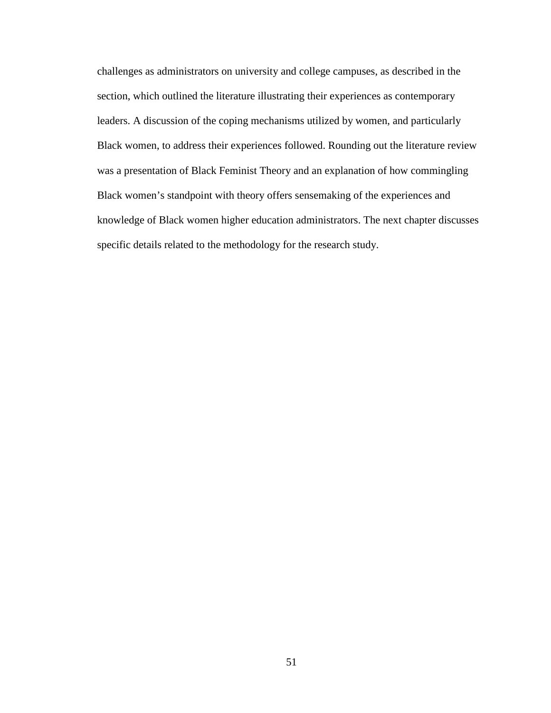challenges as administrators on university and college campuses, as described in the section, which outlined the literature illustrating their experiences as contemporary leaders. A discussion of the coping mechanisms utilized by women, and particularly Black women, to address their experiences followed. Rounding out the literature review was a presentation of Black Feminist Theory and an explanation of how commingling Black women's standpoint with theory offers sensemaking of the experiences and knowledge of Black women higher education administrators. The next chapter discusses specific details related to the methodology for the research study.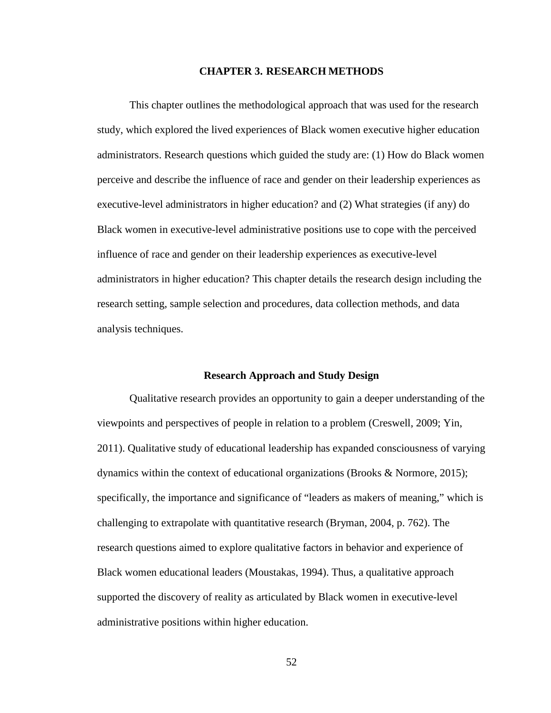## **CHAPTER 3. RESEARCH METHODS**

This chapter outlines the methodological approach that was used for the research study, which explored the lived experiences of Black women executive higher education administrators. Research questions which guided the study are: (1) How do Black women perceive and describe the influence of race and gender on their leadership experiences as executive-level administrators in higher education? and (2) What strategies (if any) do Black women in executive-level administrative positions use to cope with the perceived influence of race and gender on their leadership experiences as executive-level administrators in higher education? This chapter details the research design including the research setting, sample selection and procedures, data collection methods, and data analysis techniques.

#### **Research Approach and Study Design**

Qualitative research provides an opportunity to gain a deeper understanding of the viewpoints and perspectives of people in relation to a problem (Creswell, 2009; Yin, 2011). Qualitative study of educational leadership has expanded consciousness of varying dynamics within the context of educational organizations (Brooks & Normore, 2015); specifically, the importance and significance of "leaders as makers of meaning," which is challenging to extrapolate with quantitative research (Bryman, 2004, p. 762). The research questions aimed to explore qualitative factors in behavior and experience of Black women educational leaders (Moustakas, 1994). Thus, a qualitative approach supported the discovery of reality as articulated by Black women in executive-level administrative positions within higher education.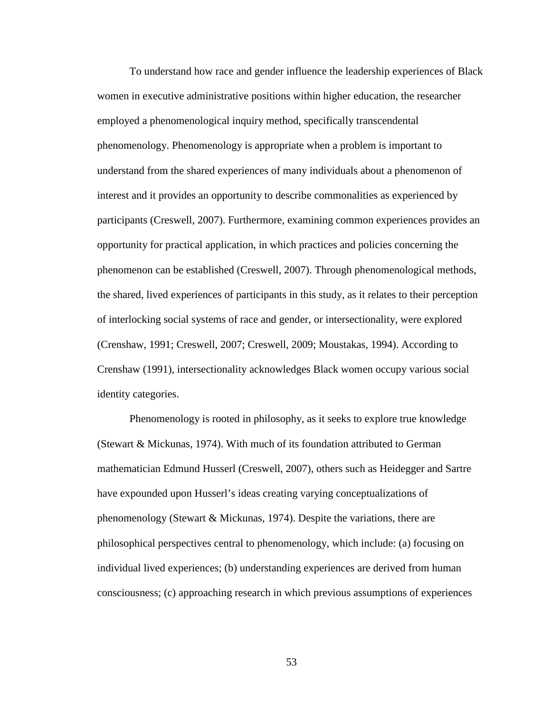To understand how race and gender influence the leadership experiences of Black women in executive administrative positions within higher education, the researcher employed a phenomenological inquiry method, specifically transcendental phenomenology. Phenomenology is appropriate when a problem is important to understand from the shared experiences of many individuals about a phenomenon of interest and it provides an opportunity to describe commonalities as experienced by participants (Creswell, 2007). Furthermore, examining common experiences provides an opportunity for practical application, in which practices and policies concerning the phenomenon can be established (Creswell, 2007). Through phenomenological methods, the shared, lived experiences of participants in this study, as it relates to their perception of interlocking social systems of race and gender, or intersectionality, were explored (Crenshaw, 1991; Creswell, 2007; Creswell, 2009; Moustakas, 1994). According to Crenshaw (1991), intersectionality acknowledges Black women occupy various social identity categories.

Phenomenology is rooted in philosophy, as it seeks to explore true knowledge (Stewart & Mickunas, 1974). With much of its foundation attributed to German mathematician Edmund Husserl (Creswell, 2007), others such as Heidegger and Sartre have expounded upon Husserl's ideas creating varying conceptualizations of phenomenology (Stewart & Mickunas, 1974). Despite the variations, there are philosophical perspectives central to phenomenology, which include: (a) focusing on individual lived experiences; (b) understanding experiences are derived from human consciousness; (c) approaching research in which previous assumptions of experiences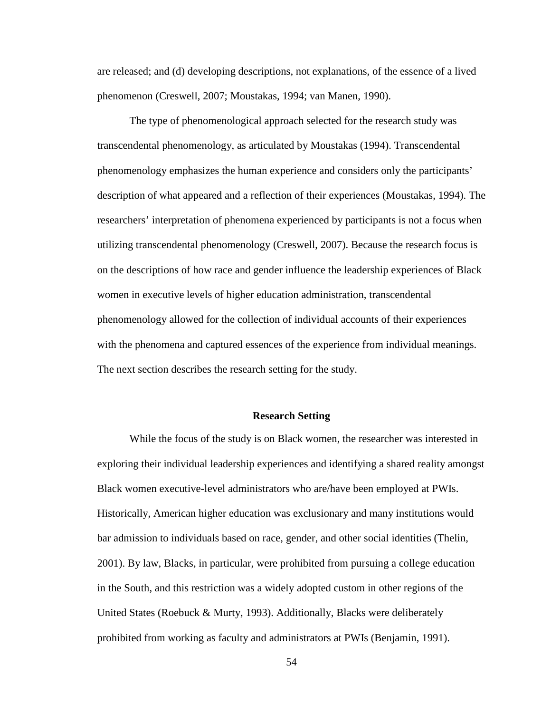are released; and (d) developing descriptions, not explanations, of the essence of a lived phenomenon (Creswell, 2007; Moustakas, 1994; van Manen, 1990).

The type of phenomenological approach selected for the research study was transcendental phenomenology, as articulated by Moustakas (1994). Transcendental phenomenology emphasizes the human experience and considers only the participants' description of what appeared and a reflection of their experiences (Moustakas, 1994). The researchers' interpretation of phenomena experienced by participants is not a focus when utilizing transcendental phenomenology (Creswell, 2007). Because the research focus is on the descriptions of how race and gender influence the leadership experiences of Black women in executive levels of higher education administration, transcendental phenomenology allowed for the collection of individual accounts of their experiences with the phenomena and captured essences of the experience from individual meanings. The next section describes the research setting for the study.

# **Research Setting**

While the focus of the study is on Black women, the researcher was interested in exploring their individual leadership experiences and identifying a shared reality amongst Black women executive-level administrators who are/have been employed at PWIs. Historically, American higher education was exclusionary and many institutions would bar admission to individuals based on race, gender, and other social identities (Thelin, 2001). By law, Blacks, in particular, were prohibited from pursuing a college education in the South, and this restriction was a widely adopted custom in other regions of the United States (Roebuck & Murty, 1993). Additionally, Blacks were deliberately prohibited from working as faculty and administrators at PWIs (Benjamin, 1991).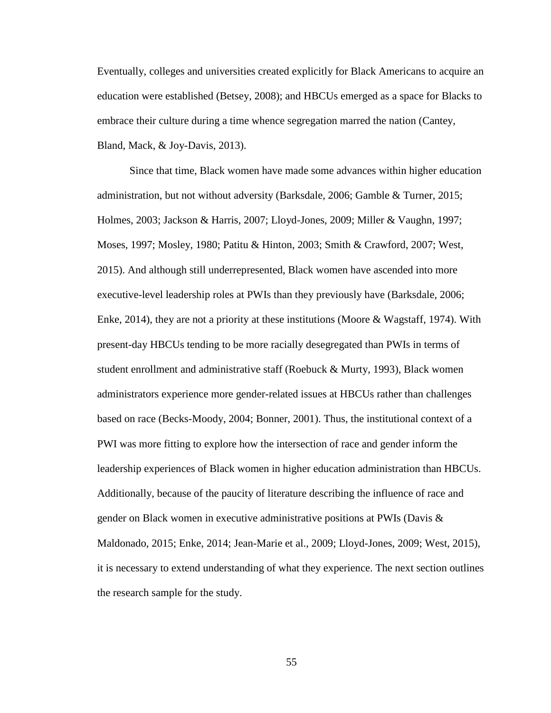Eventually, colleges and universities created explicitly for Black Americans to acquire an education were established (Betsey, 2008); and HBCUs emerged as a space for Blacks to embrace their culture during a time whence segregation marred the nation (Cantey, Bland, Mack, & Joy-Davis, 2013).

Since that time, Black women have made some advances within higher education administration, but not without adversity (Barksdale, 2006; Gamble & Turner, 2015; Holmes, 2003; Jackson & Harris, 2007; Lloyd-Jones, 2009; Miller & Vaughn, 1997; Moses, 1997; Mosley, 1980; Patitu & Hinton, 2003; Smith & Crawford, 2007; West, 2015). And although still underrepresented, Black women have ascended into more executive-level leadership roles at PWIs than they previously have (Barksdale, 2006; Enke, 2014), they are not a priority at these institutions (Moore & Wagstaff, 1974). With present-day HBCUs tending to be more racially desegregated than PWIs in terms of student enrollment and administrative staff (Roebuck & Murty, 1993), Black women administrators experience more gender-related issues at HBCUs rather than challenges based on race (Becks-Moody, 2004; Bonner, 2001). Thus, the institutional context of a PWI was more fitting to explore how the intersection of race and gender inform the leadership experiences of Black women in higher education administration than HBCUs. Additionally, because of the paucity of literature describing the influence of race and gender on Black women in executive administrative positions at PWIs (Davis & Maldonado, 2015; Enke, 2014; Jean-Marie et al., 2009; Lloyd-Jones, 2009; West, 2015), it is necessary to extend understanding of what they experience. The next section outlines the research sample for the study.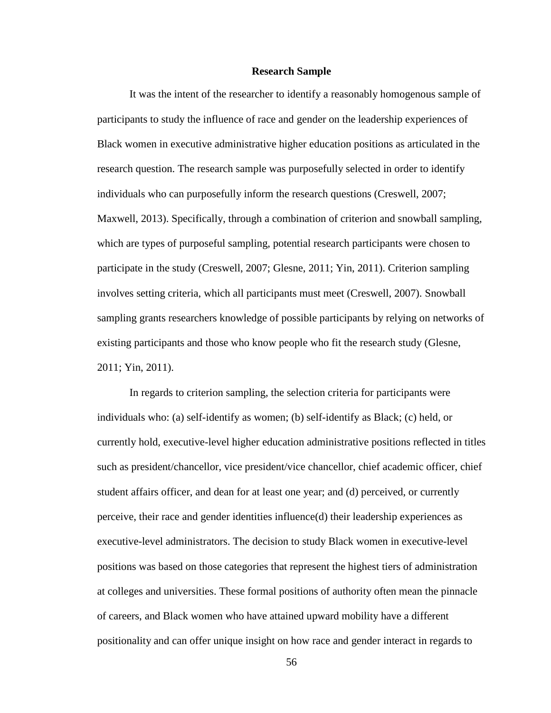#### **Research Sample**

It was the intent of the researcher to identify a reasonably homogenous sample of participants to study the influence of race and gender on the leadership experiences of Black women in executive administrative higher education positions as articulated in the research question. The research sample was purposefully selected in order to identify individuals who can purposefully inform the research questions (Creswell, 2007; Maxwell, 2013). Specifically, through a combination of criterion and snowball sampling, which are types of purposeful sampling, potential research participants were chosen to participate in the study (Creswell, 2007; Glesne, 2011; Yin, 2011). Criterion sampling involves setting criteria, which all participants must meet (Creswell, 2007). Snowball sampling grants researchers knowledge of possible participants by relying on networks of existing participants and those who know people who fit the research study (Glesne, 2011; Yin, 2011).

In regards to criterion sampling, the selection criteria for participants were individuals who: (a) self-identify as women; (b) self-identify as Black; (c) held, or currently hold, executive-level higher education administrative positions reflected in titles such as president/chancellor, vice president/vice chancellor, chief academic officer, chief student affairs officer, and dean for at least one year; and (d) perceived, or currently perceive, their race and gender identities influence(d) their leadership experiences as executive-level administrators. The decision to study Black women in executive-level positions was based on those categories that represent the highest tiers of administration at colleges and universities. These formal positions of authority often mean the pinnacle of careers, and Black women who have attained upward mobility have a different positionality and can offer unique insight on how race and gender interact in regards to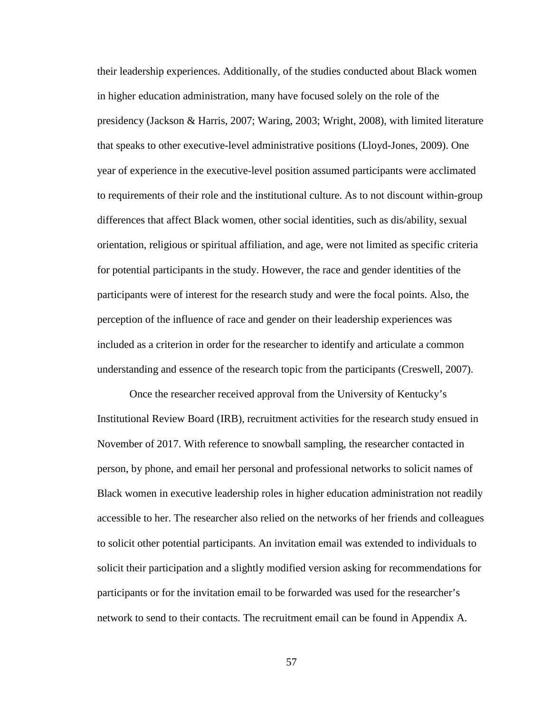their leadership experiences. Additionally, of the studies conducted about Black women in higher education administration, many have focused solely on the role of the presidency (Jackson & Harris, 2007; Waring, 2003; Wright, 2008), with limited literature that speaks to other executive-level administrative positions (Lloyd-Jones, 2009). One year of experience in the executive-level position assumed participants were acclimated to requirements of their role and the institutional culture. As to not discount within-group differences that affect Black women, other social identities, such as dis/ability, sexual orientation, religious or spiritual affiliation, and age, were not limited as specific criteria for potential participants in the study. However, the race and gender identities of the participants were of interest for the research study and were the focal points. Also, the perception of the influence of race and gender on their leadership experiences was included as a criterion in order for the researcher to identify and articulate a common understanding and essence of the research topic from the participants (Creswell, 2007).

Once the researcher received approval from the University of Kentucky's Institutional Review Board (IRB), recruitment activities for the research study ensued in November of 2017. With reference to snowball sampling, the researcher contacted in person, by phone, and email her personal and professional networks to solicit names of Black women in executive leadership roles in higher education administration not readily accessible to her. The researcher also relied on the networks of her friends and colleagues to solicit other potential participants. An invitation email was extended to individuals to solicit their participation and a slightly modified version asking for recommendations for participants or for the invitation email to be forwarded was used for the researcher's network to send to their contacts. The recruitment email can be found in Appendix A.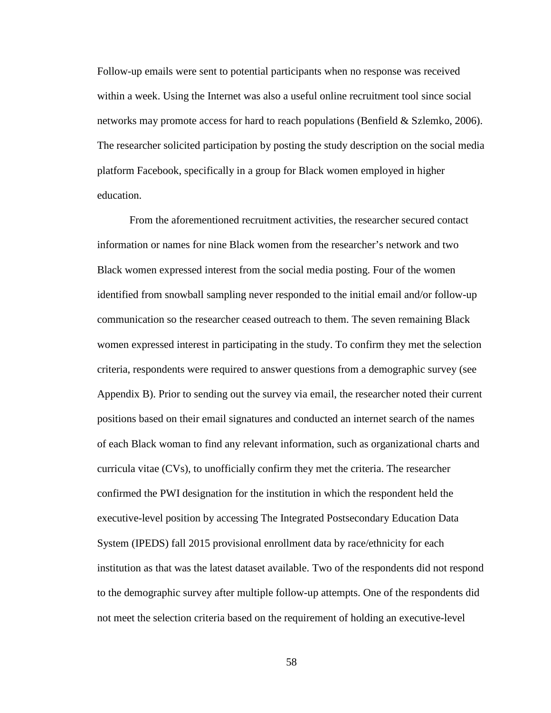Follow-up emails were sent to potential participants when no response was received within a week. Using the Internet was also a useful online recruitment tool since social networks may promote access for hard to reach populations (Benfield & Szlemko, 2006). The researcher solicited participation by posting the study description on the social media platform Facebook, specifically in a group for Black women employed in higher education.

From the aforementioned recruitment activities, the researcher secured contact information or names for nine Black women from the researcher's network and two Black women expressed interest from the social media posting. Four of the women identified from snowball sampling never responded to the initial email and/or follow-up communication so the researcher ceased outreach to them. The seven remaining Black women expressed interest in participating in the study. To confirm they met the selection criteria, respondents were required to answer questions from a demographic survey (see Appendix B). Prior to sending out the survey via email, the researcher noted their current positions based on their email signatures and conducted an internet search of the names of each Black woman to find any relevant information, such as organizational charts and curricula vitae (CVs), to unofficially confirm they met the criteria. The researcher confirmed the PWI designation for the institution in which the respondent held the executive-level position by accessing The Integrated Postsecondary Education Data System (IPEDS) fall 2015 provisional enrollment data by race/ethnicity for each institution as that was the latest dataset available. Two of the respondents did not respond to the demographic survey after multiple follow-up attempts. One of the respondents did not meet the selection criteria based on the requirement of holding an executive-level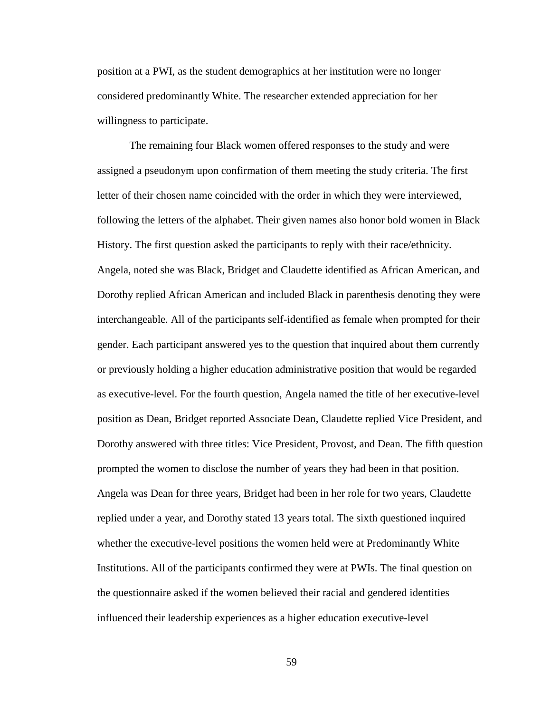position at a PWI, as the student demographics at her institution were no longer considered predominantly White. The researcher extended appreciation for her willingness to participate.

The remaining four Black women offered responses to the study and were assigned a pseudonym upon confirmation of them meeting the study criteria. The first letter of their chosen name coincided with the order in which they were interviewed, following the letters of the alphabet. Their given names also honor bold women in Black History. The first question asked the participants to reply with their race/ethnicity. Angela, noted she was Black, Bridget and Claudette identified as African American, and Dorothy replied African American and included Black in parenthesis denoting they were interchangeable. All of the participants self-identified as female when prompted for their gender. Each participant answered yes to the question that inquired about them currently or previously holding a higher education administrative position that would be regarded as executive-level. For the fourth question, Angela named the title of her executive-level position as Dean, Bridget reported Associate Dean, Claudette replied Vice President, and Dorothy answered with three titles: Vice President, Provost, and Dean. The fifth question prompted the women to disclose the number of years they had been in that position. Angela was Dean for three years, Bridget had been in her role for two years, Claudette replied under a year, and Dorothy stated 13 years total. The sixth questioned inquired whether the executive-level positions the women held were at Predominantly White Institutions. All of the participants confirmed they were at PWIs. The final question on the questionnaire asked if the women believed their racial and gendered identities influenced their leadership experiences as a higher education executive-level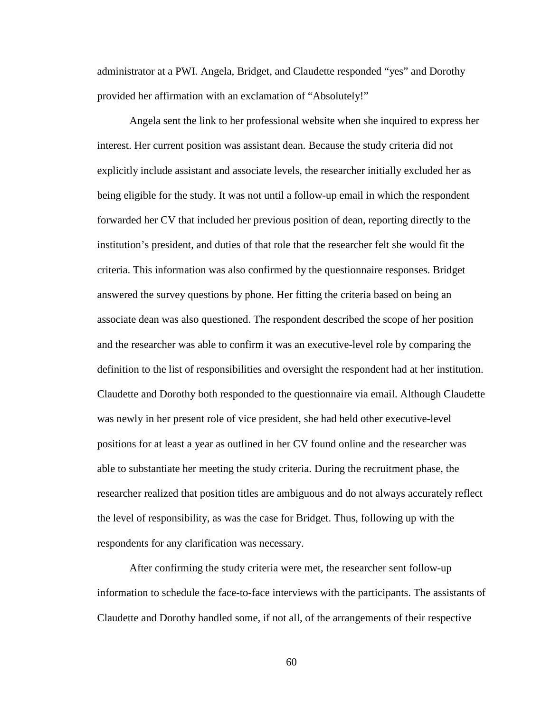administrator at a PWI. Angela, Bridget, and Claudette responded "yes" and Dorothy provided her affirmation with an exclamation of "Absolutely!"

Angela sent the link to her professional website when she inquired to express her interest. Her current position was assistant dean. Because the study criteria did not explicitly include assistant and associate levels, the researcher initially excluded her as being eligible for the study. It was not until a follow-up email in which the respondent forwarded her CV that included her previous position of dean, reporting directly to the institution's president, and duties of that role that the researcher felt she would fit the criteria. This information was also confirmed by the questionnaire responses. Bridget answered the survey questions by phone. Her fitting the criteria based on being an associate dean was also questioned. The respondent described the scope of her position and the researcher was able to confirm it was an executive-level role by comparing the definition to the list of responsibilities and oversight the respondent had at her institution. Claudette and Dorothy both responded to the questionnaire via email. Although Claudette was newly in her present role of vice president, she had held other executive-level positions for at least a year as outlined in her CV found online and the researcher was able to substantiate her meeting the study criteria. During the recruitment phase, the researcher realized that position titles are ambiguous and do not always accurately reflect the level of responsibility, as was the case for Bridget. Thus, following up with the respondents for any clarification was necessary.

After confirming the study criteria were met, the researcher sent follow-up information to schedule the face-to-face interviews with the participants. The assistants of Claudette and Dorothy handled some, if not all, of the arrangements of their respective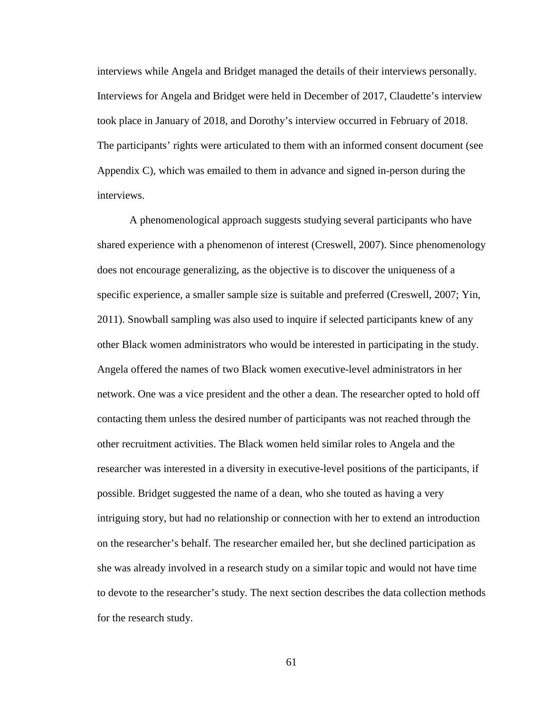interviews while Angela and Bridget managed the details of their interviews personally. Interviews for Angela and Bridget were held in December of 2017, Claudette's interview took place in January of 2018, and Dorothy's interview occurred in February of 2018. The participants' rights were articulated to them with an informed consent document (see Appendix C), which was emailed to them in advance and signed in-person during the interviews.

A phenomenological approach suggests studying several participants who have shared experience with a phenomenon of interest (Creswell, 2007). Since phenomenology does not encourage generalizing, as the objective is to discover the uniqueness of a specific experience, a smaller sample size is suitable and preferred (Creswell, 2007; Yin, 2011). Snowball sampling was also used to inquire if selected participants knew of any other Black women administrators who would be interested in participating in the study. Angela offered the names of two Black women executive-level administrators in her network. One was a vice president and the other a dean. The researcher opted to hold off contacting them unless the desired number of participants was not reached through the other recruitment activities. The Black women held similar roles to Angela and the researcher was interested in a diversity in executive-level positions of the participants, if possible. Bridget suggested the name of a dean, who she touted as having a very intriguing story, but had no relationship or connection with her to extend an introduction on the researcher's behalf. The researcher emailed her, but she declined participation as she was already involved in a research study on a similar topic and would not have time to devote to the researcher's study. The next section describes the data collection methods for the research study.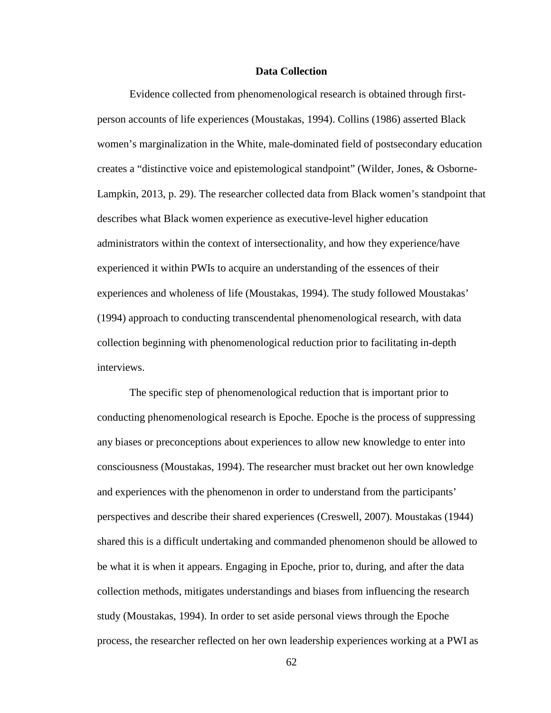### **Data Collection**

Evidence collected from phenomenological research is obtained through firstperson accounts of life experiences (Moustakas, 1994). Collins (1986) asserted Black women's marginalization in the White, male-dominated field of postsecondary education creates a "distinctive voice and epistemological standpoint" (Wilder, Jones, & Osborne-Lampkin, 2013, p. 29). The researcher collected data from Black women's standpoint that describes what Black women experience as executive-level higher education administrators within the context of intersectionality, and how they experience/have experienced it within PWIs to acquire an understanding of the essences of their experiences and wholeness of life (Moustakas, 1994). The study followed Moustakas' (1994) approach to conducting transcendental phenomenological research, with data collection beginning with phenomenological reduction prior to facilitating in-depth interviews.

The specific step of phenomenological reduction that is important prior to conducting phenomenological research is Epoche. Epoche is the process of suppressing any biases or preconceptions about experiences to allow new knowledge to enter into consciousness (Moustakas, 1994). The researcher must bracket out her own knowledge and experiences with the phenomenon in order to understand from the participants' perspectives and describe their shared experiences (Creswell, 2007). Moustakas (1944) shared this is a difficult undertaking and commanded phenomenon should be allowed to be what it is when it appears. Engaging in Epoche, prior to, during, and after the data collection methods, mitigates understandings and biases from influencing the research study (Moustakas, 1994). In order to set aside personal views through the Epoche process, the researcher reflected on her own leadership experiences working at a PWI as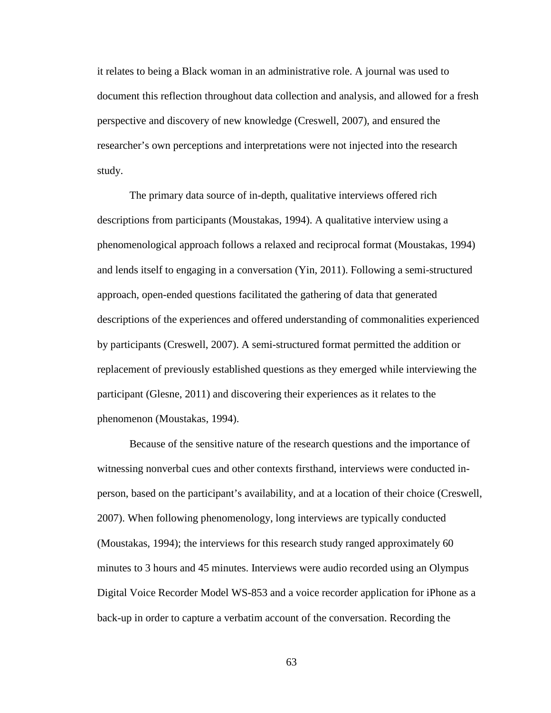it relates to being a Black woman in an administrative role. A journal was used to document this reflection throughout data collection and analysis, and allowed for a fresh perspective and discovery of new knowledge (Creswell, 2007), and ensured the researcher's own perceptions and interpretations were not injected into the research study.

The primary data source of in-depth, qualitative interviews offered rich descriptions from participants (Moustakas, 1994). A qualitative interview using a phenomenological approach follows a relaxed and reciprocal format (Moustakas, 1994) and lends itself to engaging in a conversation (Yin, 2011). Following a semi-structured approach, open-ended questions facilitated the gathering of data that generated descriptions of the experiences and offered understanding of commonalities experienced by participants (Creswell, 2007). A semi-structured format permitted the addition or replacement of previously established questions as they emerged while interviewing the participant (Glesne, 2011) and discovering their experiences as it relates to the phenomenon (Moustakas, 1994).

Because of the sensitive nature of the research questions and the importance of witnessing nonverbal cues and other contexts firsthand, interviews were conducted inperson, based on the participant's availability, and at a location of their choice (Creswell, 2007). When following phenomenology, long interviews are typically conducted (Moustakas, 1994); the interviews for this research study ranged approximately 60 minutes to 3 hours and 45 minutes. Interviews were audio recorded using an Olympus Digital Voice Recorder Model WS-853 and a voice recorder application for iPhone as a back-up in order to capture a verbatim account of the conversation. Recording the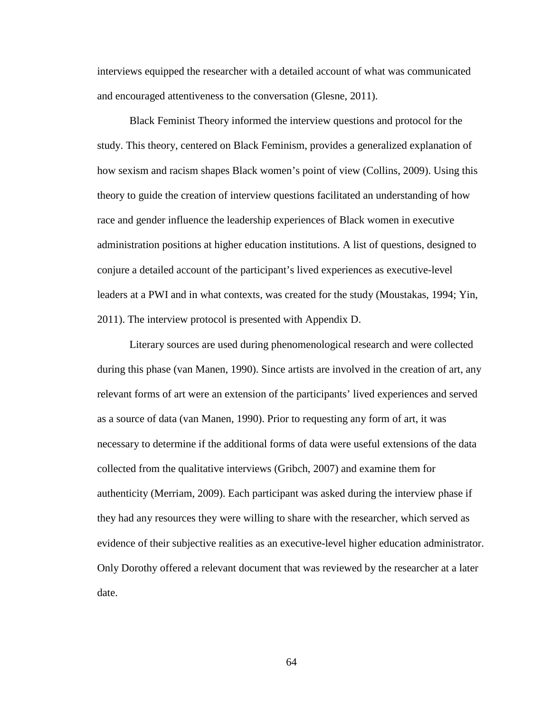interviews equipped the researcher with a detailed account of what was communicated and encouraged attentiveness to the conversation (Glesne, 2011).

Black Feminist Theory informed the interview questions and protocol for the study. This theory, centered on Black Feminism, provides a generalized explanation of how sexism and racism shapes Black women's point of view (Collins, 2009). Using this theory to guide the creation of interview questions facilitated an understanding of how race and gender influence the leadership experiences of Black women in executive administration positions at higher education institutions. A list of questions, designed to conjure a detailed account of the participant's lived experiences as executive-level leaders at a PWI and in what contexts, was created for the study (Moustakas, 1994; Yin, 2011). The interview protocol is presented with Appendix D.

Literary sources are used during phenomenological research and were collected during this phase (van Manen, 1990). Since artists are involved in the creation of art, any relevant forms of art were an extension of the participants' lived experiences and served as a source of data (van Manen, 1990). Prior to requesting any form of art, it was necessary to determine if the additional forms of data were useful extensions of the data collected from the qualitative interviews (Gribch, 2007) and examine them for authenticity (Merriam, 2009). Each participant was asked during the interview phase if they had any resources they were willing to share with the researcher, which served as evidence of their subjective realities as an executive-level higher education administrator. Only Dorothy offered a relevant document that was reviewed by the researcher at a later date.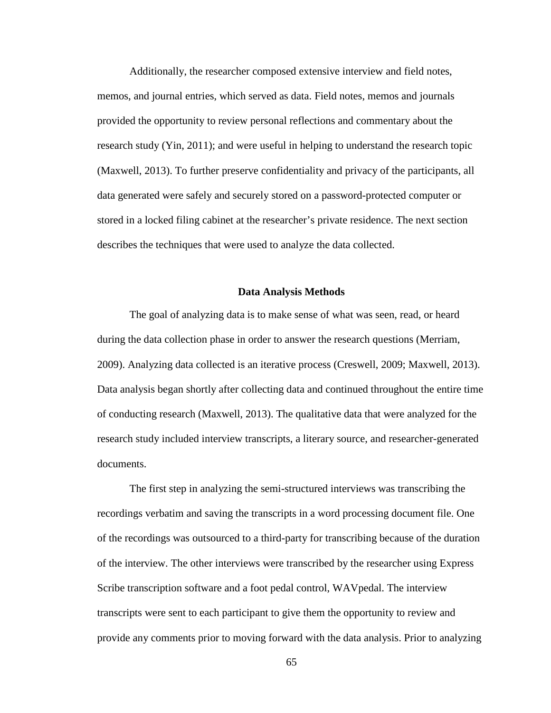Additionally, the researcher composed extensive interview and field notes, memos, and journal entries, which served as data. Field notes, memos and journals provided the opportunity to review personal reflections and commentary about the research study (Yin, 2011); and were useful in helping to understand the research topic (Maxwell, 2013). To further preserve confidentiality and privacy of the participants, all data generated were safely and securely stored on a password-protected computer or stored in a locked filing cabinet at the researcher's private residence. The next section describes the techniques that were used to analyze the data collected.

### **Data Analysis Methods**

The goal of analyzing data is to make sense of what was seen, read, or heard during the data collection phase in order to answer the research questions (Merriam, 2009). Analyzing data collected is an iterative process (Creswell, 2009; Maxwell, 2013). Data analysis began shortly after collecting data and continued throughout the entire time of conducting research (Maxwell, 2013). The qualitative data that were analyzed for the research study included interview transcripts, a literary source, and researcher-generated documents.

The first step in analyzing the semi-structured interviews was transcribing the recordings verbatim and saving the transcripts in a word processing document file. One of the recordings was outsourced to a third-party for transcribing because of the duration of the interview. The other interviews were transcribed by the researcher using Express Scribe transcription software and a foot pedal control, WAVpedal. The interview transcripts were sent to each participant to give them the opportunity to review and provide any comments prior to moving forward with the data analysis. Prior to analyzing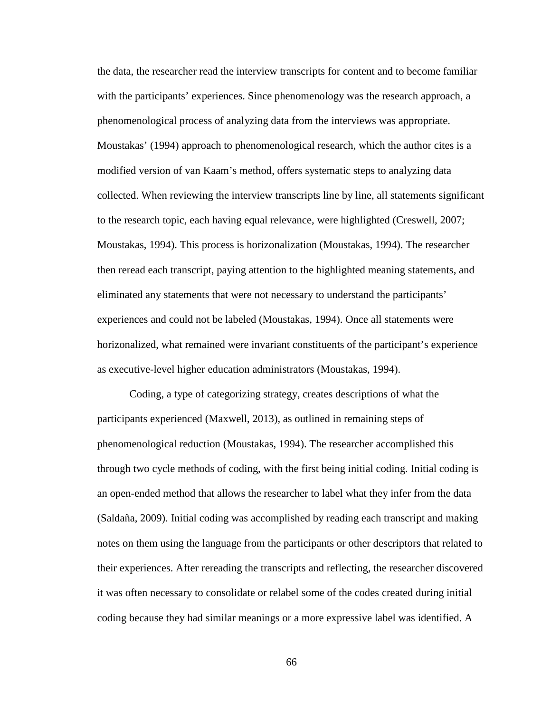the data, the researcher read the interview transcripts for content and to become familiar with the participants' experiences. Since phenomenology was the research approach, a phenomenological process of analyzing data from the interviews was appropriate. Moustakas' (1994) approach to phenomenological research, which the author cites is a modified version of van Kaam's method, offers systematic steps to analyzing data collected. When reviewing the interview transcripts line by line, all statements significant to the research topic, each having equal relevance, were highlighted (Creswell, 2007; Moustakas, 1994). This process is horizonalization (Moustakas, 1994). The researcher then reread each transcript, paying attention to the highlighted meaning statements, and eliminated any statements that were not necessary to understand the participants' experiences and could not be labeled (Moustakas, 1994). Once all statements were horizonalized, what remained were invariant constituents of the participant's experience as executive-level higher education administrators (Moustakas, 1994).

Coding, a type of categorizing strategy, creates descriptions of what the participants experienced (Maxwell, 2013), as outlined in remaining steps of phenomenological reduction (Moustakas, 1994). The researcher accomplished this through two cycle methods of coding, with the first being initial coding. Initial coding is an open-ended method that allows the researcher to label what they infer from the data (Saldaña, 2009). Initial coding was accomplished by reading each transcript and making notes on them using the language from the participants or other descriptors that related to their experiences. After rereading the transcripts and reflecting, the researcher discovered it was often necessary to consolidate or relabel some of the codes created during initial coding because they had similar meanings or a more expressive label was identified. A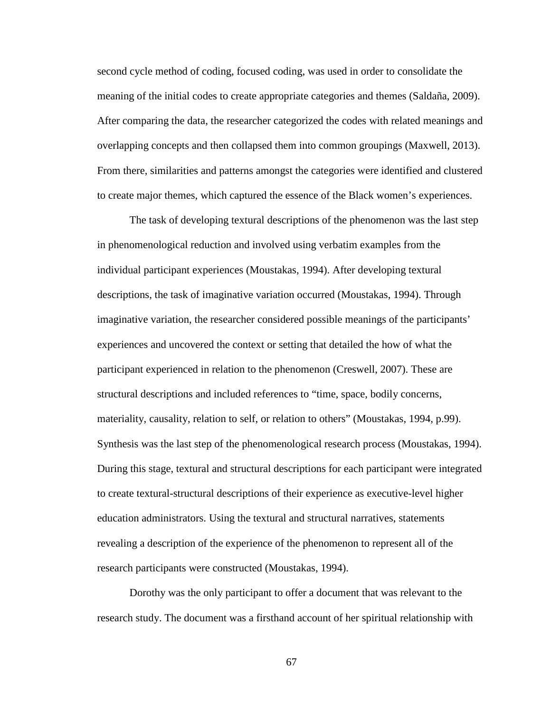second cycle method of coding, focused coding, was used in order to consolidate the meaning of the initial codes to create appropriate categories and themes (Saldaña, 2009). After comparing the data, the researcher categorized the codes with related meanings and overlapping concepts and then collapsed them into common groupings (Maxwell, 2013). From there, similarities and patterns amongst the categories were identified and clustered to create major themes, which captured the essence of the Black women's experiences.

The task of developing textural descriptions of the phenomenon was the last step in phenomenological reduction and involved using verbatim examples from the individual participant experiences (Moustakas, 1994). After developing textural descriptions, the task of imaginative variation occurred (Moustakas, 1994). Through imaginative variation, the researcher considered possible meanings of the participants' experiences and uncovered the context or setting that detailed the how of what the participant experienced in relation to the phenomenon (Creswell, 2007). These are structural descriptions and included references to "time, space, bodily concerns, materiality, causality, relation to self, or relation to others" (Moustakas, 1994, p.99). Synthesis was the last step of the phenomenological research process (Moustakas, 1994). During this stage, textural and structural descriptions for each participant were integrated to create textural-structural descriptions of their experience as executive-level higher education administrators. Using the textural and structural narratives, statements revealing a description of the experience of the phenomenon to represent all of the research participants were constructed (Moustakas, 1994).

Dorothy was the only participant to offer a document that was relevant to the research study. The document was a firsthand account of her spiritual relationship with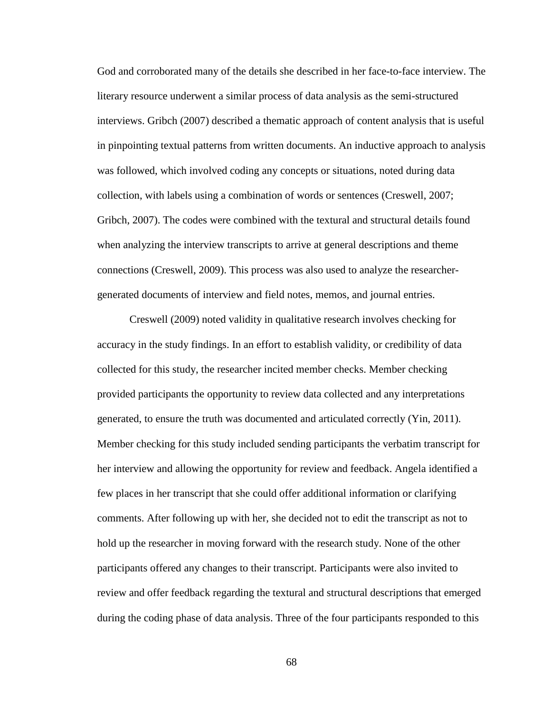God and corroborated many of the details she described in her face-to-face interview. The literary resource underwent a similar process of data analysis as the semi-structured interviews. Gribch (2007) described a thematic approach of content analysis that is useful in pinpointing textual patterns from written documents. An inductive approach to analysis was followed, which involved coding any concepts or situations, noted during data collection, with labels using a combination of words or sentences (Creswell, 2007; Gribch, 2007). The codes were combined with the textural and structural details found when analyzing the interview transcripts to arrive at general descriptions and theme connections (Creswell, 2009). This process was also used to analyze the researchergenerated documents of interview and field notes, memos, and journal entries.

Creswell (2009) noted validity in qualitative research involves checking for accuracy in the study findings. In an effort to establish validity, or credibility of data collected for this study, the researcher incited member checks. Member checking provided participants the opportunity to review data collected and any interpretations generated, to ensure the truth was documented and articulated correctly (Yin, 2011). Member checking for this study included sending participants the verbatim transcript for her interview and allowing the opportunity for review and feedback. Angela identified a few places in her transcript that she could offer additional information or clarifying comments. After following up with her, she decided not to edit the transcript as not to hold up the researcher in moving forward with the research study. None of the other participants offered any changes to their transcript. Participants were also invited to review and offer feedback regarding the textural and structural descriptions that emerged during the coding phase of data analysis. Three of the four participants responded to this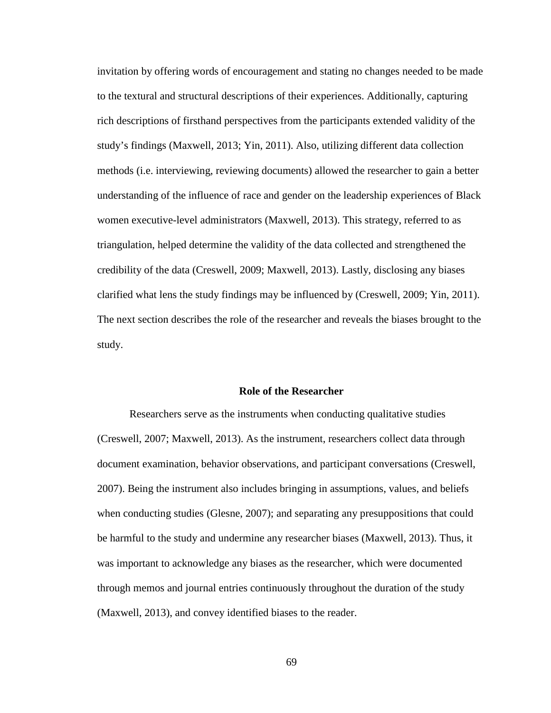invitation by offering words of encouragement and stating no changes needed to be made to the textural and structural descriptions of their experiences. Additionally, capturing rich descriptions of firsthand perspectives from the participants extended validity of the study's findings (Maxwell, 2013; Yin, 2011). Also, utilizing different data collection methods (i.e. interviewing, reviewing documents) allowed the researcher to gain a better understanding of the influence of race and gender on the leadership experiences of Black women executive-level administrators (Maxwell, 2013). This strategy, referred to as triangulation, helped determine the validity of the data collected and strengthened the credibility of the data (Creswell, 2009; Maxwell, 2013). Lastly, disclosing any biases clarified what lens the study findings may be influenced by (Creswell, 2009; Yin, 2011). The next section describes the role of the researcher and reveals the biases brought to the study.

# **Role of the Researcher**

Researchers serve as the instruments when conducting qualitative studies (Creswell, 2007; Maxwell, 2013). As the instrument, researchers collect data through document examination, behavior observations, and participant conversations (Creswell, 2007). Being the instrument also includes bringing in assumptions, values, and beliefs when conducting studies (Glesne, 2007); and separating any presuppositions that could be harmful to the study and undermine any researcher biases (Maxwell, 2013). Thus, it was important to acknowledge any biases as the researcher, which were documented through memos and journal entries continuously throughout the duration of the study (Maxwell, 2013), and convey identified biases to the reader.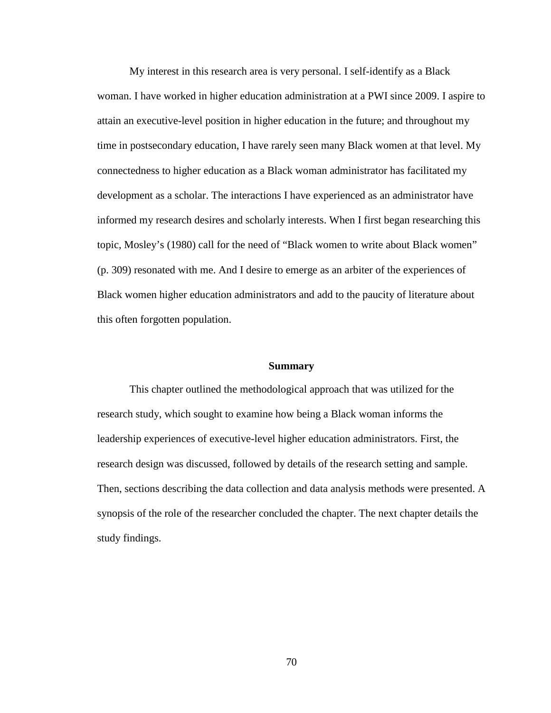My interest in this research area is very personal. I self-identify as a Black woman. I have worked in higher education administration at a PWI since 2009. I aspire to attain an executive-level position in higher education in the future; and throughout my time in postsecondary education, I have rarely seen many Black women at that level. My connectedness to higher education as a Black woman administrator has facilitated my development as a scholar. The interactions I have experienced as an administrator have informed my research desires and scholarly interests. When I first began researching this topic, Mosley's (1980) call for the need of "Black women to write about Black women" (p. 309) resonated with me. And I desire to emerge as an arbiter of the experiences of Black women higher education administrators and add to the paucity of literature about this often forgotten population.

### **Summary**

This chapter outlined the methodological approach that was utilized for the research study, which sought to examine how being a Black woman informs the leadership experiences of executive-level higher education administrators. First, the research design was discussed, followed by details of the research setting and sample. Then, sections describing the data collection and data analysis methods were presented. A synopsis of the role of the researcher concluded the chapter. The next chapter details the study findings.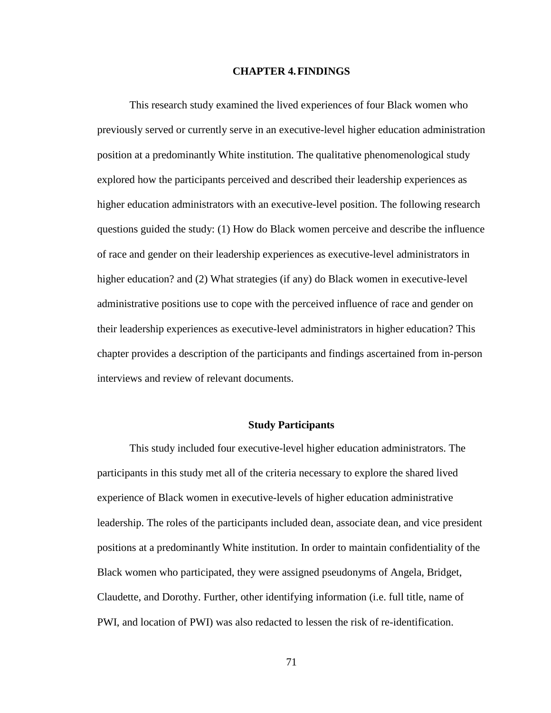### **CHAPTER 4.FINDINGS**

This research study examined the lived experiences of four Black women who previously served or currently serve in an executive-level higher education administration position at a predominantly White institution. The qualitative phenomenological study explored how the participants perceived and described their leadership experiences as higher education administrators with an executive-level position. The following research questions guided the study: (1) How do Black women perceive and describe the influence of race and gender on their leadership experiences as executive-level administrators in higher education? and (2) What strategies (if any) do Black women in executive-level administrative positions use to cope with the perceived influence of race and gender on their leadership experiences as executive-level administrators in higher education? This chapter provides a description of the participants and findings ascertained from in-person interviews and review of relevant documents.

#### **Study Participants**

This study included four executive-level higher education administrators. The participants in this study met all of the criteria necessary to explore the shared lived experience of Black women in executive-levels of higher education administrative leadership. The roles of the participants included dean, associate dean, and vice president positions at a predominantly White institution. In order to maintain confidentiality of the Black women who participated, they were assigned pseudonyms of Angela, Bridget, Claudette, and Dorothy. Further, other identifying information (i.e. full title, name of PWI, and location of PWI) was also redacted to lessen the risk of re-identification.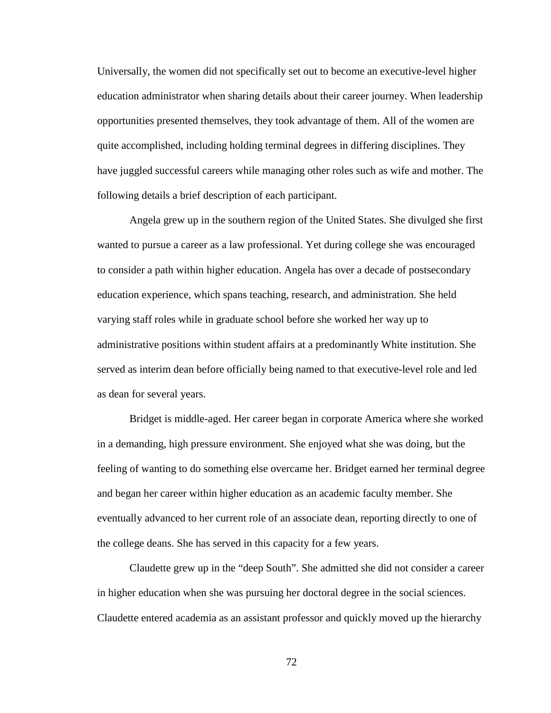Universally, the women did not specifically set out to become an executive-level higher education administrator when sharing details about their career journey. When leadership opportunities presented themselves, they took advantage of them. All of the women are quite accomplished, including holding terminal degrees in differing disciplines. They have juggled successful careers while managing other roles such as wife and mother. The following details a brief description of each participant.

Angela grew up in the southern region of the United States. She divulged she first wanted to pursue a career as a law professional. Yet during college she was encouraged to consider a path within higher education. Angela has over a decade of postsecondary education experience, which spans teaching, research, and administration. She held varying staff roles while in graduate school before she worked her way up to administrative positions within student affairs at a predominantly White institution. She served as interim dean before officially being named to that executive-level role and led as dean for several years.

Bridget is middle-aged. Her career began in corporate America where she worked in a demanding, high pressure environment. She enjoyed what she was doing, but the feeling of wanting to do something else overcame her. Bridget earned her terminal degree and began her career within higher education as an academic faculty member. She eventually advanced to her current role of an associate dean, reporting directly to one of the college deans. She has served in this capacity for a few years.

Claudette grew up in the "deep South". She admitted she did not consider a career in higher education when she was pursuing her doctoral degree in the social sciences. Claudette entered academia as an assistant professor and quickly moved up the hierarchy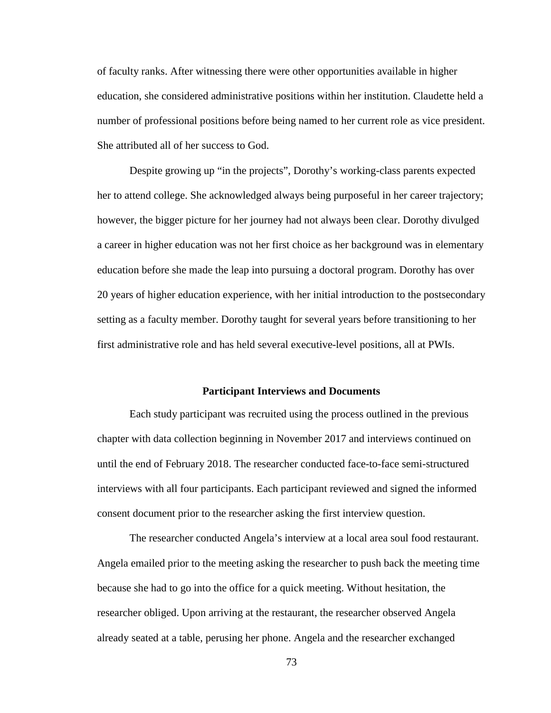of faculty ranks. After witnessing there were other opportunities available in higher education, she considered administrative positions within her institution. Claudette held a number of professional positions before being named to her current role as vice president. She attributed all of her success to God.

Despite growing up "in the projects", Dorothy's working-class parents expected her to attend college. She acknowledged always being purposeful in her career trajectory; however, the bigger picture for her journey had not always been clear. Dorothy divulged a career in higher education was not her first choice as her background was in elementary education before she made the leap into pursuing a doctoral program. Dorothy has over 20 years of higher education experience, with her initial introduction to the postsecondary setting as a faculty member. Dorothy taught for several years before transitioning to her first administrative role and has held several executive-level positions, all at PWIs.

# **Participant Interviews and Documents**

Each study participant was recruited using the process outlined in the previous chapter with data collection beginning in November 2017 and interviews continued on until the end of February 2018. The researcher conducted face-to-face semi-structured interviews with all four participants. Each participant reviewed and signed the informed consent document prior to the researcher asking the first interview question.

The researcher conducted Angela's interview at a local area soul food restaurant. Angela emailed prior to the meeting asking the researcher to push back the meeting time because she had to go into the office for a quick meeting. Without hesitation, the researcher obliged. Upon arriving at the restaurant, the researcher observed Angela already seated at a table, perusing her phone. Angela and the researcher exchanged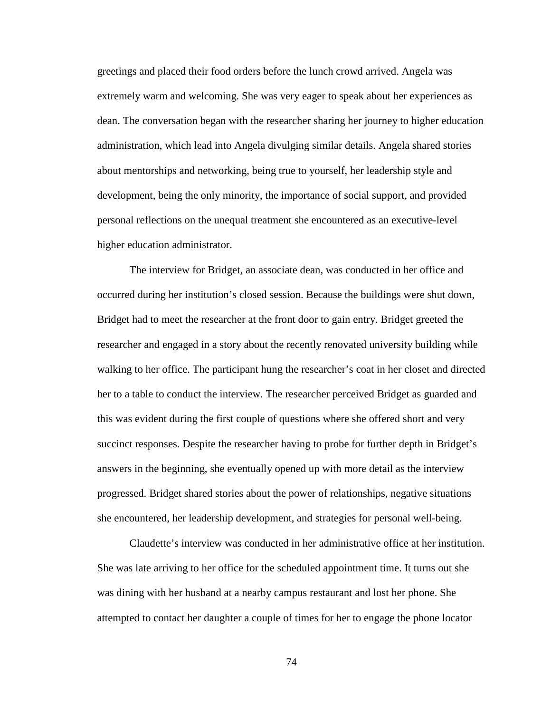greetings and placed their food orders before the lunch crowd arrived. Angela was extremely warm and welcoming. She was very eager to speak about her experiences as dean. The conversation began with the researcher sharing her journey to higher education administration, which lead into Angela divulging similar details. Angela shared stories about mentorships and networking, being true to yourself, her leadership style and development, being the only minority, the importance of social support, and provided personal reflections on the unequal treatment she encountered as an executive-level higher education administrator.

The interview for Bridget, an associate dean, was conducted in her office and occurred during her institution's closed session. Because the buildings were shut down, Bridget had to meet the researcher at the front door to gain entry. Bridget greeted the researcher and engaged in a story about the recently renovated university building while walking to her office. The participant hung the researcher's coat in her closet and directed her to a table to conduct the interview. The researcher perceived Bridget as guarded and this was evident during the first couple of questions where she offered short and very succinct responses. Despite the researcher having to probe for further depth in Bridget's answers in the beginning, she eventually opened up with more detail as the interview progressed. Bridget shared stories about the power of relationships, negative situations she encountered, her leadership development, and strategies for personal well-being.

Claudette's interview was conducted in her administrative office at her institution. She was late arriving to her office for the scheduled appointment time. It turns out she was dining with her husband at a nearby campus restaurant and lost her phone. She attempted to contact her daughter a couple of times for her to engage the phone locator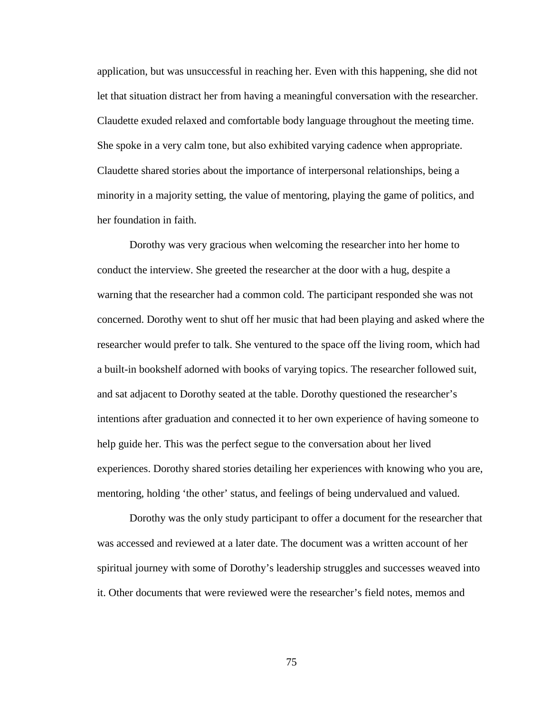application, but was unsuccessful in reaching her. Even with this happening, she did not let that situation distract her from having a meaningful conversation with the researcher. Claudette exuded relaxed and comfortable body language throughout the meeting time. She spoke in a very calm tone, but also exhibited varying cadence when appropriate. Claudette shared stories about the importance of interpersonal relationships, being a minority in a majority setting, the value of mentoring, playing the game of politics, and her foundation in faith.

Dorothy was very gracious when welcoming the researcher into her home to conduct the interview. She greeted the researcher at the door with a hug, despite a warning that the researcher had a common cold. The participant responded she was not concerned. Dorothy went to shut off her music that had been playing and asked where the researcher would prefer to talk. She ventured to the space off the living room, which had a built-in bookshelf adorned with books of varying topics. The researcher followed suit, and sat adjacent to Dorothy seated at the table. Dorothy questioned the researcher's intentions after graduation and connected it to her own experience of having someone to help guide her. This was the perfect segue to the conversation about her lived experiences. Dorothy shared stories detailing her experiences with knowing who you are, mentoring, holding 'the other' status, and feelings of being undervalued and valued.

Dorothy was the only study participant to offer a document for the researcher that was accessed and reviewed at a later date. The document was a written account of her spiritual journey with some of Dorothy's leadership struggles and successes weaved into it. Other documents that were reviewed were the researcher's field notes, memos and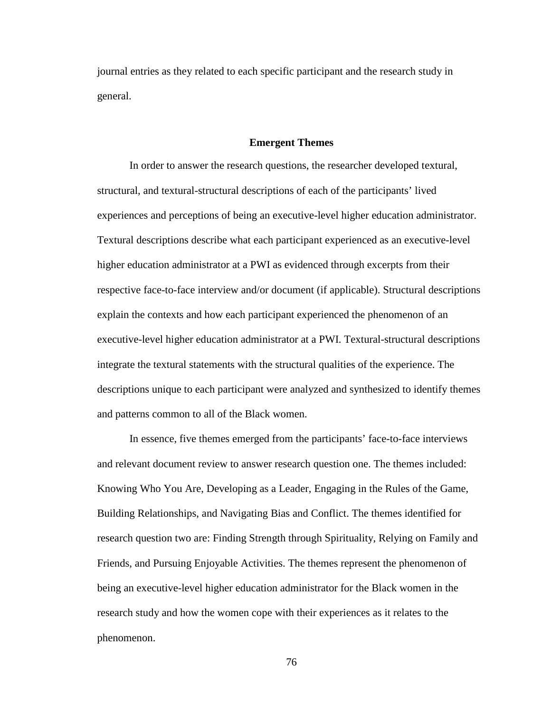journal entries as they related to each specific participant and the research study in general.

#### **Emergent Themes**

In order to answer the research questions, the researcher developed textural, structural, and textural-structural descriptions of each of the participants' lived experiences and perceptions of being an executive-level higher education administrator. Textural descriptions describe what each participant experienced as an executive-level higher education administrator at a PWI as evidenced through excerpts from their respective face-to-face interview and/or document (if applicable). Structural descriptions explain the contexts and how each participant experienced the phenomenon of an executive-level higher education administrator at a PWI. Textural-structural descriptions integrate the textural statements with the structural qualities of the experience. The descriptions unique to each participant were analyzed and synthesized to identify themes and patterns common to all of the Black women.

In essence, five themes emerged from the participants' face-to-face interviews and relevant document review to answer research question one. The themes included: Knowing Who You Are, Developing as a Leader, Engaging in the Rules of the Game, Building Relationships, and Navigating Bias and Conflict. The themes identified for research question two are: Finding Strength through Spirituality, Relying on Family and Friends, and Pursuing Enjoyable Activities. The themes represent the phenomenon of being an executive-level higher education administrator for the Black women in the research study and how the women cope with their experiences as it relates to the phenomenon.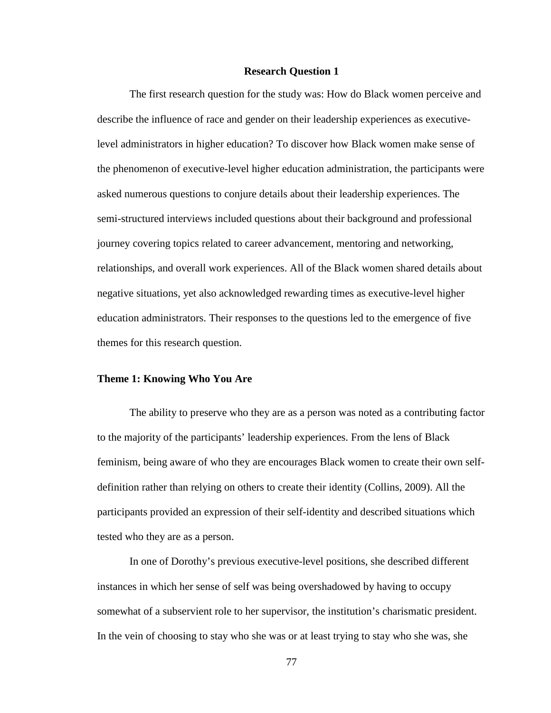### **Research Question 1**

The first research question for the study was: How do Black women perceive and describe the influence of race and gender on their leadership experiences as executivelevel administrators in higher education? To discover how Black women make sense of the phenomenon of executive-level higher education administration, the participants were asked numerous questions to conjure details about their leadership experiences. The semi-structured interviews included questions about their background and professional journey covering topics related to career advancement, mentoring and networking, relationships, and overall work experiences. All of the Black women shared details about negative situations, yet also acknowledged rewarding times as executive-level higher education administrators. Their responses to the questions led to the emergence of five themes for this research question.

# **Theme 1: Knowing Who You Are**

The ability to preserve who they are as a person was noted as a contributing factor to the majority of the participants' leadership experiences. From the lens of Black feminism, being aware of who they are encourages Black women to create their own selfdefinition rather than relying on others to create their identity (Collins, 2009). All the participants provided an expression of their self-identity and described situations which tested who they are as a person.

In one of Dorothy's previous executive-level positions, she described different instances in which her sense of self was being overshadowed by having to occupy somewhat of a subservient role to her supervisor, the institution's charismatic president. In the vein of choosing to stay who she was or at least trying to stay who she was, she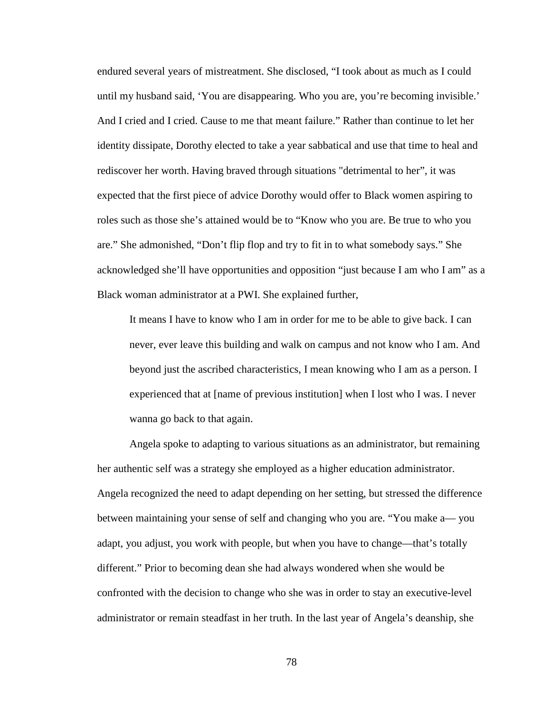endured several years of mistreatment. She disclosed, "I took about as much as I could until my husband said, 'You are disappearing. Who you are, you're becoming invisible.' And I cried and I cried. Cause to me that meant failure." Rather than continue to let her identity dissipate, Dorothy elected to take a year sabbatical and use that time to heal and rediscover her worth. Having braved through situations "detrimental to her", it was expected that the first piece of advice Dorothy would offer to Black women aspiring to roles such as those she's attained would be to "Know who you are. Be true to who you are." She admonished, "Don't flip flop and try to fit in to what somebody says." She acknowledged she'll have opportunities and opposition "just because I am who I am" as a Black woman administrator at a PWI. She explained further,

It means I have to know who I am in order for me to be able to give back. I can never, ever leave this building and walk on campus and not know who I am. And beyond just the ascribed characteristics, I mean knowing who I am as a person. I experienced that at [name of previous institution] when I lost who I was. I never wanna go back to that again.

Angela spoke to adapting to various situations as an administrator, but remaining her authentic self was a strategy she employed as a higher education administrator. Angela recognized the need to adapt depending on her setting, but stressed the difference between maintaining your sense of self and changing who you are. "You make a— you adapt, you adjust, you work with people, but when you have to change—that's totally different." Prior to becoming dean she had always wondered when she would be confronted with the decision to change who she was in order to stay an executive-level administrator or remain steadfast in her truth. In the last year of Angela's deanship, she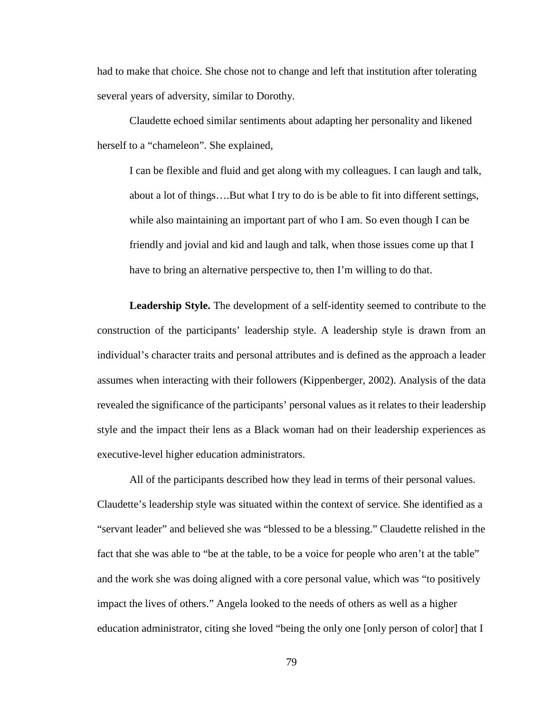had to make that choice. She chose not to change and left that institution after tolerating several years of adversity, similar to Dorothy.

Claudette echoed similar sentiments about adapting her personality and likened herself to a "chameleon". She explained,

I can be flexible and fluid and get along with my colleagues. I can laugh and talk, about a lot of things….But what I try to do is be able to fit into different settings, while also maintaining an important part of who I am. So even though I can be friendly and jovial and kid and laugh and talk, when those issues come up that I have to bring an alternative perspective to, then I'm willing to do that.

**Leadership Style.** The development of a self-identity seemed to contribute to the construction of the participants' leadership style. A leadership style is drawn from an individual's character traits and personal attributes and is defined as the approach a leader assumes when interacting with their followers (Kippenberger, 2002). Analysis of the data revealed the significance of the participants' personal values as it relates to their leadership style and the impact their lens as a Black woman had on their leadership experiences as executive-level higher education administrators.

All of the participants described how they lead in terms of their personal values. Claudette's leadership style was situated within the context of service. She identified as a "servant leader" and believed she was "blessed to be a blessing." Claudette relished in the fact that she was able to "be at the table, to be a voice for people who aren't at the table" and the work she was doing aligned with a core personal value, which was "to positively impact the lives of others." Angela looked to the needs of others as well as a higher education administrator, citing she loved "being the only one [only person of color] that I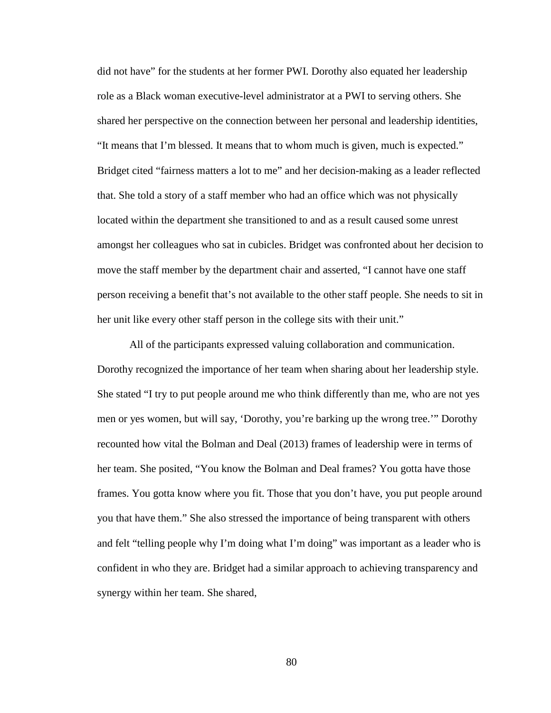did not have" for the students at her former PWI. Dorothy also equated her leadership role as a Black woman executive-level administrator at a PWI to serving others. She shared her perspective on the connection between her personal and leadership identities, "It means that I'm blessed. It means that to whom much is given, much is expected." Bridget cited "fairness matters a lot to me" and her decision-making as a leader reflected that. She told a story of a staff member who had an office which was not physically located within the department she transitioned to and as a result caused some unrest amongst her colleagues who sat in cubicles. Bridget was confronted about her decision to move the staff member by the department chair and asserted, "I cannot have one staff person receiving a benefit that's not available to the other staff people. She needs to sit in her unit like every other staff person in the college sits with their unit."

All of the participants expressed valuing collaboration and communication. Dorothy recognized the importance of her team when sharing about her leadership style. She stated "I try to put people around me who think differently than me, who are not yes men or yes women, but will say, 'Dorothy, you're barking up the wrong tree.'" Dorothy recounted how vital the Bolman and Deal (2013) frames of leadership were in terms of her team. She posited, "You know the Bolman and Deal frames? You gotta have those frames. You gotta know where you fit. Those that you don't have, you put people around you that have them." She also stressed the importance of being transparent with others and felt "telling people why I'm doing what I'm doing" was important as a leader who is confident in who they are. Bridget had a similar approach to achieving transparency and synergy within her team. She shared,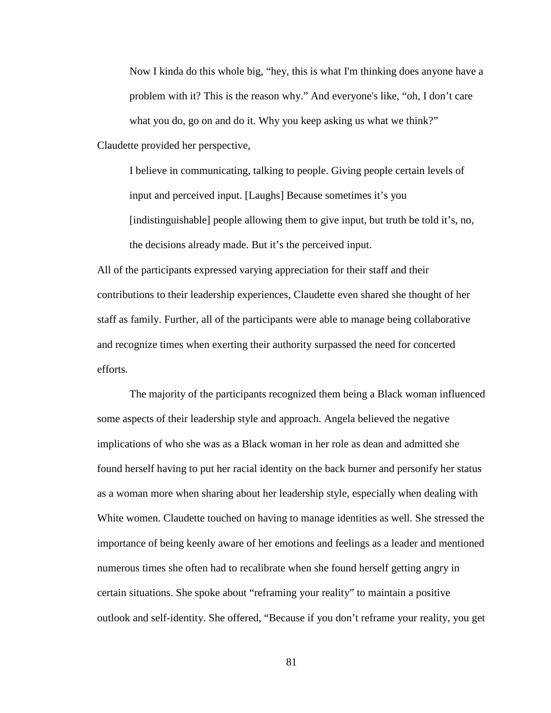Now I kinda do this whole big, "hey, this is what I'm thinking does anyone have a problem with it? This is the reason why." And everyone's like, "oh, I don't care what you do, go on and do it. Why you keep asking us what we think?" Claudette provided her perspective,

I believe in communicating, talking to people. Giving people certain levels of input and perceived input. [Laughs] Because sometimes it's you [indistinguishable] people allowing them to give input, but truth be told it's, no, the decisions already made. But it's the perceived input.

All of the participants expressed varying appreciation for their staff and their contributions to their leadership experiences, Claudette even shared she thought of her staff as family. Further, all of the participants were able to manage being collaborative and recognize times when exerting their authority surpassed the need for concerted efforts.

The majority of the participants recognized them being a Black woman influenced some aspects of their leadership style and approach. Angela believed the negative implications of who she was as a Black woman in her role as dean and admitted she found herself having to put her racial identity on the back burner and personify her status as a woman more when sharing about her leadership style, especially when dealing with White women. Claudette touched on having to manage identities as well. She stressed the importance of being keenly aware of her emotions and feelings as a leader and mentioned numerous times she often had to recalibrate when she found herself getting angry in certain situations. She spoke about "reframing your reality" to maintain a positive outlook and self-identity. She offered, "Because if you don't reframe your reality, you get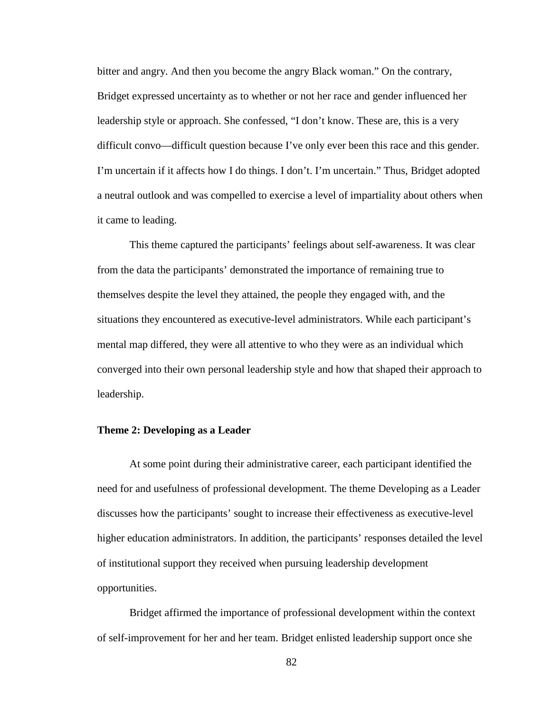bitter and angry. And then you become the angry Black woman." On the contrary, Bridget expressed uncertainty as to whether or not her race and gender influenced her leadership style or approach. She confessed, "I don't know. These are, this is a very difficult convo—difficult question because I've only ever been this race and this gender. I'm uncertain if it affects how I do things. I don't. I'm uncertain." Thus, Bridget adopted a neutral outlook and was compelled to exercise a level of impartiality about others when it came to leading.

This theme captured the participants' feelings about self-awareness. It was clear from the data the participants' demonstrated the importance of remaining true to themselves despite the level they attained, the people they engaged with, and the situations they encountered as executive-level administrators. While each participant's mental map differed, they were all attentive to who they were as an individual which converged into their own personal leadership style and how that shaped their approach to leadership.

### **Theme 2: Developing as a Leader**

At some point during their administrative career, each participant identified the need for and usefulness of professional development. The theme Developing as a Leader discusses how the participants' sought to increase their effectiveness as executive-level higher education administrators. In addition, the participants' responses detailed the level of institutional support they received when pursuing leadership development opportunities.

Bridget affirmed the importance of professional development within the context of self-improvement for her and her team. Bridget enlisted leadership support once she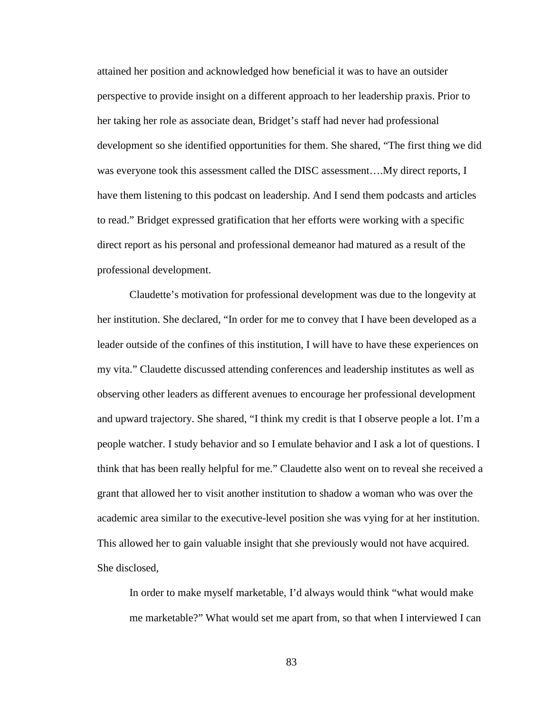attained her position and acknowledged how beneficial it was to have an outsider perspective to provide insight on a different approach to her leadership praxis. Prior to her taking her role as associate dean, Bridget's staff had never had professional development so she identified opportunities for them. She shared, "The first thing we did was everyone took this assessment called the DISC assessment….My direct reports, I have them listening to this podcast on leadership. And I send them podcasts and articles to read." Bridget expressed gratification that her efforts were working with a specific direct report as his personal and professional demeanor had matured as a result of the professional development.

Claudette's motivation for professional development was due to the longevity at her institution. She declared, "In order for me to convey that I have been developed as a leader outside of the confines of this institution, I will have to have these experiences on my vita." Claudette discussed attending conferences and leadership institutes as well as observing other leaders as different avenues to encourage her professional development and upward trajectory. She shared, "I think my credit is that I observe people a lot. I'm a people watcher. I study behavior and so I emulate behavior and I ask a lot of questions. I think that has been really helpful for me." Claudette also went on to reveal she received a grant that allowed her to visit another institution to shadow a woman who was over the academic area similar to the executive-level position she was vying for at her institution. This allowed her to gain valuable insight that she previously would not have acquired. She disclosed,

In order to make myself marketable, I'd always would think "what would make me marketable?" What would set me apart from, so that when I interviewed I can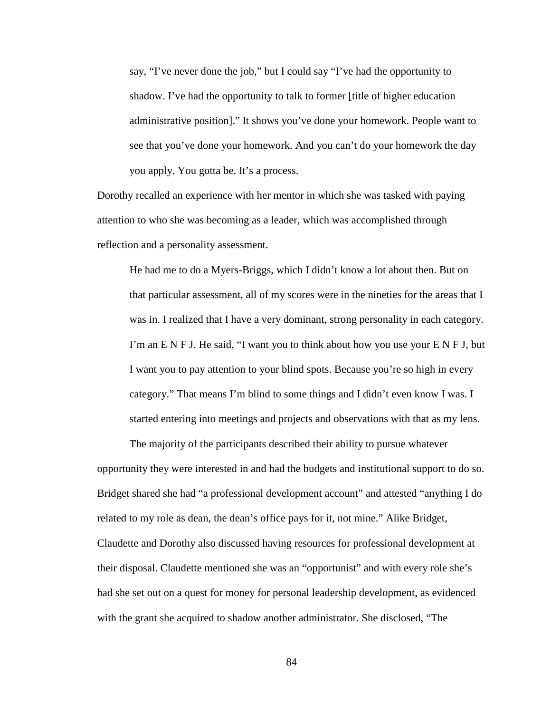say, "I've never done the job," but I could say "I've had the opportunity to shadow. I've had the opportunity to talk to former [title of higher education administrative position]." It shows you've done your homework. People want to see that you've done your homework. And you can't do your homework the day you apply. You gotta be. It's a process.

Dorothy recalled an experience with her mentor in which she was tasked with paying attention to who she was becoming as a leader, which was accomplished through reflection and a personality assessment.

He had me to do a Myers-Briggs, which I didn't know a lot about then. But on that particular assessment, all of my scores were in the nineties for the areas that I was in. I realized that I have a very dominant, strong personality in each category. I'm an E N F J. He said, "I want you to think about how you use your E N F J, but I want you to pay attention to your blind spots. Because you're so high in every category." That means I'm blind to some things and I didn't even know I was. I started entering into meetings and projects and observations with that as my lens.

The majority of the participants described their ability to pursue whatever opportunity they were interested in and had the budgets and institutional support to do so. Bridget shared she had "a professional development account" and attested "anything I do related to my role as dean, the dean's office pays for it, not mine." Alike Bridget, Claudette and Dorothy also discussed having resources for professional development at their disposal. Claudette mentioned she was an "opportunist" and with every role she's had she set out on a quest for money for personal leadership development, as evidenced with the grant she acquired to shadow another administrator. She disclosed, "The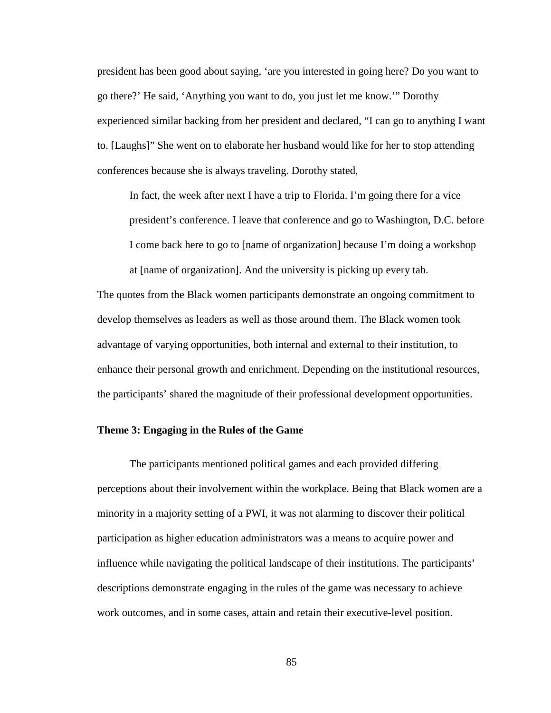president has been good about saying, 'are you interested in going here? Do you want to go there?' He said, 'Anything you want to do, you just let me know.'" Dorothy experienced similar backing from her president and declared, "I can go to anything I want to. [Laughs]" She went on to elaborate her husband would like for her to stop attending conferences because she is always traveling. Dorothy stated,

In fact, the week after next I have a trip to Florida. I'm going there for a vice president's conference. I leave that conference and go to Washington, D.C. before I come back here to go to [name of organization] because I'm doing a workshop

The quotes from the Black women participants demonstrate an ongoing commitment to develop themselves as leaders as well as those around them. The Black women took advantage of varying opportunities, both internal and external to their institution, to enhance their personal growth and enrichment. Depending on the institutional resources, the participants' shared the magnitude of their professional development opportunities.

at [name of organization]. And the university is picking up every tab.

### **Theme 3: Engaging in the Rules of the Game**

The participants mentioned political games and each provided differing perceptions about their involvement within the workplace. Being that Black women are a minority in a majority setting of a PWI, it was not alarming to discover their political participation as higher education administrators was a means to acquire power and influence while navigating the political landscape of their institutions. The participants' descriptions demonstrate engaging in the rules of the game was necessary to achieve work outcomes, and in some cases, attain and retain their executive-level position.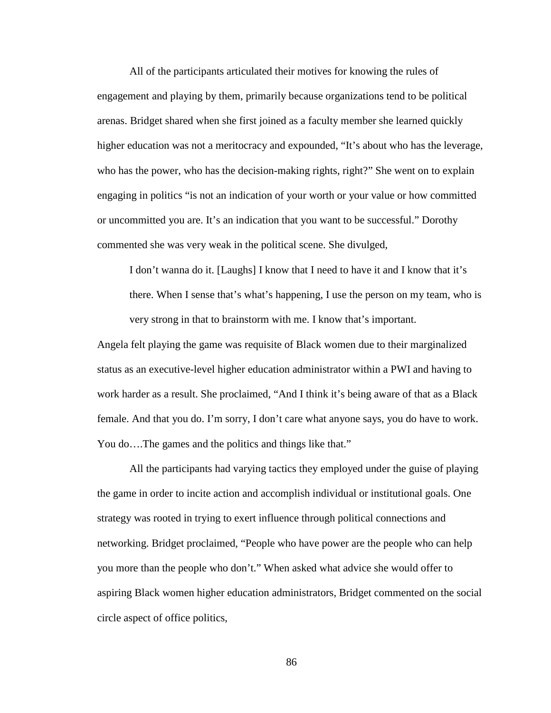All of the participants articulated their motives for knowing the rules of engagement and playing by them, primarily because organizations tend to be political arenas. Bridget shared when she first joined as a faculty member she learned quickly higher education was not a meritocracy and expounded, "It's about who has the leverage, who has the power, who has the decision-making rights, right?" She went on to explain engaging in politics "is not an indication of your worth or your value or how committed or uncommitted you are. It's an indication that you want to be successful." Dorothy commented she was very weak in the political scene. She divulged,

I don't wanna do it. [Laughs] I know that I need to have it and I know that it's there. When I sense that's what's happening, I use the person on my team, who is very strong in that to brainstorm with me. I know that's important.

Angela felt playing the game was requisite of Black women due to their marginalized status as an executive-level higher education administrator within a PWI and having to work harder as a result. She proclaimed, "And I think it's being aware of that as a Black female. And that you do. I'm sorry, I don't care what anyone says, you do have to work. You do....The games and the politics and things like that."

All the participants had varying tactics they employed under the guise of playing the game in order to incite action and accomplish individual or institutional goals. One strategy was rooted in trying to exert influence through political connections and networking. Bridget proclaimed, "People who have power are the people who can help you more than the people who don't." When asked what advice she would offer to aspiring Black women higher education administrators, Bridget commented on the social circle aspect of office politics,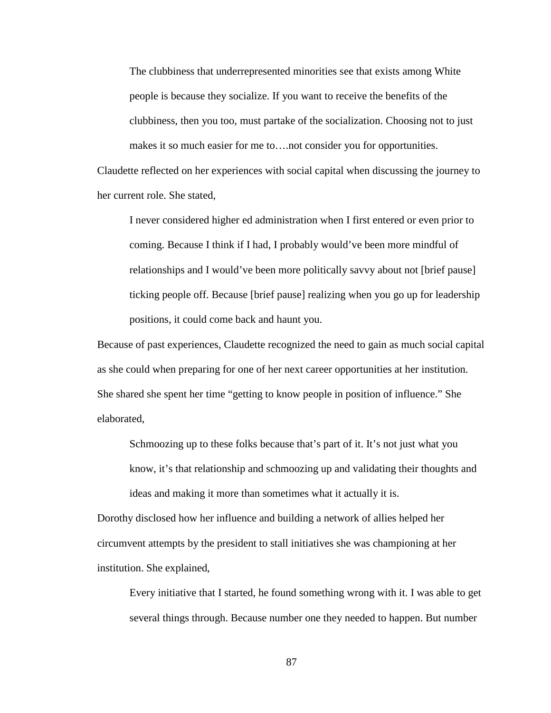The clubbiness that underrepresented minorities see that exists among White people is because they socialize. If you want to receive the benefits of the clubbiness, then you too, must partake of the socialization. Choosing not to just makes it so much easier for me to….not consider you for opportunities. Claudette reflected on her experiences with social capital when discussing the journey to

her current role. She stated,

I never considered higher ed administration when I first entered or even prior to coming. Because I think if I had, I probably would've been more mindful of relationships and I would've been more politically savvy about not [brief pause] ticking people off. Because [brief pause] realizing when you go up for leadership positions, it could come back and haunt you.

Because of past experiences, Claudette recognized the need to gain as much social capital as she could when preparing for one of her next career opportunities at her institution. She shared she spent her time "getting to know people in position of influence." She elaborated,

Schmoozing up to these folks because that's part of it. It's not just what you know, it's that relationship and schmoozing up and validating their thoughts and ideas and making it more than sometimes what it actually it is.

Dorothy disclosed how her influence and building a network of allies helped her circumvent attempts by the president to stall initiatives she was championing at her institution. She explained,

Every initiative that I started, he found something wrong with it. I was able to get several things through. Because number one they needed to happen. But number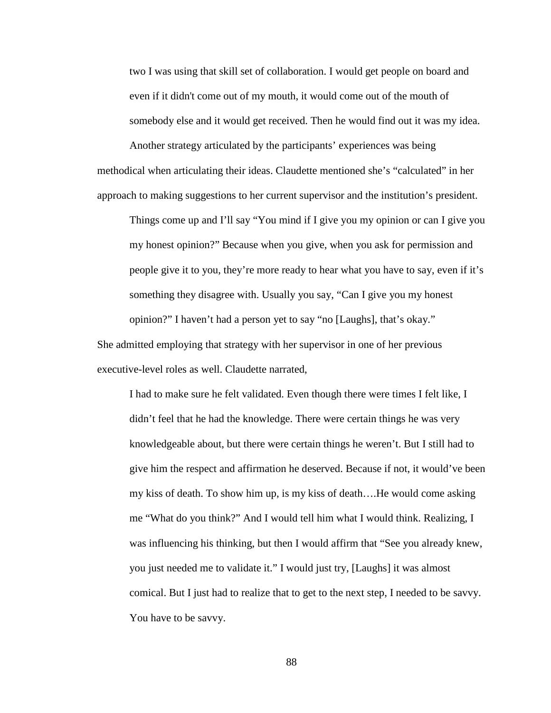two I was using that skill set of collaboration. I would get people on board and even if it didn't come out of my mouth, it would come out of the mouth of somebody else and it would get received. Then he would find out it was my idea.

Another strategy articulated by the participants' experiences was being methodical when articulating their ideas. Claudette mentioned she's "calculated" in her approach to making suggestions to her current supervisor and the institution's president.

Things come up and I'll say "You mind if I give you my opinion or can I give you my honest opinion?" Because when you give, when you ask for permission and people give it to you, they're more ready to hear what you have to say, even if it's something they disagree with. Usually you say, "Can I give you my honest opinion?" I haven't had a person yet to say "no [Laughs], that's okay." She admitted employing that strategy with her supervisor in one of her previous executive-level roles as well. Claudette narrated,

I had to make sure he felt validated. Even though there were times I felt like, I didn't feel that he had the knowledge. There were certain things he was very knowledgeable about, but there were certain things he weren't. But I still had to give him the respect and affirmation he deserved. Because if not, it would've been my kiss of death. To show him up, is my kiss of death….He would come asking me "What do you think?" And I would tell him what I would think. Realizing, I was influencing his thinking, but then I would affirm that "See you already knew, you just needed me to validate it." I would just try, [Laughs] it was almost comical. But I just had to realize that to get to the next step, I needed to be savvy. You have to be savvy.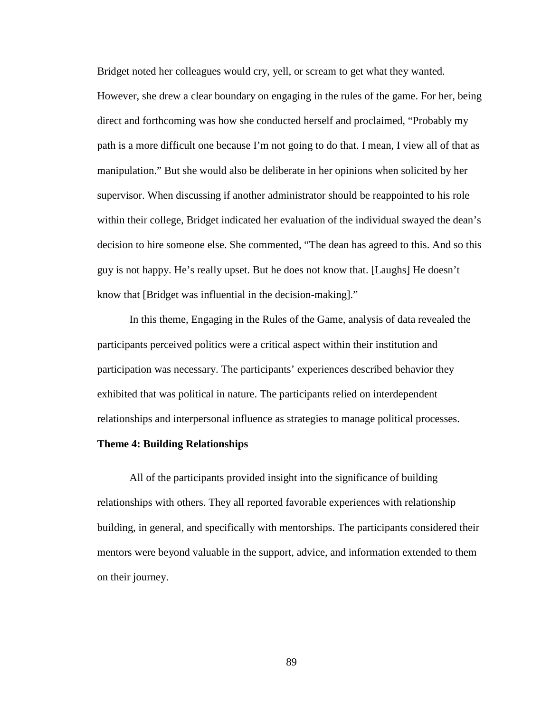Bridget noted her colleagues would cry, yell, or scream to get what they wanted. However, she drew a clear boundary on engaging in the rules of the game. For her, being direct and forthcoming was how she conducted herself and proclaimed, "Probably my path is a more difficult one because I'm not going to do that. I mean, I view all of that as manipulation." But she would also be deliberate in her opinions when solicited by her supervisor. When discussing if another administrator should be reappointed to his role within their college, Bridget indicated her evaluation of the individual swayed the dean's decision to hire someone else. She commented, "The dean has agreed to this. And so this guy is not happy. He's really upset. But he does not know that. [Laughs] He doesn't know that [Bridget was influential in the decision-making]."

In this theme, Engaging in the Rules of the Game, analysis of data revealed the participants perceived politics were a critical aspect within their institution and participation was necessary. The participants' experiences described behavior they exhibited that was political in nature. The participants relied on interdependent relationships and interpersonal influence as strategies to manage political processes.

#### **Theme 4: Building Relationships**

All of the participants provided insight into the significance of building relationships with others. They all reported favorable experiences with relationship building, in general, and specifically with mentorships. The participants considered their mentors were beyond valuable in the support, advice, and information extended to them on their journey.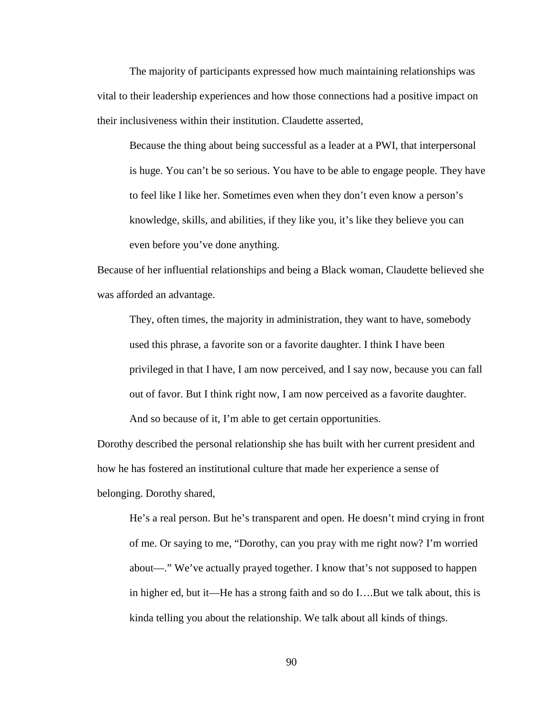The majority of participants expressed how much maintaining relationships was vital to their leadership experiences and how those connections had a positive impact on their inclusiveness within their institution. Claudette asserted,

Because the thing about being successful as a leader at a PWI, that interpersonal is huge. You can't be so serious. You have to be able to engage people. They have to feel like I like her. Sometimes even when they don't even know a person's knowledge, skills, and abilities, if they like you, it's like they believe you can even before you've done anything.

Because of her influential relationships and being a Black woman, Claudette believed she was afforded an advantage.

They, often times, the majority in administration, they want to have, somebody used this phrase, a favorite son or a favorite daughter. I think I have been privileged in that I have, I am now perceived, and I say now, because you can fall out of favor. But I think right now, I am now perceived as a favorite daughter.

And so because of it, I'm able to get certain opportunities.

Dorothy described the personal relationship she has built with her current president and how he has fostered an institutional culture that made her experience a sense of belonging. Dorothy shared,

He's a real person. But he's transparent and open. He doesn't mind crying in front of me. Or saying to me, "Dorothy, can you pray with me right now? I'm worried about—." We've actually prayed together. I know that's not supposed to happen in higher ed, but it—He has a strong faith and so do I….But we talk about, this is kinda telling you about the relationship. We talk about all kinds of things.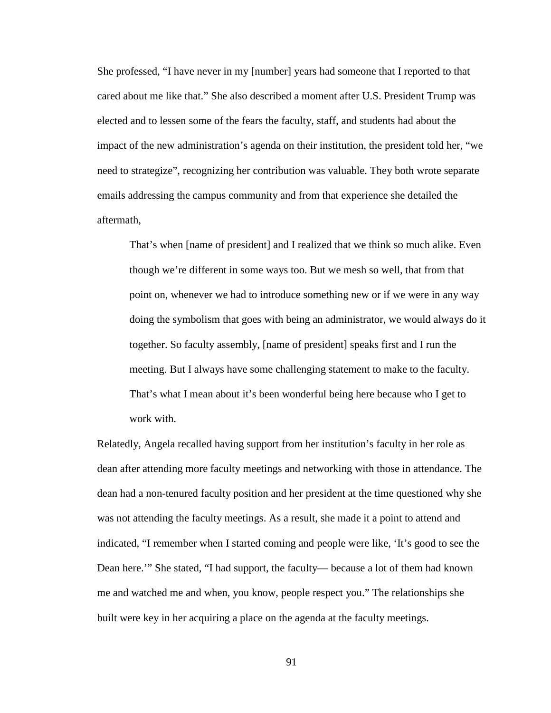She professed, "I have never in my [number] years had someone that I reported to that cared about me like that." She also described a moment after U.S. President Trump was elected and to lessen some of the fears the faculty, staff, and students had about the impact of the new administration's agenda on their institution, the president told her, "we need to strategize", recognizing her contribution was valuable. They both wrote separate emails addressing the campus community and from that experience she detailed the aftermath,

That's when [name of president] and I realized that we think so much alike. Even though we're different in some ways too. But we mesh so well, that from that point on, whenever we had to introduce something new or if we were in any way doing the symbolism that goes with being an administrator, we would always do it together. So faculty assembly, [name of president] speaks first and I run the meeting. But I always have some challenging statement to make to the faculty. That's what I mean about it's been wonderful being here because who I get to work with.

Relatedly, Angela recalled having support from her institution's faculty in her role as dean after attending more faculty meetings and networking with those in attendance. The dean had a non-tenured faculty position and her president at the time questioned why she was not attending the faculty meetings. As a result, she made it a point to attend and indicated, "I remember when I started coming and people were like, 'It's good to see the Dean here.'" She stated, "I had support, the faculty— because a lot of them had known me and watched me and when, you know, people respect you." The relationships she built were key in her acquiring a place on the agenda at the faculty meetings.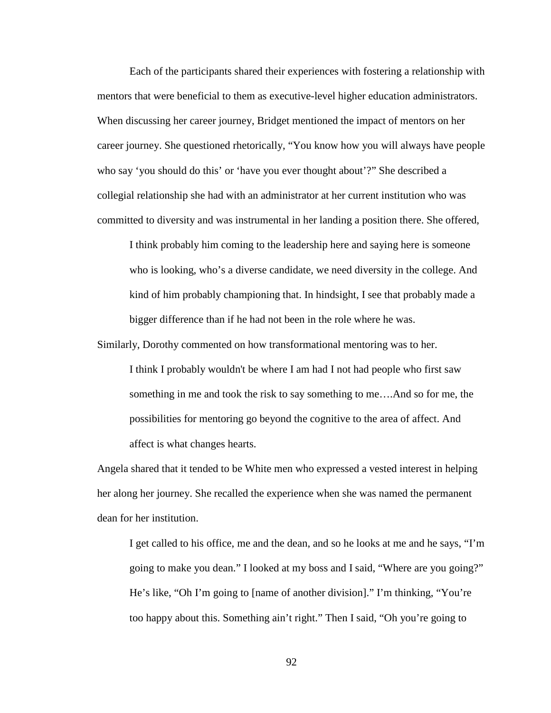Each of the participants shared their experiences with fostering a relationship with mentors that were beneficial to them as executive-level higher education administrators. When discussing her career journey, Bridget mentioned the impact of mentors on her career journey. She questioned rhetorically, "You know how you will always have people who say 'you should do this' or 'have you ever thought about'?" She described a collegial relationship she had with an administrator at her current institution who was committed to diversity and was instrumental in her landing a position there. She offered,

I think probably him coming to the leadership here and saying here is someone who is looking, who's a diverse candidate, we need diversity in the college. And kind of him probably championing that. In hindsight, I see that probably made a bigger difference than if he had not been in the role where he was.

Similarly, Dorothy commented on how transformational mentoring was to her.

I think I probably wouldn't be where I am had I not had people who first saw something in me and took the risk to say something to me….And so for me, the possibilities for mentoring go beyond the cognitive to the area of affect. And affect is what changes hearts.

Angela shared that it tended to be White men who expressed a vested interest in helping her along her journey. She recalled the experience when she was named the permanent dean for her institution.

I get called to his office, me and the dean, and so he looks at me and he says, "I'm going to make you dean." I looked at my boss and I said, "Where are you going?" He's like, "Oh I'm going to [name of another division]." I'm thinking, "You're too happy about this. Something ain't right." Then I said, "Oh you're going to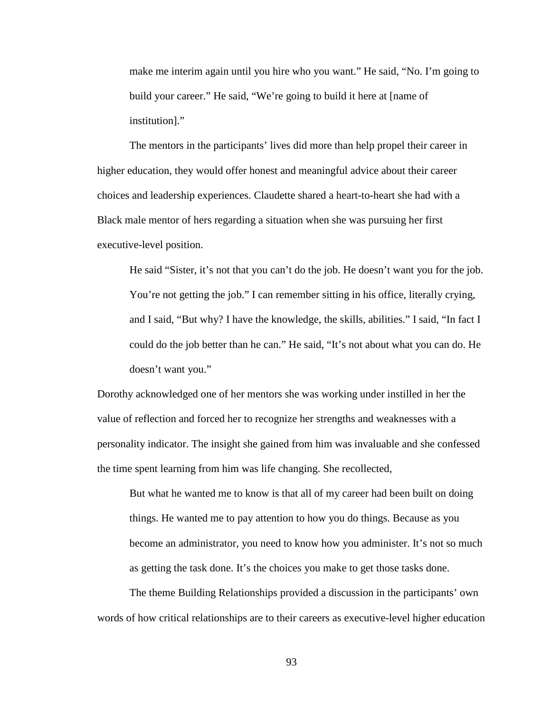make me interim again until you hire who you want." He said, "No. I'm going to build your career." He said, "We're going to build it here at [name of institution]."

The mentors in the participants' lives did more than help propel their career in higher education, they would offer honest and meaningful advice about their career choices and leadership experiences. Claudette shared a heart-to-heart she had with a Black male mentor of hers regarding a situation when she was pursuing her first executive-level position.

He said "Sister, it's not that you can't do the job. He doesn't want you for the job. You're not getting the job." I can remember sitting in his office, literally crying, and I said, "But why? I have the knowledge, the skills, abilities." I said, "In fact I could do the job better than he can." He said, "It's not about what you can do. He doesn't want you."

Dorothy acknowledged one of her mentors she was working under instilled in her the value of reflection and forced her to recognize her strengths and weaknesses with a personality indicator. The insight she gained from him was invaluable and she confessed the time spent learning from him was life changing. She recollected,

But what he wanted me to know is that all of my career had been built on doing things. He wanted me to pay attention to how you do things. Because as you become an administrator, you need to know how you administer. It's not so much as getting the task done. It's the choices you make to get those tasks done.

The theme Building Relationships provided a discussion in the participants' own words of how critical relationships are to their careers as executive-level higher education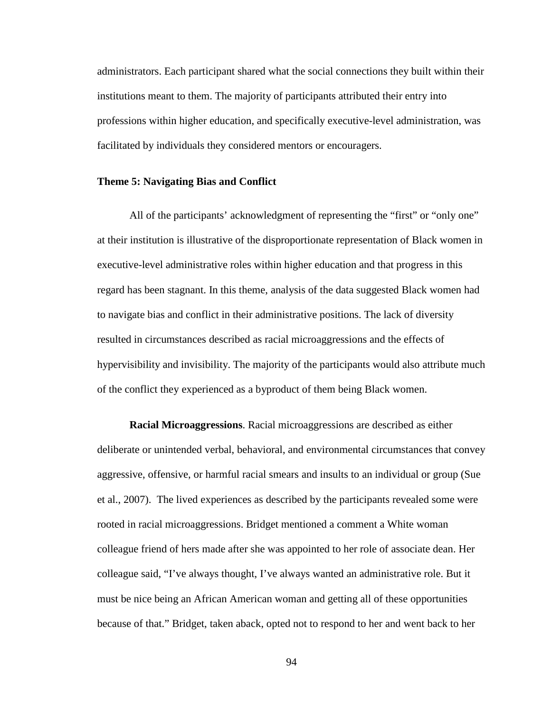administrators. Each participant shared what the social connections they built within their institutions meant to them. The majority of participants attributed their entry into professions within higher education, and specifically executive-level administration, was facilitated by individuals they considered mentors or encouragers.

### **Theme 5: Navigating Bias and Conflict**

All of the participants' acknowledgment of representing the "first" or "only one" at their institution is illustrative of the disproportionate representation of Black women in executive-level administrative roles within higher education and that progress in this regard has been stagnant. In this theme, analysis of the data suggested Black women had to navigate bias and conflict in their administrative positions. The lack of diversity resulted in circumstances described as racial microaggressions and the effects of hypervisibility and invisibility. The majority of the participants would also attribute much of the conflict they experienced as a byproduct of them being Black women.

**Racial Microaggressions**. Racial microaggressions are described as either deliberate or unintended verbal, behavioral, and environmental circumstances that convey aggressive, offensive, or harmful racial smears and insults to an individual or group (Sue et al., 2007). The lived experiences as described by the participants revealed some were rooted in racial microaggressions. Bridget mentioned a comment a White woman colleague friend of hers made after she was appointed to her role of associate dean. Her colleague said, "I've always thought, I've always wanted an administrative role. But it must be nice being an African American woman and getting all of these opportunities because of that." Bridget, taken aback, opted not to respond to her and went back to her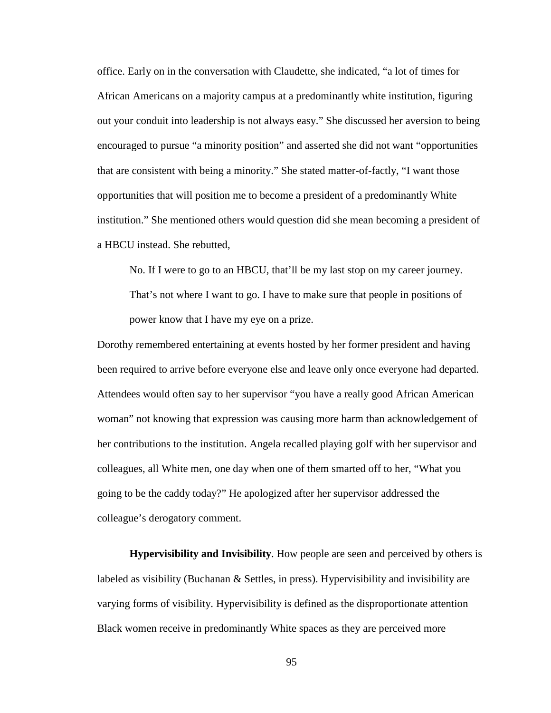office. Early on in the conversation with Claudette, she indicated, "a lot of times for African Americans on a majority campus at a predominantly white institution, figuring out your conduit into leadership is not always easy." She discussed her aversion to being encouraged to pursue "a minority position" and asserted she did not want "opportunities that are consistent with being a minority." She stated matter-of-factly, "I want those opportunities that will position me to become a president of a predominantly White institution." She mentioned others would question did she mean becoming a president of a HBCU instead. She rebutted,

No. If I were to go to an HBCU, that'll be my last stop on my career journey.

That's not where I want to go. I have to make sure that people in positions of power know that I have my eye on a prize.

Dorothy remembered entertaining at events hosted by her former president and having been required to arrive before everyone else and leave only once everyone had departed. Attendees would often say to her supervisor "you have a really good African American woman" not knowing that expression was causing more harm than acknowledgement of her contributions to the institution. Angela recalled playing golf with her supervisor and colleagues, all White men, one day when one of them smarted off to her, "What you going to be the caddy today?" He apologized after her supervisor addressed the colleague's derogatory comment.

**Hypervisibility and Invisibility**. How people are seen and perceived by others is labeled as visibility (Buchanan & Settles, in press). Hypervisibility and invisibility are varying forms of visibility. Hypervisibility is defined as the disproportionate attention Black women receive in predominantly White spaces as they are perceived more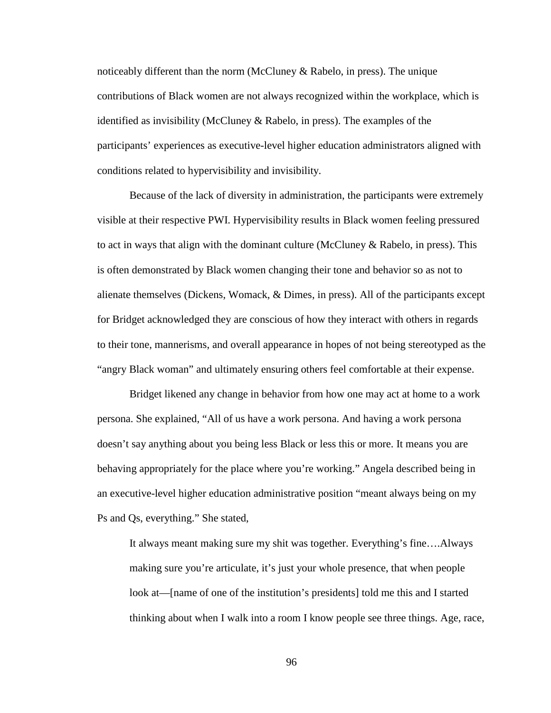noticeably different than the norm (McCluney  $& Rabelo$ , in press). The unique contributions of Black women are not always recognized within the workplace, which is identified as invisibility (McCluney & Rabelo, in press). The examples of the participants' experiences as executive-level higher education administrators aligned with conditions related to hypervisibility and invisibility.

Because of the lack of diversity in administration, the participants were extremely visible at their respective PWI. Hypervisibility results in Black women feeling pressured to act in ways that align with the dominant culture (McCluney  $\&$  Rabelo, in press). This is often demonstrated by Black women changing their tone and behavior so as not to alienate themselves (Dickens, Womack, & Dimes, in press). All of the participants except for Bridget acknowledged they are conscious of how they interact with others in regards to their tone, mannerisms, and overall appearance in hopes of not being stereotyped as the "angry Black woman" and ultimately ensuring others feel comfortable at their expense.

Bridget likened any change in behavior from how one may act at home to a work persona. She explained, "All of us have a work persona. And having a work persona doesn't say anything about you being less Black or less this or more. It means you are behaving appropriately for the place where you're working." Angela described being in an executive-level higher education administrative position "meant always being on my Ps and Qs, everything." She stated,

It always meant making sure my shit was together. Everything's fine….Always making sure you're articulate, it's just your whole presence, that when people look at—[name of one of the institution's presidents] told me this and I started thinking about when I walk into a room I know people see three things. Age, race,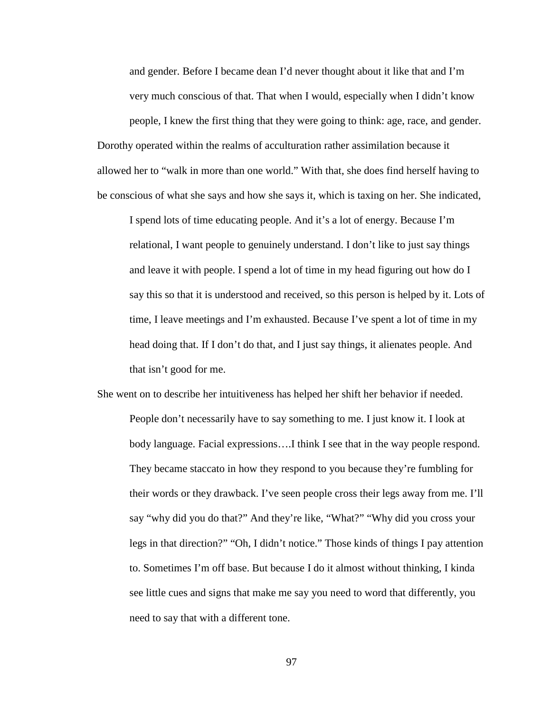and gender. Before I became dean I'd never thought about it like that and I'm very much conscious of that. That when I would, especially when I didn't know

people, I knew the first thing that they were going to think: age, race, and gender. Dorothy operated within the realms of acculturation rather assimilation because it allowed her to "walk in more than one world." With that, she does find herself having to be conscious of what she says and how she says it, which is taxing on her. She indicated,

I spend lots of time educating people. And it's a lot of energy. Because I'm relational, I want people to genuinely understand. I don't like to just say things and leave it with people. I spend a lot of time in my head figuring out how do I say this so that it is understood and received, so this person is helped by it. Lots of time, I leave meetings and I'm exhausted. Because I've spent a lot of time in my head doing that. If I don't do that, and I just say things, it alienates people. And that isn't good for me.

She went on to describe her intuitiveness has helped her shift her behavior if needed. People don't necessarily have to say something to me. I just know it. I look at body language. Facial expressions….I think I see that in the way people respond. They became staccato in how they respond to you because they're fumbling for their words or they drawback. I've seen people cross their legs away from me. I'll say "why did you do that?" And they're like, "What?" "Why did you cross your legs in that direction?" "Oh, I didn't notice." Those kinds of things I pay attention to. Sometimes I'm off base. But because I do it almost without thinking, I kinda see little cues and signs that make me say you need to word that differently, you need to say that with a different tone.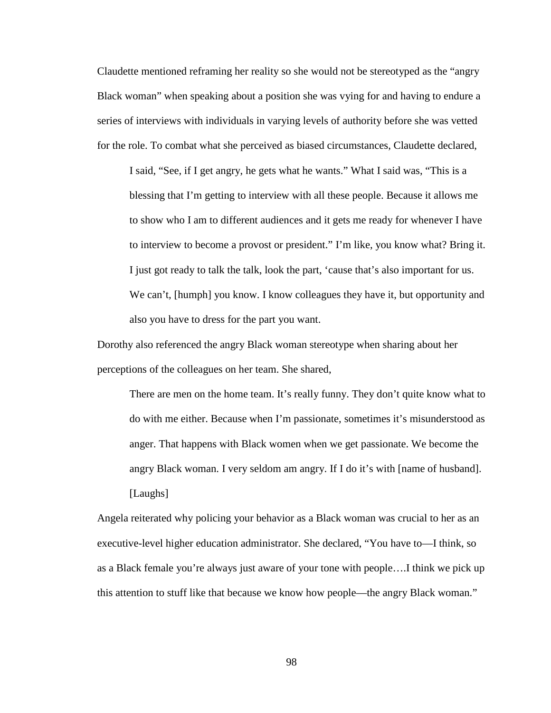Claudette mentioned reframing her reality so she would not be stereotyped as the "angry Black woman" when speaking about a position she was vying for and having to endure a series of interviews with individuals in varying levels of authority before she was vetted for the role. To combat what she perceived as biased circumstances, Claudette declared,

I said, "See, if I get angry, he gets what he wants." What I said was, "This is a blessing that I'm getting to interview with all these people. Because it allows me to show who I am to different audiences and it gets me ready for whenever I have to interview to become a provost or president." I'm like, you know what? Bring it. I just got ready to talk the talk, look the part, 'cause that's also important for us. We can't, [humph] you know. I know colleagues they have it, but opportunity and also you have to dress for the part you want.

Dorothy also referenced the angry Black woman stereotype when sharing about her perceptions of the colleagues on her team. She shared,

There are men on the home team. It's really funny. They don't quite know what to do with me either. Because when I'm passionate, sometimes it's misunderstood as anger. That happens with Black women when we get passionate. We become the angry Black woman. I very seldom am angry. If I do it's with [name of husband]. [Laughs]

Angela reiterated why policing your behavior as a Black woman was crucial to her as an executive-level higher education administrator. She declared, "You have to—I think, so as a Black female you're always just aware of your tone with people….I think we pick up this attention to stuff like that because we know how people—the angry Black woman."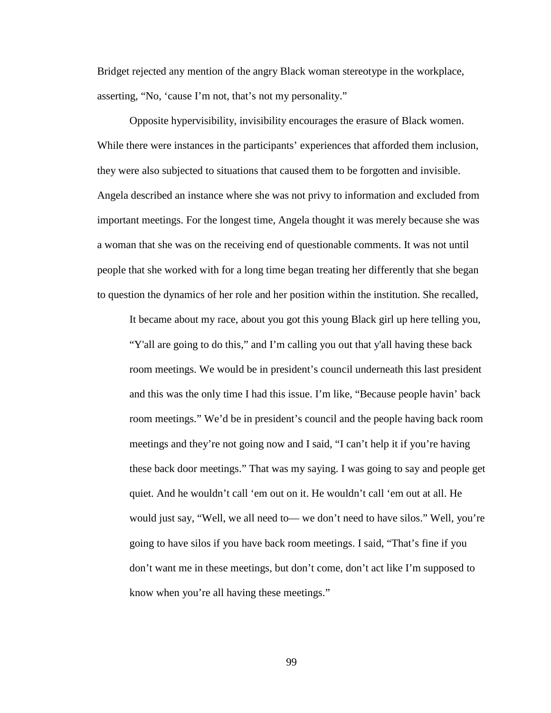Bridget rejected any mention of the angry Black woman stereotype in the workplace, asserting, "No, 'cause I'm not, that's not my personality."

Opposite hypervisibility, invisibility encourages the erasure of Black women. While there were instances in the participants' experiences that afforded them inclusion, they were also subjected to situations that caused them to be forgotten and invisible. Angela described an instance where she was not privy to information and excluded from important meetings. For the longest time, Angela thought it was merely because she was a woman that she was on the receiving end of questionable comments. It was not until people that she worked with for a long time began treating her differently that she began to question the dynamics of her role and her position within the institution. She recalled,

It became about my race, about you got this young Black girl up here telling you, "Y'all are going to do this," and I'm calling you out that y'all having these back room meetings. We would be in president's council underneath this last president and this was the only time I had this issue. I'm like, "Because people havin' back room meetings." We'd be in president's council and the people having back room meetings and they're not going now and I said, "I can't help it if you're having these back door meetings." That was my saying. I was going to say and people get quiet. And he wouldn't call 'em out on it. He wouldn't call 'em out at all. He would just say, "Well, we all need to— we don't need to have silos." Well, you're going to have silos if you have back room meetings. I said, "That's fine if you don't want me in these meetings, but don't come, don't act like I'm supposed to know when you're all having these meetings."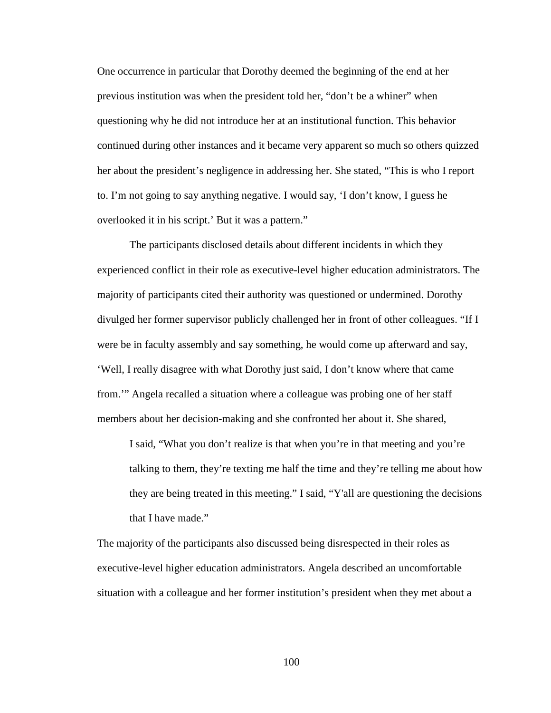One occurrence in particular that Dorothy deemed the beginning of the end at her previous institution was when the president told her, "don't be a whiner" when questioning why he did not introduce her at an institutional function. This behavior continued during other instances and it became very apparent so much so others quizzed her about the president's negligence in addressing her. She stated, "This is who I report to. I'm not going to say anything negative. I would say, 'I don't know, I guess he overlooked it in his script.' But it was a pattern."

The participants disclosed details about different incidents in which they experienced conflict in their role as executive-level higher education administrators. The majority of participants cited their authority was questioned or undermined. Dorothy divulged her former supervisor publicly challenged her in front of other colleagues. "If I were be in faculty assembly and say something, he would come up afterward and say, 'Well, I really disagree with what Dorothy just said, I don't know where that came from.'" Angela recalled a situation where a colleague was probing one of her staff members about her decision-making and she confronted her about it. She shared,

I said, "What you don't realize is that when you're in that meeting and you're talking to them, they're texting me half the time and they're telling me about how they are being treated in this meeting." I said, "Y'all are questioning the decisions that I have made."

The majority of the participants also discussed being disrespected in their roles as executive-level higher education administrators. Angela described an uncomfortable situation with a colleague and her former institution's president when they met about a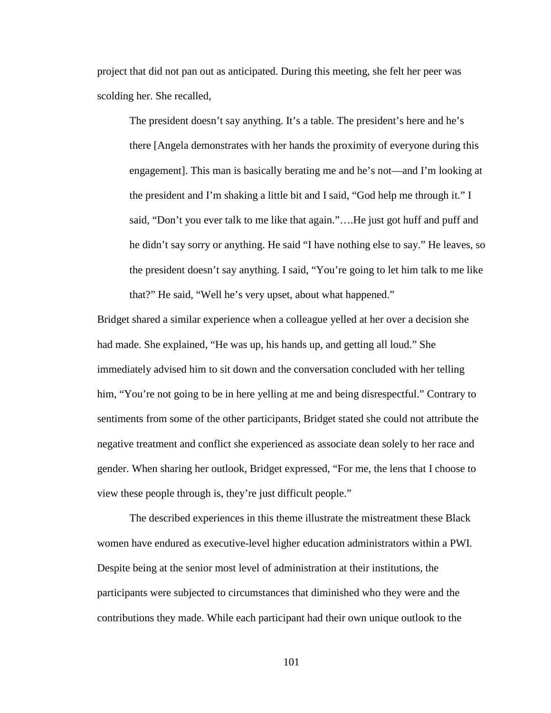project that did not pan out as anticipated. During this meeting, she felt her peer was scolding her. She recalled,

The president doesn't say anything. It's a table. The president's here and he's there [Angela demonstrates with her hands the proximity of everyone during this engagement]. This man is basically berating me and he's not—and I'm looking at the president and I'm shaking a little bit and I said, "God help me through it." I said, "Don't you ever talk to me like that again."….He just got huff and puff and he didn't say sorry or anything. He said "I have nothing else to say." He leaves, so the president doesn't say anything. I said, "You're going to let him talk to me like that?" He said, "Well he's very upset, about what happened."

Bridget shared a similar experience when a colleague yelled at her over a decision she had made. She explained, "He was up, his hands up, and getting all loud." She immediately advised him to sit down and the conversation concluded with her telling him, "You're not going to be in here yelling at me and being disrespectful." Contrary to sentiments from some of the other participants, Bridget stated she could not attribute the negative treatment and conflict she experienced as associate dean solely to her race and gender. When sharing her outlook, Bridget expressed, "For me, the lens that I choose to view these people through is, they're just difficult people."

The described experiences in this theme illustrate the mistreatment these Black women have endured as executive-level higher education administrators within a PWI. Despite being at the senior most level of administration at their institutions, the participants were subjected to circumstances that diminished who they were and the contributions they made. While each participant had their own unique outlook to the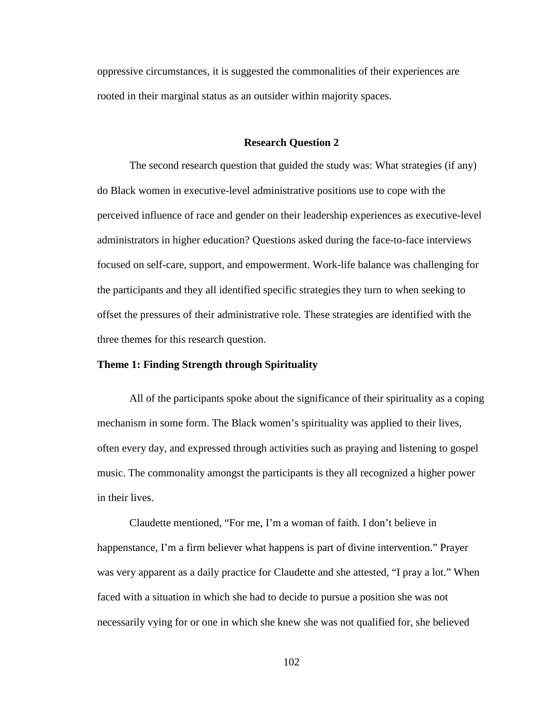oppressive circumstances, it is suggested the commonalities of their experiences are rooted in their marginal status as an outsider within majority spaces.

#### **Research Question 2**

The second research question that guided the study was: What strategies (if any) do Black women in executive-level administrative positions use to cope with the perceived influence of race and gender on their leadership experiences as executive-level administrators in higher education? Questions asked during the face-to-face interviews focused on self-care, support, and empowerment. Work-life balance was challenging for the participants and they all identified specific strategies they turn to when seeking to offset the pressures of their administrative role. These strategies are identified with the three themes for this research question.

# **Theme 1: Finding Strength through Spirituality**

All of the participants spoke about the significance of their spirituality as a coping mechanism in some form. The Black women's spirituality was applied to their lives, often every day, and expressed through activities such as praying and listening to gospel music. The commonality amongst the participants is they all recognized a higher power in their lives.

Claudette mentioned, "For me, I'm a woman of faith. I don't believe in happenstance, I'm a firm believer what happens is part of divine intervention." Prayer was very apparent as a daily practice for Claudette and she attested, "I pray a lot." When faced with a situation in which she had to decide to pursue a position she was not necessarily vying for or one in which she knew she was not qualified for, she believed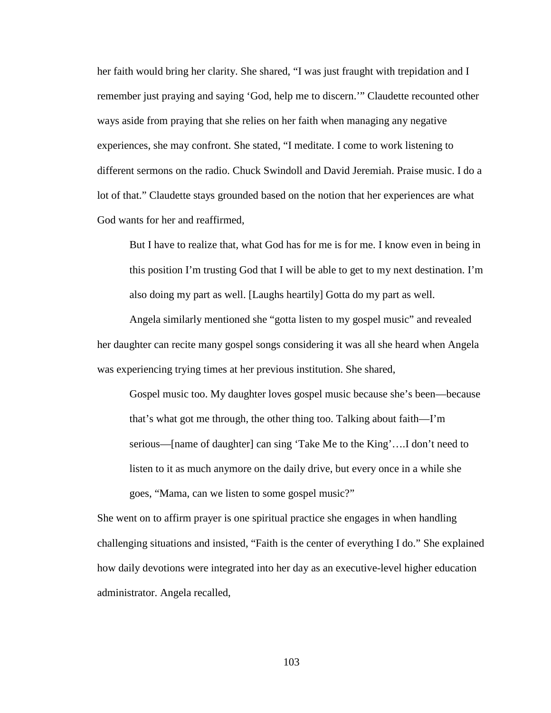her faith would bring her clarity. She shared, "I was just fraught with trepidation and I remember just praying and saying 'God, help me to discern.'" Claudette recounted other ways aside from praying that she relies on her faith when managing any negative experiences, she may confront. She stated, "I meditate. I come to work listening to different sermons on the radio. Chuck Swindoll and David Jeremiah. Praise music. I do a lot of that." Claudette stays grounded based on the notion that her experiences are what God wants for her and reaffirmed,

But I have to realize that, what God has for me is for me. I know even in being in this position I'm trusting God that I will be able to get to my next destination. I'm also doing my part as well. [Laughs heartily] Gotta do my part as well.

Angela similarly mentioned she "gotta listen to my gospel music" and revealed her daughter can recite many gospel songs considering it was all she heard when Angela was experiencing trying times at her previous institution. She shared,

Gospel music too. My daughter loves gospel music because she's been—because that's what got me through, the other thing too. Talking about faith—I'm serious—[name of daughter] can sing 'Take Me to the King'….I don't need to listen to it as much anymore on the daily drive, but every once in a while she goes, "Mama, can we listen to some gospel music?"

She went on to affirm prayer is one spiritual practice she engages in when handling challenging situations and insisted, "Faith is the center of everything I do." She explained how daily devotions were integrated into her day as an executive-level higher education administrator. Angela recalled,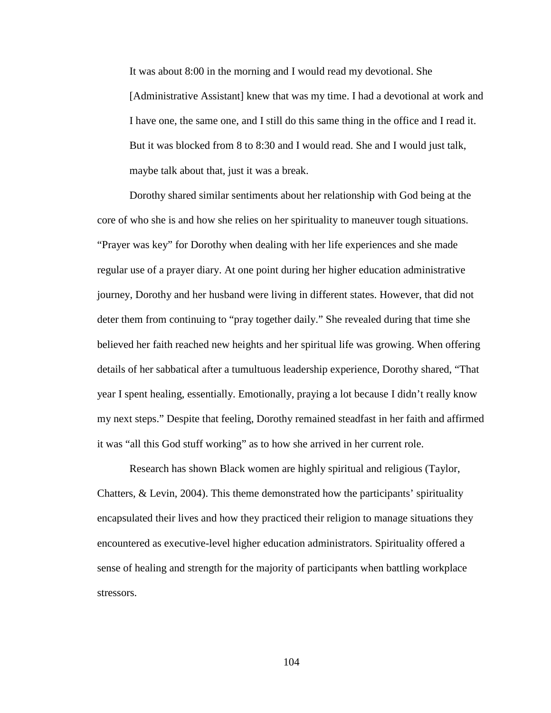It was about 8:00 in the morning and I would read my devotional. She [Administrative Assistant] knew that was my time. I had a devotional at work and I have one, the same one, and I still do this same thing in the office and I read it. But it was blocked from 8 to 8:30 and I would read. She and I would just talk, maybe talk about that, just it was a break.

Dorothy shared similar sentiments about her relationship with God being at the core of who she is and how she relies on her spirituality to maneuver tough situations. "Prayer was key" for Dorothy when dealing with her life experiences and she made regular use of a prayer diary. At one point during her higher education administrative journey, Dorothy and her husband were living in different states. However, that did not deter them from continuing to "pray together daily." She revealed during that time she believed her faith reached new heights and her spiritual life was growing. When offering details of her sabbatical after a tumultuous leadership experience, Dorothy shared, "That year I spent healing, essentially. Emotionally, praying a lot because I didn't really know my next steps." Despite that feeling, Dorothy remained steadfast in her faith and affirmed it was "all this God stuff working" as to how she arrived in her current role.

Research has shown Black women are highly spiritual and religious (Taylor, Chatters, & Levin, 2004). This theme demonstrated how the participants' spirituality encapsulated their lives and how they practiced their religion to manage situations they encountered as executive-level higher education administrators. Spirituality offered a sense of healing and strength for the majority of participants when battling workplace stressors.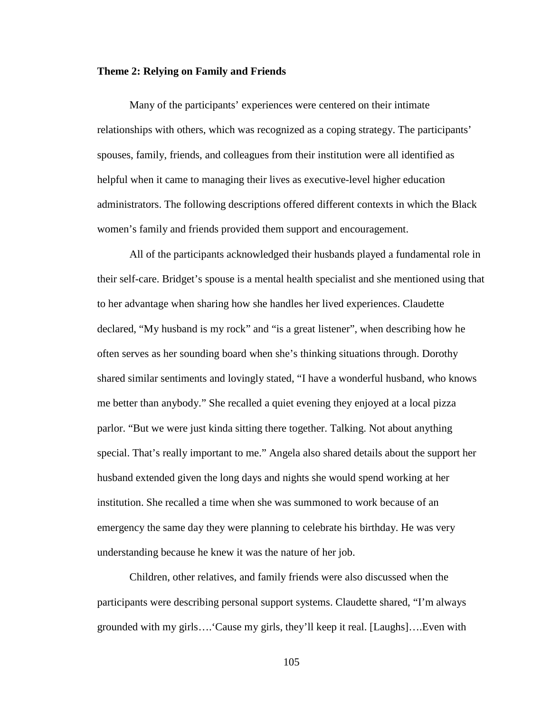### **Theme 2: Relying on Family and Friends**

Many of the participants' experiences were centered on their intimate relationships with others, which was recognized as a coping strategy. The participants' spouses, family, friends, and colleagues from their institution were all identified as helpful when it came to managing their lives as executive-level higher education administrators. The following descriptions offered different contexts in which the Black women's family and friends provided them support and encouragement.

All of the participants acknowledged their husbands played a fundamental role in their self-care. Bridget's spouse is a mental health specialist and she mentioned using that to her advantage when sharing how she handles her lived experiences. Claudette declared, "My husband is my rock" and "is a great listener", when describing how he often serves as her sounding board when she's thinking situations through. Dorothy shared similar sentiments and lovingly stated, "I have a wonderful husband, who knows me better than anybody." She recalled a quiet evening they enjoyed at a local pizza parlor. "But we were just kinda sitting there together. Talking. Not about anything special. That's really important to me." Angela also shared details about the support her husband extended given the long days and nights she would spend working at her institution. She recalled a time when she was summoned to work because of an emergency the same day they were planning to celebrate his birthday. He was very understanding because he knew it was the nature of her job.

Children, other relatives, and family friends were also discussed when the participants were describing personal support systems. Claudette shared, "I'm always grounded with my girls….'Cause my girls, they'll keep it real. [Laughs]….Even with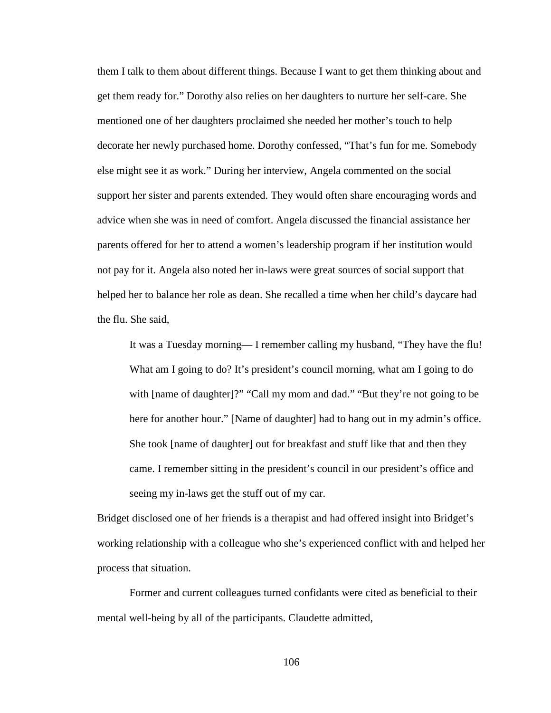them I talk to them about different things. Because I want to get them thinking about and get them ready for." Dorothy also relies on her daughters to nurture her self-care. She mentioned one of her daughters proclaimed she needed her mother's touch to help decorate her newly purchased home. Dorothy confessed, "That's fun for me. Somebody else might see it as work." During her interview, Angela commented on the social support her sister and parents extended. They would often share encouraging words and advice when she was in need of comfort. Angela discussed the financial assistance her parents offered for her to attend a women's leadership program if her institution would not pay for it. Angela also noted her in-laws were great sources of social support that helped her to balance her role as dean. She recalled a time when her child's daycare had the flu. She said,

It was a Tuesday morning— I remember calling my husband, "They have the flu! What am I going to do? It's president's council morning, what am I going to do with [name of daughter]?" "Call my mom and dad." "But they're not going to be here for another hour." [Name of daughter] had to hang out in my admin's office. She took [name of daughter] out for breakfast and stuff like that and then they came. I remember sitting in the president's council in our president's office and seeing my in-laws get the stuff out of my car.

Bridget disclosed one of her friends is a therapist and had offered insight into Bridget's working relationship with a colleague who she's experienced conflict with and helped her process that situation.

Former and current colleagues turned confidants were cited as beneficial to their mental well-being by all of the participants. Claudette admitted,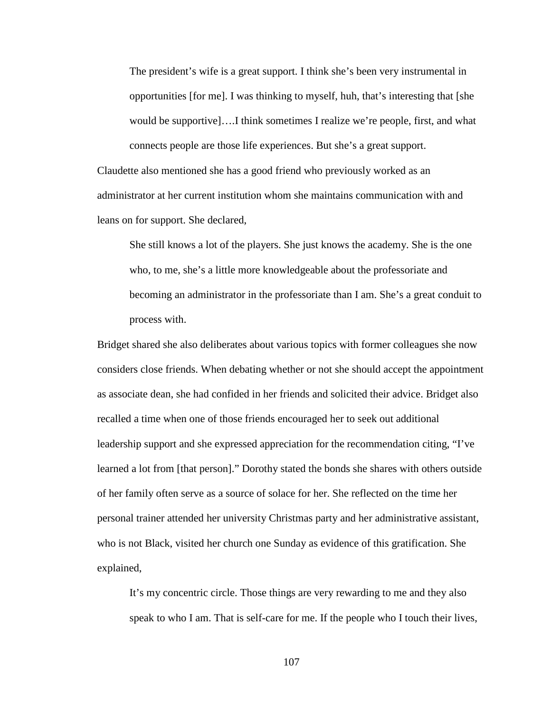The president's wife is a great support. I think she's been very instrumental in opportunities [for me]. I was thinking to myself, huh, that's interesting that [she would be supportive]….I think sometimes I realize we're people, first, and what connects people are those life experiences. But she's a great support.

Claudette also mentioned she has a good friend who previously worked as an administrator at her current institution whom she maintains communication with and leans on for support. She declared,

She still knows a lot of the players. She just knows the academy. She is the one who, to me, she's a little more knowledgeable about the professoriate and becoming an administrator in the professoriate than I am. She's a great conduit to process with.

Bridget shared she also deliberates about various topics with former colleagues she now considers close friends. When debating whether or not she should accept the appointment as associate dean, she had confided in her friends and solicited their advice. Bridget also recalled a time when one of those friends encouraged her to seek out additional leadership support and she expressed appreciation for the recommendation citing, "I've learned a lot from [that person]." Dorothy stated the bonds she shares with others outside of her family often serve as a source of solace for her. She reflected on the time her personal trainer attended her university Christmas party and her administrative assistant, who is not Black, visited her church one Sunday as evidence of this gratification. She explained,

It's my concentric circle. Those things are very rewarding to me and they also speak to who I am. That is self-care for me. If the people who I touch their lives,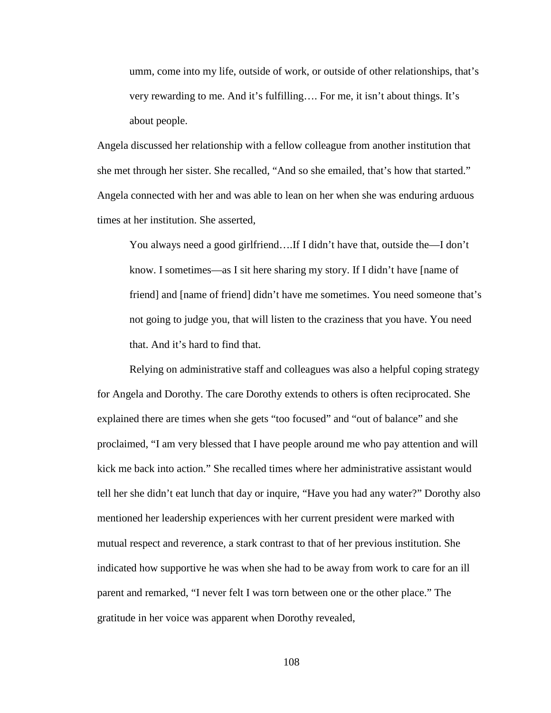umm, come into my life, outside of work, or outside of other relationships, that's very rewarding to me. And it's fulfilling…. For me, it isn't about things. It's about people.

Angela discussed her relationship with a fellow colleague from another institution that she met through her sister. She recalled, "And so she emailed, that's how that started." Angela connected with her and was able to lean on her when she was enduring arduous times at her institution. She asserted,

You always need a good girlfriend….If I didn't have that, outside the—I don't know. I sometimes—as I sit here sharing my story. If I didn't have [name of friend] and [name of friend] didn't have me sometimes. You need someone that's not going to judge you, that will listen to the craziness that you have. You need that. And it's hard to find that.

Relying on administrative staff and colleagues was also a helpful coping strategy for Angela and Dorothy. The care Dorothy extends to others is often reciprocated. She explained there are times when she gets "too focused" and "out of balance" and she proclaimed, "I am very blessed that I have people around me who pay attention and will kick me back into action." She recalled times where her administrative assistant would tell her she didn't eat lunch that day or inquire, "Have you had any water?" Dorothy also mentioned her leadership experiences with her current president were marked with mutual respect and reverence, a stark contrast to that of her previous institution. She indicated how supportive he was when she had to be away from work to care for an ill parent and remarked, "I never felt I was torn between one or the other place." The gratitude in her voice was apparent when Dorothy revealed,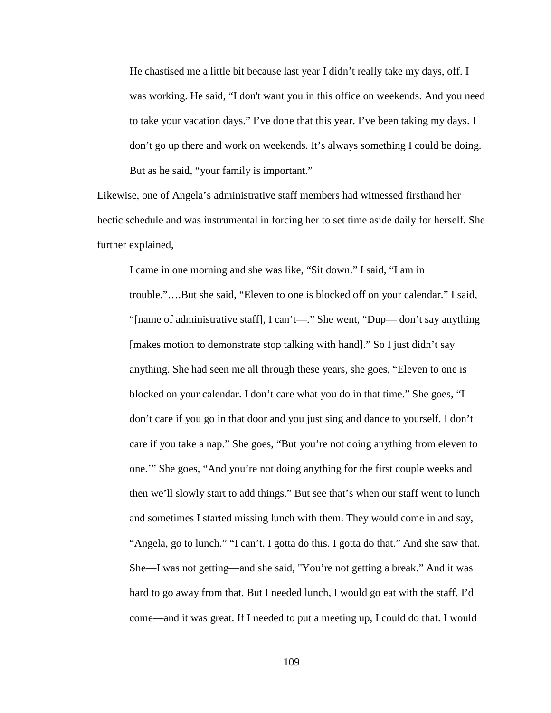He chastised me a little bit because last year I didn't really take my days, off. I was working. He said, "I don't want you in this office on weekends. And you need to take your vacation days." I've done that this year. I've been taking my days. I don't go up there and work on weekends. It's always something I could be doing. But as he said, "your family is important."

Likewise, one of Angela's administrative staff members had witnessed firsthand her hectic schedule and was instrumental in forcing her to set time aside daily for herself. She further explained,

I came in one morning and she was like, "Sit down." I said, "I am in trouble."….But she said, "Eleven to one is blocked off on your calendar." I said, "[name of administrative staff], I can't—." She went, "Dup— don't say anything [makes motion to demonstrate stop talking with hand]." So I just didn't say anything. She had seen me all through these years, she goes, "Eleven to one is blocked on your calendar. I don't care what you do in that time." She goes, "I don't care if you go in that door and you just sing and dance to yourself. I don't care if you take a nap." She goes, "But you're not doing anything from eleven to one.'" She goes, "And you're not doing anything for the first couple weeks and then we'll slowly start to add things." But see that's when our staff went to lunch and sometimes I started missing lunch with them. They would come in and say, "Angela, go to lunch." "I can't. I gotta do this. I gotta do that." And she saw that. She—I was not getting—and she said, "You're not getting a break." And it was hard to go away from that. But I needed lunch, I would go eat with the staff. I'd come—and it was great. If I needed to put a meeting up, I could do that. I would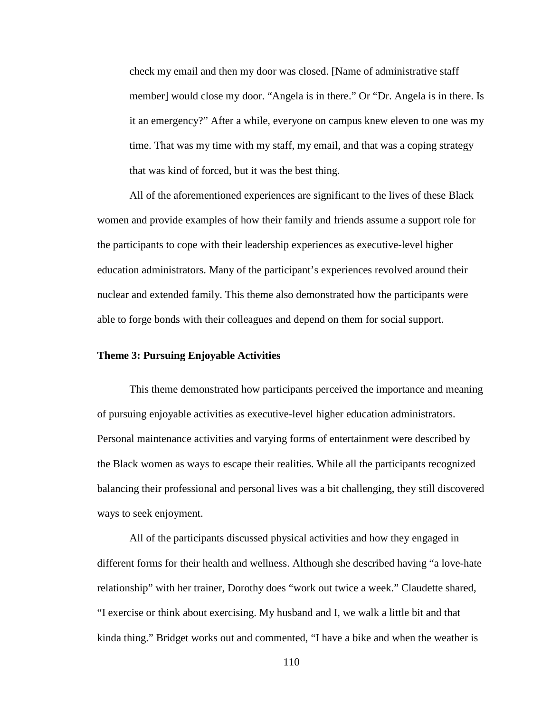check my email and then my door was closed. [Name of administrative staff member] would close my door. "Angela is in there." Or "Dr. Angela is in there. Is it an emergency?" After a while, everyone on campus knew eleven to one was my time. That was my time with my staff, my email, and that was a coping strategy that was kind of forced, but it was the best thing.

All of the aforementioned experiences are significant to the lives of these Black women and provide examples of how their family and friends assume a support role for the participants to cope with their leadership experiences as executive-level higher education administrators. Many of the participant's experiences revolved around their nuclear and extended family. This theme also demonstrated how the participants were able to forge bonds with their colleagues and depend on them for social support.

# **Theme 3: Pursuing Enjoyable Activities**

This theme demonstrated how participants perceived the importance and meaning of pursuing enjoyable activities as executive-level higher education administrators. Personal maintenance activities and varying forms of entertainment were described by the Black women as ways to escape their realities. While all the participants recognized balancing their professional and personal lives was a bit challenging, they still discovered ways to seek enjoyment.

All of the participants discussed physical activities and how they engaged in different forms for their health and wellness. Although she described having "a love-hate relationship" with her trainer, Dorothy does "work out twice a week." Claudette shared, "I exercise or think about exercising. My husband and I, we walk a little bit and that kinda thing." Bridget works out and commented, "I have a bike and when the weather is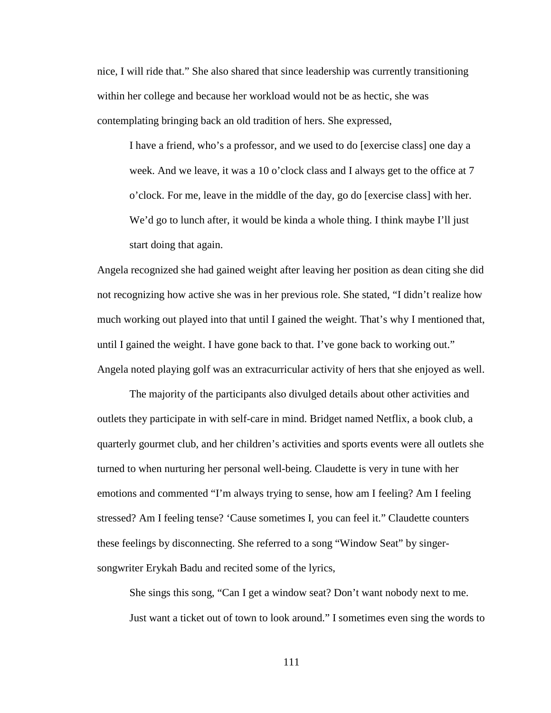nice, I will ride that." She also shared that since leadership was currently transitioning within her college and because her workload would not be as hectic, she was contemplating bringing back an old tradition of hers. She expressed,

I have a friend, who's a professor, and we used to do [exercise class] one day a week. And we leave, it was a 10 o'clock class and I always get to the office at 7 o'clock. For me, leave in the middle of the day, go do [exercise class] with her. We'd go to lunch after, it would be kinda a whole thing. I think maybe I'll just start doing that again.

Angela recognized she had gained weight after leaving her position as dean citing she did not recognizing how active she was in her previous role. She stated, "I didn't realize how much working out played into that until I gained the weight. That's why I mentioned that, until I gained the weight. I have gone back to that. I've gone back to working out." Angela noted playing golf was an extracurricular activity of hers that she enjoyed as well.

The majority of the participants also divulged details about other activities and outlets they participate in with self-care in mind. Bridget named Netflix, a book club, a quarterly gourmet club, and her children's activities and sports events were all outlets she turned to when nurturing her personal well-being. Claudette is very in tune with her emotions and commented "I'm always trying to sense, how am I feeling? Am I feeling stressed? Am I feeling tense? 'Cause sometimes I, you can feel it." Claudette counters these feelings by disconnecting. She referred to a song "Window Seat" by singersongwriter Erykah Badu and recited some of the lyrics,

She sings this song, "Can I get a window seat? Don't want nobody next to me. Just want a ticket out of town to look around." I sometimes even sing the words to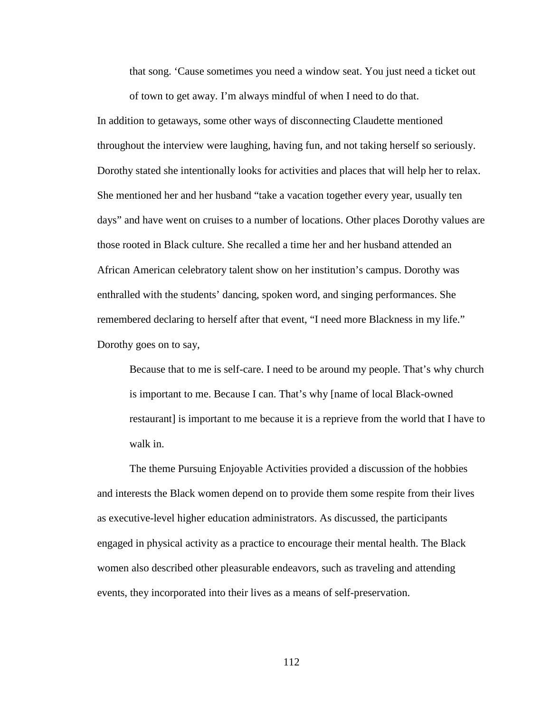that song. 'Cause sometimes you need a window seat. You just need a ticket out of town to get away. I'm always mindful of when I need to do that.

In addition to getaways, some other ways of disconnecting Claudette mentioned throughout the interview were laughing, having fun, and not taking herself so seriously. Dorothy stated she intentionally looks for activities and places that will help her to relax. She mentioned her and her husband "take a vacation together every year, usually ten days" and have went on cruises to a number of locations. Other places Dorothy values are those rooted in Black culture. She recalled a time her and her husband attended an African American celebratory talent show on her institution's campus. Dorothy was enthralled with the students' dancing, spoken word, and singing performances. She remembered declaring to herself after that event, "I need more Blackness in my life." Dorothy goes on to say,

Because that to me is self-care. I need to be around my people. That's why church is important to me. Because I can. That's why [name of local Black-owned restaurant] is important to me because it is a reprieve from the world that I have to walk in.

The theme Pursuing Enjoyable Activities provided a discussion of the hobbies and interests the Black women depend on to provide them some respite from their lives as executive-level higher education administrators. As discussed, the participants engaged in physical activity as a practice to encourage their mental health. The Black women also described other pleasurable endeavors, such as traveling and attending events, they incorporated into their lives as a means of self-preservation.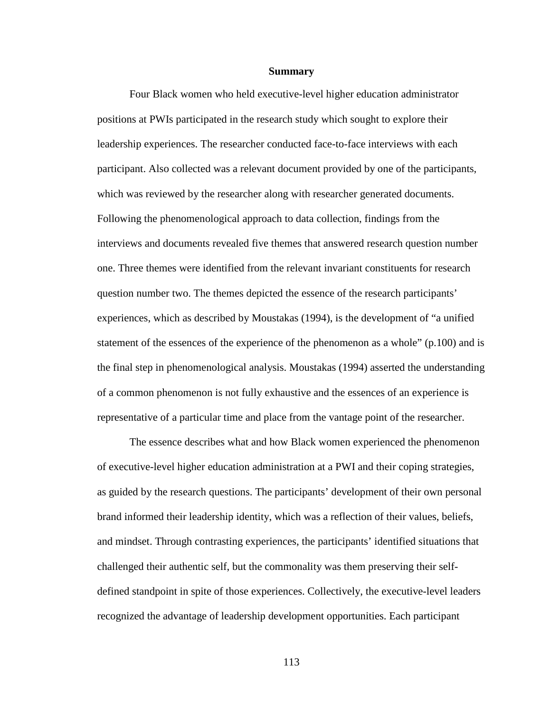#### **Summary**

Four Black women who held executive-level higher education administrator positions at PWIs participated in the research study which sought to explore their leadership experiences. The researcher conducted face-to-face interviews with each participant. Also collected was a relevant document provided by one of the participants, which was reviewed by the researcher along with researcher generated documents. Following the phenomenological approach to data collection, findings from the interviews and documents revealed five themes that answered research question number one. Three themes were identified from the relevant invariant constituents for research question number two. The themes depicted the essence of the research participants' experiences, which as described by Moustakas (1994), is the development of "a unified statement of the essences of the experience of the phenomenon as a whole" (p.100) and is the final step in phenomenological analysis. Moustakas (1994) asserted the understanding of a common phenomenon is not fully exhaustive and the essences of an experience is representative of a particular time and place from the vantage point of the researcher.

The essence describes what and how Black women experienced the phenomenon of executive-level higher education administration at a PWI and their coping strategies, as guided by the research questions. The participants' development of their own personal brand informed their leadership identity, which was a reflection of their values, beliefs, and mindset. Through contrasting experiences, the participants' identified situations that challenged their authentic self, but the commonality was them preserving their selfdefined standpoint in spite of those experiences. Collectively, the executive-level leaders recognized the advantage of leadership development opportunities. Each participant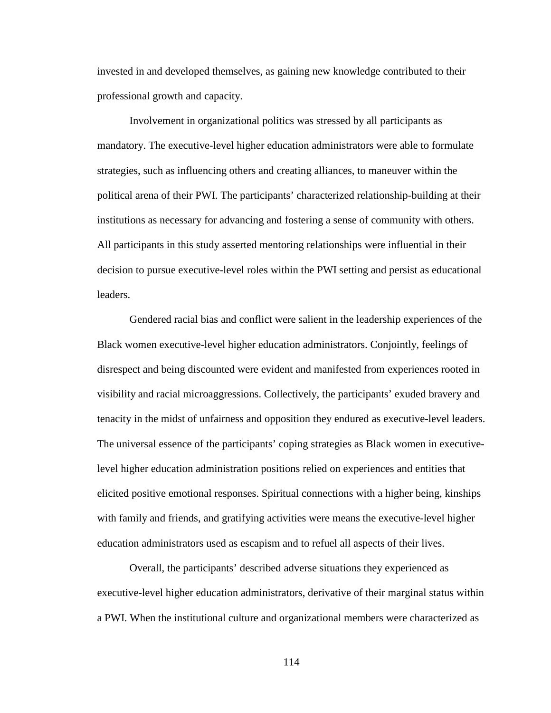invested in and developed themselves, as gaining new knowledge contributed to their professional growth and capacity.

Involvement in organizational politics was stressed by all participants as mandatory. The executive-level higher education administrators were able to formulate strategies, such as influencing others and creating alliances, to maneuver within the political arena of their PWI. The participants' characterized relationship-building at their institutions as necessary for advancing and fostering a sense of community with others. All participants in this study asserted mentoring relationships were influential in their decision to pursue executive-level roles within the PWI setting and persist as educational leaders.

Gendered racial bias and conflict were salient in the leadership experiences of the Black women executive-level higher education administrators. Conjointly, feelings of disrespect and being discounted were evident and manifested from experiences rooted in visibility and racial microaggressions. Collectively, the participants' exuded bravery and tenacity in the midst of unfairness and opposition they endured as executive-level leaders. The universal essence of the participants' coping strategies as Black women in executivelevel higher education administration positions relied on experiences and entities that elicited positive emotional responses. Spiritual connections with a higher being, kinships with family and friends, and gratifying activities were means the executive-level higher education administrators used as escapism and to refuel all aspects of their lives.

Overall, the participants' described adverse situations they experienced as executive-level higher education administrators, derivative of their marginal status within a PWI. When the institutional culture and organizational members were characterized as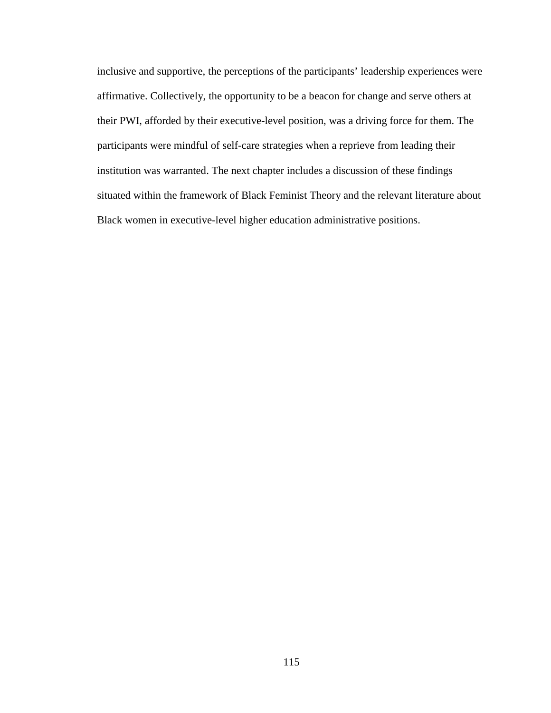inclusive and supportive, the perceptions of the participants' leadership experiences were affirmative. Collectively, the opportunity to be a beacon for change and serve others at their PWI, afforded by their executive-level position, was a driving force for them. The participants were mindful of self-care strategies when a reprieve from leading their institution was warranted. The next chapter includes a discussion of these findings situated within the framework of Black Feminist Theory and the relevant literature about Black women in executive-level higher education administrative positions.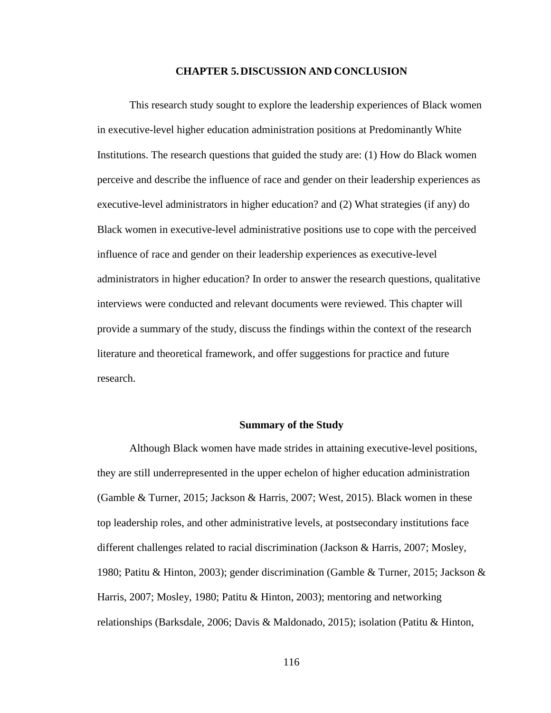# **CHAPTER 5.DISCUSSION AND CONCLUSION**

This research study sought to explore the leadership experiences of Black women in executive-level higher education administration positions at Predominantly White Institutions. The research questions that guided the study are: (1) How do Black women perceive and describe the influence of race and gender on their leadership experiences as executive-level administrators in higher education? and (2) What strategies (if any) do Black women in executive-level administrative positions use to cope with the perceived influence of race and gender on their leadership experiences as executive-level administrators in higher education? In order to answer the research questions, qualitative interviews were conducted and relevant documents were reviewed. This chapter will provide a summary of the study, discuss the findings within the context of the research literature and theoretical framework, and offer suggestions for practice and future research.

### **Summary of the Study**

Although Black women have made strides in attaining executive-level positions, they are still underrepresented in the upper echelon of higher education administration (Gamble & Turner, 2015; Jackson & Harris, 2007; West, 2015). Black women in these top leadership roles, and other administrative levels, at postsecondary institutions face different challenges related to racial discrimination (Jackson & Harris, 2007; Mosley, 1980; Patitu & Hinton, 2003); gender discrimination (Gamble & Turner, 2015; Jackson & Harris, 2007; Mosley, 1980; Patitu & Hinton, 2003); mentoring and networking relationships (Barksdale, 2006; Davis & Maldonado, 2015); isolation (Patitu & Hinton,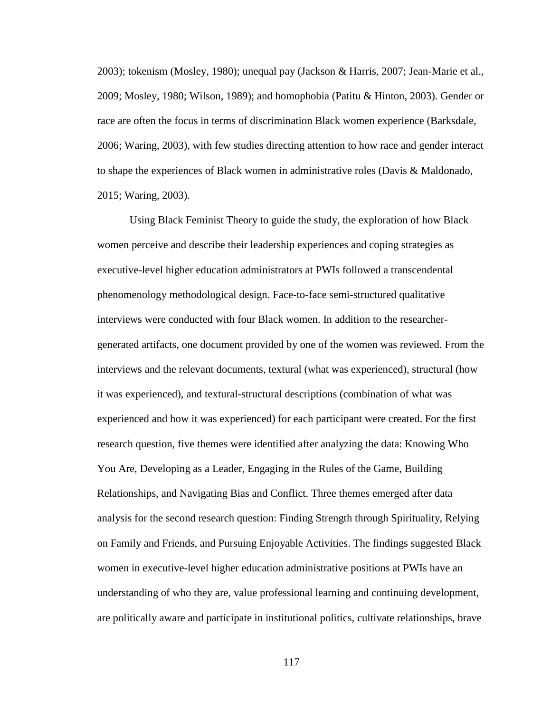2003); tokenism (Mosley, 1980); unequal pay (Jackson & Harris, 2007; Jean-Marie et al., 2009; Mosley, 1980; Wilson, 1989); and homophobia (Patitu & Hinton, 2003). Gender or race are often the focus in terms of discrimination Black women experience (Barksdale, 2006; Waring, 2003), with few studies directing attention to how race and gender interact to shape the experiences of Black women in administrative roles (Davis & Maldonado, 2015; Waring, 2003).

Using Black Feminist Theory to guide the study, the exploration of how Black women perceive and describe their leadership experiences and coping strategies as executive-level higher education administrators at PWIs followed a transcendental phenomenology methodological design. Face-to-face semi-structured qualitative interviews were conducted with four Black women. In addition to the researchergenerated artifacts, one document provided by one of the women was reviewed. From the interviews and the relevant documents, textural (what was experienced), structural (how it was experienced), and textural-structural descriptions (combination of what was experienced and how it was experienced) for each participant were created. For the first research question, five themes were identified after analyzing the data: Knowing Who You Are, Developing as a Leader, Engaging in the Rules of the Game, Building Relationships, and Navigating Bias and Conflict. Three themes emerged after data analysis for the second research question: Finding Strength through Spirituality, Relying on Family and Friends, and Pursuing Enjoyable Activities. The findings suggested Black women in executive-level higher education administrative positions at PWIs have an understanding of who they are, value professional learning and continuing development, are politically aware and participate in institutional politics, cultivate relationships, brave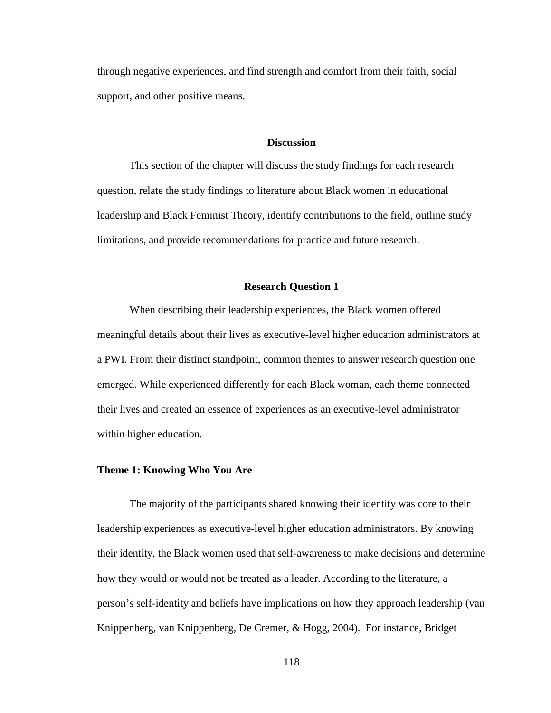through negative experiences, and find strength and comfort from their faith, social support, and other positive means.

### **Discussion**

This section of the chapter will discuss the study findings for each research question, relate the study findings to literature about Black women in educational leadership and Black Feminist Theory, identify contributions to the field, outline study limitations, and provide recommendations for practice and future research.

# **Research Question 1**

When describing their leadership experiences, the Black women offered meaningful details about their lives as executive-level higher education administrators at a PWI. From their distinct standpoint, common themes to answer research question one emerged. While experienced differently for each Black woman, each theme connected their lives and created an essence of experiences as an executive-level administrator within higher education.

# **Theme 1: Knowing Who You Are**

The majority of the participants shared knowing their identity was core to their leadership experiences as executive-level higher education administrators. By knowing their identity, the Black women used that self-awareness to make decisions and determine how they would or would not be treated as a leader. According to the literature, a person's self-identity and beliefs have implications on how they approach leadership (van Knippenberg, van Knippenberg, De Cremer, & Hogg, 2004). For instance, Bridget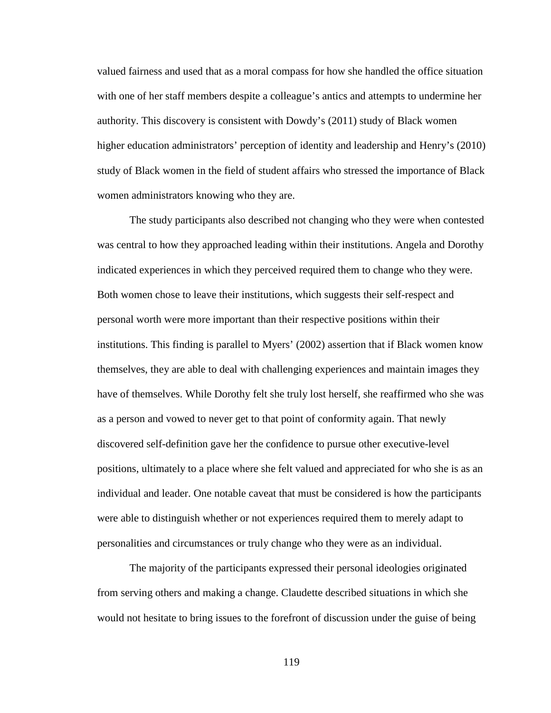valued fairness and used that as a moral compass for how she handled the office situation with one of her staff members despite a colleague's antics and attempts to undermine her authority. This discovery is consistent with Dowdy's (2011) study of Black women higher education administrators' perception of identity and leadership and Henry's (2010) study of Black women in the field of student affairs who stressed the importance of Black women administrators knowing who they are.

The study participants also described not changing who they were when contested was central to how they approached leading within their institutions. Angela and Dorothy indicated experiences in which they perceived required them to change who they were. Both women chose to leave their institutions, which suggests their self-respect and personal worth were more important than their respective positions within their institutions. This finding is parallel to Myers' (2002) assertion that if Black women know themselves, they are able to deal with challenging experiences and maintain images they have of themselves. While Dorothy felt she truly lost herself, she reaffirmed who she was as a person and vowed to never get to that point of conformity again. That newly discovered self-definition gave her the confidence to pursue other executive-level positions, ultimately to a place where she felt valued and appreciated for who she is as an individual and leader. One notable caveat that must be considered is how the participants were able to distinguish whether or not experiences required them to merely adapt to personalities and circumstances or truly change who they were as an individual.

The majority of the participants expressed their personal ideologies originated from serving others and making a change. Claudette described situations in which she would not hesitate to bring issues to the forefront of discussion under the guise of being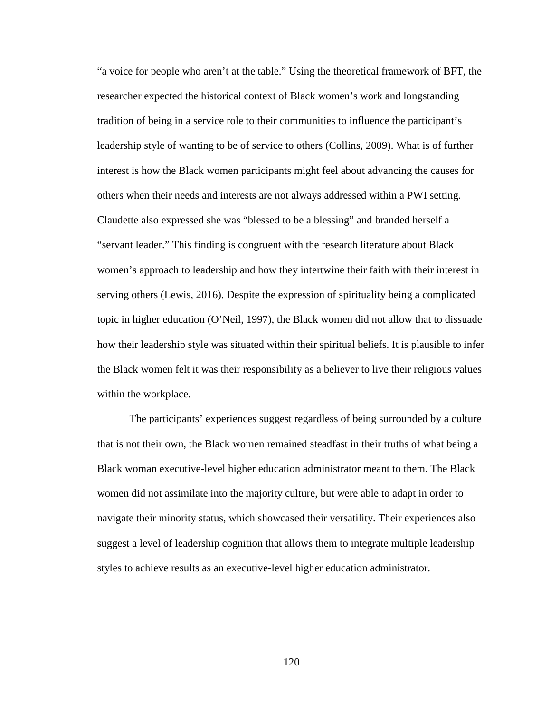"a voice for people who aren't at the table." Using the theoretical framework of BFT, the researcher expected the historical context of Black women's work and longstanding tradition of being in a service role to their communities to influence the participant's leadership style of wanting to be of service to others (Collins, 2009). What is of further interest is how the Black women participants might feel about advancing the causes for others when their needs and interests are not always addressed within a PWI setting. Claudette also expressed she was "blessed to be a blessing" and branded herself a "servant leader." This finding is congruent with the research literature about Black women's approach to leadership and how they intertwine their faith with their interest in serving others (Lewis, 2016). Despite the expression of spirituality being a complicated topic in higher education (O'Neil, 1997), the Black women did not allow that to dissuade how their leadership style was situated within their spiritual beliefs. It is plausible to infer the Black women felt it was their responsibility as a believer to live their religious values within the workplace.

The participants' experiences suggest regardless of being surrounded by a culture that is not their own, the Black women remained steadfast in their truths of what being a Black woman executive-level higher education administrator meant to them. The Black women did not assimilate into the majority culture, but were able to adapt in order to navigate their minority status, which showcased their versatility. Their experiences also suggest a level of leadership cognition that allows them to integrate multiple leadership styles to achieve results as an executive-level higher education administrator.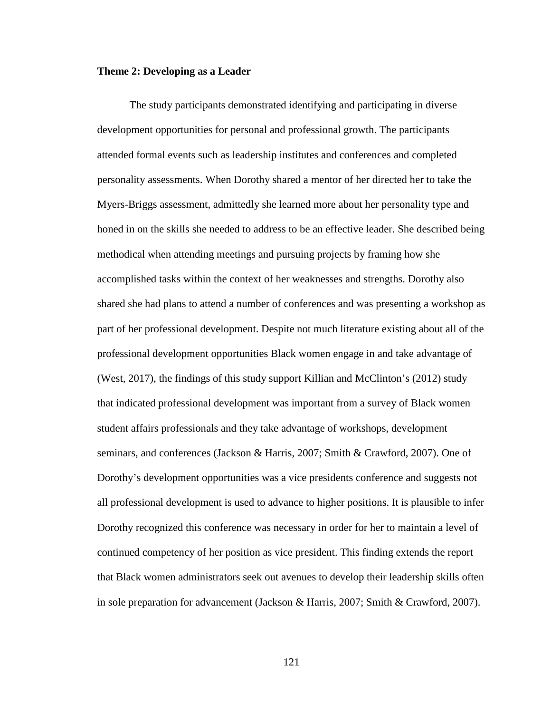### **Theme 2: Developing as a Leader**

The study participants demonstrated identifying and participating in diverse development opportunities for personal and professional growth. The participants attended formal events such as leadership institutes and conferences and completed personality assessments. When Dorothy shared a mentor of her directed her to take the Myers-Briggs assessment, admittedly she learned more about her personality type and honed in on the skills she needed to address to be an effective leader. She described being methodical when attending meetings and pursuing projects by framing how she accomplished tasks within the context of her weaknesses and strengths. Dorothy also shared she had plans to attend a number of conferences and was presenting a workshop as part of her professional development. Despite not much literature existing about all of the professional development opportunities Black women engage in and take advantage of (West, 2017), the findings of this study support Killian and McClinton's (2012) study that indicated professional development was important from a survey of Black women student affairs professionals and they take advantage of workshops, development seminars, and conferences (Jackson & Harris, 2007; Smith & Crawford, 2007). One of Dorothy's development opportunities was a vice presidents conference and suggests not all professional development is used to advance to higher positions. It is plausible to infer Dorothy recognized this conference was necessary in order for her to maintain a level of continued competency of her position as vice president. This finding extends the report that Black women administrators seek out avenues to develop their leadership skills often in sole preparation for advancement (Jackson & Harris, 2007; Smith & Crawford, 2007).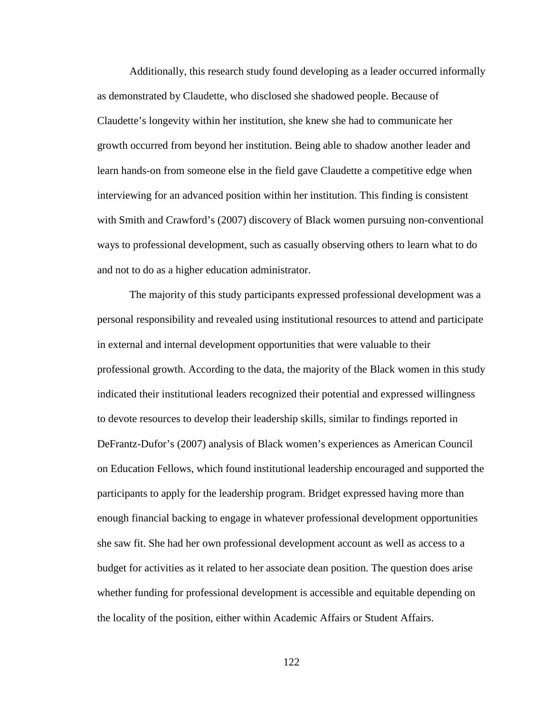Additionally, this research study found developing as a leader occurred informally as demonstrated by Claudette, who disclosed she shadowed people. Because of Claudette's longevity within her institution, she knew she had to communicate her growth occurred from beyond her institution. Being able to shadow another leader and learn hands-on from someone else in the field gave Claudette a competitive edge when interviewing for an advanced position within her institution. This finding is consistent with Smith and Crawford's (2007) discovery of Black women pursuing non-conventional ways to professional development, such as casually observing others to learn what to do and not to do as a higher education administrator.

The majority of this study participants expressed professional development was a personal responsibility and revealed using institutional resources to attend and participate in external and internal development opportunities that were valuable to their professional growth. According to the data, the majority of the Black women in this study indicated their institutional leaders recognized their potential and expressed willingness to devote resources to develop their leadership skills, similar to findings reported in DeFrantz-Dufor's (2007) analysis of Black women's experiences as American Council on Education Fellows, which found institutional leadership encouraged and supported the participants to apply for the leadership program. Bridget expressed having more than enough financial backing to engage in whatever professional development opportunities she saw fit. She had her own professional development account as well as access to a budget for activities as it related to her associate dean position. The question does arise whether funding for professional development is accessible and equitable depending on the locality of the position, either within Academic Affairs or Student Affairs.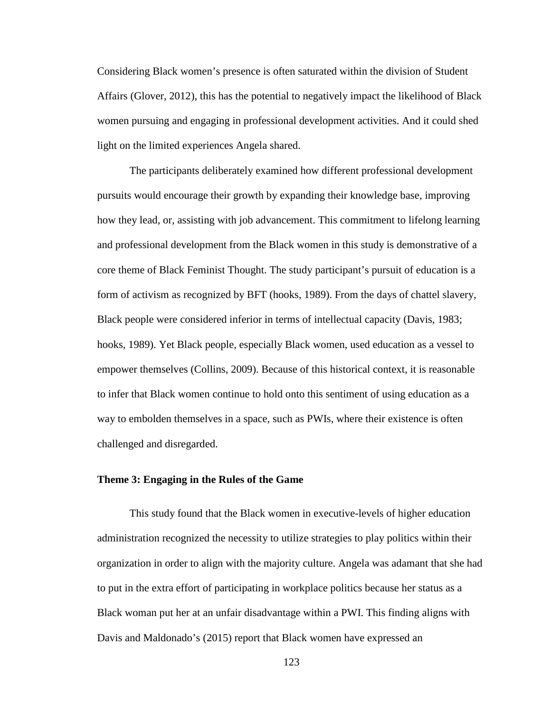Considering Black women's presence is often saturated within the division of Student Affairs (Glover, 2012), this has the potential to negatively impact the likelihood of Black women pursuing and engaging in professional development activities. And it could shed light on the limited experiences Angela shared.

The participants deliberately examined how different professional development pursuits would encourage their growth by expanding their knowledge base, improving how they lead, or, assisting with job advancement. This commitment to lifelong learning and professional development from the Black women in this study is demonstrative of a core theme of Black Feminist Thought. The study participant's pursuit of education is a form of activism as recognized by BFT (hooks, 1989). From the days of chattel slavery, Black people were considered inferior in terms of intellectual capacity (Davis, 1983; hooks, 1989). Yet Black people, especially Black women, used education as a vessel to empower themselves (Collins, 2009). Because of this historical context, it is reasonable to infer that Black women continue to hold onto this sentiment of using education as a way to embolden themselves in a space, such as PWIs, where their existence is often challenged and disregarded.

# **Theme 3: Engaging in the Rules of the Game**

This study found that the Black women in executive-levels of higher education administration recognized the necessity to utilize strategies to play politics within their organization in order to align with the majority culture. Angela was adamant that she had to put in the extra effort of participating in workplace politics because her status as a Black woman put her at an unfair disadvantage within a PWI. This finding aligns with Davis and Maldonado's (2015) report that Black women have expressed an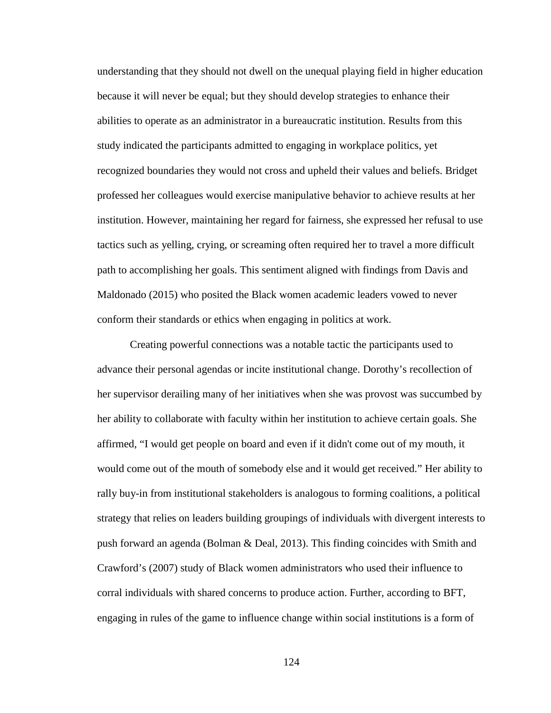understanding that they should not dwell on the unequal playing field in higher education because it will never be equal; but they should develop strategies to enhance their abilities to operate as an administrator in a bureaucratic institution. Results from this study indicated the participants admitted to engaging in workplace politics, yet recognized boundaries they would not cross and upheld their values and beliefs. Bridget professed her colleagues would exercise manipulative behavior to achieve results at her institution. However, maintaining her regard for fairness, she expressed her refusal to use tactics such as yelling, crying, or screaming often required her to travel a more difficult path to accomplishing her goals. This sentiment aligned with findings from Davis and Maldonado (2015) who posited the Black women academic leaders vowed to never conform their standards or ethics when engaging in politics at work.

Creating powerful connections was a notable tactic the participants used to advance their personal agendas or incite institutional change. Dorothy's recollection of her supervisor derailing many of her initiatives when she was provost was succumbed by her ability to collaborate with faculty within her institution to achieve certain goals. She affirmed, "I would get people on board and even if it didn't come out of my mouth, it would come out of the mouth of somebody else and it would get received." Her ability to rally buy-in from institutional stakeholders is analogous to forming coalitions, a political strategy that relies on leaders building groupings of individuals with divergent interests to push forward an agenda (Bolman & Deal, 2013). This finding coincides with Smith and Crawford's (2007) study of Black women administrators who used their influence to corral individuals with shared concerns to produce action. Further, according to BFT, engaging in rules of the game to influence change within social institutions is a form of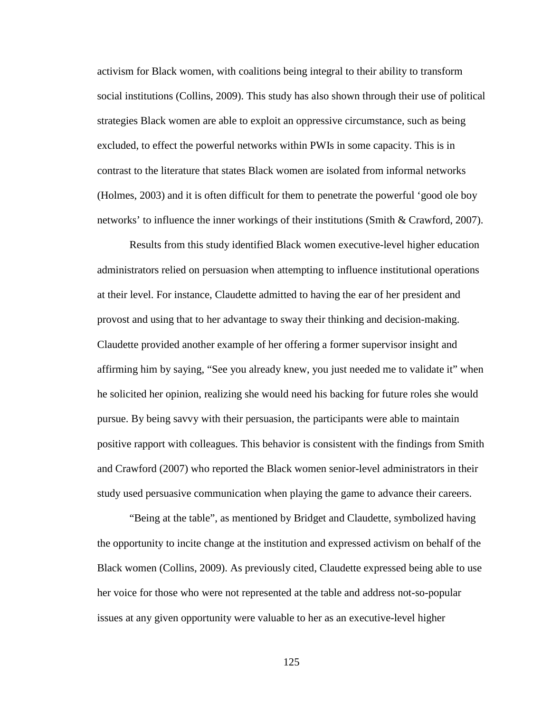activism for Black women, with coalitions being integral to their ability to transform social institutions (Collins, 2009). This study has also shown through their use of political strategies Black women are able to exploit an oppressive circumstance, such as being excluded, to effect the powerful networks within PWIs in some capacity. This is in contrast to the literature that states Black women are isolated from informal networks (Holmes, 2003) and it is often difficult for them to penetrate the powerful 'good ole boy networks' to influence the inner workings of their institutions (Smith & Crawford, 2007).

Results from this study identified Black women executive-level higher education administrators relied on persuasion when attempting to influence institutional operations at their level. For instance, Claudette admitted to having the ear of her president and provost and using that to her advantage to sway their thinking and decision-making. Claudette provided another example of her offering a former supervisor insight and affirming him by saying, "See you already knew, you just needed me to validate it" when he solicited her opinion, realizing she would need his backing for future roles she would pursue. By being savvy with their persuasion, the participants were able to maintain positive rapport with colleagues. This behavior is consistent with the findings from Smith and Crawford (2007) who reported the Black women senior-level administrators in their study used persuasive communication when playing the game to advance their careers.

"Being at the table", as mentioned by Bridget and Claudette, symbolized having the opportunity to incite change at the institution and expressed activism on behalf of the Black women (Collins, 2009). As previously cited, Claudette expressed being able to use her voice for those who were not represented at the table and address not-so-popular issues at any given opportunity were valuable to her as an executive-level higher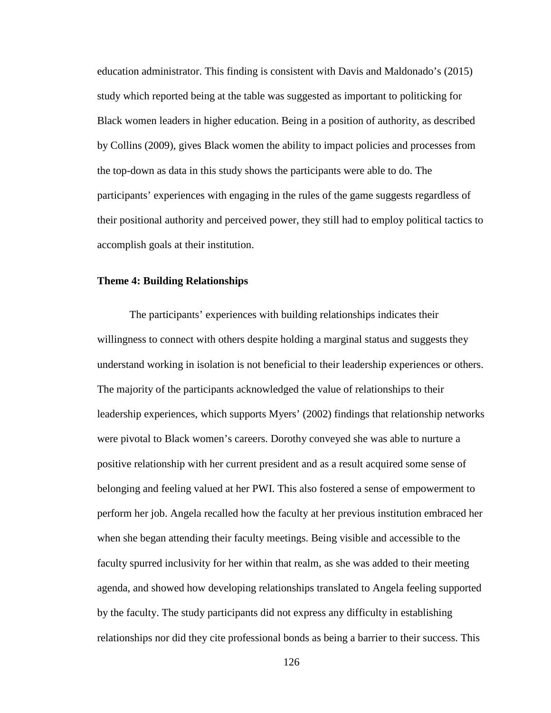education administrator. This finding is consistent with Davis and Maldonado's (2015) study which reported being at the table was suggested as important to politicking for Black women leaders in higher education. Being in a position of authority, as described by Collins (2009), gives Black women the ability to impact policies and processes from the top-down as data in this study shows the participants were able to do. The participants' experiences with engaging in the rules of the game suggests regardless of their positional authority and perceived power, they still had to employ political tactics to accomplish goals at their institution.

### **Theme 4: Building Relationships**

The participants' experiences with building relationships indicates their willingness to connect with others despite holding a marginal status and suggests they understand working in isolation is not beneficial to their leadership experiences or others. The majority of the participants acknowledged the value of relationships to their leadership experiences, which supports Myers' (2002) findings that relationship networks were pivotal to Black women's careers. Dorothy conveyed she was able to nurture a positive relationship with her current president and as a result acquired some sense of belonging and feeling valued at her PWI. This also fostered a sense of empowerment to perform her job. Angela recalled how the faculty at her previous institution embraced her when she began attending their faculty meetings. Being visible and accessible to the faculty spurred inclusivity for her within that realm, as she was added to their meeting agenda, and showed how developing relationships translated to Angela feeling supported by the faculty. The study participants did not express any difficulty in establishing relationships nor did they cite professional bonds as being a barrier to their success. This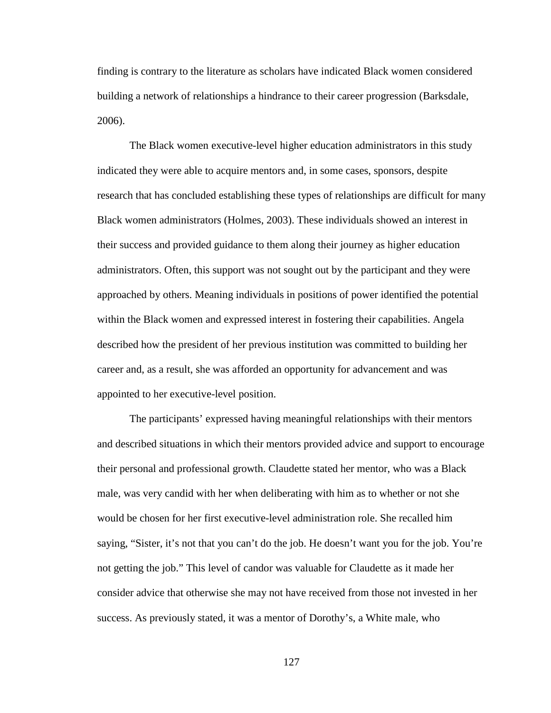finding is contrary to the literature as scholars have indicated Black women considered building a network of relationships a hindrance to their career progression (Barksdale, 2006).

The Black women executive-level higher education administrators in this study indicated they were able to acquire mentors and, in some cases, sponsors, despite research that has concluded establishing these types of relationships are difficult for many Black women administrators (Holmes, 2003). These individuals showed an interest in their success and provided guidance to them along their journey as higher education administrators. Often, this support was not sought out by the participant and they were approached by others. Meaning individuals in positions of power identified the potential within the Black women and expressed interest in fostering their capabilities. Angela described how the president of her previous institution was committed to building her career and, as a result, she was afforded an opportunity for advancement and was appointed to her executive-level position.

The participants' expressed having meaningful relationships with their mentors and described situations in which their mentors provided advice and support to encourage their personal and professional growth. Claudette stated her mentor, who was a Black male, was very candid with her when deliberating with him as to whether or not she would be chosen for her first executive-level administration role. She recalled him saying, "Sister, it's not that you can't do the job. He doesn't want you for the job. You're not getting the job." This level of candor was valuable for Claudette as it made her consider advice that otherwise she may not have received from those not invested in her success. As previously stated, it was a mentor of Dorothy's, a White male, who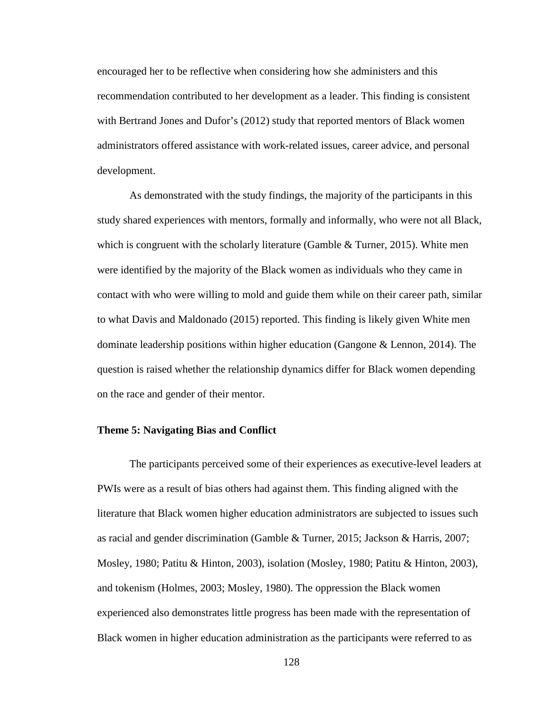encouraged her to be reflective when considering how she administers and this recommendation contributed to her development as a leader. This finding is consistent with Bertrand Jones and Dufor's (2012) study that reported mentors of Black women administrators offered assistance with work-related issues, career advice, and personal development.

As demonstrated with the study findings, the majority of the participants in this study shared experiences with mentors, formally and informally, who were not all Black, which is congruent with the scholarly literature (Gamble & Turner, 2015). White men were identified by the majority of the Black women as individuals who they came in contact with who were willing to mold and guide them while on their career path, similar to what Davis and Maldonado (2015) reported. This finding is likely given White men dominate leadership positions within higher education (Gangone & Lennon, 2014). The question is raised whether the relationship dynamics differ for Black women depending on the race and gender of their mentor.

## **Theme 5: Navigating Bias and Conflict**

The participants perceived some of their experiences as executive-level leaders at PWIs were as a result of bias others had against them. This finding aligned with the literature that Black women higher education administrators are subjected to issues such as racial and gender discrimination (Gamble & Turner, 2015; Jackson & Harris, 2007; Mosley, 1980; Patitu & Hinton, 2003), isolation (Mosley, 1980; Patitu & Hinton, 2003), and tokenism (Holmes, 2003; Mosley, 1980). The oppression the Black women experienced also demonstrates little progress has been made with the representation of Black women in higher education administration as the participants were referred to as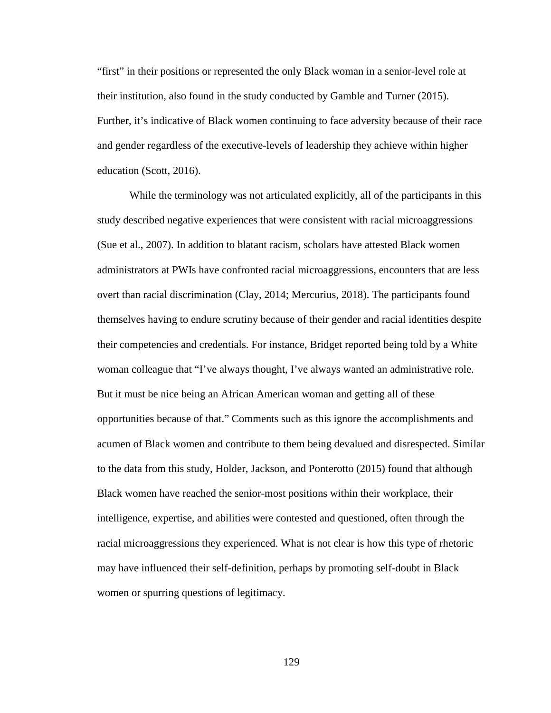"first" in their positions or represented the only Black woman in a senior-level role at their institution, also found in the study conducted by Gamble and Turner (2015). Further, it's indicative of Black women continuing to face adversity because of their race and gender regardless of the executive-levels of leadership they achieve within higher education (Scott, 2016).

While the terminology was not articulated explicitly, all of the participants in this study described negative experiences that were consistent with racial microaggressions (Sue et al., 2007). In addition to blatant racism, scholars have attested Black women administrators at PWIs have confronted racial microaggressions, encounters that are less overt than racial discrimination (Clay, 2014; Mercurius, 2018). The participants found themselves having to endure scrutiny because of their gender and racial identities despite their competencies and credentials. For instance, Bridget reported being told by a White woman colleague that "I've always thought, I've always wanted an administrative role. But it must be nice being an African American woman and getting all of these opportunities because of that." Comments such as this ignore the accomplishments and acumen of Black women and contribute to them being devalued and disrespected. Similar to the data from this study, Holder, Jackson, and Ponterotto (2015) found that although Black women have reached the senior-most positions within their workplace, their intelligence, expertise, and abilities were contested and questioned, often through the racial microaggressions they experienced. What is not clear is how this type of rhetoric may have influenced their self-definition, perhaps by promoting self-doubt in Black women or spurring questions of legitimacy.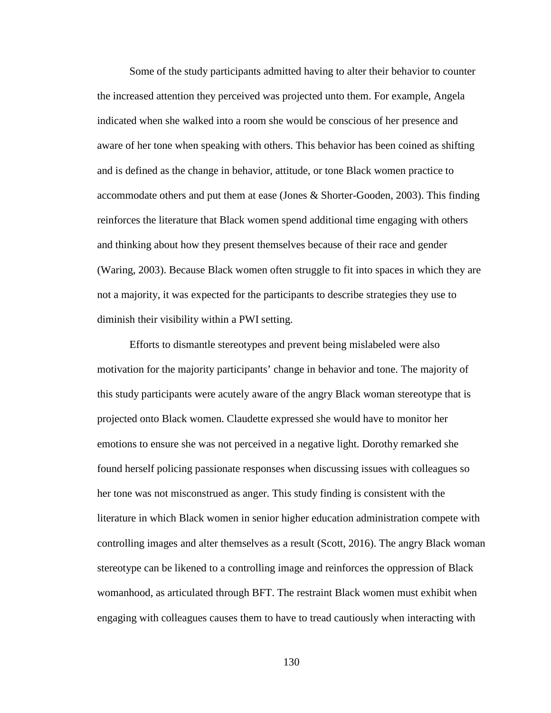Some of the study participants admitted having to alter their behavior to counter the increased attention they perceived was projected unto them. For example, Angela indicated when she walked into a room she would be conscious of her presence and aware of her tone when speaking with others. This behavior has been coined as shifting and is defined as the change in behavior, attitude, or tone Black women practice to accommodate others and put them at ease (Jones & Shorter-Gooden, 2003). This finding reinforces the literature that Black women spend additional time engaging with others and thinking about how they present themselves because of their race and gender (Waring, 2003). Because Black women often struggle to fit into spaces in which they are not a majority, it was expected for the participants to describe strategies they use to diminish their visibility within a PWI setting.

Efforts to dismantle stereotypes and prevent being mislabeled were also motivation for the majority participants' change in behavior and tone. The majority of this study participants were acutely aware of the angry Black woman stereotype that is projected onto Black women. Claudette expressed she would have to monitor her emotions to ensure she was not perceived in a negative light. Dorothy remarked she found herself policing passionate responses when discussing issues with colleagues so her tone was not misconstrued as anger. This study finding is consistent with the literature in which Black women in senior higher education administration compete with controlling images and alter themselves as a result (Scott, 2016). The angry Black woman stereotype can be likened to a controlling image and reinforces the oppression of Black womanhood, as articulated through BFT. The restraint Black women must exhibit when engaging with colleagues causes them to have to tread cautiously when interacting with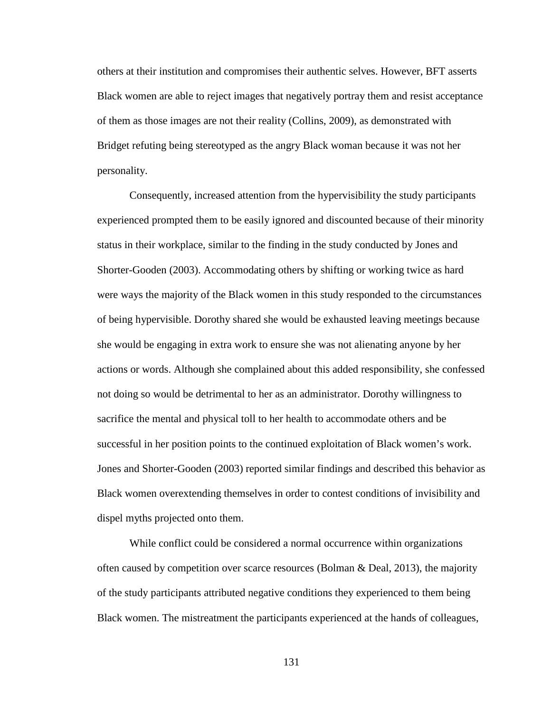others at their institution and compromises their authentic selves. However, BFT asserts Black women are able to reject images that negatively portray them and resist acceptance of them as those images are not their reality (Collins, 2009), as demonstrated with Bridget refuting being stereotyped as the angry Black woman because it was not her personality.

Consequently, increased attention from the hypervisibility the study participants experienced prompted them to be easily ignored and discounted because of their minority status in their workplace, similar to the finding in the study conducted by Jones and Shorter-Gooden (2003). Accommodating others by shifting or working twice as hard were ways the majority of the Black women in this study responded to the circumstances of being hypervisible. Dorothy shared she would be exhausted leaving meetings because she would be engaging in extra work to ensure she was not alienating anyone by her actions or words. Although she complained about this added responsibility, she confessed not doing so would be detrimental to her as an administrator. Dorothy willingness to sacrifice the mental and physical toll to her health to accommodate others and be successful in her position points to the continued exploitation of Black women's work. Jones and Shorter-Gooden (2003) reported similar findings and described this behavior as Black women overextending themselves in order to contest conditions of invisibility and dispel myths projected onto them.

While conflict could be considered a normal occurrence within organizations often caused by competition over scarce resources (Bolman & Deal, 2013), the majority of the study participants attributed negative conditions they experienced to them being Black women. The mistreatment the participants experienced at the hands of colleagues,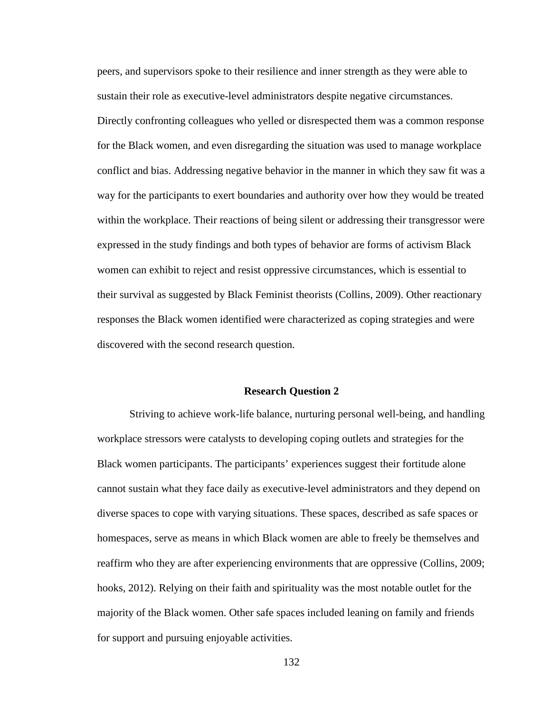peers, and supervisors spoke to their resilience and inner strength as they were able to sustain their role as executive-level administrators despite negative circumstances. Directly confronting colleagues who yelled or disrespected them was a common response for the Black women, and even disregarding the situation was used to manage workplace conflict and bias. Addressing negative behavior in the manner in which they saw fit was a way for the participants to exert boundaries and authority over how they would be treated within the workplace. Their reactions of being silent or addressing their transgressor were expressed in the study findings and both types of behavior are forms of activism Black women can exhibit to reject and resist oppressive circumstances, which is essential to their survival as suggested by Black Feminist theorists (Collins, 2009). Other reactionary responses the Black women identified were characterized as coping strategies and were discovered with the second research question.

# **Research Question 2**

Striving to achieve work-life balance, nurturing personal well-being, and handling workplace stressors were catalysts to developing coping outlets and strategies for the Black women participants. The participants' experiences suggest their fortitude alone cannot sustain what they face daily as executive-level administrators and they depend on diverse spaces to cope with varying situations. These spaces, described as safe spaces or homespaces, serve as means in which Black women are able to freely be themselves and reaffirm who they are after experiencing environments that are oppressive (Collins, 2009; hooks, 2012). Relying on their faith and spirituality was the most notable outlet for the majority of the Black women. Other safe spaces included leaning on family and friends for support and pursuing enjoyable activities.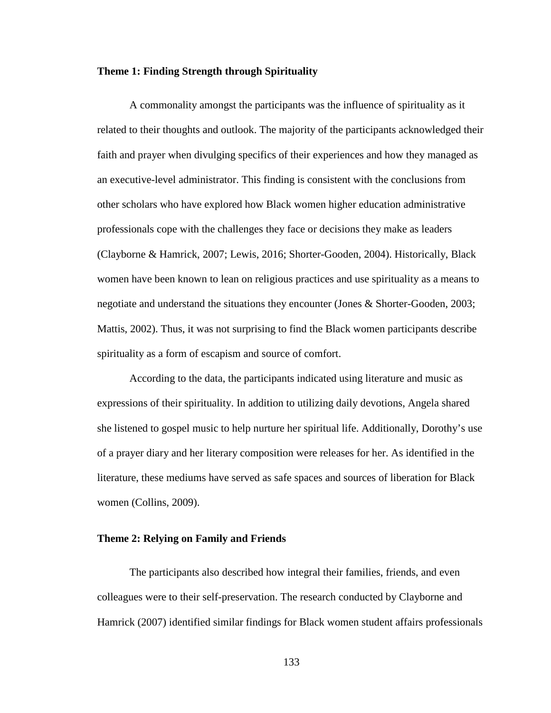## **Theme 1: Finding Strength through Spirituality**

A commonality amongst the participants was the influence of spirituality as it related to their thoughts and outlook. The majority of the participants acknowledged their faith and prayer when divulging specifics of their experiences and how they managed as an executive-level administrator. This finding is consistent with the conclusions from other scholars who have explored how Black women higher education administrative professionals cope with the challenges they face or decisions they make as leaders (Clayborne & Hamrick, 2007; Lewis, 2016; Shorter-Gooden, 2004). Historically, Black women have been known to lean on religious practices and use spirituality as a means to negotiate and understand the situations they encounter (Jones & Shorter-Gooden, 2003; Mattis, 2002). Thus, it was not surprising to find the Black women participants describe spirituality as a form of escapism and source of comfort.

According to the data, the participants indicated using literature and music as expressions of their spirituality. In addition to utilizing daily devotions, Angela shared she listened to gospel music to help nurture her spiritual life. Additionally, Dorothy's use of a prayer diary and her literary composition were releases for her. As identified in the literature, these mediums have served as safe spaces and sources of liberation for Black women (Collins, 2009).

#### **Theme 2: Relying on Family and Friends**

The participants also described how integral their families, friends, and even colleagues were to their self-preservation. The research conducted by Clayborne and Hamrick (2007) identified similar findings for Black women student affairs professionals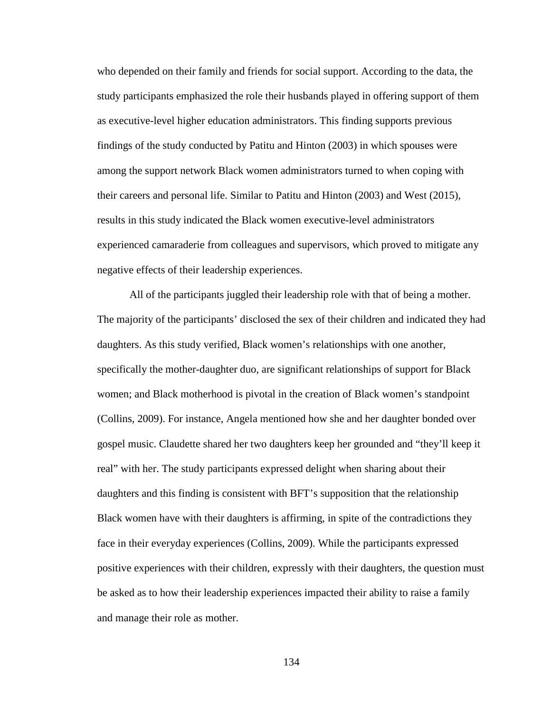who depended on their family and friends for social support. According to the data, the study participants emphasized the role their husbands played in offering support of them as executive-level higher education administrators. This finding supports previous findings of the study conducted by Patitu and Hinton (2003) in which spouses were among the support network Black women administrators turned to when coping with their careers and personal life. Similar to Patitu and Hinton (2003) and West (2015), results in this study indicated the Black women executive-level administrators experienced camaraderie from colleagues and supervisors, which proved to mitigate any negative effects of their leadership experiences.

All of the participants juggled their leadership role with that of being a mother. The majority of the participants' disclosed the sex of their children and indicated they had daughters. As this study verified, Black women's relationships with one another, specifically the mother-daughter duo, are significant relationships of support for Black women; and Black motherhood is pivotal in the creation of Black women's standpoint (Collins, 2009). For instance, Angela mentioned how she and her daughter bonded over gospel music. Claudette shared her two daughters keep her grounded and "they'll keep it real" with her. The study participants expressed delight when sharing about their daughters and this finding is consistent with BFT's supposition that the relationship Black women have with their daughters is affirming, in spite of the contradictions they face in their everyday experiences (Collins, 2009). While the participants expressed positive experiences with their children, expressly with their daughters, the question must be asked as to how their leadership experiences impacted their ability to raise a family and manage their role as mother.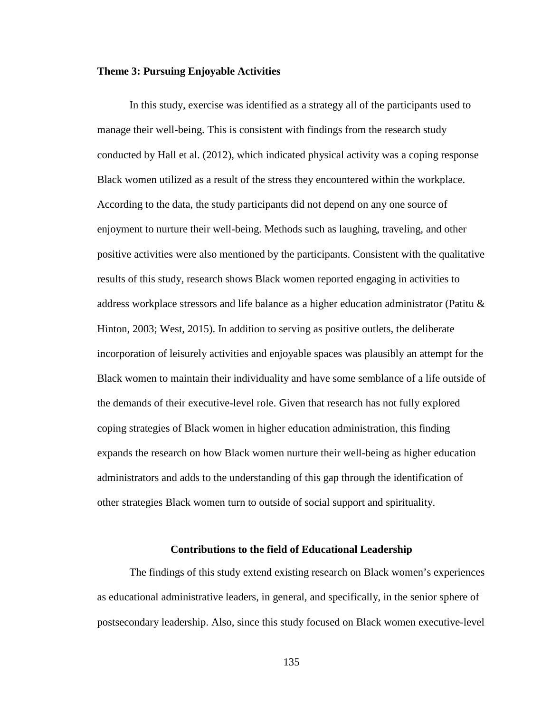### **Theme 3: Pursuing Enjoyable Activities**

In this study, exercise was identified as a strategy all of the participants used to manage their well-being. This is consistent with findings from the research study conducted by Hall et al. (2012), which indicated physical activity was a coping response Black women utilized as a result of the stress they encountered within the workplace. According to the data, the study participants did not depend on any one source of enjoyment to nurture their well-being. Methods such as laughing, traveling, and other positive activities were also mentioned by the participants. Consistent with the qualitative results of this study, research shows Black women reported engaging in activities to address workplace stressors and life balance as a higher education administrator (Patitu & Hinton, 2003; West, 2015). In addition to serving as positive outlets, the deliberate incorporation of leisurely activities and enjoyable spaces was plausibly an attempt for the Black women to maintain their individuality and have some semblance of a life outside of the demands of their executive-level role. Given that research has not fully explored coping strategies of Black women in higher education administration, this finding expands the research on how Black women nurture their well-being as higher education administrators and adds to the understanding of this gap through the identification of other strategies Black women turn to outside of social support and spirituality.

## **Contributions to the field of Educational Leadership**

The findings of this study extend existing research on Black women's experiences as educational administrative leaders, in general, and specifically, in the senior sphere of postsecondary leadership. Also, since this study focused on Black women executive-level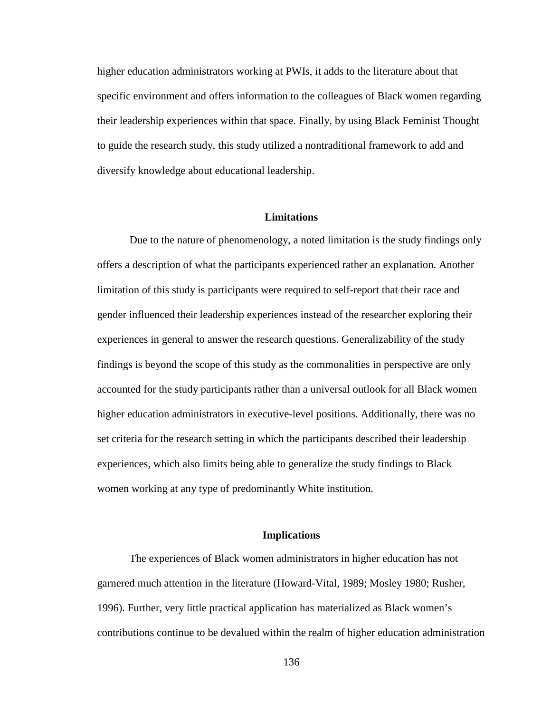higher education administrators working at PWIs, it adds to the literature about that specific environment and offers information to the colleagues of Black women regarding their leadership experiences within that space. Finally, by using Black Feminist Thought to guide the research study, this study utilized a nontraditional framework to add and diversify knowledge about educational leadership.

#### **Limitations**

Due to the nature of phenomenology, a noted limitation is the study findings only offers a description of what the participants experienced rather an explanation. Another limitation of this study is participants were required to self-report that their race and gender influenced their leadership experiences instead of the researcher exploring their experiences in general to answer the research questions. Generalizability of the study findings is beyond the scope of this study as the commonalities in perspective are only accounted for the study participants rather than a universal outlook for all Black women higher education administrators in executive-level positions. Additionally, there was no set criteria for the research setting in which the participants described their leadership experiences, which also limits being able to generalize the study findings to Black women working at any type of predominantly White institution.

### **Implications**

The experiences of Black women administrators in higher education has not garnered much attention in the literature (Howard-Vital, 1989; Mosley 1980; Rusher, 1996). Further, very little practical application has materialized as Black women's contributions continue to be devalued within the realm of higher education administration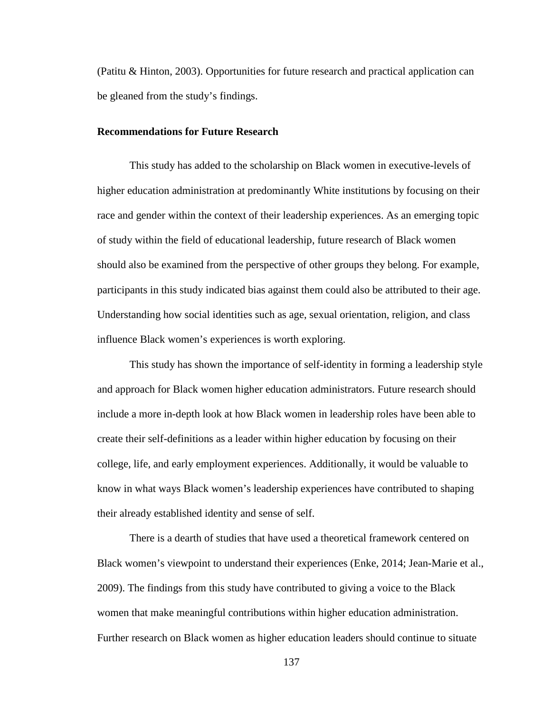(Patitu & Hinton, 2003). Opportunities for future research and practical application can be gleaned from the study's findings.

### **Recommendations for Future Research**

This study has added to the scholarship on Black women in executive-levels of higher education administration at predominantly White institutions by focusing on their race and gender within the context of their leadership experiences. As an emerging topic of study within the field of educational leadership, future research of Black women should also be examined from the perspective of other groups they belong. For example, participants in this study indicated bias against them could also be attributed to their age. Understanding how social identities such as age, sexual orientation, religion, and class influence Black women's experiences is worth exploring.

This study has shown the importance of self-identity in forming a leadership style and approach for Black women higher education administrators. Future research should include a more in-depth look at how Black women in leadership roles have been able to create their self-definitions as a leader within higher education by focusing on their college, life, and early employment experiences. Additionally, it would be valuable to know in what ways Black women's leadership experiences have contributed to shaping their already established identity and sense of self.

There is a dearth of studies that have used a theoretical framework centered on Black women's viewpoint to understand their experiences (Enke, 2014; Jean-Marie et al., 2009). The findings from this study have contributed to giving a voice to the Black women that make meaningful contributions within higher education administration. Further research on Black women as higher education leaders should continue to situate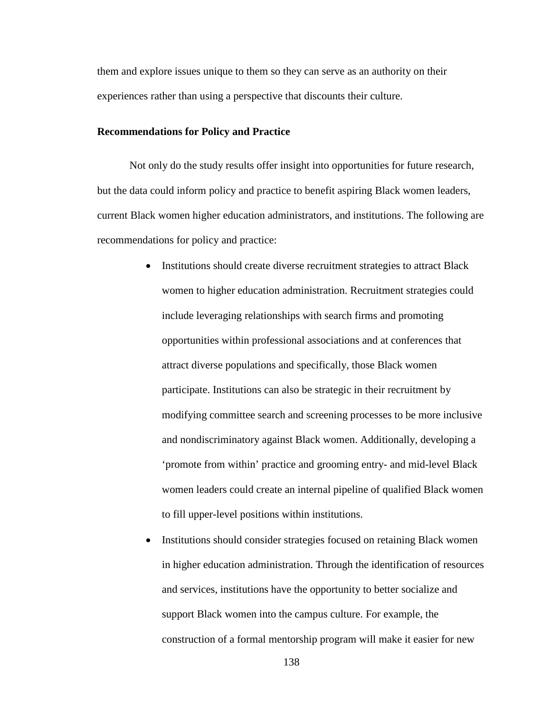them and explore issues unique to them so they can serve as an authority on their experiences rather than using a perspective that discounts their culture.

#### **Recommendations for Policy and Practice**

Not only do the study results offer insight into opportunities for future research, but the data could inform policy and practice to benefit aspiring Black women leaders, current Black women higher education administrators, and institutions. The following are recommendations for policy and practice:

- Institutions should create diverse recruitment strategies to attract Black women to higher education administration. Recruitment strategies could include leveraging relationships with search firms and promoting opportunities within professional associations and at conferences that attract diverse populations and specifically, those Black women participate. Institutions can also be strategic in their recruitment by modifying committee search and screening processes to be more inclusive and nondiscriminatory against Black women. Additionally, developing a 'promote from within' practice and grooming entry- and mid-level Black women leaders could create an internal pipeline of qualified Black women to fill upper-level positions within institutions.
- Institutions should consider strategies focused on retaining Black women in higher education administration. Through the identification of resources and services, institutions have the opportunity to better socialize and support Black women into the campus culture. For example, the construction of a formal mentorship program will make it easier for new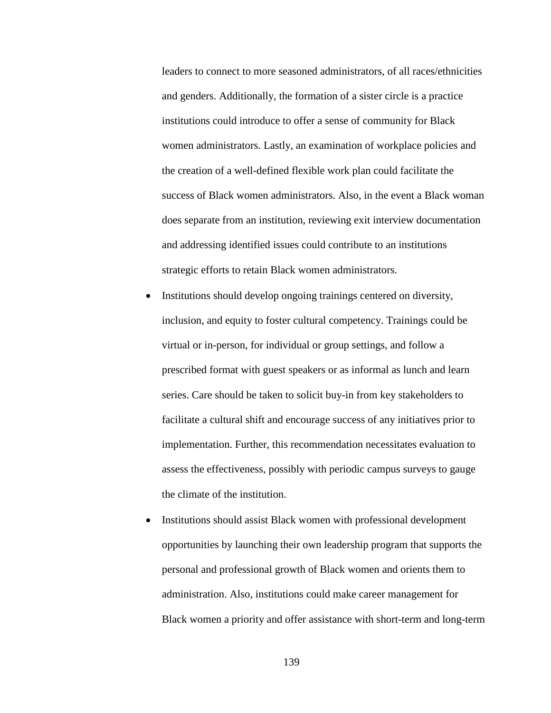leaders to connect to more seasoned administrators, of all races/ethnicities and genders. Additionally, the formation of a sister circle is a practice institutions could introduce to offer a sense of community for Black women administrators. Lastly, an examination of workplace policies and the creation of a well-defined flexible work plan could facilitate the success of Black women administrators. Also, in the event a Black woman does separate from an institution, reviewing exit interview documentation and addressing identified issues could contribute to an institutions strategic efforts to retain Black women administrators.

- Institutions should develop ongoing trainings centered on diversity, inclusion, and equity to foster cultural competency. Trainings could be virtual or in-person, for individual or group settings, and follow a prescribed format with guest speakers or as informal as lunch and learn series. Care should be taken to solicit buy-in from key stakeholders to facilitate a cultural shift and encourage success of any initiatives prior to implementation. Further, this recommendation necessitates evaluation to assess the effectiveness, possibly with periodic campus surveys to gauge the climate of the institution.
- Institutions should assist Black women with professional development opportunities by launching their own leadership program that supports the personal and professional growth of Black women and orients them to administration. Also, institutions could make career management for Black women a priority and offer assistance with short-term and long-term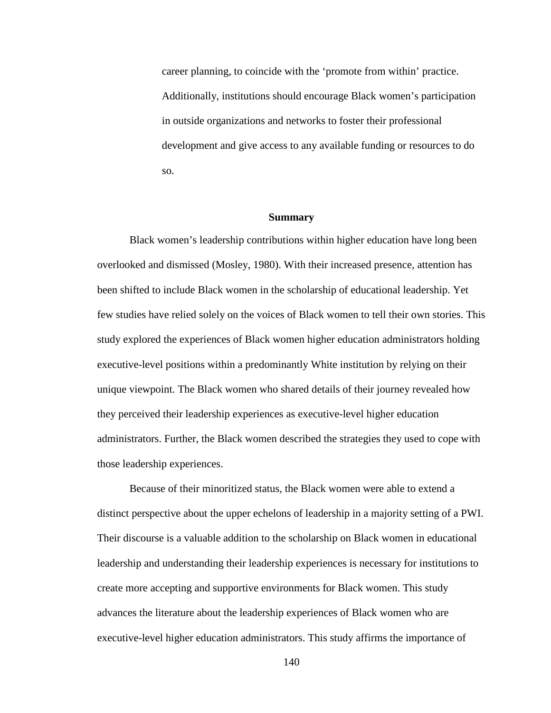career planning, to coincide with the 'promote from within' practice. Additionally, institutions should encourage Black women's participation in outside organizations and networks to foster their professional development and give access to any available funding or resources to do so.

### **Summary**

Black women's leadership contributions within higher education have long been overlooked and dismissed (Mosley, 1980). With their increased presence, attention has been shifted to include Black women in the scholarship of educational leadership. Yet few studies have relied solely on the voices of Black women to tell their own stories. This study explored the experiences of Black women higher education administrators holding executive-level positions within a predominantly White institution by relying on their unique viewpoint. The Black women who shared details of their journey revealed how they perceived their leadership experiences as executive-level higher education administrators. Further, the Black women described the strategies they used to cope with those leadership experiences.

Because of their minoritized status, the Black women were able to extend a distinct perspective about the upper echelons of leadership in a majority setting of a PWI. Their discourse is a valuable addition to the scholarship on Black women in educational leadership and understanding their leadership experiences is necessary for institutions to create more accepting and supportive environments for Black women. This study advances the literature about the leadership experiences of Black women who are executive-level higher education administrators. This study affirms the importance of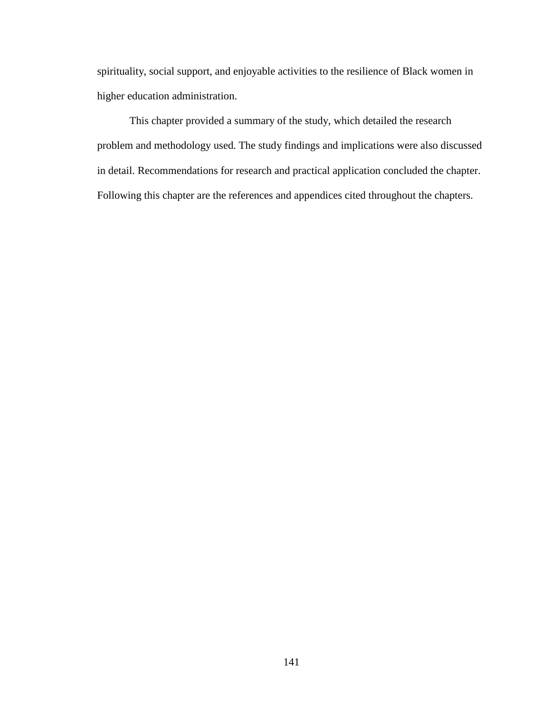spirituality, social support, and enjoyable activities to the resilience of Black women in higher education administration.

This chapter provided a summary of the study, which detailed the research problem and methodology used. The study findings and implications were also discussed in detail. Recommendations for research and practical application concluded the chapter. Following this chapter are the references and appendices cited throughout the chapters.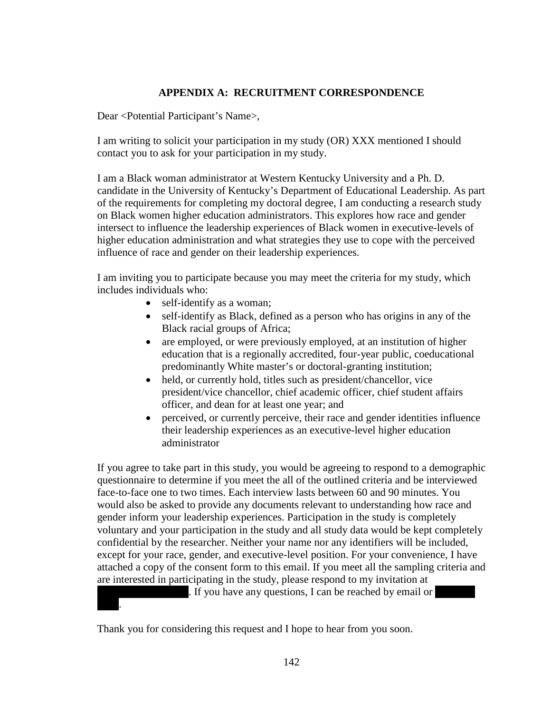# **APPENDIX A: RECRUITMENT CORRESPONDENCE**

Dear <Potential Participant's Name>,

I am writing to solicit your participation in my study (OR) XXX mentioned I should contact you to ask for your participation in my study.

I am a Black woman administrator at Western Kentucky University and a Ph. D. candidate in the University of Kentucky's Department of Educational Leadership. As part of the requirements for completing my doctoral degree, I am conducting a research study on Black women higher education administrators. This explores how race and gender intersect to influence the leadership experiences of Black women in executive-levels of higher education administration and what strategies they use to cope with the perceived influence of race and gender on their leadership experiences.

I am inviting you to participate because you may meet the criteria for my study, which includes individuals who:

- self-identify as a woman;
- self-identify as Black, defined as a person who has origins in any of the Black racial groups of Africa;
- are employed, or were previously employed, at an institution of higher education that is a regionally accredited, four-year public, coeducational predominantly White master's or doctoral-granting institution;
- held, or currently hold, titles such as president/chancellor, vice president/vice chancellor, chief academic officer, chief student affairs officer, and dean for at least one year; and
- perceived, or currently perceive, their race and gender identities influence their leadership experiences as an executive-level higher education administrator

If you agree to take part in this study, you would be agreeing to respond to a demographic questionnaire to determine if you meet the all of the outlined criteria and be interviewed face-to-face one to two times. Each interview lasts between 60 and 90 minutes. You would also be asked to provide any documents relevant to understanding how race and gender inform your leadership experiences. Participation in the study is completely voluntary and your participation in the study and all study data would be kept completely confidential by the researcher. Neither your name nor any identifiers will be included, except for your race, gender, and executive-level position. For your convenience, I have attached a copy of the consent form to this email. If you meet all the sampling criteria and are interested in participating in the study, please respond to my invitation at

. If you have any questions, I can be reached by email or

Thank you for considering this request and I hope to hear from you soon.

7423.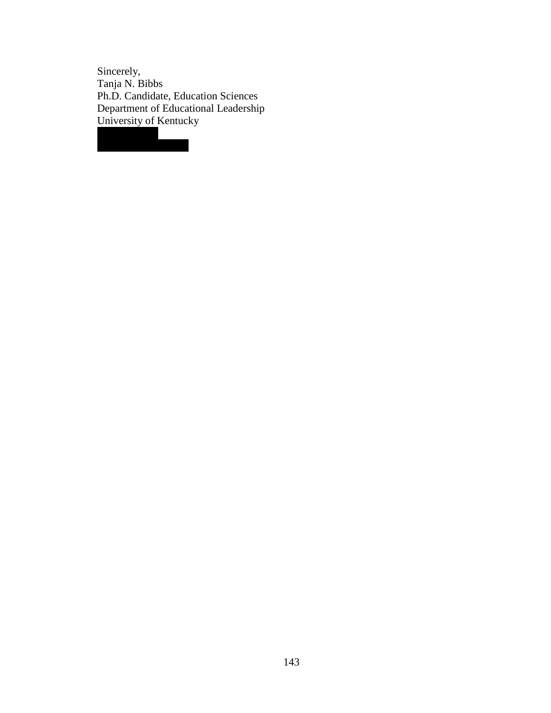Sincerely, Tanja N. Bibbs Ph.D. Candidate, Education Sciences Department of Educational Leadership University of Kentucky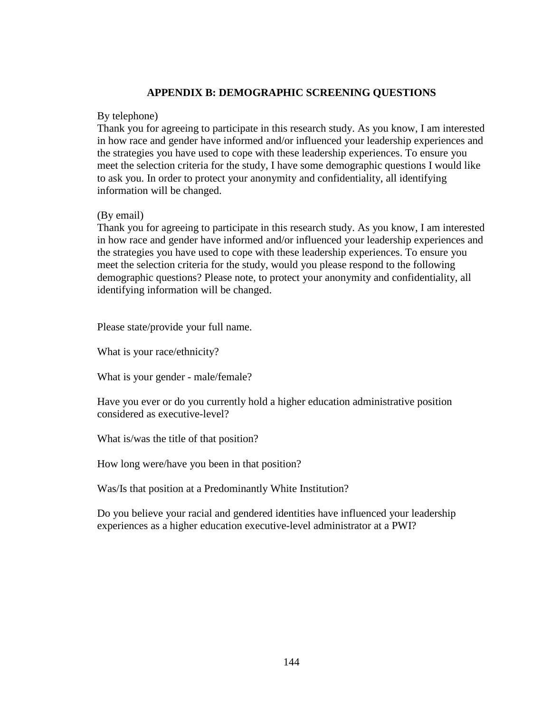# **APPENDIX B: DEMOGRAPHIC SCREENING QUESTIONS**

## By telephone)

Thank you for agreeing to participate in this research study. As you know, I am interested in how race and gender have informed and/or influenced your leadership experiences and the strategies you have used to cope with these leadership experiences. To ensure you meet the selection criteria for the study, I have some demographic questions I would like to ask you. In order to protect your anonymity and confidentiality, all identifying information will be changed.

# (By email)

Thank you for agreeing to participate in this research study. As you know, I am interested in how race and gender have informed and/or influenced your leadership experiences and the strategies you have used to cope with these leadership experiences. To ensure you meet the selection criteria for the study, would you please respond to the following demographic questions? Please note, to protect your anonymity and confidentiality, all identifying information will be changed.

Please state/provide your full name.

What is your race/ethnicity?

What is your gender - male/female?

Have you ever or do you currently hold a higher education administrative position considered as executive-level?

What is/was the title of that position?

How long were/have you been in that position?

Was/Is that position at a Predominantly White Institution?

Do you believe your racial and gendered identities have influenced your leadership experiences as a higher education executive-level administrator at a PWI?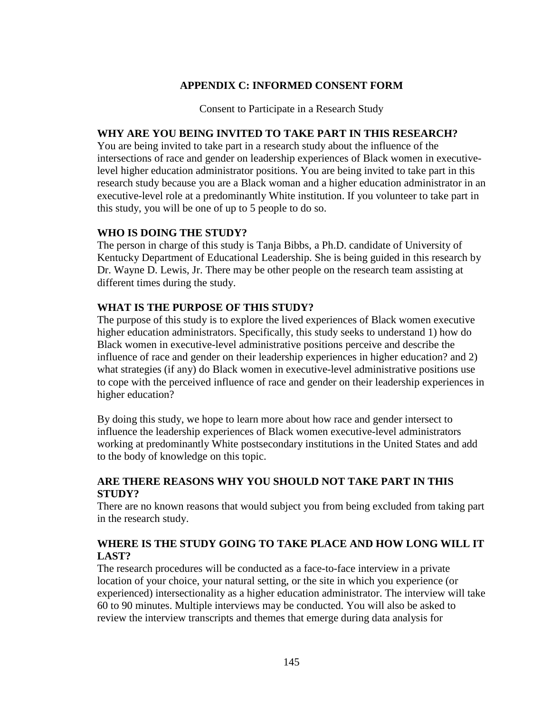# **APPENDIX C: INFORMED CONSENT FORM**

Consent to Participate in a Research Study

# **WHY ARE YOU BEING INVITED TO TAKE PART IN THIS RESEARCH?**

You are being invited to take part in a research study about the influence of the intersections of race and gender on leadership experiences of Black women in executivelevel higher education administrator positions. You are being invited to take part in this research study because you are a Black woman and a higher education administrator in an executive-level role at a predominantly White institution. If you volunteer to take part in this study, you will be one of up to 5 people to do so.

# **WHO IS DOING THE STUDY?**

The person in charge of this study is Tanja Bibbs, a Ph.D. candidate of University of Kentucky Department of Educational Leadership. She is being guided in this research by Dr. Wayne D. Lewis, Jr. There may be other people on the research team assisting at different times during the study.

# **WHAT IS THE PURPOSE OF THIS STUDY?**

The purpose of this study is to explore the lived experiences of Black women executive higher education administrators. Specifically, this study seeks to understand 1) how do Black women in executive-level administrative positions perceive and describe the influence of race and gender on their leadership experiences in higher education? and 2) what strategies (if any) do Black women in executive-level administrative positions use to cope with the perceived influence of race and gender on their leadership experiences in higher education?

By doing this study, we hope to learn more about how race and gender intersect to influence the leadership experiences of Black women executive-level administrators working at predominantly White postsecondary institutions in the United States and add to the body of knowledge on this topic.

# **ARE THERE REASONS WHY YOU SHOULD NOT TAKE PART IN THIS STUDY?**

There are no known reasons that would subject you from being excluded from taking part in the research study.

# **WHERE IS THE STUDY GOING TO TAKE PLACE AND HOW LONG WILL IT LAST?**

The research procedures will be conducted as a face-to-face interview in a private location of your choice, your natural setting, or the site in which you experience (or experienced) intersectionality as a higher education administrator. The interview will take 60 to 90 minutes. Multiple interviews may be conducted. You will also be asked to review the interview transcripts and themes that emerge during data analysis for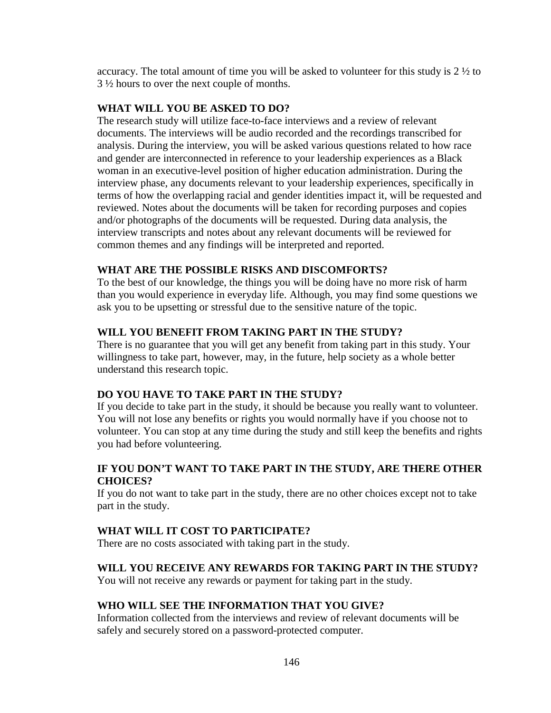accuracy. The total amount of time you will be asked to volunteer for this study is  $2\frac{1}{2}$  to 3 ½ hours to over the next couple of months.

### **WHAT WILL YOU BE ASKED TO DO?**

The research study will utilize face-to-face interviews and a review of relevant documents. The interviews will be audio recorded and the recordings transcribed for analysis. During the interview, you will be asked various questions related to how race and gender are interconnected in reference to your leadership experiences as a Black woman in an executive-level position of higher education administration. During the interview phase, any documents relevant to your leadership experiences, specifically in terms of how the overlapping racial and gender identities impact it, will be requested and reviewed. Notes about the documents will be taken for recording purposes and copies and/or photographs of the documents will be requested. During data analysis, the interview transcripts and notes about any relevant documents will be reviewed for common themes and any findings will be interpreted and reported.

## **WHAT ARE THE POSSIBLE RISKS AND DISCOMFORTS?**

To the best of our knowledge, the things you will be doing have no more risk of harm than you would experience in everyday life. Although, you may find some questions we ask you to be upsetting or stressful due to the sensitive nature of the topic.

## **WILL YOU BENEFIT FROM TAKING PART IN THE STUDY?**

There is no guarantee that you will get any benefit from taking part in this study. Your willingness to take part, however, may, in the future, help society as a whole better understand this research topic.

# **DO YOU HAVE TO TAKE PART IN THE STUDY?**

If you decide to take part in the study, it should be because you really want to volunteer. You will not lose any benefits or rights you would normally have if you choose not to volunteer. You can stop at any time during the study and still keep the benefits and rights you had before volunteering.

# **IF YOU DON'T WANT TO TAKE PART IN THE STUDY, ARE THERE OTHER CHOICES?**

If you do not want to take part in the study, there are no other choices except not to take part in the study.

## **WHAT WILL IT COST TO PARTICIPATE?**

There are no costs associated with taking part in the study.

# **WILL YOU RECEIVE ANY REWARDS FOR TAKING PART IN THE STUDY?**

You will not receive any rewards or payment for taking part in the study.

# **WHO WILL SEE THE INFORMATION THAT YOU GIVE?**

Information collected from the interviews and review of relevant documents will be safely and securely stored on a password-protected computer.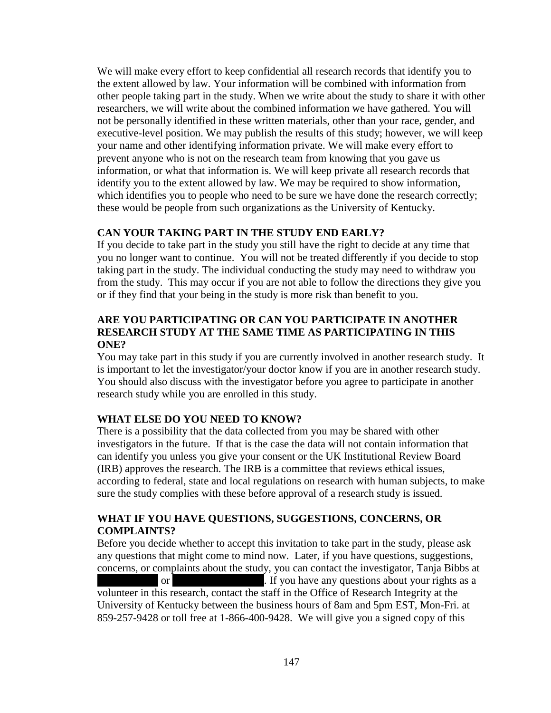We will make every effort to keep confidential all research records that identify you to the extent allowed by law. Your information will be combined with information from other people taking part in the study. When we write about the study to share it with other researchers, we will write about the combined information we have gathered. You will not be personally identified in these written materials, other than your race, gender, and executive-level position. We may publish the results of this study; however, we will keep your name and other identifying information private. We will make every effort to prevent anyone who is not on the research team from knowing that you gave us information, or what that information is. We will keep private all research records that identify you to the extent allowed by law. We may be required to show information, which identifies you to people who need to be sure we have done the research correctly; these would be people from such organizations as the University of Kentucky.

# **CAN YOUR TAKING PART IN THE STUDY END EARLY?**

If you decide to take part in the study you still have the right to decide at any time that you no longer want to continue. You will not be treated differently if you decide to stop taking part in the study. The individual conducting the study may need to withdraw you from the study. This may occur if you are not able to follow the directions they give you or if they find that your being in the study is more risk than benefit to you.

# **ARE YOU PARTICIPATING OR CAN YOU PARTICIPATE IN ANOTHER RESEARCH STUDY AT THE SAME TIME AS PARTICIPATING IN THIS ONE?**

You may take part in this study if you are currently involved in another research study. It is important to let the investigator/your doctor know if you are in another research study. You should also discuss with the investigator before you agree to participate in another research study while you are enrolled in this study.

## **WHAT ELSE DO YOU NEED TO KNOW?**

There is a possibility that the data collected from you may be shared with other investigators in the future. If that is the case the data will not contain information that can identify you unless you give your consent or the UK Institutional Review Board (IRB) approves the research. The IRB is a committee that reviews ethical issues, according to federal, state and local regulations on research with human subjects, to make sure the study complies with these before approval of a research study is issued.

# **WHAT IF YOU HAVE QUESTIONS, SUGGESTIONS, CONCERNS, OR COMPLAINTS?**

Before you decide whether to accept this invitation to take part in the study, please ask any questions that might come to mind now. Later, if you have questions, suggestions, concerns, or complaints about the study, you can contact the investigator, Tanja Bibbs at or the 270-392-742 or tangent in the UP or tangent in the UP or tangent in the UP or tangent in the UP or tangent in the 2013 or tangent in the UP or tangent in the UP or tangent in the UP or tangent in the UP or tangent i volunteer in this research, contact the staff in the Office of Research Integrity at the University of Kentucky between the business hours of 8am and 5pm EST, Mon-Fri. at 859-257-9428 or toll free at 1-866-400-9428. We will give you a signed copy of this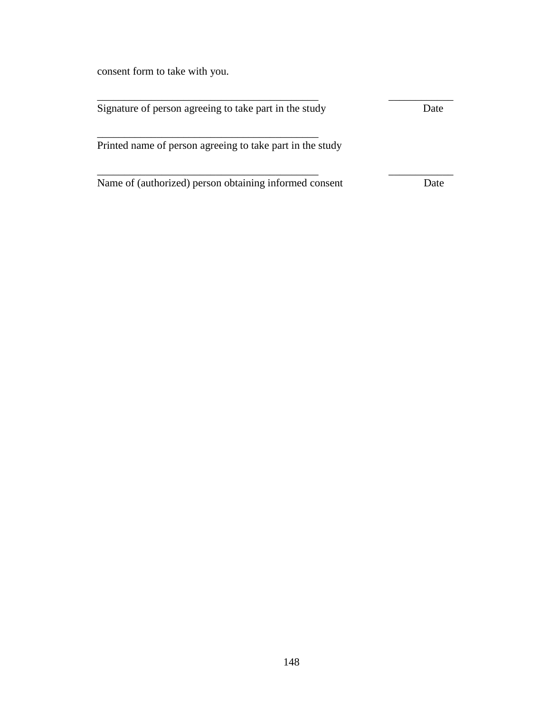consent form to take with you.

| Signature of person agreeing to take part in the study    | Date |
|-----------------------------------------------------------|------|
| Printed name of person agreeing to take part in the study |      |
| Name of (authorized) person obtaining informed consent    | Date |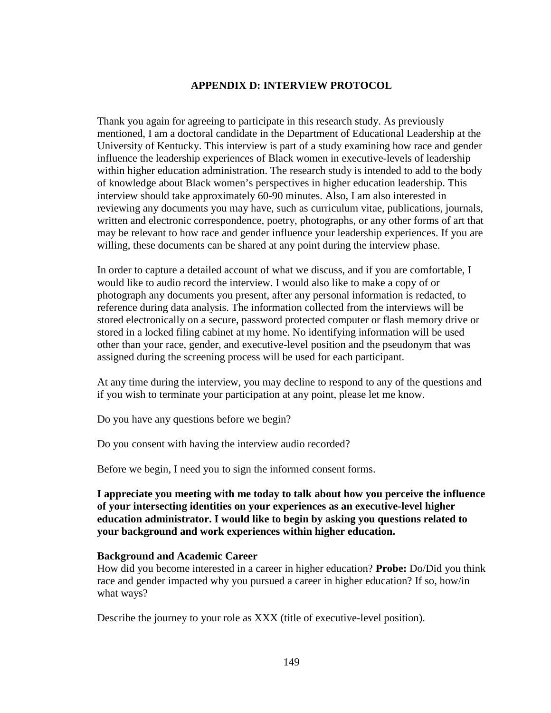## **APPENDIX D: INTERVIEW PROTOCOL**

Thank you again for agreeing to participate in this research study. As previously mentioned, I am a doctoral candidate in the Department of Educational Leadership at the University of Kentucky. This interview is part of a study examining how race and gender influence the leadership experiences of Black women in executive-levels of leadership within higher education administration. The research study is intended to add to the body of knowledge about Black women's perspectives in higher education leadership. This interview should take approximately 60-90 minutes. Also, I am also interested in reviewing any documents you may have, such as curriculum vitae, publications, journals, written and electronic correspondence, poetry, photographs, or any other forms of art that may be relevant to how race and gender influence your leadership experiences. If you are willing, these documents can be shared at any point during the interview phase.

In order to capture a detailed account of what we discuss, and if you are comfortable, I would like to audio record the interview. I would also like to make a copy of or photograph any documents you present, after any personal information is redacted, to reference during data analysis. The information collected from the interviews will be stored electronically on a secure, password protected computer or flash memory drive or stored in a locked filing cabinet at my home. No identifying information will be used other than your race, gender, and executive-level position and the pseudonym that was assigned during the screening process will be used for each participant.

At any time during the interview, you may decline to respond to any of the questions and if you wish to terminate your participation at any point, please let me know.

Do you have any questions before we begin?

Do you consent with having the interview audio recorded?

Before we begin, I need you to sign the informed consent forms.

## **I appreciate you meeting with me today to talk about how you perceive the influence of your intersecting identities on your experiences as an executive-level higher education administrator. I would like to begin by asking you questions related to your background and work experiences within higher education.**

#### **Background and Academic Career**

How did you become interested in a career in higher education? **Probe:** Do/Did you think race and gender impacted why you pursued a career in higher education? If so, how/in what ways?

Describe the journey to your role as XXX (title of executive-level position).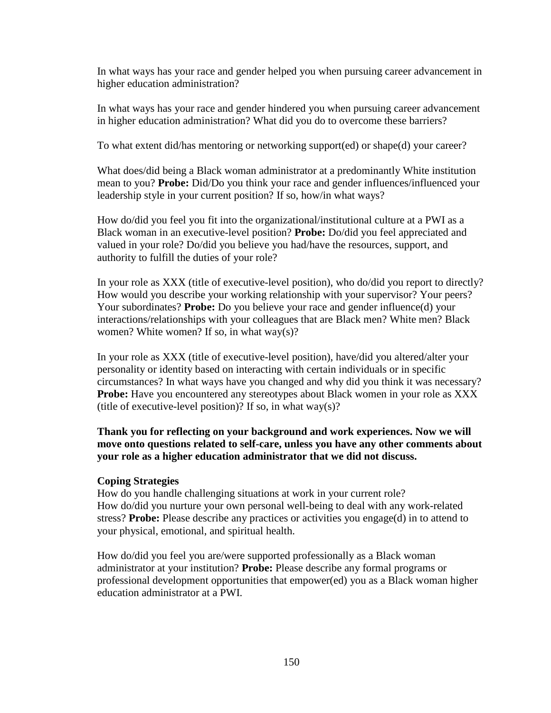In what ways has your race and gender helped you when pursuing career advancement in higher education administration?

In what ways has your race and gender hindered you when pursuing career advancement in higher education administration? What did you do to overcome these barriers?

To what extent did/has mentoring or networking support(ed) or shape(d) your career?

What does/did being a Black woman administrator at a predominantly White institution mean to you? **Probe:** Did/Do you think your race and gender influences/influenced your leadership style in your current position? If so, how/in what ways?

How do/did you feel you fit into the organizational/institutional culture at a PWI as a Black woman in an executive-level position? **Probe:** Do/did you feel appreciated and valued in your role? Do/did you believe you had/have the resources, support, and authority to fulfill the duties of your role?

In your role as XXX (title of executive-level position), who do/did you report to directly? How would you describe your working relationship with your supervisor? Your peers? Your subordinates? **Probe:** Do you believe your race and gender influence(d) your interactions/relationships with your colleagues that are Black men? White men? Black women? White women? If so, in what way $(s)$ ?

In your role as XXX (title of executive-level position), have/did you altered/alter your personality or identity based on interacting with certain individuals or in specific circumstances? In what ways have you changed and why did you think it was necessary? **Probe:** Have you encountered any stereotypes about Black women in your role as XXX (title of executive-level position)? If so, in what way(s)?

**Thank you for reflecting on your background and work experiences. Now we will move onto questions related to self-care, unless you have any other comments about your role as a higher education administrator that we did not discuss.**

### **Coping Strategies**

How do you handle challenging situations at work in your current role? How do/did you nurture your own personal well-being to deal with any work-related stress? **Probe:** Please describe any practices or activities you engage(d) in to attend to your physical, emotional, and spiritual health.

How do/did you feel you are/were supported professionally as a Black woman administrator at your institution? **Probe:** Please describe any formal programs or professional development opportunities that empower(ed) you as a Black woman higher education administrator at a PWI.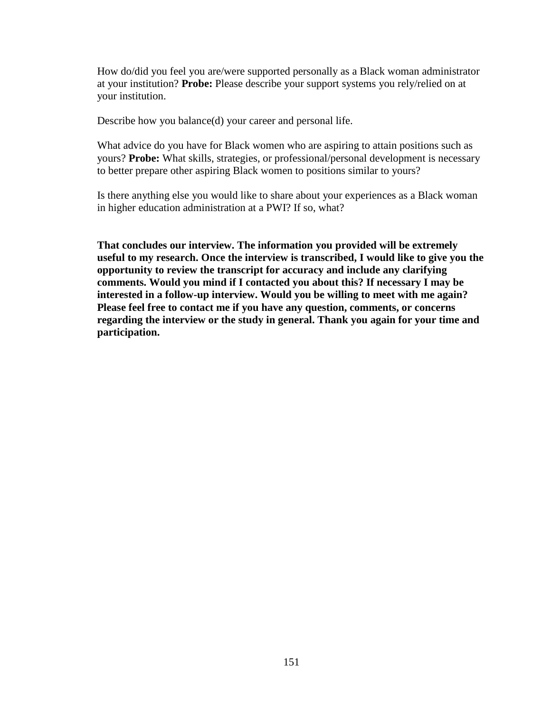How do/did you feel you are/were supported personally as a Black woman administrator at your institution? **Probe:** Please describe your support systems you rely/relied on at your institution.

Describe how you balance(d) your career and personal life.

What advice do you have for Black women who are aspiring to attain positions such as yours? **Probe:** What skills, strategies, or professional/personal development is necessary to better prepare other aspiring Black women to positions similar to yours?

Is there anything else you would like to share about your experiences as a Black woman in higher education administration at a PWI? If so, what?

**That concludes our interview. The information you provided will be extremely useful to my research. Once the interview is transcribed, I would like to give you the opportunity to review the transcript for accuracy and include any clarifying comments. Would you mind if I contacted you about this? If necessary I may be interested in a follow-up interview. Would you be willing to meet with me again? Please feel free to contact me if you have any question, comments, or concerns regarding the interview or the study in general. Thank you again for your time and participation.**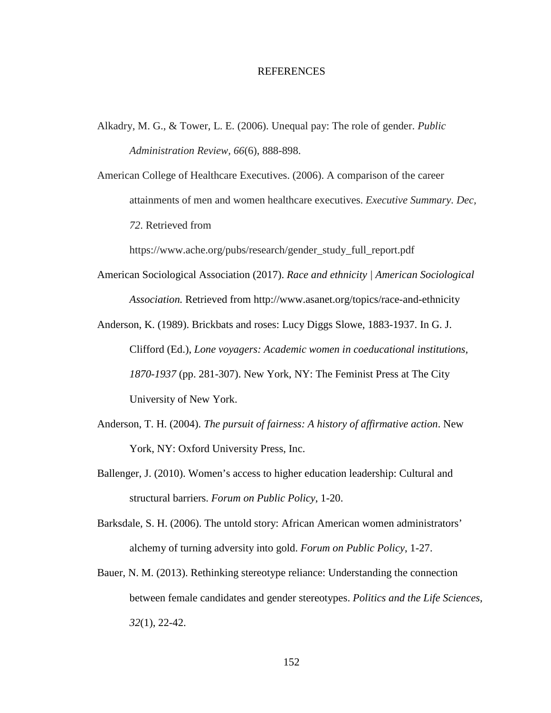#### REFERENCES

Alkadry, M. G., & Tower, L. E. (2006). Unequal pay: The role of gender. *Public Administration Review, 66*(6), 888-898.

American College of Healthcare Executives. (2006). A comparison of the career attainments of men and women healthcare executives. *Executive Summary. Dec, 72*. Retrieved from

https://www.ache.org/pubs/research/gender\_study\_full\_report.pdf

- American Sociological Association (2017). *Race and ethnicity | American Sociological Association.* Retrieved from http://www.asanet.org/topics/race-and-ethnicity
- Anderson, K. (1989). Brickbats and roses: Lucy Diggs Slowe, 1883-1937. In G. J. Clifford (Ed.), *Lone voyagers: Academic women in coeducational institutions, 1870-1937* (pp. 281-307). New York, NY: The Feminist Press at The City University of New York.
- Anderson, T. H. (2004). *The pursuit of fairness: A history of affirmative action*. New York, NY: Oxford University Press, Inc.
- Ballenger, J. (2010). Women's access to higher education leadership: Cultural and structural barriers. *Forum on Public Policy*, 1-20.

Barksdale, S. H. (2006). The untold story: African American women administrators' alchemy of turning adversity into gold. *Forum on Public Policy*, 1-27.

Bauer, N. M. (2013). Rethinking stereotype reliance: Understanding the connection between female candidates and gender stereotypes. *Politics and the Life Sciences, 32*(1), 22-42.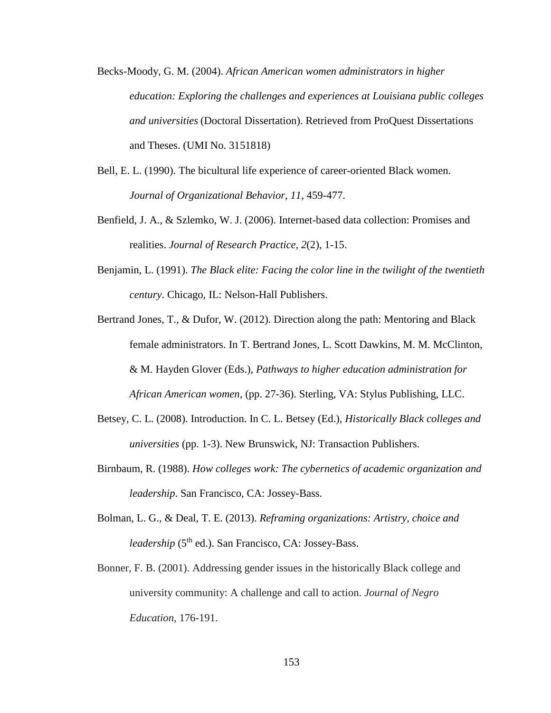- Becks-Moody, G. M. (2004). *African American women administrators in higher education: Exploring the challenges and experiences at Louisiana public colleges and universities* (Doctoral Dissertation). Retrieved from ProQuest Dissertations and Theses. (UMI No. 3151818)
- Bell, E. L. (1990). The bicultural life experience of career-oriented Black women. *Journal of Organizational Behavior, 11*, 459-477.
- Benfield, J. A., & Szlemko, W. J. (2006). Internet-based data collection: Promises and realities. *Journal of Research Practice, 2*(2), 1-15.
- Benjamin, L. (1991). *The Black elite: Facing the color line in the twilight of the twentieth century*. Chicago, IL: Nelson-Hall Publishers.
- Bertrand Jones, T., & Dufor, W. (2012). Direction along the path: Mentoring and Black female administrators. In T. Bertrand Jones, L. Scott Dawkins, M. M. McClinton, & M. Hayden Glover (Eds.), *Pathways to higher education administration for African American women*, (pp. 27-36). Sterling, VA: Stylus Publishing, LLC.
- Betsey, C. L. (2008). Introduction. In C. L. Betsey (Ed.), *Historically Black colleges and universities* (pp. 1-3). New Brunswick, NJ: Transaction Publishers.
- Birnbaum, R. (1988). *How colleges work: The cybernetics of academic organization and leadership*. San Francisco, CA: Jossey-Bass.
- Bolman, L. G., & Deal, T. E. (2013). *Reframing organizations: Artistry, choice and leadership* (5<sup>th</sup> ed.). San Francisco, CA: Jossey-Bass.
- Bonner, F. B. (2001). Addressing gender issues in the historically Black college and university community: A challenge and call to action. *Journal of Negro Education*, 176-191.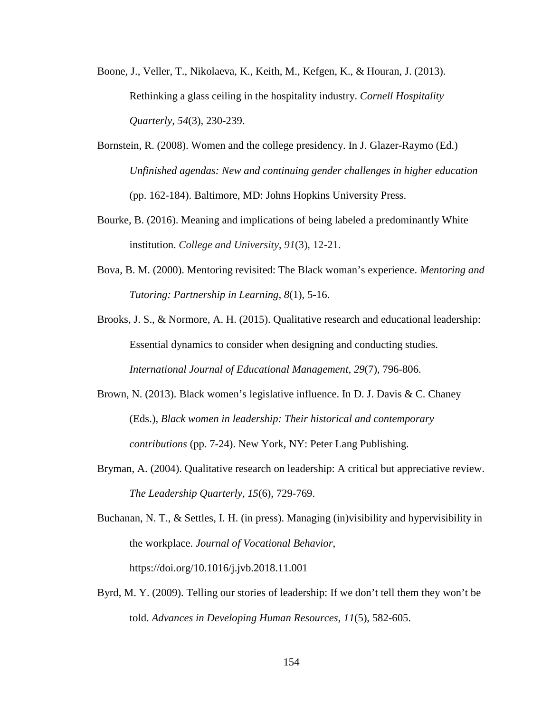- Boone, J., Veller, T., Nikolaeva, K., Keith, M., Kefgen, K., & Houran, J. (2013). Rethinking a glass ceiling in the hospitality industry. *Cornell Hospitality Quarterly, 54*(3), 230-239.
- Bornstein, R. (2008). Women and the college presidency. In J. Glazer-Raymo (Ed.) *Unfinished agendas: New and continuing gender challenges in higher education* (pp. 162-184). Baltimore, MD: Johns Hopkins University Press.
- Bourke, B. (2016). Meaning and implications of being labeled a predominantly White institution. *College and University*, *91*(3), 12-21.
- Bova, B. M. (2000). Mentoring revisited: The Black woman's experience. *Mentoring and Tutoring: Partnership in Learning, 8*(1), 5-16.

Brooks, J. S., & Normore, A. H. (2015). Qualitative research and educational leadership: Essential dynamics to consider when designing and conducting studies. *International Journal of Educational Management, 29*(7), 796-806.

- Brown, N. (2013). Black women's legislative influence. In D. J. Davis & C. Chaney (Eds.), *Black women in leadership: Their historical and contemporary contributions* (pp. 7-24). New York, NY: Peter Lang Publishing.
- Bryman, A. (2004). Qualitative research on leadership: A critical but appreciative review. *The Leadership Quarterly, 15*(6), 729-769.

Buchanan, N. T., & Settles, I. H. (in press). Managing (in)visibility and hypervisibility in the workplace. *Journal of Vocational Behavior*, https://doi.org/10.1016/j.jvb.2018.11.001

Byrd, M. Y. (2009). Telling our stories of leadership: If we don't tell them they won't be told. *Advances in Developing Human Resources, 11*(5), 582-605.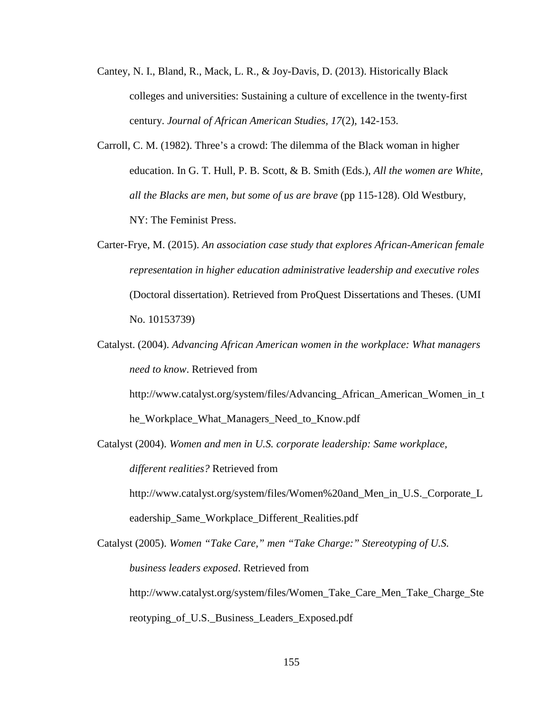- Cantey, N. I., Bland, R., Mack, L. R., & Joy-Davis, D. (2013). Historically Black colleges and universities: Sustaining a culture of excellence in the twenty-first century. *Journal of African American Studies, 17*(2), 142-153.
- Carroll, C. M. (1982). Three's a crowd: The dilemma of the Black woman in higher education. In G. T. Hull, P. B. Scott, & B. Smith (Eds.), *All the women are White, all the Blacks are men, but some of us are brave* (pp 115-128). Old Westbury, NY: The Feminist Press.
- Carter-Frye, M. (2015). *An association case study that explores African-American female representation in higher education administrative leadership and executive roles* (Doctoral dissertation). Retrieved from ProQuest Dissertations and Theses. (UMI No. 10153739)
- Catalyst. (2004). *Advancing African American women in the workplace: What managers need to know*. Retrieved from

http://www.catalyst.org/system/files/Advancing\_African\_American\_Women\_in\_t he\_Workplace\_What\_Managers\_Need\_to\_Know.pdf

Catalyst (2004). *Women and men in U.S. corporate leadership: Same workplace, different realities?* Retrieved from

http://www.catalyst.org/system/files/Women%20and\_Men\_in\_U.S.\_Corporate\_L eadership\_Same\_Workplace\_Different\_Realities.pdf

Catalyst (2005). *Women "Take Care," men "Take Charge:" Stereotyping of U.S. business leaders exposed*. Retrieved from http://www.catalyst.org/system/files/Women\_Take\_Care\_Men\_Take\_Charge\_Ste reotyping\_of\_U.S.\_Business\_Leaders\_Exposed.pdf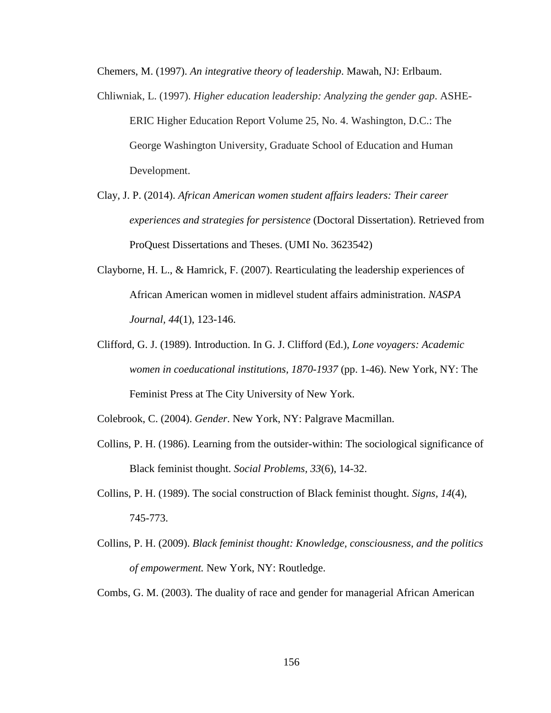Chemers, M. (1997). *An integrative theory of leadership*. Mawah, NJ: Erlbaum.

- Chliwniak, L. (1997). *Higher education leadership: Analyzing the gender gap*. ASHE-ERIC Higher Education Report Volume 25, No. 4. Washington, D.C.: The George Washington University, Graduate School of Education and Human Development.
- Clay, J. P. (2014). *African American women student affairs leaders: Their career experiences and strategies for persistence* (Doctoral Dissertation). Retrieved from ProQuest Dissertations and Theses. (UMI No. 3623542)
- Clayborne, H. L., & Hamrick, F. (2007). Rearticulating the leadership experiences of African American women in midlevel student affairs administration. *NASPA Journal, 44*(1), 123-146.
- Clifford, G. J. (1989). Introduction. In G. J. Clifford (Ed.), *Lone voyagers: Academic women in coeducational institutions, 1870-1937* (pp. 1-46). New York, NY: The Feminist Press at The City University of New York.

Colebrook, C. (2004). *Gender*. New York, NY: Palgrave Macmillan.

- Collins, P. H. (1986). Learning from the outsider-within: The sociological significance of Black feminist thought. *Social Problems, 33*(6), 14-32.
- Collins, P. H. (1989). The social construction of Black feminist thought. *Signs, 14*(4), 745-773.
- Collins, P. H. (2009). *Black feminist thought: Knowledge, consciousness, and the politics of empowerment.* New York, NY: Routledge.

Combs, G. M. (2003). The duality of race and gender for managerial African American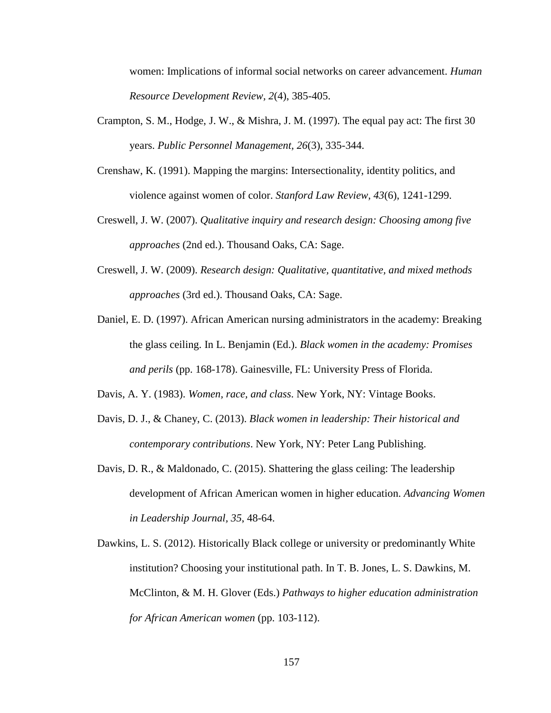women: Implications of informal social networks on career advancement. *Human Resource Development Review, 2*(4), 385-405.

- Crampton, S. M., Hodge, J. W., & Mishra, J. M. (1997). The equal pay act: The first 30 years. *Public Personnel Management, 26*(3), 335-344.
- Crenshaw, K. (1991). Mapping the margins: Intersectionality, identity politics, and violence against women of color. *Stanford Law Review, 43*(6), 1241-1299.
- Creswell, J. W. (2007). *Qualitative inquiry and research design: Choosing among five approaches* (2nd ed.). Thousand Oaks, CA: Sage.
- Creswell, J. W. (2009). *Research design: Qualitative, quantitative, and mixed methods approaches* (3rd ed.). Thousand Oaks, CA: Sage.
- Daniel, E. D. (1997). African American nursing administrators in the academy: Breaking the glass ceiling. In L. Benjamin (Ed.). *Black women in the academy: Promises and perils* (pp. 168-178). Gainesville, FL: University Press of Florida.
- Davis, A. Y. (1983). *Women, race, and class*. New York, NY: Vintage Books.
- Davis, D. J., & Chaney, C. (2013). *Black women in leadership: Their historical and contemporary contributions*. New York, NY: Peter Lang Publishing.
- Davis, D. R., & Maldonado, C. (2015). Shattering the glass ceiling: The leadership development of African American women in higher education. *Advancing Women in Leadership Journal, 35*, 48-64.
- Dawkins, L. S. (2012). Historically Black college or university or predominantly White institution? Choosing your institutional path. In T. B. Jones, L. S. Dawkins, M. McClinton, & M. H. Glover (Eds.) *Pathways to higher education administration for African American women* (pp. 103-112).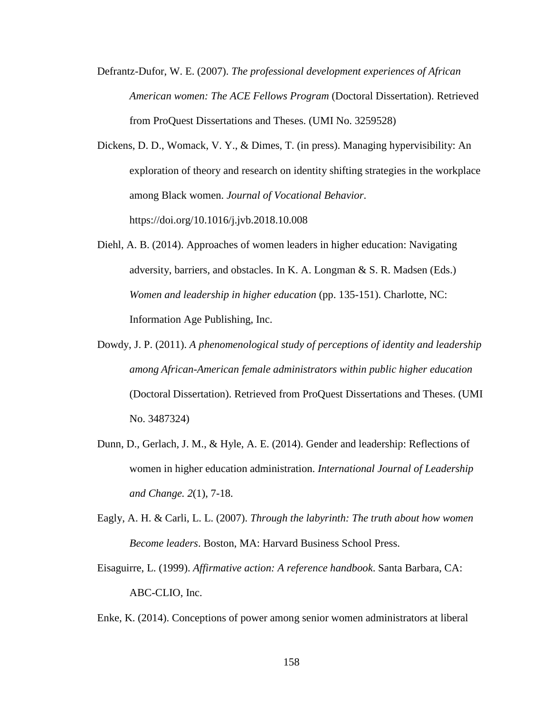- Defrantz-Dufor, W. E. (2007). *The professional development experiences of African American women: The ACE Fellows Program* (Doctoral Dissertation). Retrieved from ProQuest Dissertations and Theses. (UMI No. 3259528)
- Dickens, D. D., Womack, V. Y., & Dimes, T. (in press). Managing hypervisibility: An exploration of theory and research on identity shifting strategies in the workplace among Black women. *Journal of Vocational Behavior*. https://doi.org/10.1016/j.jvb.2018.10.008
- Diehl, A. B. (2014). Approaches of women leaders in higher education: Navigating adversity, barriers, and obstacles. In K. A. Longman & S. R. Madsen (Eds.) *Women and leadership in higher education* (pp. 135-151). Charlotte, NC: Information Age Publishing, Inc.
- Dowdy, J. P. (2011). *A phenomenological study of perceptions of identity and leadership among African-American female administrators within public higher education* (Doctoral Dissertation). Retrieved from ProQuest Dissertations and Theses. (UMI No. 3487324)
- Dunn, D., Gerlach, J. M., & Hyle, A. E. (2014). Gender and leadership: Reflections of women in higher education administration. *International Journal of Leadership and Change. 2*(1), 7-18.
- Eagly, A. H. & Carli, L. L. (2007). *Through the labyrinth: The truth about how women Become leaders*. Boston, MA: Harvard Business School Press.
- Eisaguirre, L. (1999). *Affirmative action: A reference handbook*. Santa Barbara, CA: ABC-CLIO, Inc.
- Enke, K. (2014). Conceptions of power among senior women administrators at liberal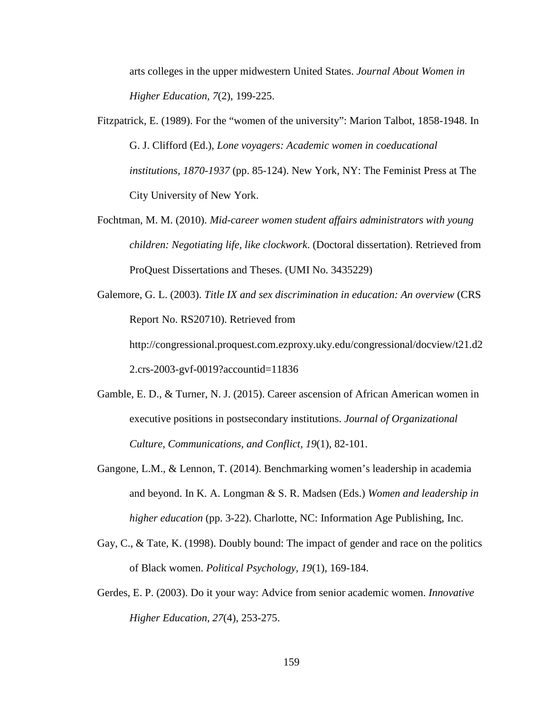arts colleges in the upper midwestern United States. *Journal About Women in Higher Education, 7*(2), 199-225.

- Fitzpatrick, E. (1989). For the "women of the university": Marion Talbot, 1858-1948. In G. J. Clifford (Ed.), *Lone voyagers: Academic women in coeducational institutions, 1870-1937* (pp. 85-124). New York, NY: The Feminist Press at The City University of New York.
- Fochtman, M. M. (2010). *Mid-career women student affairs administrators with young children: Negotiating life, like clockwork*. (Doctoral dissertation). Retrieved from ProQuest Dissertations and Theses. (UMI No. 3435229)
- Galemore, G. L. (2003). *Title IX and sex discrimination in education: An overview* (CRS Report No. RS20710). Retrieved from http://congressional.proquest.com.ezproxy.uky.edu/congressional/docview/t21.d2 2.crs-2003-gvf-0019?accountid=11836
- Gamble, E. D., & Turner, N. J. (2015). Career ascension of African American women in executive positions in postsecondary institutions. *Journal of Organizational Culture, Communications, and Conflict, 19*(1), 82-101.
- Gangone, L.M., & Lennon, T. (2014). Benchmarking women's leadership in academia and beyond. In K. A. Longman & S. R. Madsen (Eds.) *Women and leadership in higher education* (pp. 3-22). Charlotte, NC: Information Age Publishing, Inc.
- Gay, C., & Tate, K. (1998). Doubly bound: The impact of gender and race on the politics of Black women. *Political Psychology, 19*(1), 169-184.
- Gerdes, E. P. (2003). Do it your way: Advice from senior academic women. *Innovative Higher Education, 27*(4), 253-275.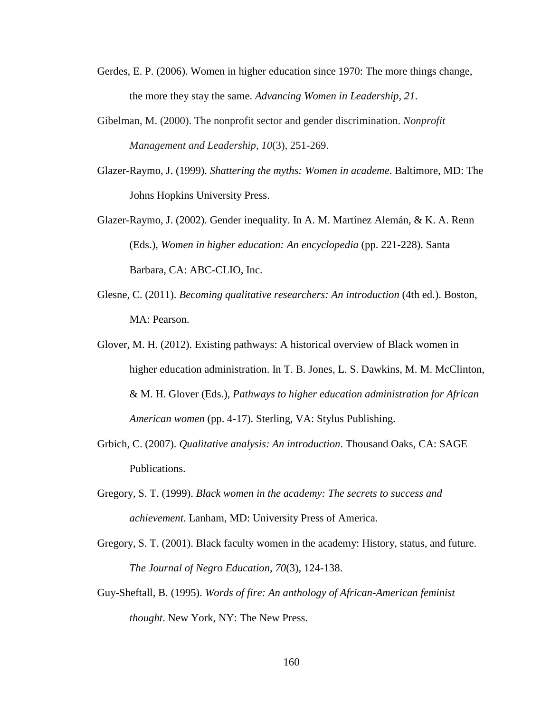- Gerdes, E. P. (2006). Women in higher education since 1970: The more things change, the more they stay the same. *Advancing Women in Leadership, 21*.
- Gibelman, M. (2000). The nonprofit sector and gender discrimination. *Nonprofit Management and Leadership, 10*(3), 251-269.
- Glazer-Raymo, J. (1999). *Shattering the myths: Women in academe*. Baltimore, MD: The Johns Hopkins University Press.
- Glazer-Raymo, J. (2002). Gender inequality. In A. M. Martínez Alemán, & K. A. Renn (Eds.), *Women in higher education: An encyclopedia* (pp. 221-228). Santa Barbara, CA: ABC-CLIO, Inc.
- Glesne, C. (2011). *Becoming qualitative researchers: An introduction* (4th ed.). Boston, MA: Pearson.
- Glover, M. H. (2012). Existing pathways: A historical overview of Black women in higher education administration. In T. B. Jones, L. S. Dawkins, M. M. McClinton, & M. H. Glover (Eds.), *Pathways to higher education administration for African American women* (pp. 4-17). Sterling, VA: Stylus Publishing.
- Grbich, C. (2007). *Qualitative analysis: An introduction*. Thousand Oaks, CA: SAGE Publications.
- Gregory, S. T. (1999). *Black women in the academy: The secrets to success and achievement*. Lanham, MD: University Press of America.
- Gregory, S. T. (2001). Black faculty women in the academy: History, status, and future. *The Journal of Negro Education, 70*(3), 124-138.
- Guy-Sheftall, B. (1995). *Words of fire: An anthology of African-American feminist thought*. New York, NY: The New Press.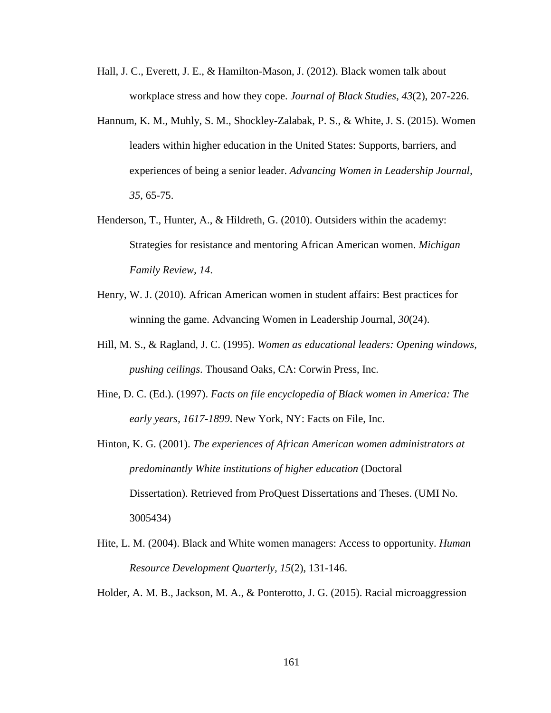- Hall, J. C., Everett, J. E., & Hamilton-Mason, J. (2012). Black women talk about workplace stress and how they cope. *Journal of Black Studies, 43*(2), 207-226.
- Hannum, K. M., Muhly, S. M., Shockley-Zalabak, P. S., & White, J. S. (2015). Women leaders within higher education in the United States: Supports, barriers, and experiences of being a senior leader. *Advancing Women in Leadership Journal, 35*, 65-75.
- Henderson, T., Hunter, A., & Hildreth, G. (2010). Outsiders within the academy: Strategies for resistance and mentoring African American women. *Michigan Family Review, 14*.
- Henry, W. J. (2010). African American women in student affairs: Best practices for winning the game. Advancing Women in Leadership Journal, *30*(24).
- Hill, M. S., & Ragland, J. C. (1995). *Women as educational leaders: Opening windows, pushing ceilings*. Thousand Oaks, CA: Corwin Press, Inc.
- Hine, D. C. (Ed.). (1997). *Facts on file encyclopedia of Black women in America: The early years, 1617-1899*. New York, NY: Facts on File, Inc.
- Hinton, K. G. (2001). *The experiences of African American women administrators at predominantly White institutions of higher education* (Doctoral Dissertation). Retrieved from ProQuest Dissertations and Theses. (UMI No. 3005434)
- Hite, L. M. (2004). Black and White women managers: Access to opportunity. *Human Resource Development Quarterly, 15*(2), 131-146.
- Holder, A. M. B., Jackson, M. A., & Ponterotto, J. G. (2015). Racial microaggression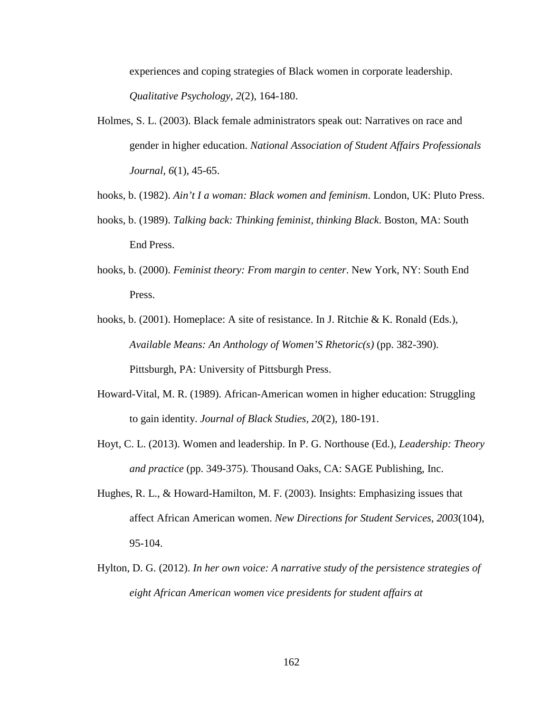experiences and coping strategies of Black women in corporate leadership. *Qualitative Psychology, 2*(2), 164-180.

- Holmes, S. L. (2003). Black female administrators speak out: Narratives on race and gender in higher education. *National Association of Student Affairs Professionals Journal, 6*(1), 45-65.
- hooks, b. (1982). *Ain't I a woman: Black women and feminism*. London, UK: Pluto Press.
- hooks, b. (1989). *Talking back: Thinking feminist, thinking Black*. Boston, MA: South End Press.
- hooks, b. (2000). *Feminist theory: From margin to center*. New York, NY: South End Press.
- hooks, b. (2001). Homeplace: A site of resistance. In J. Ritchie & K. Ronald (Eds.), *Available Means: An Anthology of Women'S Rhetoric(s)* (pp. 382-390). Pittsburgh, PA: University of Pittsburgh Press.
- Howard-Vital, M. R. (1989). African-American women in higher education: Struggling to gain identity. *Journal of Black Studies, 20*(2), 180-191.
- Hoyt, C. L. (2013). Women and leadership. In P. G. Northouse (Ed.), *Leadership: Theory and practice* (pp. 349-375). Thousand Oaks, CA: SAGE Publishing, Inc.
- Hughes, R. L., & Howard-Hamilton, M. F. (2003). Insights: Emphasizing issues that affect African American women. *New Directions for Student Services, 2003*(104), 95-104.
- Hylton, D. G. (2012). *In her own voice: A narrative study of the persistence strategies of eight African American women vice presidents for student affairs at*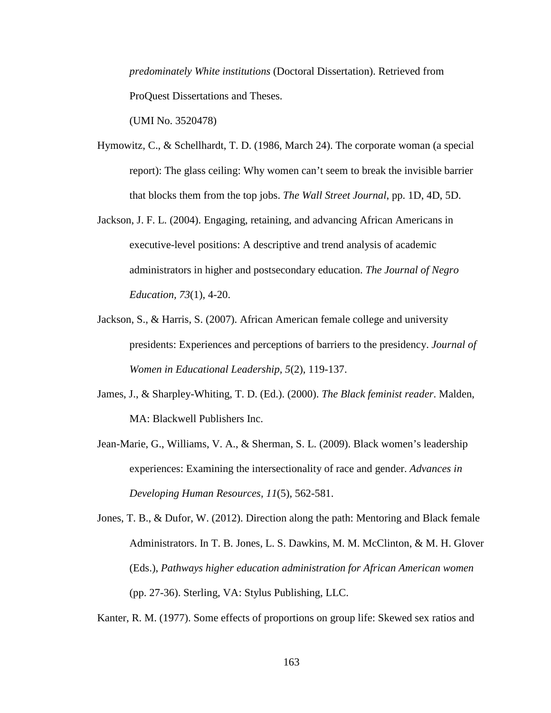*predominately White institutions* (Doctoral Dissertation). Retrieved from ProQuest Dissertations and Theses.

(UMI No. 3520478)

- Hymowitz, C., & Schellhardt, T. D. (1986, March 24). The corporate woman (a special report): The glass ceiling: Why women can't seem to break the invisible barrier that blocks them from the top jobs. *The Wall Street Journal*, pp. 1D, 4D, 5D.
- Jackson, J. F. L. (2004). Engaging, retaining, and advancing African Americans in executive-level positions: A descriptive and trend analysis of academic administrators in higher and postsecondary education. *The Journal of Negro Education, 73*(1), 4-20.
- Jackson, S., & Harris, S. (2007). African American female college and university presidents: Experiences and perceptions of barriers to the presidency. *Journal of Women in Educational Leadership, 5*(2), 119-137.
- James, J., & Sharpley-Whiting, T. D. (Ed.). (2000). *The Black feminist reader*. Malden, MA: Blackwell Publishers Inc.
- Jean-Marie, G., Williams, V. A., & Sherman, S. L. (2009). Black women's leadership experiences: Examining the intersectionality of race and gender. *Advances in Developing Human Resources, 11*(5), 562-581.
- Jones, T. B., & Dufor, W. (2012). Direction along the path: Mentoring and Black female Administrators. In T. B. Jones, L. S. Dawkins, M. M. McClinton, & M. H. Glover (Eds.), *Pathways higher education administration for African American women* (pp. 27-36). Sterling, VA: Stylus Publishing, LLC.

Kanter, R. M. (1977). Some effects of proportions on group life: Skewed sex ratios and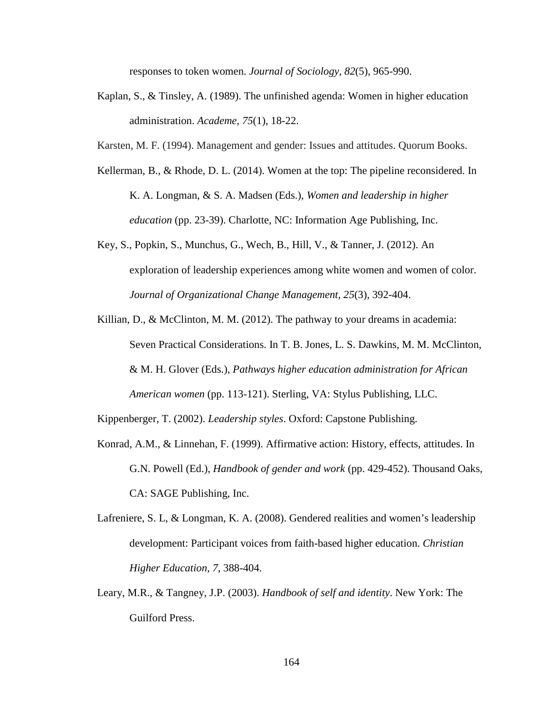responses to token women. *Journal of Sociology, 82*(5), 965-990.

- Kaplan, S., & Tinsley, A. (1989). The unfinished agenda: Women in higher education administration. *Academe, 75*(1), 18-22.
- Karsten, M. F. (1994). Management and gender: Issues and attitudes. Quorum Books.
- Kellerman, B., & Rhode, D. L. (2014). Women at the top: The pipeline reconsidered. In K. A. Longman, & S. A. Madsen (Eds.), *Women and leadership in higher education* (pp. 23-39). Charlotte, NC: Information Age Publishing, Inc.
- Key, S., Popkin, S., Munchus, G., Wech, B., Hill, V., & Tanner, J. (2012). An exploration of leadership experiences among white women and women of color. *Journal of Organizational Change Management, 25*(3), 392-404.
- Killian, D., & McClinton, M. M. (2012). The pathway to your dreams in academia: Seven Practical Considerations. In T. B. Jones, L. S. Dawkins, M. M. McClinton, & M. H. Glover (Eds.), *Pathways higher education administration for African American women* (pp. 113-121). Sterling, VA: Stylus Publishing, LLC.

Kippenberger, T. (2002). *Leadership styles*. Oxford: Capstone Publishing.

- Konrad, A.M., & Linnehan, F. (1999). Affirmative action: History, effects, attitudes. In G.N. Powell (Ed.), *Handbook of gender and work* (pp. 429-452). Thousand Oaks, CA: SAGE Publishing, Inc.
- Lafreniere, S. L, & Longman, K. A. (2008). Gendered realities and women's leadership development: Participant voices from faith-based higher education. *Christian Higher Education, 7*, 388-404.
- Leary, M.R., & Tangney, J.P. (2003). *Handbook of self and identity*. New York: The Guilford Press.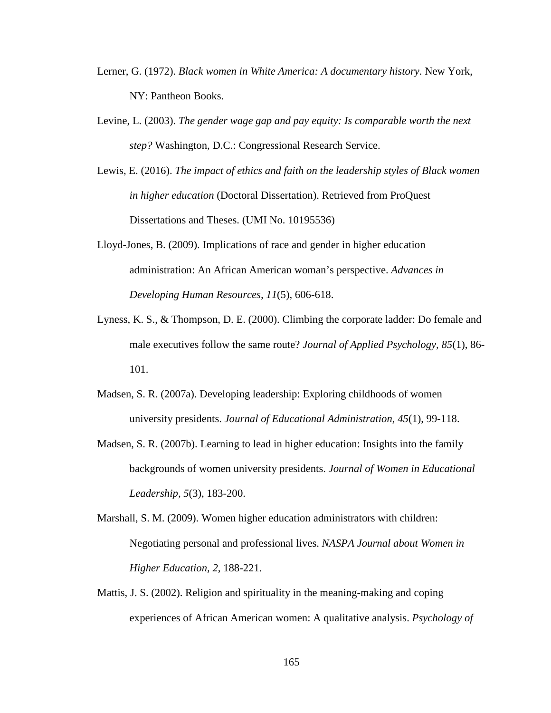- Lerner, G. (1972). *Black women in White America: A documentary history*. New York, NY: Pantheon Books.
- Levine, L. (2003). *The gender wage gap and pay equity: Is comparable worth the next step?* Washington, D.C.: Congressional Research Service.
- Lewis, E. (2016). *The impact of ethics and faith on the leadership styles of Black women in higher education* (Doctoral Dissertation). Retrieved from ProQuest Dissertations and Theses. (UMI No. 10195536)
- Lloyd-Jones, B. (2009). Implications of race and gender in higher education administration: An African American woman's perspective. *Advances in Developing Human Resources, 11*(5), 606-618.
- Lyness, K. S., & Thompson, D. E. (2000). Climbing the corporate ladder: Do female and male executives follow the same route? *Journal of Applied Psychology, 85*(1), 86- 101.
- Madsen, S. R. (2007a). Developing leadership: Exploring childhoods of women university presidents. *Journal of Educational Administration, 45*(1), 99-118.
- Madsen, S. R. (2007b). Learning to lead in higher education: Insights into the family backgrounds of women university presidents. *Journal of Women in Educational Leadership, 5*(3), 183-200.
- Marshall, S. M. (2009). Women higher education administrators with children: Negotiating personal and professional lives. *NASPA Journal about Women in Higher Education, 2*, 188-221.
- Mattis, J. S. (2002). Religion and spirituality in the meaning-making and coping experiences of African American women: A qualitative analysis. *Psychology of*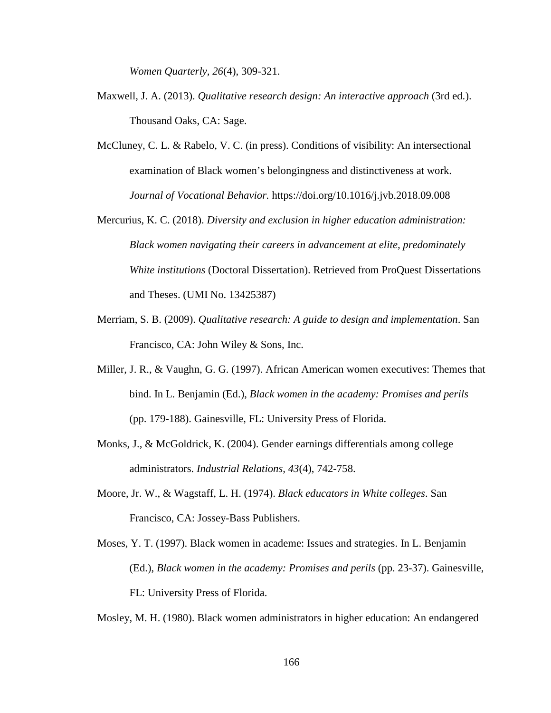*Women Quarterly, 26*(4), 309-321.

- Maxwell, J. A. (2013). *Qualitative research design: An interactive approach* (3rd ed.). Thousand Oaks, CA: Sage.
- McCluney, C. L. & Rabelo, V. C. (in press). Conditions of visibility: An intersectional examination of Black women's belongingness and distinctiveness at work. *Journal of Vocational Behavior.* https://doi.org/10.1016/j.jvb.2018.09.008
- Mercurius, K. C. (2018). *Diversity and exclusion in higher education administration: Black women navigating their careers in advancement at elite, predominately White institutions* (Doctoral Dissertation). Retrieved from ProQuest Dissertations and Theses. (UMI No. 13425387)
- Merriam, S. B. (2009). *Qualitative research: A guide to design and implementation*. San Francisco, CA: John Wiley & Sons, Inc.
- Miller, J. R., & Vaughn, G. G. (1997). African American women executives: Themes that bind. In L. Benjamin (Ed.), *Black women in the academy: Promises and perils* (pp. 179-188). Gainesville, FL: University Press of Florida.
- Monks, J., & McGoldrick, K. (2004). Gender earnings differentials among college administrators. *Industrial Relations, 43*(4), 742-758.
- Moore, Jr. W., & Wagstaff, L. H. (1974). *Black educators in White colleges*. San Francisco, CA: Jossey-Bass Publishers.
- Moses, Y. T. (1997). Black women in academe: Issues and strategies. In L. Benjamin (Ed.), *Black women in the academy: Promises and perils* (pp. 23-37). Gainesville, FL: University Press of Florida.

Mosley, M. H. (1980). Black women administrators in higher education: An endangered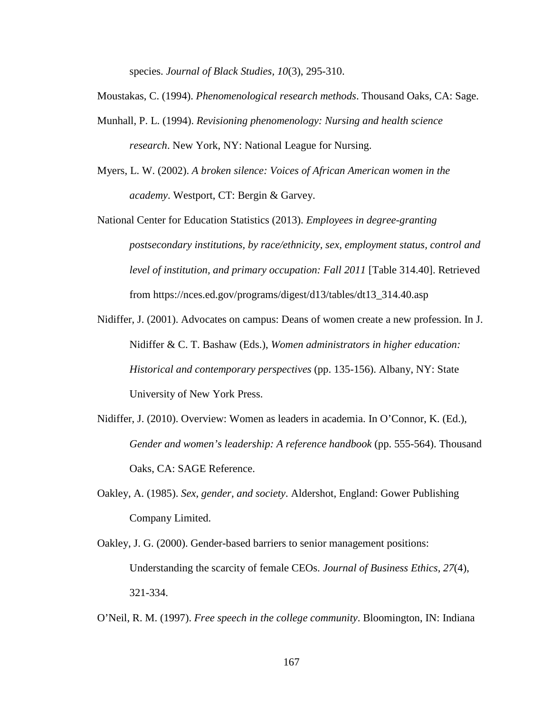species. *Journal of Black Studies, 10*(3), 295-310.

- Moustakas, C. (1994). *Phenomenological research methods*. Thousand Oaks, CA: Sage.
- Munhall, P. L. (1994). *Revisioning phenomenology: Nursing and health science research*. New York, NY: National League for Nursing.
- Myers, L. W. (2002). *A broken silence: Voices of African American women in the academy*. Westport, CT: Bergin & Garvey.

National Center for Education Statistics (2013). *Employees in degree-granting postsecondary institutions, by race/ethnicity, sex, employment status, control and level of institution, and primary occupation: Fall 2011* [Table 314.40]. Retrieved from https://nces.ed.gov/programs/digest/d13/tables/dt13\_314.40.asp

Nidiffer, J. (2001). Advocates on campus: Deans of women create a new profession. In J. Nidiffer & C. T. Bashaw (Eds.), *Women administrators in higher education: Historical and contemporary perspectives* (pp. 135-156). Albany, NY: State University of New York Press.

- Nidiffer, J. (2010). Overview: Women as leaders in academia. In O'Connor, K. (Ed.), *Gender and women's leadership: A reference handbook* (pp. 555-564). Thousand Oaks, CA: SAGE Reference.
- Oakley, A. (1985). *Sex, gender, and society*. Aldershot, England: Gower Publishing Company Limited.
- Oakley, J. G. (2000). Gender-based barriers to senior management positions: Understanding the scarcity of female CEOs. *Journal of Business Ethics, 27*(4), 321-334.

O'Neil, R. M. (1997). *Free speech in the college community*. Bloomington, IN: Indiana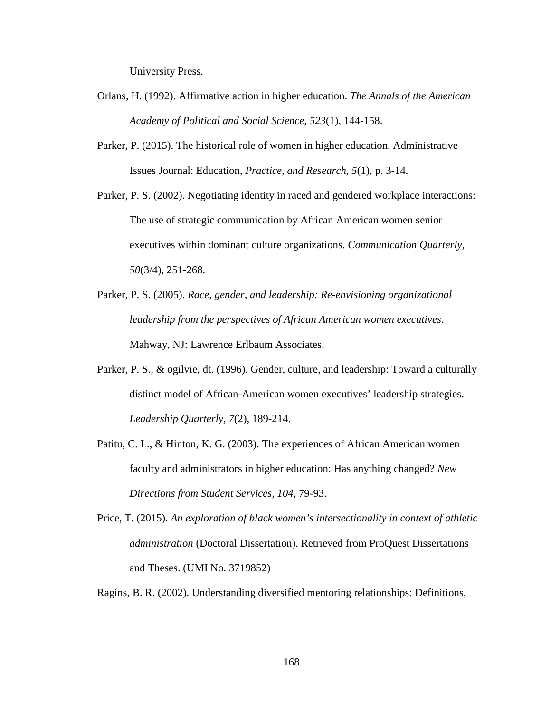University Press.

- Orlans, H. (1992). Affirmative action in higher education. *The Annals of the American Academy of Political and Social Science, 523*(1), 144-158.
- Parker, P. (2015). The historical role of women in higher education. Administrative Issues Journal: Education, *Practice, and Research, 5*(1), p. 3-14.
- Parker, P. S. (2002). Negotiating identity in raced and gendered workplace interactions: The use of strategic communication by African American women senior executives within dominant culture organizations. *Communication Quarterly, 50*(3/4), 251-268.
- Parker, P. S. (2005). *Race, gender, and leadership: Re-envisioning organizational leadership from the perspectives of African American women executives*. Mahway, NJ: Lawrence Erlbaum Associates.
- Parker, P. S., & ogilvie, dt. (1996). Gender, culture, and leadership: Toward a culturally distinct model of African-American women executives' leadership strategies. *Leadership Quarterly, 7*(2), 189-214.
- Patitu, C. L., & Hinton, K. G. (2003). The experiences of African American women faculty and administrators in higher education: Has anything changed? *New Directions from Student Services, 104*, 79-93.
- Price, T. (2015). *An exploration of black women's intersectionality in context of athletic administration* (Doctoral Dissertation). Retrieved from ProQuest Dissertations and Theses. (UMI No. 3719852)
- Ragins, B. R. (2002). Understanding diversified mentoring relationships: Definitions,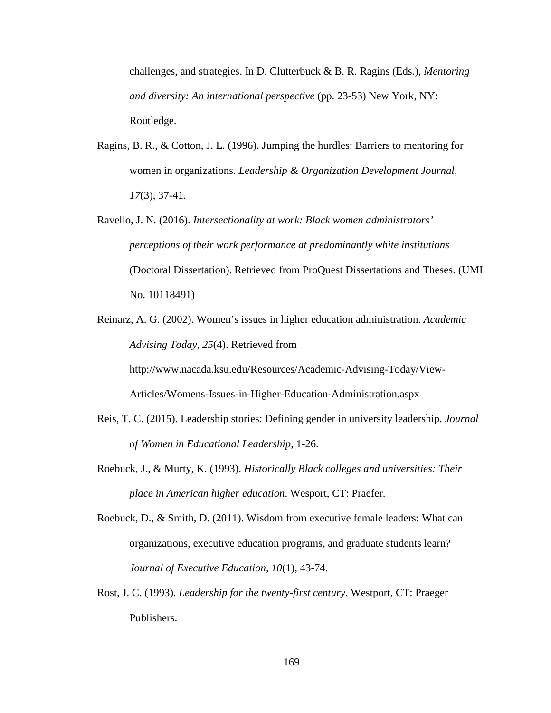challenges, and strategies. In D. Clutterbuck & B. R. Ragins (Eds.), *Mentoring and diversity: An international perspective* (pp. 23-53) New York, NY: Routledge.

- Ragins, B. R., & Cotton, J. L. (1996). Jumping the hurdles: Barriers to mentoring for women in organizations. *Leadership & Organization Development Journal, 17*(3), 37-41.
- Ravello, J. N. (2016). *Intersectionality at work: Black women administrators' perceptions of their work performance at predominantly white institutions* (Doctoral Dissertation). Retrieved from ProQuest Dissertations and Theses. (UMI No. 10118491)
- Reinarz, A. G. (2002). Women's issues in higher education administration. *Academic Advising Today, 25*(4). Retrieved from http://www.nacada.ksu.edu/Resources/Academic-Advising-Today/View-

Articles/Womens-Issues-in-Higher-Education-Administration.aspx

- Reis, T. C. (2015). Leadership stories: Defining gender in university leadership. *Journal of Women in Educational Leadership*, 1-26.
- Roebuck, J., & Murty, K. (1993). *Historically Black colleges and universities: Their place in American higher education*. Wesport, CT: Praefer.
- Roebuck, D., & Smith, D. (2011). Wisdom from executive female leaders: What can organizations, executive education programs, and graduate students learn? *Journal of Executive Education, 10*(1), 43-74.
- Rost, J. C. (1993). *Leadership for the twenty-first century*. Westport, CT: Praeger Publishers.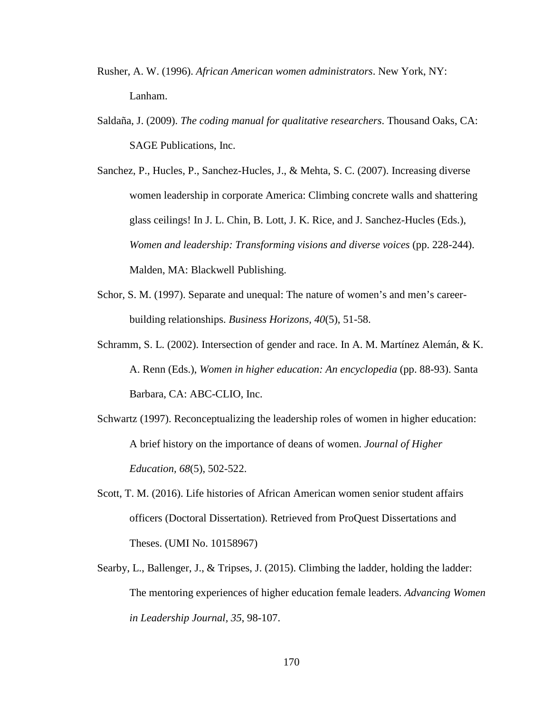- Rusher, A. W. (1996). *African American women administrators*. New York, NY: Lanham.
- Saldaña, J. (2009). *The coding manual for qualitative researchers*. Thousand Oaks, CA: SAGE Publications, Inc.
- Sanchez, P., Hucles, P., Sanchez-Hucles, J., & Mehta, S. C. (2007). Increasing diverse women leadership in corporate America: Climbing concrete walls and shattering glass ceilings! In J. L. Chin, B. Lott, J. K. Rice, and J. Sanchez-Hucles (Eds.), *Women and leadership: Transforming visions and diverse voices* (pp. 228-244). Malden, MA: Blackwell Publishing.
- Schor, S. M. (1997). Separate and unequal: The nature of women's and men's careerbuilding relationships. *Business Horizons, 40*(5), 51-58.
- Schramm, S. L. (2002). Intersection of gender and race. In A. M. Martínez Alemán, & K. A. Renn (Eds.), *Women in higher education: An encyclopedia* (pp. 88-93). Santa Barbara, CA: ABC-CLIO, Inc.
- Schwartz (1997). Reconceptualizing the leadership roles of women in higher education: A brief history on the importance of deans of women. *Journal of Higher Education, 68*(5), 502-522.
- Scott, T. M. (2016). Life histories of African American women senior student affairs officers (Doctoral Dissertation). Retrieved from ProQuest Dissertations and Theses. (UMI No. 10158967)
- Searby, L., Ballenger, J., & Tripses, J. (2015). Climbing the ladder, holding the ladder: The mentoring experiences of higher education female leaders. *Advancing Women in Leadership Journal, 35*, 98-107.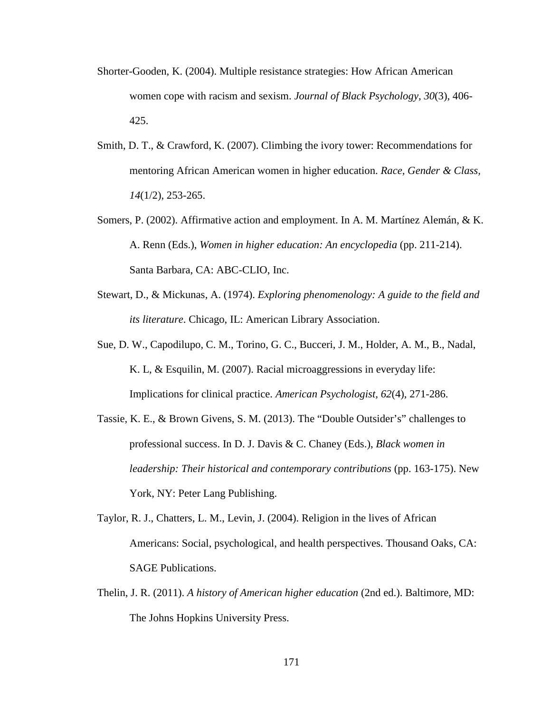- Shorter-Gooden, K. (2004). Multiple resistance strategies: How African American women cope with racism and sexism. *Journal of Black Psychology, 30*(3), 406- 425.
- Smith, D. T., & Crawford, K. (2007). Climbing the ivory tower: Recommendations for mentoring African American women in higher education. *Race, Gender & Class, 14*(1/2), 253-265.
- Somers, P. (2002). Affirmative action and employment. In A. M. Martínez Alemán, & K. A. Renn (Eds.), *Women in higher education: An encyclopedia* (pp. 211-214). Santa Barbara, CA: ABC-CLIO, Inc.
- Stewart, D., & Mickunas, A. (1974). *Exploring phenomenology: A guide to the field and its literature*. Chicago, IL: American Library Association.
- Sue, D. W., Capodilupo, C. M., Torino, G. C., Bucceri, J. M., Holder, A. M., B., Nadal, K. L, & Esquilin, M. (2007). Racial microaggressions in everyday life: Implications for clinical practice. *American Psychologist, 62*(4), 271-286.
- Tassie, K. E., & Brown Givens, S. M. (2013). The "Double Outsider's" challenges to professional success. In D. J. Davis & C. Chaney (Eds.), *Black women in leadership: Their historical and contemporary contributions* (pp. 163-175). New York, NY: Peter Lang Publishing.
- Taylor, R. J., Chatters, L. M., Levin, J. (2004). Religion in the lives of African Americans: Social, psychological, and health perspectives. Thousand Oaks, CA: SAGE Publications.
- Thelin, J. R. (2011). *A history of American higher education* (2nd ed.). Baltimore, MD: The Johns Hopkins University Press.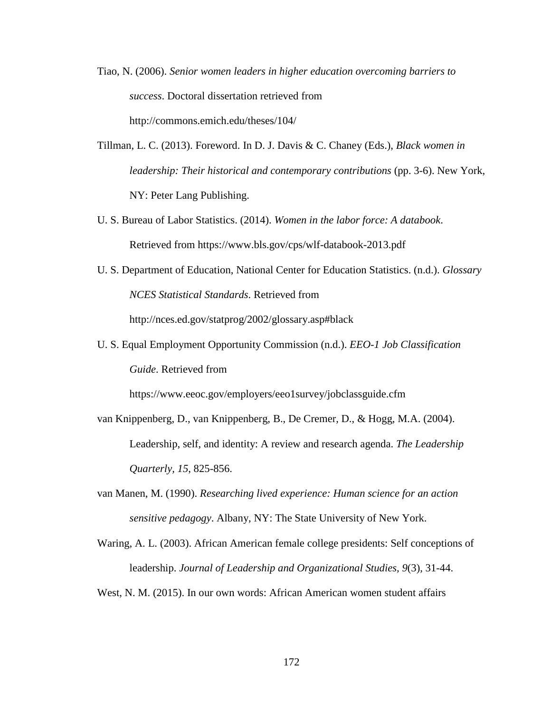- Tiao, N. (2006). *Senior women leaders in higher education overcoming barriers to success*. Doctoral dissertation retrieved from http://commons.emich.edu/theses/104/
- Tillman, L. C. (2013). Foreword. In D. J. Davis & C. Chaney (Eds.), *Black women in leadership: Their historical and contemporary contributions* (pp. 3-6). New York, NY: Peter Lang Publishing.
- U. S. Bureau of Labor Statistics. (2014). *Women in the labor force: A databook*. Retrieved from https://www.bls.gov/cps/wlf-databook-2013.pdf
- U. S. Department of Education, National Center for Education Statistics. (n.d.). *Glossary NCES Statistical Standards*. Retrieved from http://nces.ed.gov/statprog/2002/glossary.asp#black
- U. S. Equal Employment Opportunity Commission (n.d.). *EEO-1 Job Classification Guide*. Retrieved from

https://www.eeoc.gov/employers/eeo1survey/jobclassguide.cfm

- van Knippenberg, D., van Knippenberg, B., De Cremer, D., & Hogg, M.A. (2004). Leadership, self, and identity: A review and research agenda. *The Leadership Quarterly, 15*, 825-856.
- van Manen, M. (1990). *Researching lived experience: Human science for an action sensitive pedagogy*. Albany, NY: The State University of New York.
- Waring, A. L. (2003). African American female college presidents: Self conceptions of leadership. *Journal of Leadership and Organizational Studies, 9*(3), 31-44.

West, N. M. (2015). In our own words: African American women student affairs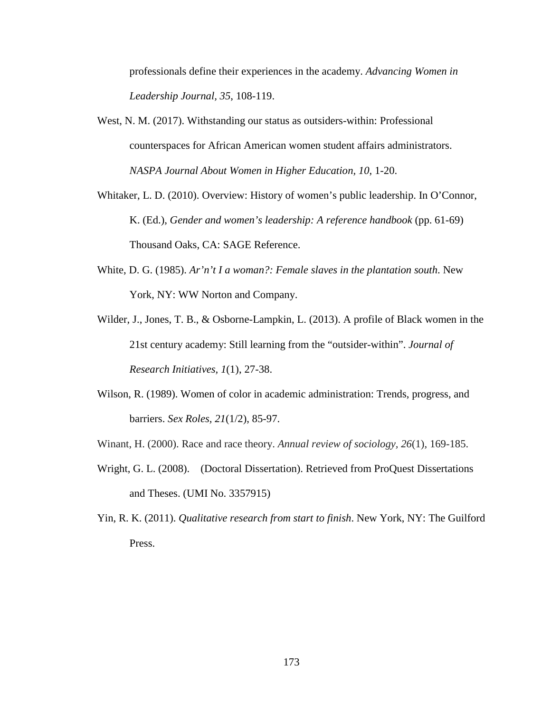professionals define their experiences in the academy. *Advancing Women in Leadership Journal, 35*, 108-119.

- West, N. M. (2017). Withstanding our status as outsiders-within: Professional counterspaces for African American women student affairs administrators. *NASPA Journal About Women in Higher Education, 10*, 1-20.
- Whitaker, L. D. (2010). Overview: History of women's public leadership. In O'Connor, K. (Ed.), *Gender and women's leadership: A reference handbook* (pp. 61-69) Thousand Oaks, CA: SAGE Reference.
- White, D. G. (1985). *Ar'n't I a woman?: Female slaves in the plantation south*. New York, NY: WW Norton and Company.
- Wilder, J., Jones, T. B., & Osborne-Lampkin, L. (2013). A profile of Black women in the 21st century academy: Still learning from the "outsider-within". *Journal of Research Initiatives, 1*(1), 27-38.
- Wilson, R. (1989). Women of color in academic administration: Trends, progress, and barriers. *Sex Roles, 21*(1/2), 85-97.
- Winant, H. (2000). Race and race theory. *Annual review of sociology, 26*(1), 169-185.
- Wright, G. L. (2008). (Doctoral Dissertation). Retrieved from ProQuest Dissertations and Theses. (UMI No. 3357915)
- Yin, R. K. (2011). *Qualitative research from start to finish*. New York, NY: The Guilford Press.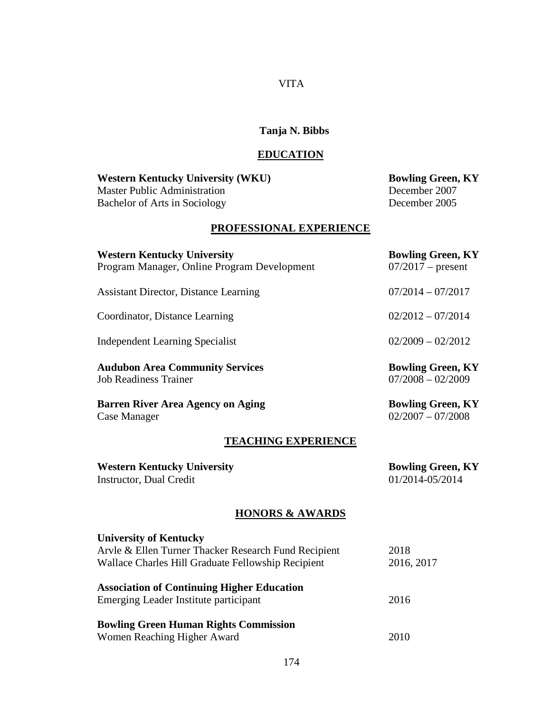### VITA

## **Tanja N. Bibbs**

# **EDUCATION**

**Western Kentucky University (WKU) Bowling Green, KY**<br>Master Public Administration **December** 2007 Master Public Administration Bachelor of Arts in Sociology December 2005

# **PROFESSIONAL EXPERIENCE**

| <b>Western Kentucky University</b><br>Program Manager, Online Program Development                                                           | <b>Bowling Green, KY</b><br>$07/2017$ – present |
|---------------------------------------------------------------------------------------------------------------------------------------------|-------------------------------------------------|
| <b>Assistant Director, Distance Learning</b>                                                                                                | $07/2014 - 07/2017$                             |
| Coordinator, Distance Learning                                                                                                              | $02/2012 - 07/2014$                             |
| <b>Independent Learning Specialist</b>                                                                                                      | $02/2009 - 02/2012$                             |
| <b>Audubon Area Community Services</b><br><b>Job Readiness Trainer</b>                                                                      | <b>Bowling Green, KY</b><br>$07/2008 - 02/2009$ |
| <b>Barren River Area Agency on Aging</b><br>Case Manager                                                                                    | <b>Bowling Green, KY</b><br>$02/2007 - 07/2008$ |
| <b>TEACHING EXPERIENCE</b>                                                                                                                  |                                                 |
| <b>Western Kentucky University</b><br><b>Instructor</b> , Dual Credit                                                                       | <b>Bowling Green, KY</b><br>01/2014-05/2014     |
| <b>HONORS &amp; AWARDS</b>                                                                                                                  |                                                 |
| <b>University of Kentucky</b><br>Arvle & Ellen Turner Thacker Research Fund Recipient<br>Wallace Charles Hill Graduate Fellowship Recipient | 2018<br>2016, 2017                              |
| <b>Association of Continuing Higher Education</b><br>Emerging Leader Institute participant                                                  | 2016                                            |
| <b>Bowling Green Human Rights Commission</b>                                                                                                |                                                 |

Women Reaching Higher Award 2010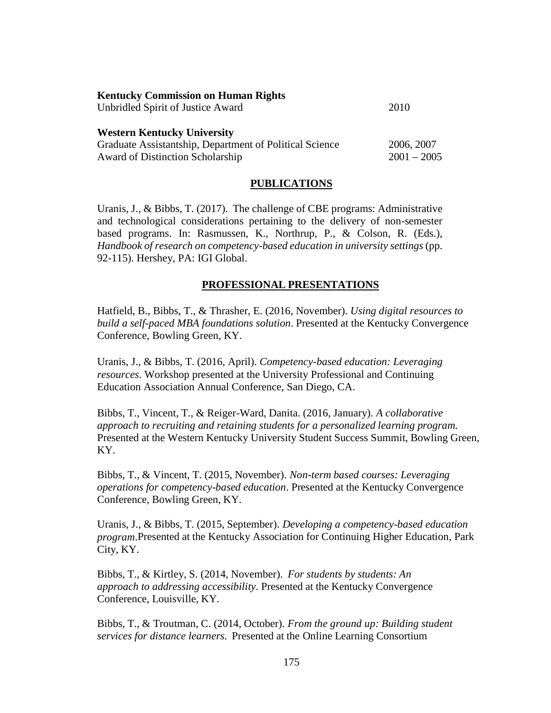| <b>Kentucky Commission on Human Rights</b>              |               |
|---------------------------------------------------------|---------------|
| Unbridled Spirit of Justice Award                       | 2010          |
| <b>Western Kentucky University</b>                      |               |
| Graduate Assistantship, Department of Political Science | 2006, 2007    |
| <b>Award of Distinction Scholarship</b>                 | $2001 - 2005$ |

#### **PUBLICATIONS**

Uranis, J., & Bibbs, T. (2017). The challenge of CBE programs: Administrative and technological considerations pertaining to the delivery of non-semester based programs. In: Rasmussen, K., Northrup, P., & Colson, R. (Eds.), *Handbook of research on competency-based education in university settings* (pp. 92-115). Hershey, PA: IGI Global.

#### **PROFESSIONAL PRESENTATIONS**

Hatfield, B., Bibbs, T., & Thrasher, E. (2016, November). *Using digital resources to build a self-paced MBA foundations solution*. Presented at the Kentucky Convergence Conference, Bowling Green, KY.

Uranis, J., & Bibbs, T. (2016, April). *Competency-based education: Leveraging resources*. Workshop presented at the University Professional and Continuing Education Association Annual Conference, San Diego, CA.

Bibbs, T., Vincent, T., & Reiger-Ward, Danita. (2016, January). *A collaborative approach to recruiting and retaining students for a personalized learning program*. Presented at the Western Kentucky University Student Success Summit, Bowling Green, KY.

Bibbs, T., & Vincent, T. (2015, November). *Non-term based courses: Leveraging operations for competency-based education*. Presented at the Kentucky Convergence Conference, Bowling Green, KY.

Uranis, J., & Bibbs, T. (2015, September). *Developing a competency-based education program*.Presented at the Kentucky Association for Continuing Higher Education, Park City, KY.

Bibbs, T., & Kirtley, S. (2014, November). *For students by students: An approach to addressing accessibility*. Presented at the Kentucky Convergence Conference, Louisville, KY.

Bibbs, T., & Troutman, C. (2014, October). *From the ground up: Building student services for distance learners*. Presented at the Online Learning Consortium